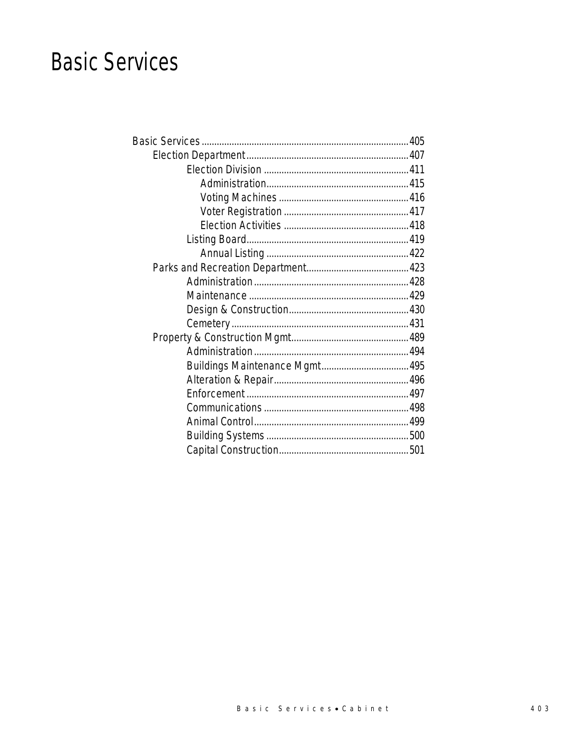## **Basic Services**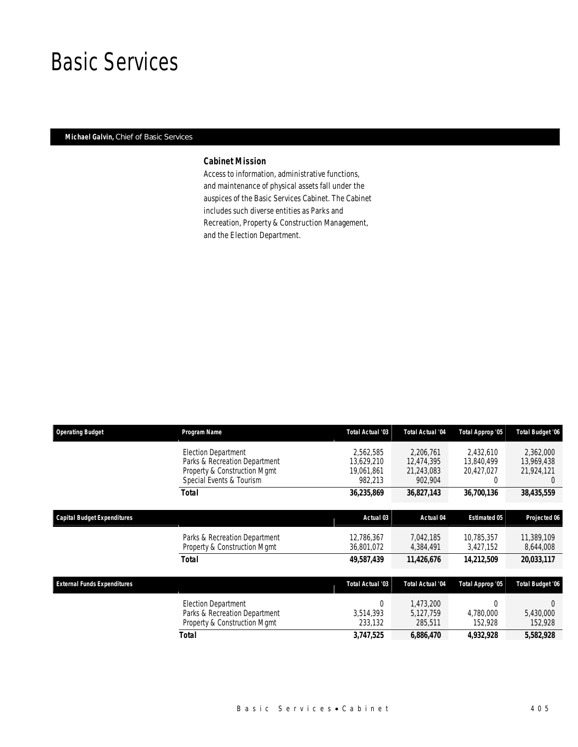## Basic Services

### *Michael Galvin, Chief of Basic Services*

### *Cabinet Mission*

Access to information, administrative functions, and maintenance of physical assets fall under the auspices of the Basic Services Cabinet. The Cabinet includes such diverse entities as Parks and Recreation, Property & Construction Management, and the Election Department.

| <b>Operating Budget</b>            | Program Name                  | Total Actual '03 | <b>Total Actual '04</b> | Total Approp '05    | <b>Total Budget '06</b> |
|------------------------------------|-------------------------------|------------------|-------------------------|---------------------|-------------------------|
|                                    | <b>Election Department</b>    | 2,562,585        | 2,206,761               | 2.432.610           | 2,362,000               |
|                                    | Parks & Recreation Department | 13.629.210       | 12.474.395              | 13,840,499          | 13.969.438              |
|                                    | Property & Construction Mgmt  | 19,061,861       | 21,243,083              | 20,427,027          | 21,924,121              |
|                                    | Special Events & Tourism      | 982,213          | 902,904                 | 0                   | $\Omega$                |
|                                    | Total                         | 36,235,869       | 36,827,143              | 36,700,136          | 38,435,559              |
| Capital Budget Expenditures        |                               | Actual 03        | Actual 04               | <b>Estimated 05</b> | Projected 06            |
|                                    |                               |                  |                         |                     |                         |
|                                    | Parks & Recreation Department | 12,786,367       | 7.042.185               | 10.785.357          | 11,389,109              |
|                                    | Property & Construction Mgmt  | 36,801,072       | 4,384,491               | 3,427,152           | 8,644,008               |
|                                    | <b>Total</b>                  | 49,587,439       | 11,426,676              | 14,212,509          | 20,033,117              |
| <b>External Funds Expenditures</b> |                               | Total Actual '03 | <b>Total Actual '04</b> | Total Approp '05    | <b>Total Budget '06</b> |
|                                    | <b>Election Department</b>    | $\Omega$         | 1.473.200               | 0                   | $\Omega$                |
|                                    | Parks & Recreation Department | 3,514,393        | 5,127,759               | 4,780,000           | 5,430,000               |
|                                    | Property & Construction Mgmt  | 233,132          | 285,511                 | 152,928             | 152,928                 |
|                                    | <b>Total</b>                  | 3,747,525        | 6,886,470               | 4,932,928           | 5,582,928               |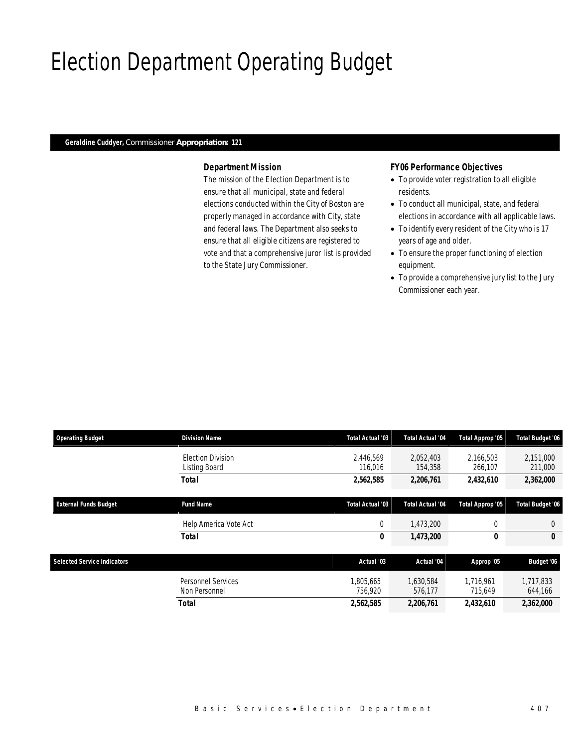# Election Department Operating Budget

#### *Geraldine Cuddyer, Commissioner Appropriation: 121*

### *Department Mission*

The mission of the Election Department is to ensure that all municipal, state and federal elections conducted within the City of Boston are properly managed in accordance with City, state and federal laws. The Department also seeks to ensure that all eligible citizens are registered to vote and that a comprehensive juror list is provided to the State Jury Commissioner.

#### *FY06 Performance Objectives*

- To provide voter registration to all eligible residents.
- To conduct all municipal, state, and federal elections in accordance with all applicable laws.
- To identify every resident of the City who is 17 years of age and older.
- To ensure the proper functioning of election equipment.
- To provide a comprehensive jury list to the Jury Commissioner each year.

| <b>Operating Budget</b>            | <b>Division Name</b>                      | <b>Total Actual '03</b> | Total Actual '04     | Total Approp '05     | <b>Total Budget '06</b> |
|------------------------------------|-------------------------------------------|-------------------------|----------------------|----------------------|-------------------------|
|                                    | <b>Election Division</b><br>Listing Board | 2.446.569<br>116,016    | 2,052,403<br>154,358 | 2,166,503<br>266,107 | 2,151,000<br>211,000    |
|                                    | <b>Total</b>                              | 2,562,585               | 2,206,761            | 2,432,610            | 2,362,000               |
| <b>External Funds Budget</b>       | <b>Fund Name</b>                          | <b>Total Actual '03</b> | Total Actual '04     | Total Approp '05     | <b>Total Budget '06</b> |
|                                    | Help America Vote Act                     | $\overline{0}$          | 1,473,200            | 0                    | $\theta$                |
|                                    | <b>Total</b>                              | 0                       | 1,473,200            | 0                    | 0                       |
| <b>Selected Service Indicators</b> |                                           | Actual '03              | Actual '04           | Approp '05           | Budget '06              |
|                                    | Personnel Services<br>Non Personnel       | 1.805.665<br>756.920    | 1.630.584<br>576,177 | 1.716.961<br>715,649 | 1,717,833<br>644,166    |
|                                    | <b>Total</b>                              | 2,562,585               | 2,206,761            | 2,432,610            | 2,362,000               |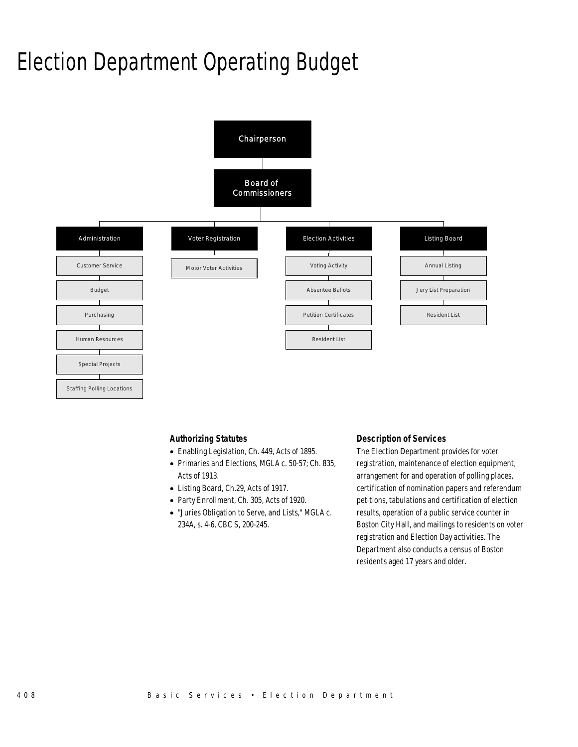# Election Department Operating Budget



#### *Authorizing Statutes*

- Enabling Legislation, Ch. 449, Acts of 1895.
- Primaries and Elections, MGLA c. 50-57; Ch. 835, Acts of 1913.
- Listing Board, Ch.29, Acts of 1917.
- Party Enrollment, Ch. 305, Acts of 1920.
- "Juries Obligation to Serve, and Lists," MGLA c. 234A, s. 4-6, CBC S, 200-245.

#### *Description of Services*

The Election Department provides for voter registration, maintenance of election equipment, arrangement for and operation of polling places, certification of nomination papers and referendum petitions, tabulations and certification of election results, operation of a public service counter in Boston City Hall, and mailings to residents on voter registration and Election Day activities. The Department also conducts a census of Boston residents aged 17 years and older.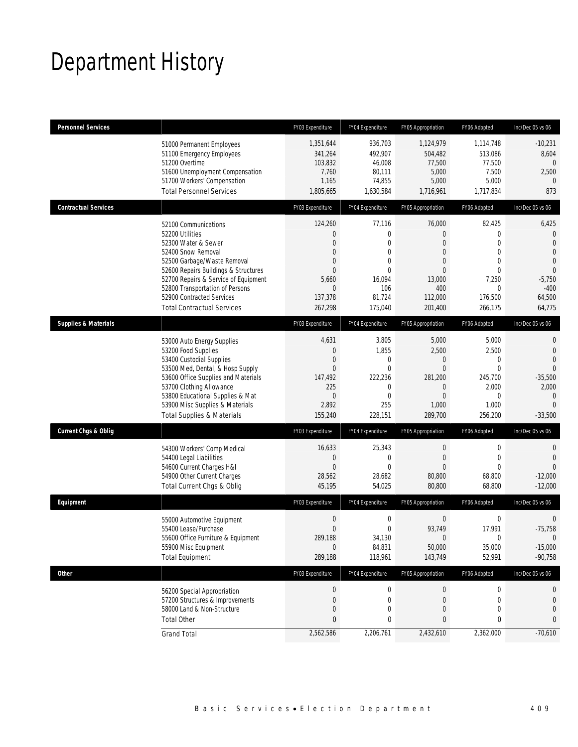# Department History

| <b>Personnel Services</b>       |                                                                                                                                                                                                                                                                                                          | FY03 Expenditure                                                                                                                   | FY04 Expenditure                                                                                        | FY05 Appropriation                                                                                                   | FY06 Adopted                                                                                                              | Inc/Dec 05 vs 06                                                                                                                  |
|---------------------------------|----------------------------------------------------------------------------------------------------------------------------------------------------------------------------------------------------------------------------------------------------------------------------------------------------------|------------------------------------------------------------------------------------------------------------------------------------|---------------------------------------------------------------------------------------------------------|----------------------------------------------------------------------------------------------------------------------|---------------------------------------------------------------------------------------------------------------------------|-----------------------------------------------------------------------------------------------------------------------------------|
|                                 | 51000 Permanent Employees<br>51100 Emergency Employees<br>51200 Overtime<br>51600 Unemployment Compensation<br>51700 Workers' Compensation<br><b>Total Personnel Services</b>                                                                                                                            | 1,351,644<br>341,264<br>103,832<br>7,760<br>1,165<br>1,805,665                                                                     | 936.703<br>492,907<br>46,008<br>80,111<br>74,855<br>1,630,584                                           | 1,124,979<br>504,482<br>77,500<br>5,000<br>5,000<br>1,716,961                                                        | 1,114,748<br>513,086<br>77,500<br>7,500<br>5,000<br>1,717,834                                                             | $-10,231$<br>8,604<br>$\mathbf{0}$<br>2,500<br>$\Omega$<br>873                                                                    |
| <b>Contractual Services</b>     |                                                                                                                                                                                                                                                                                                          | FY03 Expenditure                                                                                                                   | FY04 Expenditure                                                                                        | FY05 Appropriation                                                                                                   | FY06 Adopted                                                                                                              | Inc/Dec 05 vs 06                                                                                                                  |
|                                 | 52100 Communications<br>52200 Utilities<br>52300 Water & Sewer<br>52400 Snow Removal<br>52500 Garbage/Waste Removal<br>52600 Repairs Buildings & Structures<br>52700 Repairs & Service of Equipment<br>52800 Transportation of Persons<br>52900 Contracted Services<br><b>Total Contractual Services</b> | 124,260<br>$\mathbf{0}$<br>$\mathbf{0}$<br>$\mathbf{0}$<br>$\mathbf{0}$<br>$\Omega$<br>5,660<br>$\mathbf{0}$<br>137,378<br>267,298 | 77,116<br>0<br>$\theta$<br>0<br>$\mathbf{0}$<br>$\Omega$<br>16,094<br>106<br>81,724<br>175,040          | 76,000<br>0<br>$\overline{0}$<br>$\overline{0}$<br>$\overline{0}$<br>$\Omega$<br>13,000<br>400<br>112,000<br>201,400 | 82,425<br>0<br>$\mathbf{0}$<br>$\overline{0}$<br>$\mathbf 0$<br>$\overline{0}$<br>7,250<br>$\Omega$<br>176,500<br>266,175 | 6,425<br>$\mathbf 0$<br>$\overline{0}$<br>$\overline{0}$<br>$\mathbf 0$<br>$\mathbf{0}$<br>$-5,750$<br>$-400$<br>64,500<br>64,775 |
| <b>Supplies &amp; Materials</b> |                                                                                                                                                                                                                                                                                                          | FY03 Expenditure                                                                                                                   | FY04 Expenditure                                                                                        | FY05 Appropriation                                                                                                   | FY06 Adopted                                                                                                              | Inc/Dec 05 vs 06                                                                                                                  |
|                                 | 53000 Auto Energy Supplies<br>53200 Food Supplies<br>53400 Custodial Supplies<br>53500 Med, Dental, & Hosp Supply<br>53600 Office Supplies and Materials<br>53700 Clothing Allowance<br>53800 Educational Supplies & Mat<br>53900 Misc Supplies & Materials<br><b>Total Supplies &amp; Materials</b>     | 4,631<br>$\mathbf{0}$<br>$\mathbf{0}$<br>$\mathbf{0}$<br>147,492<br>225<br>$\overline{0}$<br>2,892<br>155,240                      | 3,805<br>1,855<br>$\mathbf{0}$<br>$\mathbf{0}$<br>222,236<br>$\mathbf{0}$<br>$\theta$<br>255<br>228,151 | 5,000<br>2,500<br>$\mathbf 0$<br>$\mathbf{0}$<br>281,200<br>$\overline{0}$<br>$\Omega$<br>1,000<br>289,700           | 5,000<br>2,500<br>$\mathbf 0$<br>$\mathbf{0}$<br>245,700<br>2,000<br>$\Omega$<br>1,000<br>256,200                         | 0<br>$\overline{0}$<br>$\overline{0}$<br>$\overline{0}$<br>$-35,500$<br>2,000<br>0<br>$\Omega$<br>$-33,500$                       |
| <b>Current Chgs &amp; Oblig</b> |                                                                                                                                                                                                                                                                                                          | FY03 Expenditure                                                                                                                   | FY04 Expenditure                                                                                        | FY05 Appropriation                                                                                                   | FY06 Adopted                                                                                                              | Inc/Dec 05 vs 06                                                                                                                  |
|                                 | 54300 Workers' Comp Medical<br>54400 Legal Liabilities<br>54600 Current Charges H&I<br>54900 Other Current Charges<br>Total Current Chgs & Oblig                                                                                                                                                         | 16,633<br>$\mathbf{0}$<br>$\overline{0}$<br>28,562<br>45,195                                                                       | 25,343<br>$\mathbf{0}$<br>$\theta$<br>28,682<br>54,025                                                  | 0<br>$\mathbf{0}$<br>$\overline{0}$<br>80,800<br>80,800                                                              | 0<br>$\overline{0}$<br>$\Omega$<br>68,800<br>68,800                                                                       | 0<br>$\overline{0}$<br>$\Omega$<br>$-12,000$<br>$-12,000$                                                                         |
| Equipment                       |                                                                                                                                                                                                                                                                                                          | FY03 Expenditure                                                                                                                   | FY04 Expenditure                                                                                        | FY05 Appropriation                                                                                                   | FY06 Adopted                                                                                                              | Inc/Dec 05 vs 06                                                                                                                  |
|                                 | 55000 Automotive Equipment<br>55400 Lease/Purchase<br>55600 Office Furniture & Equipment<br>55900 Misc Equipment<br><b>Total Equipment</b>                                                                                                                                                               | $\mathbf 0$<br>$\mathbf{0}$<br>289,188<br>$\mathbf{0}$<br>289,188                                                                  | $\mathbf 0$<br>$\mathbf{0}$<br>34,130<br>84,831<br>118,961                                              | 0<br>93,749<br>$\Omega$<br>50,000<br>143,749                                                                         | 0<br>17,991<br>$\Omega$<br>35,000<br>52,991                                                                               | 0<br>$-75,758$<br>$\Omega$<br>$-15,000$<br>$-90,758$                                                                              |
| Other                           |                                                                                                                                                                                                                                                                                                          | FY03 Expenditure                                                                                                                   | FY04 Expenditure                                                                                        | FY05 Appropriation                                                                                                   | FY06 Adopted                                                                                                              | Inc/Dec 05 vs 06                                                                                                                  |
|                                 | 56200 Special Appropriation<br>57200 Structures & Improvements<br>58000 Land & Non-Structure<br><b>Total Other</b>                                                                                                                                                                                       | $\boldsymbol{0}$<br>$\mathbf{0}$<br>$\mathbf{0}$<br>$\mathbf{0}$                                                                   | $\mathbf 0$<br>$\mathbf 0$<br>$\mathbf 0$<br>0                                                          | $\boldsymbol{0}$<br>$\mathbf{0}$<br>0<br>0                                                                           | $\pmb{0}$<br>$\mathbf 0$<br>$\mathbf 0$<br>0                                                                              | 0<br>0<br>0<br>0                                                                                                                  |
|                                 | <b>Grand Total</b>                                                                                                                                                                                                                                                                                       | 2,562,586                                                                                                                          | 2,206,761                                                                                               | 2,432,610                                                                                                            | 2,362,000                                                                                                                 | $-70,610$                                                                                                                         |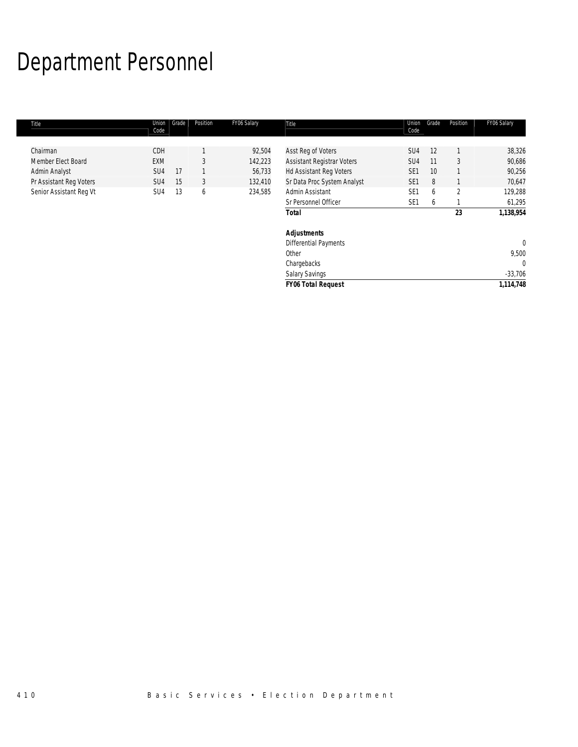# Department Personnel

| Chairman<br>CDH<br>92,504<br>SU4<br>12<br>Asst Reg of Voters                                                            |                | 38,326      |
|-------------------------------------------------------------------------------------------------------------------------|----------------|-------------|
| 3<br>SU4<br>Member Elect Board<br>EXM<br>142,223<br><b>Assistant Registrar Voters</b><br>11                             | 3              | 90,686      |
| Admin Analyst<br><b>Hd Assistant Reg Voters</b><br>SE <sub>1</sub><br>10<br>SU <sub>4</sub><br>17<br>56,733             |                | 90,256      |
| Sr Data Proc System Analyst<br>Pr Assistant Reg Voters<br>3<br>SE <sub>1</sub><br>8<br>15<br>132,410<br>SU <sub>4</sub> |                | 70,647      |
| Senior Assistant Reg Vt<br>SE <sub>1</sub><br>13<br>234,585<br>Admin Assistant<br>SU <sub>4</sub><br>6<br>6             | $\overline{2}$ | 129,288     |
| Sr Personnel Officer<br>SE <sub>1</sub><br>6                                                                            |                | 61,295      |
| <b>Total</b>                                                                                                            | 23             | 1,138,954   |
| <b>Adjustments</b>                                                                                                      |                |             |
| Differential Payments                                                                                                   |                | $\mathbf 0$ |
| Other                                                                                                                   |                | 9,500       |
| Chargebacks                                                                                                             |                | $\mathbf 0$ |
| <b>Salary Savings</b>                                                                                                   |                | $-33,706$   |
| <b>FY06 Total Request</b>                                                                                               |                | 1,114,748   |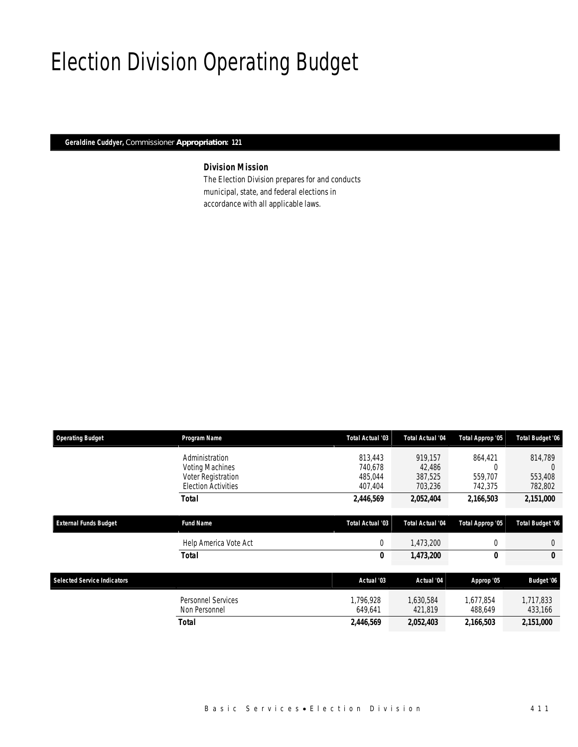# Election Division Operating Budget

*Geraldine Cuddyer, Commissioner Appropriation: 121* 

## *Division Mission*

The Election Division prepares for and conducts municipal, state, and federal elections in accordance with all applicable laws.

| <b>Operating Budget</b>            | Program Name                        | Total Actual '03     | <b>Total Actual '04</b> | Total Approp '05     | Total Budget '06     |
|------------------------------------|-------------------------------------|----------------------|-------------------------|----------------------|----------------------|
|                                    | Administration                      | 813.443              | 919.157                 | 864,421              | 814,789              |
|                                    | <b>Voting Machines</b>              | 740,678              | 42,486                  | C                    | $\left( \right)$     |
|                                    | Voter Registration                  | 485.044              | 387,525                 | 559,707              | 553,408              |
|                                    | <b>Election Activities</b>          | 407,404              | 703,236                 | 742,375              | 782,802              |
|                                    | <b>Total</b>                        | 2,446,569            | 2,052,404               | 2,166,503            | 2,151,000            |
| <b>External Funds Budget</b>       | <b>Fund Name</b>                    | Total Actual '03     | <b>Total Actual '04</b> | Total Approp '05     | Total Budget '06     |
|                                    | Help America Vote Act               | 0                    | 1,473,200               | 0                    | $\theta$             |
|                                    | <b>Total</b>                        | 0                    | 1,473,200               | 0                    | 0                    |
| <b>Selected Service Indicators</b> |                                     | Actual '03           | Actual '04              | Approp '05           | Budget '06           |
|                                    |                                     |                      |                         |                      |                      |
|                                    | Personnel Services<br>Non Personnel | 1.796.928<br>649,641 | 1.630.584<br>421,819    | 1,677,854<br>488,649 | 1,717,833<br>433,166 |
|                                    | Total                               | 2,446,569            | 2,052,403               | 2,166,503            | 2,151,000            |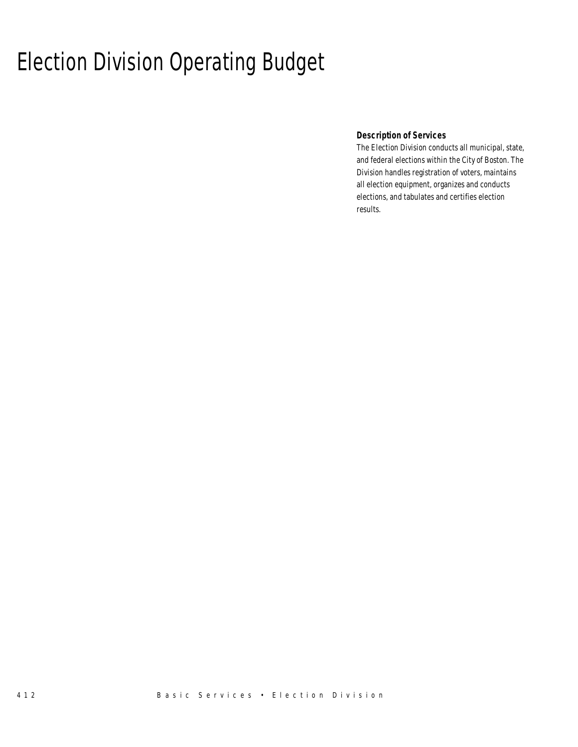# Election Division Operating Budget

### *Description of Services*

The Election Division conducts all municipal, state, and federal elections within the City of Boston. The Division handles registration of voters, maintains all election equipment, organizes and conducts elections, and tabulates and certifies election results.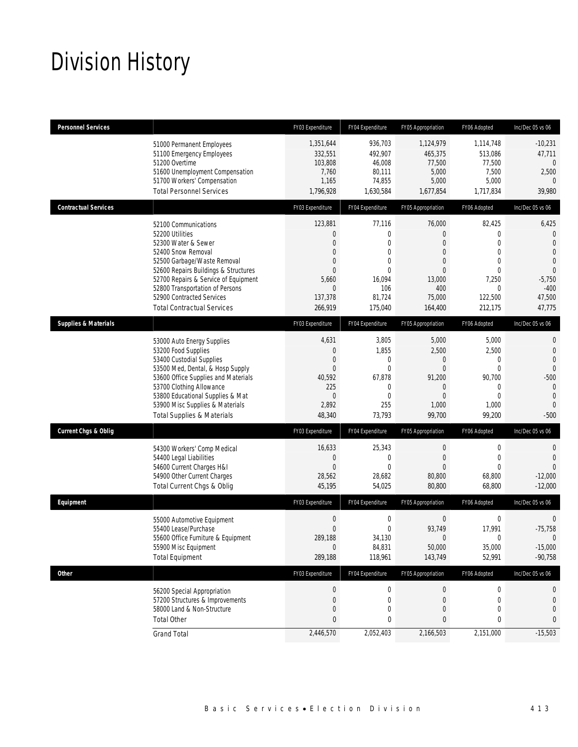# Division History

| Personnel Services              |                                                                                                                                                                                                                                                                                                          | FY03 Expenditure                                                                                                                     | FY04 Expenditure                                                                                        | FY05 Appropriation                                                                                                               | FY06 Adopted                                                                                               | Inc/Dec 05 vs 06                                                                                                             |
|---------------------------------|----------------------------------------------------------------------------------------------------------------------------------------------------------------------------------------------------------------------------------------------------------------------------------------------------------|--------------------------------------------------------------------------------------------------------------------------------------|---------------------------------------------------------------------------------------------------------|----------------------------------------------------------------------------------------------------------------------------------|------------------------------------------------------------------------------------------------------------|------------------------------------------------------------------------------------------------------------------------------|
|                                 | 51000 Permanent Employees<br>51100 Emergency Employees<br>51200 Overtime<br>51600 Unemployment Compensation<br>51700 Workers' Compensation<br><b>Total Personnel Services</b>                                                                                                                            | 1,351,644<br>332,551<br>103,808<br>7,760<br>1,165<br>1,796,928                                                                       | 936.703<br>492,907<br>46,008<br>80,111<br>74,855<br>1,630,584                                           | 1,124,979<br>465.375<br>77,500<br>5,000<br>5,000<br>1,677,854                                                                    | 1,114,748<br>513,086<br>77,500<br>7,500<br>5,000<br>1,717,834                                              | $-10,231$<br>47,711<br>$\theta$<br>2,500<br>$\Omega$<br>39,980                                                               |
| <b>Contractual Services</b>     |                                                                                                                                                                                                                                                                                                          | FY03 Expenditure                                                                                                                     | FY04 Expenditure                                                                                        | FY05 Appropriation                                                                                                               | FY06 Adopted                                                                                               | Inc/Dec 05 vs 06                                                                                                             |
|                                 | 52100 Communications<br>52200 Utilities<br>52300 Water & Sewer<br>52400 Snow Removal<br>52500 Garbage/Waste Removal<br>52600 Repairs Buildings & Structures<br>52700 Repairs & Service of Equipment<br>52800 Transportation of Persons<br>52900 Contracted Services<br><b>Total Contractual Services</b> | 123,881<br>$\overline{0}$<br>$\overline{0}$<br>$\overline{0}$<br>$\mathbf{0}$<br>$\Omega$<br>5,660<br>$\Omega$<br>137,378<br>266.919 | 77,116<br>0<br>$\Omega$<br>$\overline{0}$<br>$\Omega$<br>$\theta$<br>16,094<br>106<br>81,724<br>175.040 | 76,000<br>$\overline{0}$<br>$\overline{0}$<br>$\overline{0}$<br>$\Omega$<br>$\overline{0}$<br>13,000<br>400<br>75,000<br>164,400 | 82,425<br>0<br>0<br>$\overline{0}$<br>$\overline{0}$<br>$\overline{0}$<br>7,250<br>0<br>122,500<br>212.175 | 6,425<br>0<br>$\overline{0}$<br>$\overline{0}$<br>$\overline{0}$<br>$\overline{0}$<br>$-5,750$<br>$-400$<br>47,500<br>47,775 |
| <b>Supplies &amp; Materials</b> |                                                                                                                                                                                                                                                                                                          | FY03 Expenditure                                                                                                                     | FY04 Expenditure                                                                                        | FY05 Appropriation                                                                                                               | FY06 Adopted                                                                                               | Inc/Dec 05 vs 06                                                                                                             |
|                                 | 53000 Auto Energy Supplies<br>53200 Food Supplies<br>53400 Custodial Supplies<br>53500 Med, Dental, & Hosp Supply<br>53600 Office Supplies and Materials<br>53700 Clothing Allowance<br>53800 Educational Supplies & Mat<br>53900 Misc Supplies & Materials<br><b>Total Supplies &amp; Materials</b>     | 4,631<br>$\theta$<br>$\mathbf 0$<br>$\Omega$<br>40,592<br>225<br>$\overline{0}$<br>2,892<br>48,340                                   | 3,805<br>1,855<br>$\overline{0}$<br>$\overline{0}$<br>67,878<br>0<br>$\theta$<br>255<br>73,793          | 5,000<br>2,500<br>$\mathbf 0$<br>$\overline{0}$<br>91,200<br>$\overline{0}$<br>$\Omega$<br>1,000<br>99,700                       | 5,000<br>2,500<br>$\mathbf 0$<br>$\overline{0}$<br>90,700<br>$\mathbf 0$<br>$\Omega$<br>1,000<br>99,200    | 0<br>$\mathbf{0}$<br>$\overline{0}$<br>$\theta$<br>$-500$<br>$\mathbf 0$<br>$\overline{0}$<br>$\Omega$<br>$-500$             |
| <b>Current Chgs &amp; Oblig</b> |                                                                                                                                                                                                                                                                                                          | FY03 Expenditure                                                                                                                     | FY04 Expenditure                                                                                        | FY05 Appropriation                                                                                                               | FY06 Adopted                                                                                               | Inc/Dec 05 vs 06                                                                                                             |
|                                 | 54300 Workers' Comp Medical<br>54400 Legal Liabilities<br>54600 Current Charges H&I<br>54900 Other Current Charges<br>Total Current Chgs & Oblig                                                                                                                                                         | 16,633<br>$\theta$<br>$\mathbf{0}$<br>28,562<br>45,195                                                                               | 25,343<br>$\overline{0}$<br>$\theta$<br>28,682<br>54,025                                                | $\mathbf 0$<br>$\overline{0}$<br>$\overline{0}$<br>80,800<br>80,800                                                              | $\mathbf 0$<br>$\mathbf{0}$<br>$\overline{0}$<br>68,800<br>68,800                                          | 0<br>$\overline{0}$<br>$\Omega$<br>$-12,000$<br>$-12,000$                                                                    |
| Equipment                       |                                                                                                                                                                                                                                                                                                          | FY03 Expenditure                                                                                                                     | FY04 Expenditure                                                                                        | FY05 Appropriation                                                                                                               | FY06 Adopted                                                                                               | Inc/Dec 05 vs 06                                                                                                             |
|                                 | 55000 Automotive Equipment<br>55400 Lease/Purchase<br>55600 Office Furniture & Equipment<br>55900 Misc Equipment<br><b>Total Equipment</b>                                                                                                                                                               | $\mathbf 0$<br>$\mathbf{0}$<br>289,188<br>$\mathbf 0$<br>289,188                                                                     | $\mathbf 0$<br>$\overline{0}$<br>34,130<br>84,831<br>118,961                                            | 0<br>93,749<br>$\overline{0}$<br>50,000<br>143,749                                                                               | 0<br>17,991<br>0<br>35,000<br>52,991                                                                       | $\mathbf 0$<br>$-75,758$<br>$\theta$<br>$-15,000$<br>$-90,758$                                                               |
| Other                           |                                                                                                                                                                                                                                                                                                          | FY03 Expenditure                                                                                                                     | FY04 Expenditure                                                                                        | FY05 Appropriation                                                                                                               | FY06 Adopted                                                                                               | Inc/Dec 05 vs 06                                                                                                             |
|                                 | 56200 Special Appropriation<br>57200 Structures & Improvements<br>58000 Land & Non-Structure<br><b>Total Other</b>                                                                                                                                                                                       | $\mathbf 0$<br>$\mathbf 0$<br>$\boldsymbol{0}$<br>$\bf{0}$                                                                           | $\mathbf 0$<br>$\mathbf 0$<br>0<br>0                                                                    | $\boldsymbol{0}$<br>$\mathbf 0$<br>$\mathbf 0$<br>0                                                                              | $\boldsymbol{0}$<br>0<br>0<br>0                                                                            | 0<br>0<br>$\overline{0}$<br>0                                                                                                |
|                                 | <b>Grand Total</b>                                                                                                                                                                                                                                                                                       | 2,446,570                                                                                                                            | 2,052,403                                                                                               | 2,166,503                                                                                                                        | 2,151,000                                                                                                  | $-15,503$                                                                                                                    |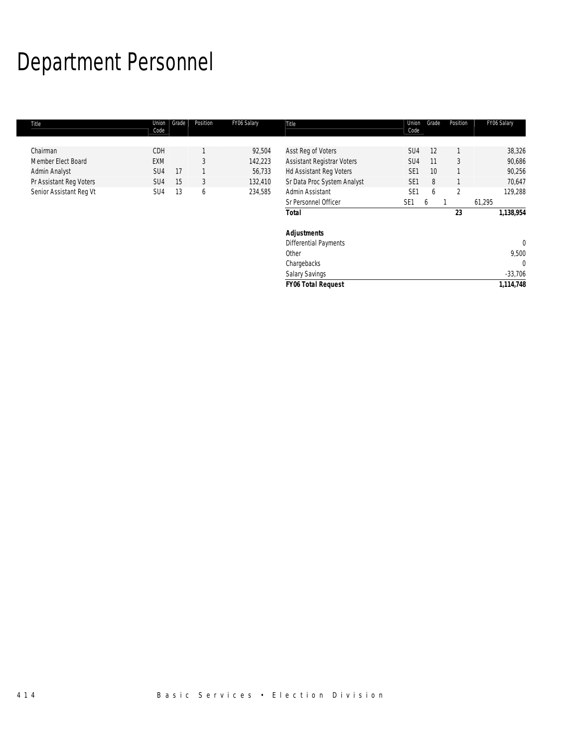# Department Personnel

| Title                   | Union<br>Code   | Grade | Position | FY06 Salary | Title                        | Union<br>Code   | Grade | Position | FY06 Salary  |
|-------------------------|-----------------|-------|----------|-------------|------------------------------|-----------------|-------|----------|--------------|
|                         |                 |       |          |             |                              |                 |       |          |              |
| Chairman                | <b>CDH</b>      |       |          | 92,504      | Asst Reg of Voters           | SU4             | 12    |          | 38,326       |
| Member Elect Board      | <b>EXM</b>      |       | 3        | 142,223     | Assistant Registrar Voters   | SU <sub>4</sub> | 11    | 3        | 90,686       |
| Admin Analyst           | SU <sub>4</sub> | 17    |          | 56,733      | Hd Assistant Reg Voters      | SE <sub>1</sub> | 10    |          | 90,256       |
| Pr Assistant Reg Voters | SU <sub>4</sub> | 15    | 3        | 132,410     | Sr Data Proc System Analyst  | SE <sub>1</sub> | 8     |          | 70,647       |
| Senior Assistant Reg Vt | SU <sub>4</sub> | 13    | 6        | 234,585     | Admin Assistant              | SE <sub>1</sub> | 6     | 2        | 129,288      |
|                         |                 |       |          |             | Sr Personnel Officer         | SE <sub>1</sub> | b     |          | 61,295       |
|                         |                 |       |          |             | <b>Total</b>                 |                 |       | 23       | 1,138,954    |
|                         |                 |       |          |             | <b>Adjustments</b>           |                 |       |          |              |
|                         |                 |       |          |             | <b>Differential Payments</b> |                 |       |          | $\mathbf{0}$ |
|                         |                 |       |          |             | Other                        |                 |       |          | 9,500        |
|                         |                 |       |          |             | Chargebacks                  |                 |       |          | $\mathbf{0}$ |
|                         |                 |       |          |             | Salary Savings               |                 |       |          | $-33,706$    |
|                         |                 |       |          |             | <b>FY06 Total Request</b>    |                 |       |          | 1,114,748    |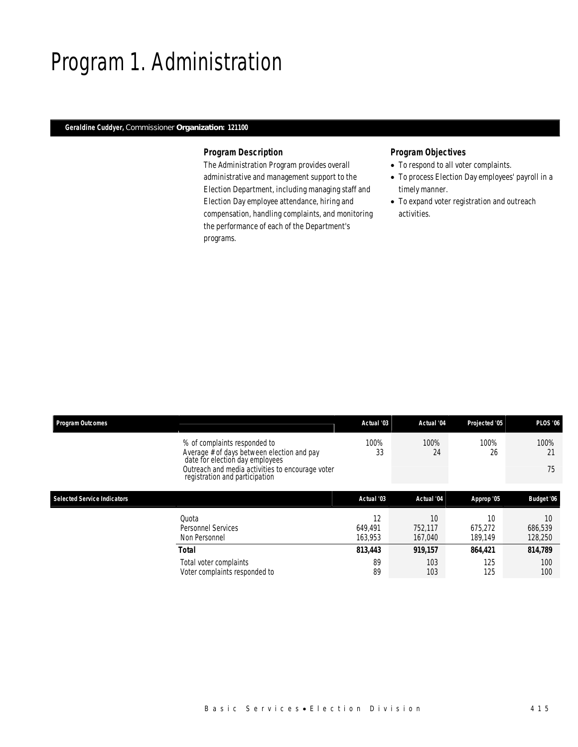## Program 1. Administration

### *Geraldine Cuddyer, Commissioner Organization: 121100*

#### *Program Description*

The Administration Program provides overall administrative and management support to the Election Department, including managing staff and Election Day employee attendance, hiring and compensation, handling complaints, and monitoring the performance of each of the Department's programs.

- To respond to all voter complaints.
- To process Election Day employees' payroll in a timely manner.
- To expand voter registration and outreach activities.

| <b>Program Outcomes</b>            |                                                                                                                                                                                                     | Actual '03               | Actual '04               | Projected '05            | <b>PLOS '06</b>          |
|------------------------------------|-----------------------------------------------------------------------------------------------------------------------------------------------------------------------------------------------------|--------------------------|--------------------------|--------------------------|--------------------------|
|                                    | % of complaints responded to<br>Average # of days between election and pay<br>date for election day employees<br>Outreach and media activities to encourage voter<br>registration and participation | 100%<br>33               | 100%<br>24               | 100%<br>26               | 100%<br>21<br>75         |
| <b>Selected Service Indicators</b> |                                                                                                                                                                                                     | Actual '03               | Actual '04               | Approp '05               | Budget '06               |
|                                    | Quota<br><b>Personnel Services</b><br>Non Personnel                                                                                                                                                 | 12<br>649.491<br>163.953 | 10<br>752.117<br>167.040 | 10<br>675.272<br>189.149 | 10<br>686,539<br>128,250 |
|                                    | <b>Total</b>                                                                                                                                                                                        | 813,443                  | 919,157                  | 864,421                  | 814,789                  |
|                                    | Total voter complaints<br>Voter complaints responded to                                                                                                                                             | 89<br>89                 | 103<br>103               | 125<br>125               | 100<br>100               |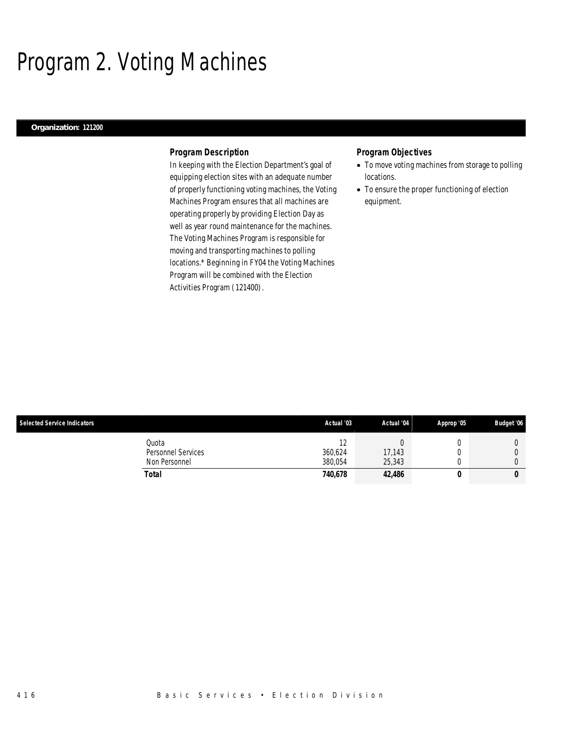# Program 2. Voting Machines

### *Organization: 121200*

#### *Program Description*

In keeping with the Election Department's goal of equipping election sites with an adequate number of properly functioning voting machines, the Voting Machines Program ensures that all machines are operating properly by providing Election Day as well as year round maintenance for the machines. The Voting Machines Program is responsible for moving and transporting machines to polling locations.\* Beginning in FY04 the Voting Machines Program will be combined with the Election Activities Program (121400).

- To move voting machines from storage to polling locations.
- To ensure the proper functioning of election equipment.

| <b>Selected Service Indicators</b> |                             | Actual '03         | Actual '04       | Approp '05 | <b>Budget '06</b> |
|------------------------------------|-----------------------------|--------------------|------------------|------------|-------------------|
|                                    | Quota<br>Personnel Services | $\sim$<br>360.624  | 17,143           |            |                   |
|                                    | Non Personnel<br>Total      | 380.054<br>740,678 | 25,343<br>42,486 |            | U                 |
|                                    |                             |                    |                  |            |                   |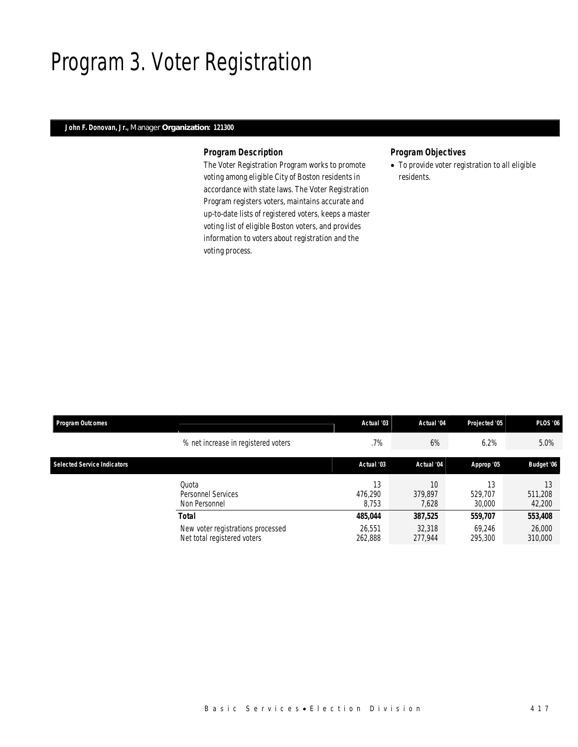## Program 3. Voter Registration

### *John F. Donovan, Jr., Manager Organization: 121300*

### *Program Description*

The Voter Registration Program works to promote voting among eligible City of Boston residents in accordance with state laws. The Voter Registration Program registers voters, maintains accurate and up-to-date lists of registered voters, keeps a master voting list of eligible Boston voters, and provides information to voters about registration and the voting process.

### *Program Objectives*

• To provide voter registration to all eligible residents.

| <b>Program Outcomes</b>            |                                                                  | Actual '03             | Actual '04             | Projected '05           | <b>PLOS '06</b>         |
|------------------------------------|------------------------------------------------------------------|------------------------|------------------------|-------------------------|-------------------------|
|                                    | % net increase in registered voters                              | .7%                    | 6%                     | 6.2%                    | 5.0%                    |
| <b>Selected Service Indicators</b> |                                                                  | Actual '03             | Actual '04             | Approp '05              | Budget '06              |
|                                    | Ouota<br>Personnel Services<br>Non Personnel                     | 13<br>476.290<br>8.753 | 10<br>379.897<br>7.628 | 13<br>529.707<br>30,000 | 13<br>511,208<br>42,200 |
|                                    | <b>Total</b>                                                     |                        | 387,525                | 559,707                 | 553,408                 |
|                                    | New voter registrations processed<br>Net total registered voters | 26.551<br>262,888      | 32,318<br>277.944      | 69,246<br>295,300       | 26,000<br>310,000       |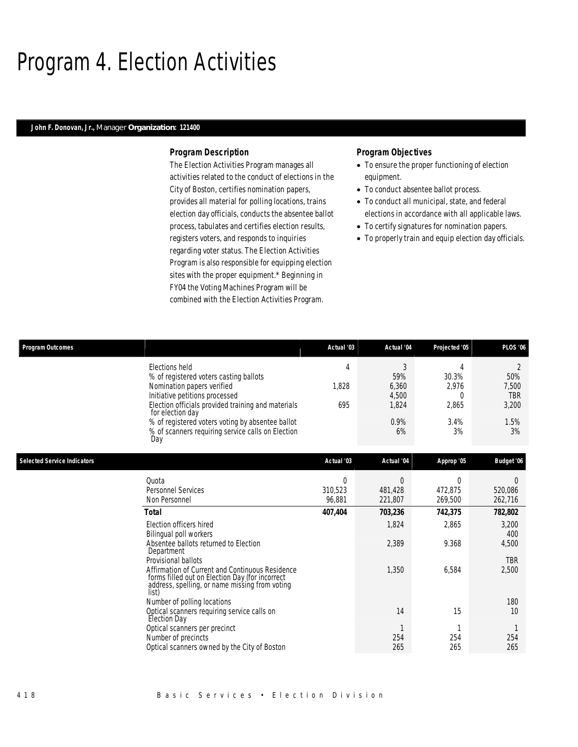## Program 4. Election Activities

#### *John F. Donovan, Jr., Manager Organization: 121400*

#### *Program Description*

The Election Activities Program manages all activities related to the conduct of elections in the City of Boston, certifies nomination papers, provides all material for polling locations, trains election day officials, conducts the absentee ballot process, tabulates and certifies election results, registers voters, and responds to inquiries regarding voter status. The Election Activities Program is also responsible for equipping election sites with the proper equipment.\* Beginning in FY04 the Voting Machines Program will be combined with the Election Activities Program.

- To ensure the proper functioning of election equipment.
- To conduct absentee ballot process.
- To conduct all municipal, state, and federal elections in accordance with all applicable laws.
- To certify signatures for nomination papers.
- To properly train and equip election day officials.

| <b>Program Outcomes</b>            |                                                                                                                                                                                                                                                        | Actual '03                    | Actual '04                                  | Projected '05                             | <b>PLOS '06</b>                                               |
|------------------------------------|--------------------------------------------------------------------------------------------------------------------------------------------------------------------------------------------------------------------------------------------------------|-------------------------------|---------------------------------------------|-------------------------------------------|---------------------------------------------------------------|
|                                    | Elections held<br>% of registered voters casting ballots<br>Nomination papers verified<br>Initiative petitions processed<br>Election officials provided training and materials<br>for election day<br>% of registered voters voting by absentee ballot | 4<br>1,828<br>695             | 3<br>59%<br>6,360<br>4,500<br>1,824<br>0.9% | 4<br>30.3%<br>2,976<br>0<br>2,865<br>3.4% | $\overline{2}$<br>50%<br>7,500<br><b>TBR</b><br>3,200<br>1.5% |
|                                    | % of scanners requiring service calls on Election<br>Day                                                                                                                                                                                               |                               | 6%                                          | 3%                                        | 3%                                                            |
| <b>Selected Service Indicators</b> |                                                                                                                                                                                                                                                        | Actual '03                    | Actual '04                                  | Approp '05                                | Budget '06                                                    |
|                                    | Quota<br><b>Personnel Services</b><br>Non Personnel                                                                                                                                                                                                    | $\Omega$<br>310,523<br>96,881 | $\overline{0}$<br>481,428<br>221,807        | $\Omega$<br>472,875<br>269,500            | 0<br>520,086<br>262,716                                       |
|                                    | Total                                                                                                                                                                                                                                                  | 407,404                       | 703,236                                     | 742,375                                   | 782,802                                                       |
|                                    | Election officers hired<br>Bilingual poll workers<br>Absentee ballots returned to Election                                                                                                                                                             |                               | 1,824<br>2,389                              | 2,865<br>9.368                            | 3,200<br>400<br>4,500                                         |
|                                    | Department<br>Provisional ballots<br>Affirmation of Current and Continuous Residence<br>forms filled out on Election Day (for incorrect<br>address, spelling, or name missing from voting<br>list)                                                     |                               | 1,350                                       | 6,584                                     | <b>TBR</b><br>2,500                                           |
|                                    | Number of polling locations<br>Optical scanners requiring service calls on<br>Election Day                                                                                                                                                             |                               | 14                                          | 15                                        | 180<br>10                                                     |
|                                    | Optical scanners per precinct<br>Number of precincts<br>Optical scanners owned by the City of Boston                                                                                                                                                   |                               | 254<br>265                                  | 254<br>265                                | 254<br>265                                                    |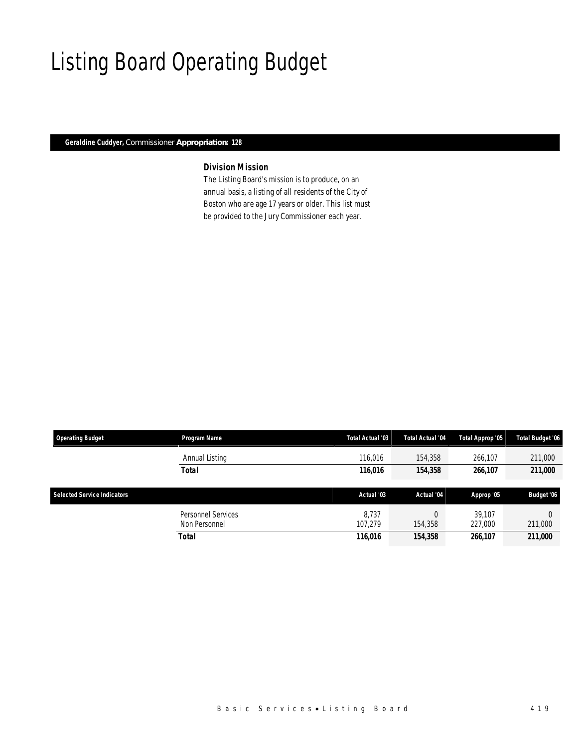# Listing Board Operating Budget

### *Geraldine Cuddyer, Commissioner Appropriation: 128*

### *Division Mission*

The Listing Board's mission is to produce, on an annual basis, a listing of all residents of the City of Boston who are age 17 years or older. This list must be provided to the Jury Commissioner each year.

| <b>Operating Budget</b>            | Program Name       | Total Actual '03 | Total Actual '04 | Total Approp '05 | <b>Total Budget '06</b> |
|------------------------------------|--------------------|------------------|------------------|------------------|-------------------------|
|                                    | Annual Listing     | 116.016          | 154,358          | 266,107          | 211,000                 |
|                                    | <b>Total</b>       | 116,016          | 154,358          | 266,107          | 211,000                 |
|                                    |                    |                  |                  |                  |                         |
| <b>Selected Service Indicators</b> |                    | Actual '03       | Actual '04       | Approp '05       | Budget '06              |
|                                    | Personnel Services | 8.737            |                  | 39.107           |                         |
|                                    | Non Personnel      | 107.279          | 154,358          | 227,000          | 211,000                 |
|                                    | <b>Total</b>       | 116,016          | 154,358          | 266,107          | 211,000                 |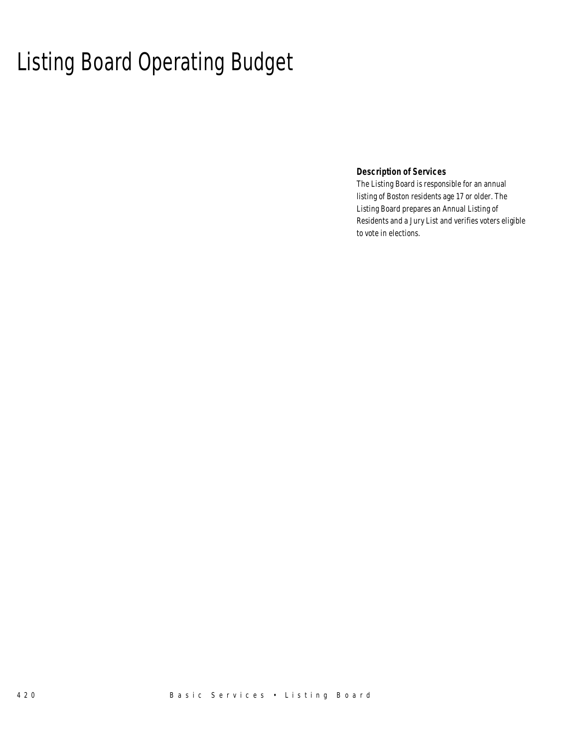# Listing Board Operating Budget

 *Description of Services* 

The Listing Board is responsible for an annual listing of Boston residents age 17 or older. The Listing Board prepares an Annual Listing of Residents and a Jury List and verifies voters eligible to vote in elections.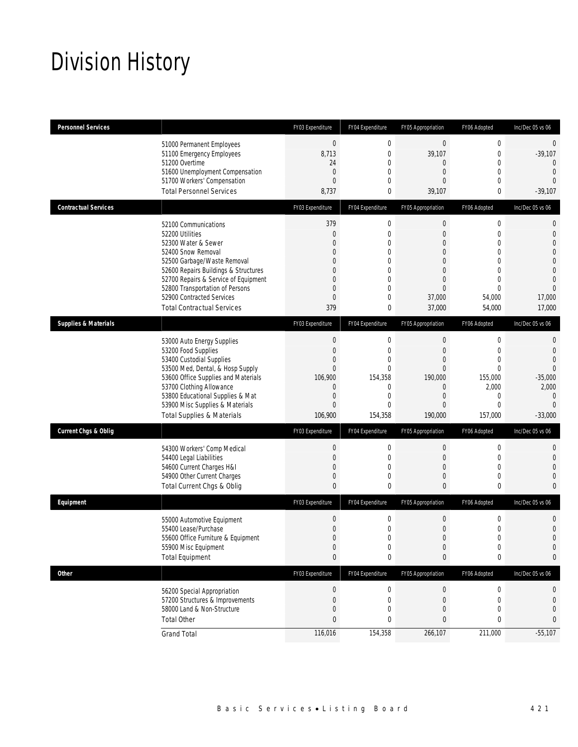# Division History

| <b>Personnel Services</b>       |                                                                                                                                                                                                                                                                                                          | FY03 Expenditure                                                                                                                     | FY04 Expenditure                                                                                                            | FY05 Appropriation                                                                                                                                         | FY06 Adopted                                                                                                                        | Inc/Dec 05 vs 06                                                                                    |
|---------------------------------|----------------------------------------------------------------------------------------------------------------------------------------------------------------------------------------------------------------------------------------------------------------------------------------------------------|--------------------------------------------------------------------------------------------------------------------------------------|-----------------------------------------------------------------------------------------------------------------------------|------------------------------------------------------------------------------------------------------------------------------------------------------------|-------------------------------------------------------------------------------------------------------------------------------------|-----------------------------------------------------------------------------------------------------|
|                                 | 51000 Permanent Employees<br>51100 Emergency Employees<br>51200 Overtime<br>51600 Unemployment Compensation<br>51700 Workers' Compensation<br><b>Total Personnel Services</b>                                                                                                                            | $\boldsymbol{0}$<br>8,713<br>24<br>$\overline{0}$<br>$\overline{0}$<br>8,737                                                         | $\mathbf 0$<br>$\mathbf{0}$<br>$\mathbf{0}$<br>0<br>$\theta$<br>0                                                           | $\boldsymbol{0}$<br>39,107<br>0<br>$\mathbf{0}$<br>$\Omega$<br>39,107                                                                                      | $\boldsymbol{0}$<br>$\mathbf{0}$<br>$\mathbf 0$<br>0<br>$\mathbf{0}$<br>0                                                           | $\mathbf 0$<br>$-39,107$<br>0<br>$\overline{0}$<br>$\Omega$<br>$-39,107$                            |
| <b>Contractual Services</b>     |                                                                                                                                                                                                                                                                                                          | FY03 Expenditure                                                                                                                     | FY04 Expenditure                                                                                                            | FY05 Appropriation                                                                                                                                         | FY06 Adopted                                                                                                                        | Inc/Dec 05 vs 06                                                                                    |
|                                 | 52100 Communications<br>52200 Utilities<br>52300 Water & Sewer<br>52400 Snow Removal<br>52500 Garbage/Waste Removal<br>52600 Repairs Buildings & Structures<br>52700 Repairs & Service of Equipment<br>52800 Transportation of Persons<br>52900 Contracted Services<br><b>Total Contractual Services</b> | 379<br>$\mathbf 0$<br>$\Omega$<br>$\overline{0}$<br>$\Omega$<br>$\mathbf{0}$<br>$\mathbf{0}$<br>$\Omega$<br>$\overline{0}$<br>379    | $\mathbf 0$<br>$\mathbf{0}$<br>$\theta$<br>0<br>0<br>$\mathbf{0}$<br>$\mathbf{0}$<br>$\theta$<br>$\overline{0}$<br>0        | $\boldsymbol{0}$<br>$\overline{0}$<br>$\overline{0}$<br>$\overline{0}$<br>$\mathbf{0}$<br>$\overline{0}$<br>$\overline{0}$<br>$\Omega$<br>37,000<br>37,000 | $\mathbf 0$<br>$\mathbf 0$<br>$\mathbf{0}$<br>$\overline{0}$<br>0<br>$\mathbf{0}$<br>$\overline{0}$<br>$\Omega$<br>54,000<br>54,000 | 0<br>$\mathbf 0$<br>0<br>0<br>0<br>$\overline{0}$<br>$\overline{0}$<br>$\Omega$<br>17,000<br>17,000 |
| <b>Supplies &amp; Materials</b> |                                                                                                                                                                                                                                                                                                          | FY03 Expenditure                                                                                                                     | FY04 Expenditure                                                                                                            | FY05 Appropriation                                                                                                                                         | FY06 Adopted                                                                                                                        | Inc/Dec 05 vs 06                                                                                    |
|                                 | 53000 Auto Energy Supplies<br>53200 Food Supplies<br>53400 Custodial Supplies<br>53500 Med, Dental, & Hosp Supply<br>53600 Office Supplies and Materials<br>53700 Clothing Allowance<br>53800 Educational Supplies & Mat<br>53900 Misc Supplies & Materials<br><b>Total Supplies &amp; Materials</b>     | $\mathbf{0}$<br>$\mathbf{0}$<br>$\overline{0}$<br>$\mathbf{0}$<br>106,900<br>$\mathbf{0}$<br>$\mathbf{0}$<br>$\mathbf{0}$<br>106,900 | $\mathbf 0$<br>$\mathbf{0}$<br>$\overline{0}$<br>$\theta$<br>154,358<br>$\mathbf{0}$<br>$\mathbf{0}$<br>$\theta$<br>154,358 | $\mathbf 0$<br>$\mathbf{0}$<br>$\overline{0}$<br>$\Omega$<br>190,000<br>$\mathbf{0}$<br>$\mathbf{0}$<br>$\overline{0}$<br>190,000                          | 0<br>$\mathbf{0}$<br>$\overline{0}$<br>$\Omega$<br>155,000<br>2,000<br>0<br>$\mathbf{0}$<br>157,000                                 | 0<br>$\overline{0}$<br>0<br>0<br>$-35,000$<br>2,000<br>$\overline{0}$<br>$\Omega$<br>$-33,000$      |
| <b>Current Chgs &amp; Oblig</b> |                                                                                                                                                                                                                                                                                                          | FY03 Expenditure                                                                                                                     | FY04 Expenditure                                                                                                            | FY05 Appropriation                                                                                                                                         | FY06 Adopted                                                                                                                        | Inc/Dec 05 vs 06                                                                                    |
|                                 | 54300 Workers' Comp Medical<br>54400 Legal Liabilities<br>54600 Current Charges H&I<br>54900 Other Current Charges<br>Total Current Chgs & Oblig                                                                                                                                                         | $\mathbf 0$<br>$\mathbf{0}$<br>$\mathbf{0}$<br>$\mathbf{0}$<br>$\theta$                                                              | $\mathbf 0$<br>$\mathbf{0}$<br>$\overline{0}$<br>$\mathbf{0}$<br>$\theta$                                                   | $\boldsymbol{0}$<br>$\mathbf{0}$<br>$\mathbf 0$<br>$\mathbf{0}$<br>0                                                                                       | $\mathbf 0$<br>0<br>$\mathbf 0$<br>$\mathbf 0$<br>0                                                                                 | 0<br>0<br>0<br>0<br>$\Omega$                                                                        |
| Equipment                       |                                                                                                                                                                                                                                                                                                          | FY03 Expenditure                                                                                                                     | FY04 Expenditure                                                                                                            | FY05 Appropriation                                                                                                                                         | FY06 Adopted                                                                                                                        | Inc/Dec 05 vs 06                                                                                    |
|                                 | 55000 Automotive Equipment<br>55400 Lease/Purchase<br>55600 Office Furniture & Equipment<br>55900 Misc Equipment<br><b>Total Equipment</b>                                                                                                                                                               | $\mathbf 0$<br>$\mathbf{0}$<br>$\Omega$<br>$\boldsymbol{0}$<br>$\bf{0}$                                                              | $\mathbf 0$<br>$\mathbf{0}$<br>$\Omega$<br>$\boldsymbol{0}$<br>$\bf{0}$                                                     | $\boldsymbol{0}$<br>$\boldsymbol{0}$<br>$\Omega$<br>$\boldsymbol{0}$<br>0                                                                                  | $\mathbf 0$<br>$\mathbf 0$<br>$\Omega$<br>0<br>0                                                                                    | 0<br>$\mathbf 0$<br>$\overline{0}$<br>0<br>0                                                        |
| <b>Other</b>                    |                                                                                                                                                                                                                                                                                                          | FY03 Expenditure                                                                                                                     | FY04 Expenditure                                                                                                            | FY05 Appropriation                                                                                                                                         | FY06 Adopted                                                                                                                        | Inc/Dec 05 vs 06                                                                                    |
|                                 | 56200 Special Appropriation<br>57200 Structures & Improvements<br>58000 Land & Non-Structure<br><b>Total Other</b>                                                                                                                                                                                       | $\boldsymbol{0}$<br>$\mathbf{0}$<br>$\mathbf 0$<br>$\mathbf{0}$                                                                      | $\mathbf 0$<br>$\mathbf{0}$<br>$\mathbf{0}$<br>0                                                                            | $\boldsymbol{0}$<br>$\mathbf{0}$<br>0<br>0                                                                                                                 | $\boldsymbol{0}$<br>$\mathbf 0$<br>0<br>0                                                                                           | 0<br>0<br>0<br>0                                                                                    |
|                                 | <b>Grand Total</b>                                                                                                                                                                                                                                                                                       | 116,016                                                                                                                              | 154,358                                                                                                                     | 266,107                                                                                                                                                    | 211,000                                                                                                                             | $-55,107$                                                                                           |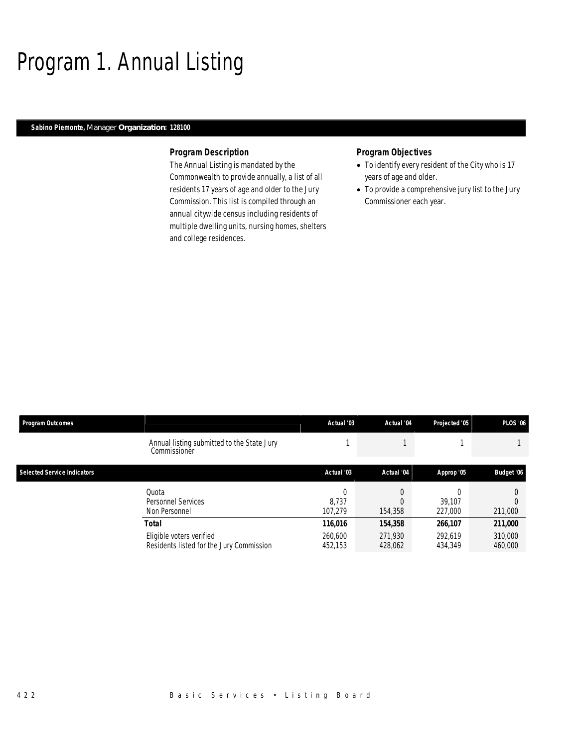## Program 1. Annual Listing

### *Sabino Piemonte, Manager Organization: 128100*

#### *Program Description*

The Annual Listing is mandated by the Commonwealth to provide annually, a list of all residents 17 years of age and older to the Jury Commission. This list is compiled through an annual citywide census including residents of multiple dwelling units, nursing homes, shelters and college residences.

- To identify every resident of the City who is 17 years of age and older.
- To provide a comprehensive jury list to the Jury Commissioner each year.

| <b>Program Outcomes</b>            |                                                                               | Actual '03                    | Actual '04                    | Projected '05                 | <b>PLOS '06</b>               |
|------------------------------------|-------------------------------------------------------------------------------|-------------------------------|-------------------------------|-------------------------------|-------------------------------|
|                                    | Annual listing submitted to the State Jury<br>Commissioner                    |                               |                               |                               |                               |
| <b>Selected Service Indicators</b> |                                                                               | Actual '03                    | Actual '04                    | Approp '05                    | Budget '06                    |
|                                    | Quota<br>Personnel Services<br>Non Personnel                                  | 0<br>8.737<br>107.279         | 154,358                       | 39.107<br>227,000             | 211,000                       |
|                                    | Total<br>Eligible voters verified<br>Residents listed for the Jury Commission | 116,016<br>260.600<br>452,153 | 154,358<br>271,930<br>428,062 | 266,107<br>292.619<br>434,349 | 211,000<br>310,000<br>460,000 |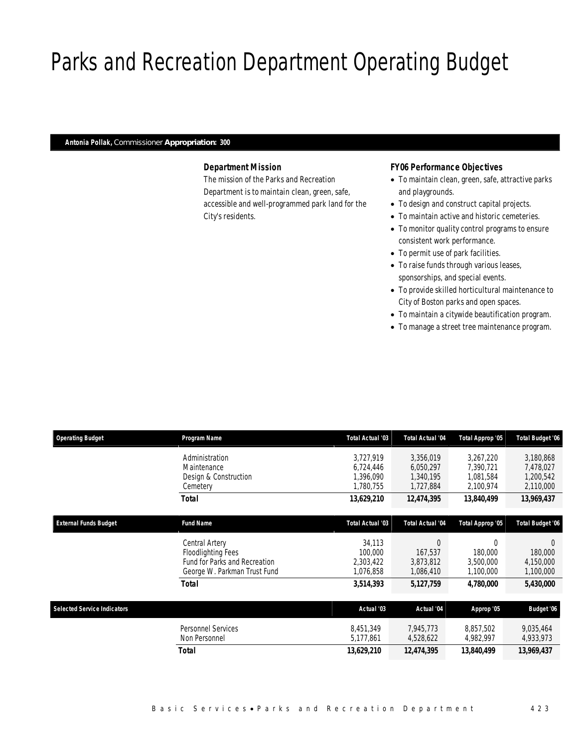# Parks and Recreation Department Operating Budget

#### *Antonia Pollak, Commissioner Appropriation: 300*

### *Department Mission*

The mission of the Parks and Recreation Department is to maintain clean, green, safe, accessible and well-programmed park land for the City's residents.

#### *FY06 Performance Objectives*

- To maintain clean, green, safe, attractive parks and playgrounds.
- To design and construct capital projects.
- To maintain active and historic cemeteries.
- To monitor quality control programs to ensure consistent work performance.
- To permit use of park facilities.
- To raise funds through various leases, sponsorships, and special events.
- To provide skilled horticultural maintenance to City of Boston parks and open spaces.
- To maintain a citywide beautification program.
- To manage a street tree maintenance program.

| <b>Operating Budget</b>            | Program Name                                                                                                        | Total Actual '03                                 | Total Actual '04                                 | Total Approp '05                                 | <b>Total Budget '06</b>                          |
|------------------------------------|---------------------------------------------------------------------------------------------------------------------|--------------------------------------------------|--------------------------------------------------|--------------------------------------------------|--------------------------------------------------|
|                                    | Administration<br>Maintenance<br>Design & Construction<br>Cemetery                                                  | 3,727,919<br>6.724.446<br>1,396,090<br>1,780,755 | 3,356,019<br>6,050,297<br>1,340,195<br>1,727,884 | 3,267,220<br>7,390,721<br>1,081,584<br>2,100,974 | 3,180,868<br>7,478,027<br>1,200,542<br>2,110,000 |
| <b>External Funds Budget</b>       | <b>Total</b>                                                                                                        | 13,629,210                                       | 12,474,395                                       | 13,840,499                                       | 13,969,437                                       |
|                                    | <b>Fund Name</b>                                                                                                    | Total Actual '03                                 | <b>Total Actual '04</b>                          | Total Approp '05                                 | <b>Total Budget '06</b>                          |
|                                    | Central Artery<br><b>Floodlighting Fees</b><br><b>Fund for Parks and Recreation</b><br>George W. Parkman Trust Fund | 34,113<br>100,000<br>2,303,422<br>1,076,858      | $\Omega$<br>167,537<br>3,873,812<br>1,086,410    | 0<br>180,000<br>3,500,000<br>1,100,000           | $\Omega$<br>180,000<br>4,150,000<br>1,100,000    |
|                                    | <b>Total</b>                                                                                                        | 3,514,393                                        | 5,127,759                                        | 4,780,000                                        | 5,430,000                                        |
| <b>Selected Service Indicators</b> |                                                                                                                     | Actual '03                                       | Actual '04                                       | Approp '05                                       | Budget '06                                       |
|                                    | Personnel Services<br>Non Personnel                                                                                 | 8,451,349<br>5,177,861                           | 7,945,773<br>4,528,622                           | 8.857.502<br>4,982,997                           | 9,035,464<br>4,933,973                           |
|                                    | <b>Total</b>                                                                                                        | 13,629,210                                       | 12,474,395                                       | 13,840,499                                       | 13,969,437                                       |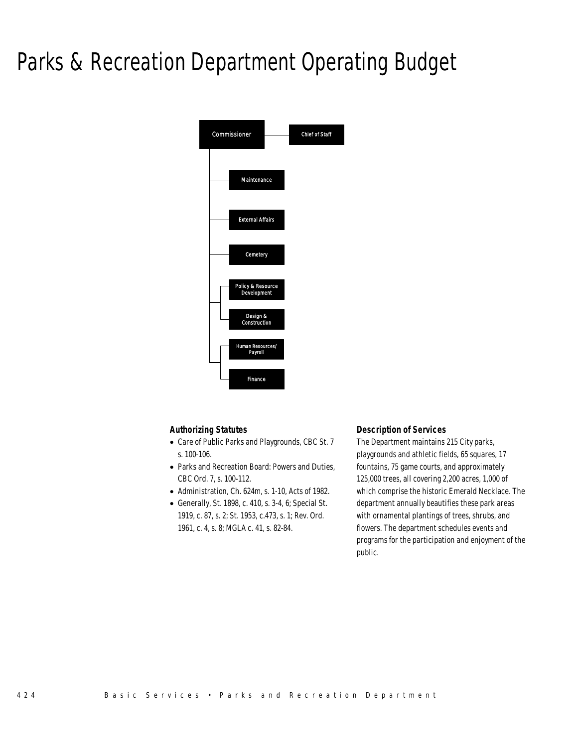# Parks & Recreation Department Operating Budget



### *Authorizing Statutes*

- Care of Public Parks and Playgrounds, CBC St. 7 s. 100-106.
- Parks and Recreation Board: Powers and Duties, CBC Ord. 7, s. 100-112.
- Administration, Ch. 624m, s. 1-10, Acts of 1982.
- Generally, St. 1898, c. 410, s. 3-4, 6; Special St. 1919, c. 87, s. 2; St. 1953, c.473, s. 1; Rev. Ord. 1961, c. 4, s. 8; MGLA c. 41, s. 82-84.

### *Description of Services*

The Department maintains 215 City parks, playgrounds and athletic fields, 65 squares, 17 fountains, 75 game courts, and approximately 125,000 trees, all covering 2,200 acres, 1,000 of which comprise the historic Emerald Necklace. The department annually beautifies these park areas with ornamental plantings of trees, shrubs, and flowers. The department schedules events and programs for the participation and enjoyment of the public.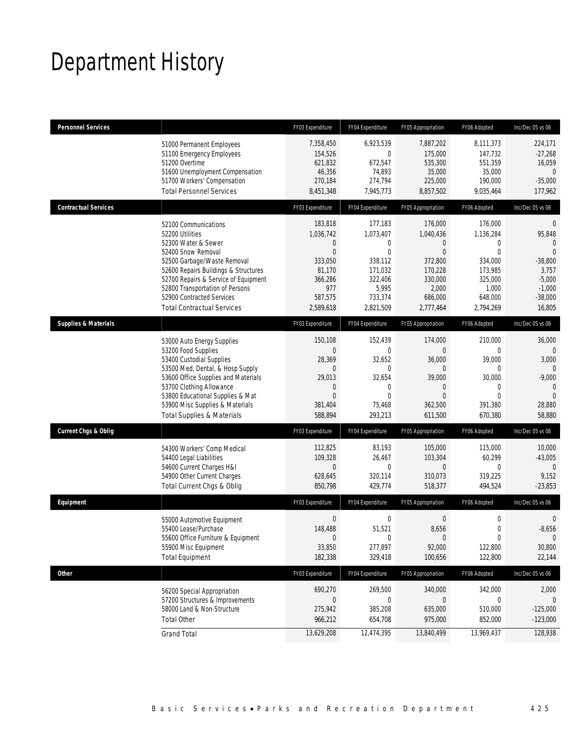## Department History

| <b>Personnel Services</b>       |                                                                                                                                                                                                                                                                                                          | FY03 Expenditure                                                                                                     | FY04 Expenditure                                                                                        | FY05 Appropriation                                                                                                         | FY06 Adopted                                                                                            | Inc/Dec 05 vs 06                                                                                                             |
|---------------------------------|----------------------------------------------------------------------------------------------------------------------------------------------------------------------------------------------------------------------------------------------------------------------------------------------------------|----------------------------------------------------------------------------------------------------------------------|---------------------------------------------------------------------------------------------------------|----------------------------------------------------------------------------------------------------------------------------|---------------------------------------------------------------------------------------------------------|------------------------------------------------------------------------------------------------------------------------------|
|                                 | 51000 Permanent Employees<br>51100 Emergency Employees<br>51200 Overtime<br>51600 Unemployment Compensation<br>51700 Workers' Compensation<br><b>Total Personnel Services</b>                                                                                                                            | 7,358,450<br>154,526<br>621,832<br>46,356<br>270,184<br>8,451,348                                                    | 6,923,539<br>0<br>672,547<br>74,893<br>274,794<br>7,945,773                                             | 7,887,202<br>175,000<br>535,300<br>35,000<br>225,000<br>8,857,502                                                          | 8,111,373<br>147,732<br>551,359<br>35,000<br>190,000<br>9,035,464                                       | 224,171<br>$-27,268$<br>16,059<br>$\theta$<br>$-35,000$<br>177,962                                                           |
| <b>Contractual Services</b>     |                                                                                                                                                                                                                                                                                                          | FY03 Expenditure                                                                                                     | FY04 Expenditure                                                                                        | FY05 Appropriation                                                                                                         | FY06 Adopted                                                                                            | Inc/Dec 05 vs 06                                                                                                             |
|                                 | 52100 Communications<br>52200 Utilities<br>52300 Water & Sewer<br>52400 Snow Removal<br>52500 Garbage/Waste Removal<br>52600 Repairs Buildings & Structures<br>52700 Repairs & Service of Equipment<br>52800 Transportation of Persons<br>52900 Contracted Services<br><b>Total Contractual Services</b> | 183.818<br>1,036,742<br>$\mathbf 0$<br>$\overline{0}$<br>333,050<br>81,170<br>366,286<br>977<br>587,575<br>2,589,618 | 177,183<br>1.073.407<br>0<br>$\theta$<br>338,112<br>171,032<br>322,406<br>5,995<br>733,374<br>2,821,509 | 176,000<br>1,040,436<br>$\overline{0}$<br>$\overline{0}$<br>372,800<br>170,228<br>330,000<br>2,000<br>686,000<br>2,777,464 | 176,000<br>1,136,284<br>0<br>$\theta$<br>334,000<br>173,985<br>325,000<br>1,000<br>648,000<br>2,794,269 | $\mathbf 0$<br>95,848<br>$\mathbf{0}$<br>$\overline{0}$<br>$-38,800$<br>3,757<br>$-5,000$<br>$-1,000$<br>$-38,000$<br>16,805 |
| <b>Supplies &amp; Materials</b> |                                                                                                                                                                                                                                                                                                          | FY03 Expenditure                                                                                                     | FY04 Expenditure                                                                                        | FY05 Appropriation                                                                                                         | FY06 Adopted                                                                                            | Inc/Dec 05 vs 06                                                                                                             |
|                                 | 53000 Auto Energy Supplies<br>53200 Food Supplies<br>53400 Custodial Supplies<br>53500 Med, Dental, & Hosp Supply<br>53600 Office Supplies and Materials<br>53700 Clothing Allowance<br>53800 Educational Supplies & Mat<br>53900 Misc Supplies & Materials<br><b>Total Supplies &amp; Materials</b>     | 150,108<br>$\theta$<br>28,369<br>$\mathbf{0}$<br>29,013<br>$\theta$<br>$\Omega$<br>381,404<br>588,894                | 152,439<br>$\theta$<br>32,652<br>$\Omega$<br>32,654<br>0<br>$\theta$<br>75,468<br>293,213               | 174,000<br>$\Omega$<br>36,000<br>$\overline{0}$<br>39,000<br>$\overline{0}$<br>$\Omega$<br>362,500<br>611,500              | 210,000<br>0<br>39,000<br>0<br>30,000<br>0<br>$\Omega$<br>391,380<br>670,380                            | 36,000<br>3,000<br>0<br>$-9,000$<br>$\mathbf 0$<br>$\Omega$<br>28,880<br>58,880                                              |
| <b>Current Chgs &amp; Oblig</b> |                                                                                                                                                                                                                                                                                                          | FY03 Expenditure                                                                                                     | FY04 Expenditure                                                                                        | FY05 Appropriation                                                                                                         | FY06 Adopted                                                                                            | Inc/Dec 05 vs 06                                                                                                             |
|                                 | 54300 Workers' Comp Medical<br>54400 Legal Liabilities<br>54600 Current Charges H&I<br>54900 Other Current Charges<br>Total Current Chgs & Oblig                                                                                                                                                         | 112,825<br>109,328<br>$\mathbf 0$<br>628,645<br>850,798                                                              | 83,193<br>26,467<br>$\mathbf 0$<br>320,114<br>429,774                                                   | 105,000<br>103,304<br>$\overline{0}$<br>310,073<br>518,377                                                                 | 115,000<br>60,299<br>0<br>319,225<br>494,524                                                            | 10,000<br>$-43,005$<br>$\theta$<br>9,152<br>$-23,853$                                                                        |
| Equipment                       |                                                                                                                                                                                                                                                                                                          | FY03 Expenditure                                                                                                     | FY04 Expenditure                                                                                        | FY05 Appropriation                                                                                                         | FY06 Adopted                                                                                            | Inc/Dec 05 vs 06                                                                                                             |
|                                 | 55000 Automotive Equipment<br>55400 Lease/Purchase<br>55600 Office Furniture & Equipment<br>55900 Misc Equipment<br><b>Total Equipment</b>                                                                                                                                                               | $\mathbf 0$<br>148,488<br>$\Omega$<br>33,850<br>182,338                                                              | 0<br>51,521<br>$\Omega$<br>277,897<br>329,418                                                           | $\mathbf 0$<br>8,656<br>$\Omega$<br>92,000<br>100,656                                                                      | 0<br>$\boldsymbol{0}$<br>0<br>122,800<br>122,800                                                        | $\overline{0}$<br>$-8,656$<br>$\Omega$<br>30,800<br>22,144                                                                   |
| Other                           |                                                                                                                                                                                                                                                                                                          | FY03 Expenditure                                                                                                     | FY04 Expenditure                                                                                        | FY05 Appropriation                                                                                                         | FY06 Adopted                                                                                            | Inc/Dec 05 vs 06                                                                                                             |
|                                 | 56200 Special Appropriation<br>57200 Structures & Improvements<br>58000 Land & Non-Structure<br><b>Total Other</b>                                                                                                                                                                                       | 690,270<br>$\mathbf 0$<br>275,942<br>966,212                                                                         | 269,500<br>0<br>385,208<br>654,708                                                                      | 340,000<br>0<br>635,000<br>975,000                                                                                         | 342,000<br>0<br>510,000<br>852,000                                                                      | 2,000<br>0<br>$-125,000$<br>$-123,000$                                                                                       |
|                                 | <b>Grand Total</b>                                                                                                                                                                                                                                                                                       | 13,629,208                                                                                                           | 12,474,395                                                                                              | 13,840,499                                                                                                                 | 13,969,437                                                                                              | 128,938                                                                                                                      |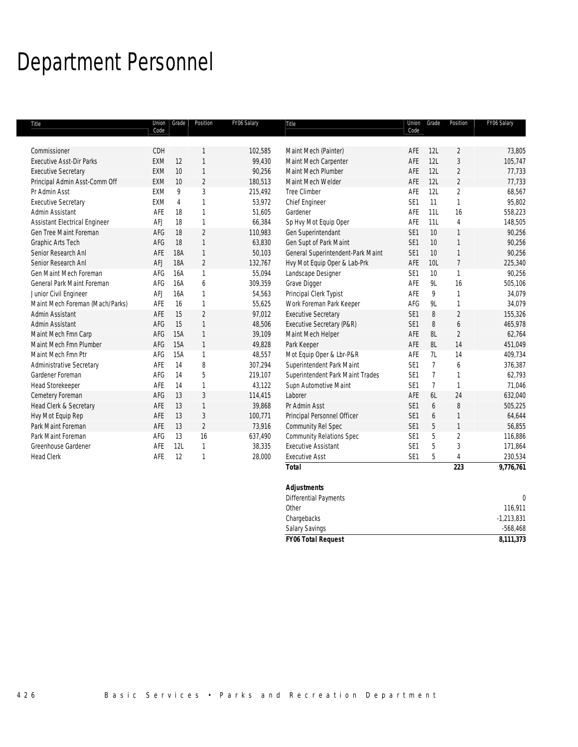## Department Personnel

| Title                           | Union<br>Code | Grade          | Position       | FY06 Salary | Title                             | Union<br>Code   | Grade          | Position       | FY06 Salary |
|---------------------------------|---------------|----------------|----------------|-------------|-----------------------------------|-----------------|----------------|----------------|-------------|
|                                 |               |                |                |             |                                   |                 |                |                |             |
| Commissioner                    | CDH           |                | $\mathbf{1}$   | 102,585     | Maint Mech (Painter)              | AFE             | 12L            | $\overline{2}$ | 73,805      |
| <b>Executive Asst-Dir Parks</b> | <b>EXM</b>    | 12             | $\mathbf{1}$   | 99,430      | Maint Mech Carpenter              | AFE             | 12L            | $\overline{3}$ | 105,747     |
| <b>Executive Secretary</b>      | <b>EXM</b>    | 10             | $\mathbf{1}$   | 90,256      | Maint Mech Plumber                | AFE             | 12L            | $\overline{2}$ | 77,733      |
| Principal Admin Asst-Comm Off   | <b>EXM</b>    | 10             | $\overline{2}$ | 180,513     | Maint Mech Welder                 | AFE             | 12L            | $\overline{2}$ | 77,733      |
| Pr Admin Asst                   | EXM           | 9              | 3              | 215,492     | <b>Tree Climber</b>               | AFE             | 12L            | $\overline{2}$ | 68,567      |
| <b>Executive Secretary</b>      | EXM           | $\overline{4}$ | $\mathbf{1}$   | 53,972      | Chief Engineer                    | SE <sub>1</sub> | 11             | $\mathbf{1}$   | 95,802      |
| Admin Assistant                 | AFE           | 18             | $\mathbf{1}$   | 51,605      | Gardener                          | AFE             | 11L            | 16             | 558,223     |
| Assistant Electrical Engineer   | AFJ           | 18             | $\mathbf{1}$   | 66,384      | Sp Hvy Mot Equip Oper             | AFE             | 11L            | $\overline{4}$ | 148,505     |
| Gen Tree Maint Foreman          | AFG           | 18             | $\overline{2}$ | 110,983     | Gen Superintendant                | SE <sub>1</sub> | 10             | $\mathbf{1}$   | 90,256      |
| Graphic Arts Tech               | AFG           | 18             | $\mathbf{1}$   | 63,830      | Gen Supt of Park Maint            | SE <sub>1</sub> | 10             | $\mathbf{1}$   | 90,256      |
| Senior Research Anl             | AFE           | 18A            | $\mathbf{1}$   | 50,103      | General Superintendent-Park Maint | SE <sub>1</sub> | 10             | $\mathbf{1}$   | 90,256      |
| Senior Research Anl             | AFJ           | <b>18A</b>     | $\overline{2}$ | 132,767     | Hvy Mot Equip Oper & Lab-Prk      | AFE             | 10L            | $\overline{7}$ | 225,340     |
| Gen Maint Mech Foreman          | AFG           | 16A            | $\mathbf{1}$   | 55,094      | Landscape Designer                | SE <sub>1</sub> | 10             | $\mathbf{1}$   | 90,256      |
| General Park Maint Foreman      | AFG           | 16A            | 6              | 309,359     | Grave Digger                      | AFE             | 9L             | 16             | 505,106     |
| Junior Civil Engineer           | AFJ           | <b>16A</b>     | $\mathbf{1}$   | 54,563      | Principal Clerk Typist            | AFE             | 9              | $\mathbf{1}$   | 34,079      |
| Maint Mech Foreman (Mach/Parks) | AFE           | 16             | $\mathbf{1}$   | 55,625      | Work Foreman Park Keeper          | AFG             | 9L             | $\mathbf{1}$   | 34,079      |
| Admin Assistant                 | AFE           | 15             | $\overline{2}$ | 97,012      | <b>Executive Secretary</b>        | SE <sub>1</sub> | 8              | $\overline{2}$ | 155,326     |
| Admin Assistant                 | AFG           | 15             | $\mathbf{1}$   | 48,506      | Executive Secretary (P&R)         | SE <sub>1</sub> | 8              | 6              | 465,978     |
| Maint Mech Fmn Carp             | AFG           | 15A            | $\mathbf{1}$   | 39,109      | Maint Mech Helper                 | AFE             | 8L             | $\overline{2}$ | 62,764      |
| Maint Mech Fmn Plumber          | AFG           | 15A            | $\mathbf{1}$   | 49,828      | Park Keeper                       | AFE             | 8L             | 14             | 451,049     |
| Maint Mech Fmn Ptr              | AFG           | <b>15A</b>     | $\mathbf{1}$   | 48,557      | Mot Equip Oper & Lbr-P&R          | AFE             | 7L             | 14             | 409.734     |
| Administrative Secretary        | AFE           | 14             | 8              | 307,294     | Superintendent Park Maint         | SE <sub>1</sub> | $\overline{7}$ | 6              | 376,387     |
| Gardener Foreman                | AFG           | 14             | 5              | 219,107     | Superintendent Park Maint Trades  | SE <sub>1</sub> | $\overline{7}$ | $\mathbf{1}$   | 62,793      |
| <b>Head Storekeeper</b>         | AFE           | 14             | $\mathbf{1}$   | 43,122      | Supn Automotive Maint             | SE <sub>1</sub> | $\overline{7}$ | $\mathbf{1}$   | 71,046      |
| Cemetery Foreman                | AFG           | 13             | 3              | 114,415     | Laborer                           | AFE             | 6L             | 24             | 632,040     |
| Head Clerk & Secretary          | AFE           | 13             | $\mathbf{1}$   | 39,868      | Pr Admin Asst                     | SE <sub>1</sub> | 6              | 8              | 505,225     |
| Hvy Mot Equip Rep               | AFE           | 13             | 3              | 100,771     | Principal Personnel Officer       | SE <sub>1</sub> | 6              | $\mathbf{1}$   | 64,644      |
| Park Maint Foreman              | AFE           | 13             | $\overline{2}$ | 73,916      | Community Rel Spec                | SE <sub>1</sub> | 5              | $\mathbf{1}$   | 56,855      |
| Park Maint Foreman              | AFG           | 13             | 16             | 637,490     | <b>Community Relations Spec</b>   | SE <sub>1</sub> | 5              | $\overline{2}$ | 116,886     |
| Greenhouse Gardener             | AFE           | 12L            | $\mathbf{1}$   | 38,335      | <b>Executive Assistant</b>        | SE <sub>1</sub> | 5              | $\sqrt{3}$     | 171,864     |
| <b>Head Clerk</b>               | AFE           | 12             | $\mathbf{1}$   | 28,000      | <b>Executive Asst</b>             | SE <sub>1</sub> | 5              | $\overline{4}$ | 230,534     |
|                                 |               |                |                |             | <b>Total</b>                      |                 |                | 223            | 9,776,761   |
|                                 |               |                |                |             | <b>Adjustments</b>                |                 |                |                |             |
|                                 |               |                |                |             | <b>Differential Payments</b>      |                 |                |                | 0           |
|                                 |               |                |                |             |                                   |                 |                |                |             |

other and the contract of the contract of the contract of the contract of the contract of the contract of the contract of the contract of the contract of the contract of the contract of the contract of the contract of the Chargebacks -1,213,831 Salary Savings -568,468 *FY06 Total Request 8,111,373*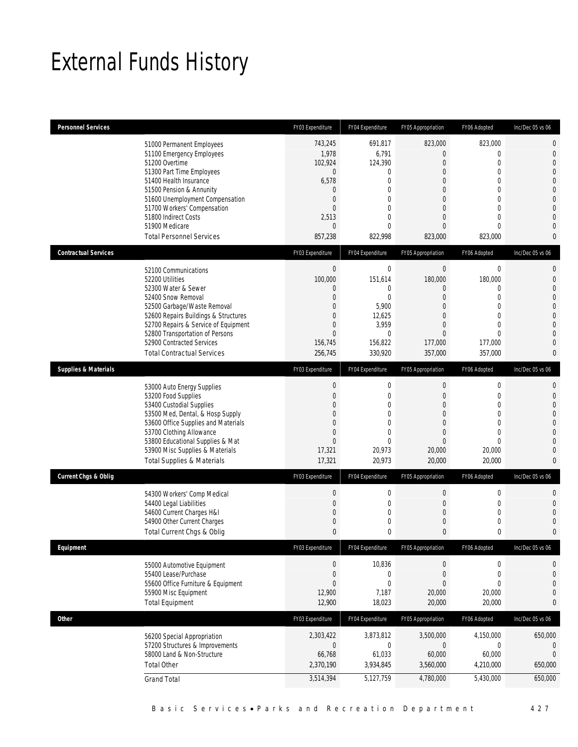## External Funds History

| <b>Personnel Services</b>       |                                                                                                                                                                                                                                                                                                            | FY03 Expenditure                                                                                                                                 | FY04 Expenditure                                                                                                                    | FY05 Appropriation                                                                                                                                                           | FY06 Adopted                                                                                                                                       | Inc/Dec 05 vs 06                                                                                  |
|---------------------------------|------------------------------------------------------------------------------------------------------------------------------------------------------------------------------------------------------------------------------------------------------------------------------------------------------------|--------------------------------------------------------------------------------------------------------------------------------------------------|-------------------------------------------------------------------------------------------------------------------------------------|------------------------------------------------------------------------------------------------------------------------------------------------------------------------------|----------------------------------------------------------------------------------------------------------------------------------------------------|---------------------------------------------------------------------------------------------------|
|                                 | 51000 Permanent Employees<br>51100 Emergency Employees<br>51200 Overtime<br>51300 Part Time Employees<br>51400 Health Insurance<br>51500 Pension & Annunity<br>51600 Unemployment Compensation<br>51700 Workers' Compensation<br>51800 Indirect Costs<br>51900 Medicare<br><b>Total Personnel Services</b> | 743,245<br>1,978<br>102,924<br>$\mathbf 0$<br>6,578<br>$\mathbf{0}$<br>$\overline{0}$<br>$\Omega$<br>2,513<br>$\mathbf{0}$<br>857,238            | 691.817<br>6,791<br>124,390<br>0<br>$\mathbf{0}$<br>$\mathbf{0}$<br>$\mathbf{0}$<br>$\theta$<br>$\mathbf{0}$<br>$\theta$<br>822,998 | 823,000<br>$\boldsymbol{0}$<br>$\mathbf{0}$<br>$\overline{0}$<br>$\overline{0}$<br>$\overline{0}$<br>$\overline{0}$<br>$\mathbf{0}$<br>$\overline{0}$<br>$\Omega$<br>823,000 | 823,000<br>$\mathbf 0$<br>$\mathbf{0}$<br>$\mathbf 0$<br>$\mathbf{0}$<br>$\mathbf 0$<br>$\mathbf{0}$<br>0<br>$\overline{0}$<br>$\Omega$<br>823,000 | 0<br>$\mathbf 0$<br>$\overline{0}$<br>0<br>0<br>$\overline{0}$<br>$\mathbf 0$<br>0<br>0<br>0<br>0 |
| <b>Contractual Services</b>     |                                                                                                                                                                                                                                                                                                            | FY03 Expenditure                                                                                                                                 | FY04 Expenditure                                                                                                                    | FY05 Appropriation                                                                                                                                                           | FY06 Adopted                                                                                                                                       | Inc/Dec 05 vs 06                                                                                  |
|                                 | 52100 Communications<br>52200 Utilities<br>52300 Water & Sewer<br>52400 Snow Removal<br>52500 Garbage/Waste Removal<br>52600 Repairs Buildings & Structures<br>52700 Repairs & Service of Equipment<br>52800 Transportation of Persons<br>52900 Contracted Services<br><b>Total Contractual Services</b>   | $\boldsymbol{0}$<br>100,000<br>$\mathbf 0$<br>$\mathbf{0}$<br>$\mathbf{0}$<br>$\mathbf{0}$<br>$\mathbf{0}$<br>$\mathbf{0}$<br>156,745<br>256,745 | $\mathbf 0$<br>151,614<br>$\mathbf{0}$<br>$\mathbf{0}$<br>5,900<br>12,625<br>3,959<br>$\mathbf{0}$<br>156,822<br>330,920            | $\mathbf 0$<br>180,000<br>$\overline{0}$<br>$\overline{0}$<br>$\overline{0}$<br>$\mathbf{0}$<br>$\overline{0}$<br>$\Omega$<br>177,000<br>357,000                             | $\boldsymbol{0}$<br>180,000<br>$\overline{0}$<br>$\mathbf 0$<br>$\mathbf 0$<br>$\overline{0}$<br>$\overline{0}$<br>$\Omega$<br>177,000<br>357,000  | 0<br>$\mathbf 0$<br>0<br>$\mathbf 0$<br>0<br>0<br>0<br>0<br>0<br>0                                |
| <b>Supplies &amp; Materials</b> |                                                                                                                                                                                                                                                                                                            | FY03 Expenditure                                                                                                                                 | FY04 Expenditure                                                                                                                    | FY05 Appropriation                                                                                                                                                           | FY06 Adopted                                                                                                                                       | Inc/Dec 05 vs 06                                                                                  |
|                                 | 53000 Auto Energy Supplies<br>53200 Food Supplies<br>53400 Custodial Supplies<br>53500 Med, Dental, & Hosp Supply<br>53600 Office Supplies and Materials<br>53700 Clothing Allowance<br>53800 Educational Supplies & Mat<br>53900 Misc Supplies & Materials<br><b>Total Supplies &amp; Materials</b>       | $\boldsymbol{0}$<br>$\overline{0}$<br>$\mathbf{0}$<br>$\mathbf{0}$<br>$\mathbf{0}$<br>$\Omega$<br>$\overline{0}$<br>17,321<br>17,321             | $\mathbf 0$<br>$\mathbf{0}$<br>$\mathbf{0}$<br>$\mathbf{0}$<br>$\theta$<br>$\Omega$<br>$\Omega$<br>20,973<br>20,973                 | $\boldsymbol{0}$<br>$\overline{0}$<br>$\mathbf{0}$<br>$\overline{0}$<br>$\mathbf{0}$<br>$\overline{0}$<br>$\Omega$<br>20,000<br>20,000                                       | $\boldsymbol{0}$<br>$\mathbf{0}$<br>0<br>$\mathbf 0$<br>$\overline{0}$<br>0<br>$\Omega$<br>20,000<br>20,000                                        | 0<br>0<br>0<br>$\mathbf 0$<br>0<br>0<br>0<br>$\mathbf 0$<br>0                                     |
| Current Chgs & Oblig            |                                                                                                                                                                                                                                                                                                            | FY03 Expenditure                                                                                                                                 | FY04 Expenditure                                                                                                                    | FY05 Appropriation                                                                                                                                                           | FY06 Adopted                                                                                                                                       | Inc/Dec 05 vs 06                                                                                  |
|                                 | 54300 Workers' Comp Medical<br>54400 Legal Liabilities<br>54600 Current Charges H&I<br>54900 Other Current Charges<br>Total Current Chgs & Oblig                                                                                                                                                           | $\boldsymbol{0}$<br>$\mathbf 0$<br>$\mathbf{0}$<br>$\mathbf{0}$<br>$\mathbf{0}$                                                                  | $\mathbf 0$<br>$\mathbf{0}$<br>$\mathbf 0$<br>$\mathbf 0$<br>$\mathbf 0$                                                            | $\boldsymbol{0}$<br>$\mathbf{0}$<br>$\mathbf 0$<br>$\mathbf{0}$<br>0                                                                                                         | $\boldsymbol{0}$<br>$\mathbf 0$<br>0<br>$\mathbf 0$<br>0                                                                                           | 0<br>0<br>0<br>$\mathbf 0$<br>0                                                                   |
| Equipment                       |                                                                                                                                                                                                                                                                                                            | FY03 Expenditure                                                                                                                                 | FY04 Expenditure                                                                                                                    | FY05 Appropriation                                                                                                                                                           | FY06 Adopted                                                                                                                                       | Inc/Dec 05 vs 06                                                                                  |
|                                 | 55000 Automotive Equipment<br>55400 Lease/Purchase<br>55600 Office Furniture & Equipment<br>55900 Misc Equipment<br><b>Total Equipment</b>                                                                                                                                                                 | $\boldsymbol{0}$<br>$\boldsymbol{0}$<br>$\mathbf{0}$<br>12,900<br>12,900                                                                         | 10,836<br>$\mathbf 0$<br>$\mathbf 0$<br>7,187<br>18,023                                                                             | 0<br>$\boldsymbol{0}$<br>0<br>20,000<br>20,000                                                                                                                               | 0<br>$\boldsymbol{0}$<br>$\mathbf 0$<br>20,000<br>20,000                                                                                           | 0<br>$\mathbf 0$<br>0<br>$\mathbf 0$<br>0                                                         |
| <b>Other</b>                    |                                                                                                                                                                                                                                                                                                            | FY03 Expenditure                                                                                                                                 | FY04 Expenditure                                                                                                                    | FY05 Appropriation                                                                                                                                                           | FY06 Adopted                                                                                                                                       | Inc/Dec 05 vs 06                                                                                  |
|                                 | 56200 Special Appropriation<br>57200 Structures & Improvements<br>58000 Land & Non-Structure<br><b>Total Other</b><br><b>Grand Total</b>                                                                                                                                                                   | 2,303,422<br>$\boldsymbol{0}$<br>66,768<br>2,370,190<br>3,514,394                                                                                | 3,873,812<br>$\mathbf 0$<br>61,033<br>3,934,845<br>5,127,759                                                                        | 3,500,000<br>$\mathbf 0$<br>60,000<br>3,560,000<br>4,780,000                                                                                                                 | 4,150,000<br>0<br>60,000<br>4,210,000<br>5,430,000                                                                                                 | 650,000<br>0<br>$\mathbf{0}$<br>650,000<br>650,000                                                |
|                                 |                                                                                                                                                                                                                                                                                                            |                                                                                                                                                  |                                                                                                                                     |                                                                                                                                                                              |                                                                                                                                                    |                                                                                                   |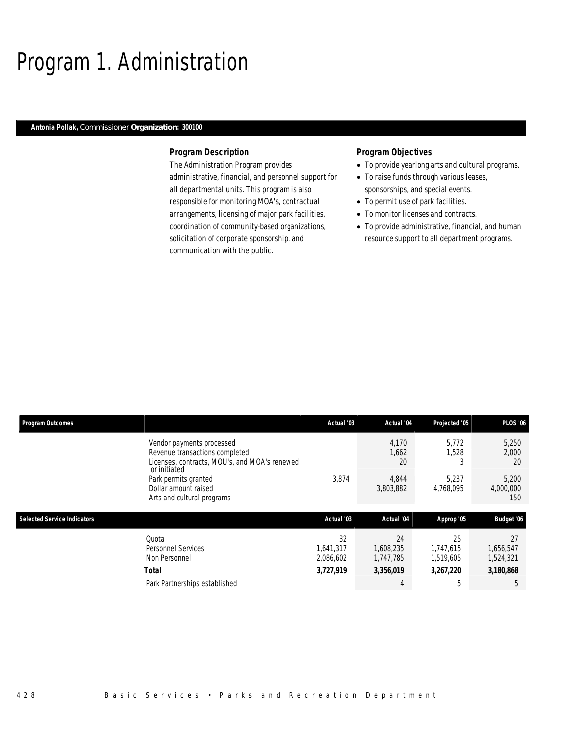## Program 1. Administration

#### *Antonia Pollak, Commissioner Organization: 300100*

### *Program Description*

The Administration Program provides administrative, financial, and personnel support for all departmental units. This program is also responsible for monitoring MOA's, contractual arrangements, licensing of major park facilities, coordination of community-based organizations, solicitation of corporate sponsorship, and communication with the public.

- To provide yearlong arts and cultural programs.
- To raise funds through various leases, sponsorships, and special events.
- To permit use of park facilities.
- To monitor licenses and contracts.
- To provide administrative, financial, and human resource support to all department programs.

| <b>Program Outcomes</b>            |                                                                                                                              | Actual '03                   | Actual '04                   | Projected '05                | <b>PLOS '06</b>              |
|------------------------------------|------------------------------------------------------------------------------------------------------------------------------|------------------------------|------------------------------|------------------------------|------------------------------|
|                                    | Vendor payments processed<br>Revenue transactions completed<br>Licenses, contracts, MOU's, and MOA's renewed<br>or initiated |                              | 4,170<br>1,662<br>20         | 5.772<br>1,528               | 5,250<br>2,000<br>20         |
|                                    | Park permits granted<br>Dollar amount raised<br>Arts and cultural programs                                                   | 3,874                        | 4,844<br>3,803,882           | 5.237<br>4,768,095           | 5,200<br>4,000,000<br>150    |
| <b>Selected Service Indicators</b> |                                                                                                                              | Actual '03                   | Actual '04                   | Approp '05                   | Budget '06                   |
|                                    | Quota<br>Personnel Services<br>Non Personnel                                                                                 | 32<br>1,641,317<br>2,086,602 | 24<br>1.608.235<br>1,747,785 | 25<br>1.747.615<br>1,519,605 | 27<br>1,656,547<br>1,524,321 |
|                                    | <b>Total</b>                                                                                                                 | 3,727,919                    | 3,356,019                    | 3,267,220                    | 3,180,868                    |
|                                    | Park Partnerships established                                                                                                |                              | 4                            |                              | 5                            |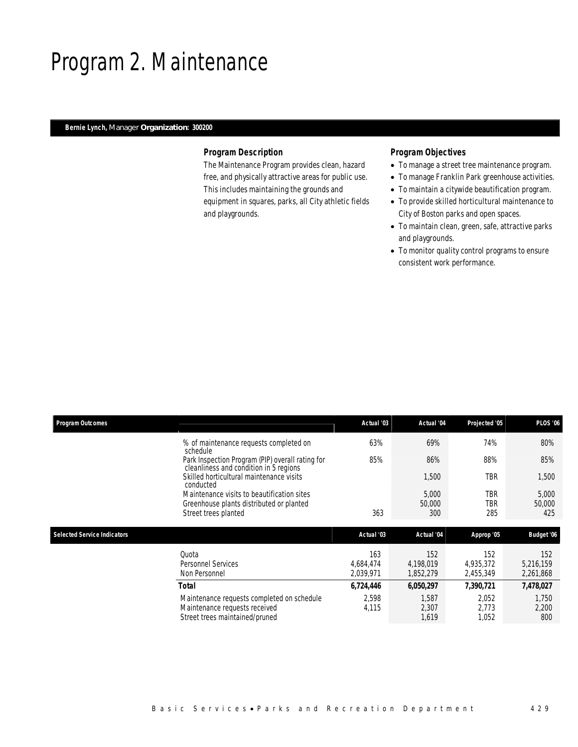## Program 2. Maintenance

## *Bernie Lynch, Manager Organization: 300200*

#### *Program Description*

The Maintenance Program provides clean, hazard free, and physically attractive areas for public use. This includes maintaining the grounds and equipment in squares, parks, all City athletic fields and playgrounds.

- To manage a street tree maintenance program.
- To manage Franklin Park greenhouse activities.
- To maintain a citywide beautification program.
- To provide skilled horticultural maintenance to City of Boston parks and open spaces.
- To maintain clean, green, safe, attractive parks and playgrounds.
- To monitor quality control programs to ensure consistent work performance.

| <b>Program Outcomes</b>            |                                                                                                               | Actual '03                    | Actual '04                    | Projected '05                 | <b>PLOS '06</b>               |
|------------------------------------|---------------------------------------------------------------------------------------------------------------|-------------------------------|-------------------------------|-------------------------------|-------------------------------|
|                                    | % of maintenance requests completed on<br>schedule                                                            | 63%                           | 69%                           | 74%                           | 80%                           |
|                                    | Park Inspection Program (PIP) overall rating for<br>cleanliness and condition in 5 regions                    | 85%                           | 86%                           | 88%                           | 85%                           |
|                                    | Skilled horticultural maintenance visits<br>conducted                                                         |                               | 1,500                         | <b>TBR</b>                    | 1,500                         |
|                                    | Maintenance visits to beautification sites<br>Greenhouse plants distributed or planted                        |                               | 5,000<br>50,000               | <b>TBR</b><br><b>TBR</b>      | 5,000<br>50,000               |
|                                    | Street trees planted                                                                                          | 363                           | 300                           | 285                           | 425                           |
| <b>Selected Service Indicators</b> |                                                                                                               | Actual '03                    | Actual '04                    | Approp '05                    | Budget '06                    |
|                                    | Quota<br><b>Personnel Services</b><br>Non Personnel                                                           | 163<br>4,684,474<br>2,039,971 | 152<br>4,198,019<br>1,852,279 | 152<br>4,935,372<br>2,455,349 | 152<br>5,216,159<br>2,261,868 |
|                                    | <b>Total</b>                                                                                                  | 6,724,446                     | 6,050,297                     | 7,390,721                     | 7,478,027                     |
|                                    | Maintenance requests completed on schedule<br>Maintenance requests received<br>Street trees maintained/pruned | 2,598<br>4,115                | 1,587<br>2,307<br>1,619       | 2,052<br>2,773<br>1,052       | 1,750<br>2,200<br>800         |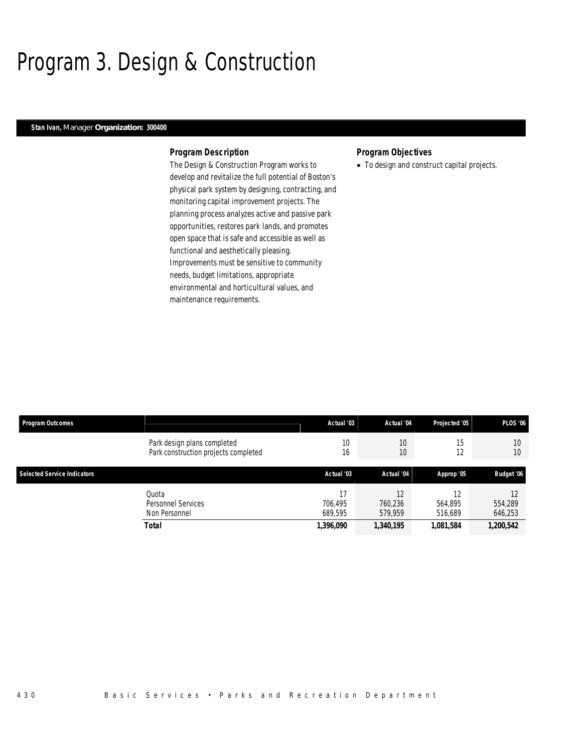## Program 3. Design & Construction

#### *Stan Ivan, Manager Organization: 300400*

#### *Program Description*

The Design & Construction Program works to develop and revitalize the full potential of Boston's physical park system by designing, contracting, and monitoring capital improvement projects. The planning process analyzes active and passive park opportunities, restores park lands, and promotes open space that is safe and accessible as well as functional and aesthetically pleasing. Improvements must be sensitive to community needs, budget limitations, appropriate environmental and horticultural values, and maintenance requirements.

### *Program Objectives*

• To design and construct capital projects.

| Program Outcomes                   |                                      | Actual '03 | Actual '04 | Projected '05 | <b>PLOS '06</b> |
|------------------------------------|--------------------------------------|------------|------------|---------------|-----------------|
|                                    | Park design plans completed          | 10         | 10         | 15            | 10              |
|                                    | Park construction projects completed | 16         | 10         | 12            | 10              |
| <b>Selected Service Indicators</b> |                                      | Actual '03 | Actual '04 | Approp '05    | Budget '06      |
|                                    | Ouota                                | 17         | 12         | 12            | 12              |
|                                    | Personnel Services                   | 706.495    | 760,236    | 564.895       | 554,289         |
|                                    | Non Personnel                        | 689.595    | 579,959    | 516,689       | 646,253         |
|                                    | <b>Total</b>                         | 1,396,090  | 1,340,195  | 1,081,584     | 1,200,542       |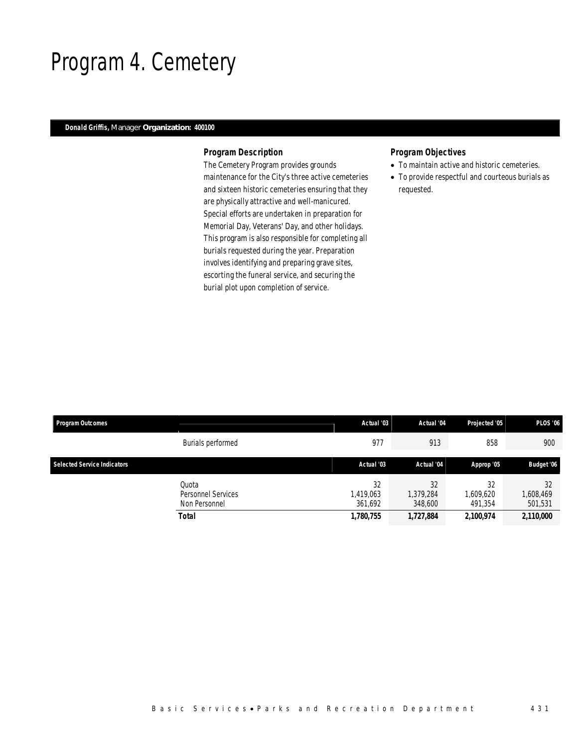## Program 4. Cemetery

### *Donald Griffis, Manager Organization: 400100*

#### *Program Description*

The Cemetery Program provides grounds maintenance for the City's three active cemeteries and sixteen historic cemeteries ensuring that they are physically attractive and well-manicured. Special efforts are undertaken in preparation for Memorial Day, Veterans' Day, and other holidays. This program is also responsible for completing all burials requested during the year. Preparation involves identifying and preparing grave sites, escorting the funeral service, and securing the burial plot upon completion of service.

- To maintain active and historic cemeteries.
- To provide respectful and courteous burials as requested.

| <b>Program Outcomes</b>            |                                                       | Actual '03                              | Actual '04                              | Projected '05                           | <b>PLOS '06</b>                         |
|------------------------------------|-------------------------------------------------------|-----------------------------------------|-----------------------------------------|-----------------------------------------|-----------------------------------------|
|                                    | Burials performed                                     | 977                                     | 913                                     | 858                                     | 900                                     |
| <b>Selected Service Indicators</b> |                                                       | Actual '03                              | Actual '04                              | Approp '05                              | Budget '06                              |
|                                    | Ouota<br>Personnel Services<br>Non Personnel<br>Total | 32<br>1,419,063<br>361.692<br>1,780,755 | 32<br>1,379,284<br>348,600<br>1,727,884 | 32<br>1,609,620<br>491.354<br>2,100,974 | 32<br>1,608,469<br>501,531<br>2,110,000 |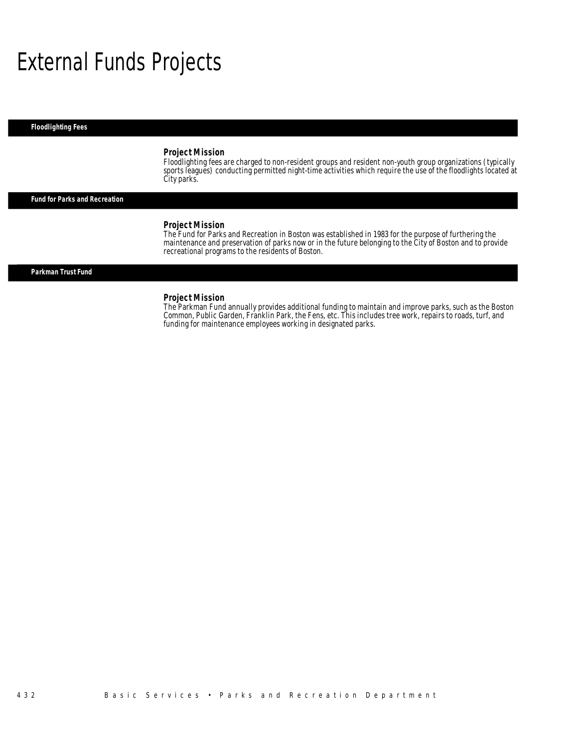## External Funds Projects

*Floodlighting Fees* 

#### *Project Mission*

Floodlighting fees are charged to non-resident groups and resident non-youth group organizations (typically sports leagues) conducting permitted night-time activities which require the use of the floodlights located at City parks.

*Fund for Parks and Recreation* 

#### *Project Mission*

The Fund for Parks and Recreation in Boston was established in 1983 for the purpose of furthering the maintenance and preservation of parks now or in the future belonging to the City of Boston and to provide recreational programs to the residents of Boston.

#### *Parkman Trust Fund*

#### *Project Mission*

The Parkman Fund annually provides additional funding to maintain and improve parks, such as the Boston Common, Public Garden, Franklin Park, the Fens, etc. This includes tree work, repairs to roads, turf, and funding for maintenance employees working in designated parks.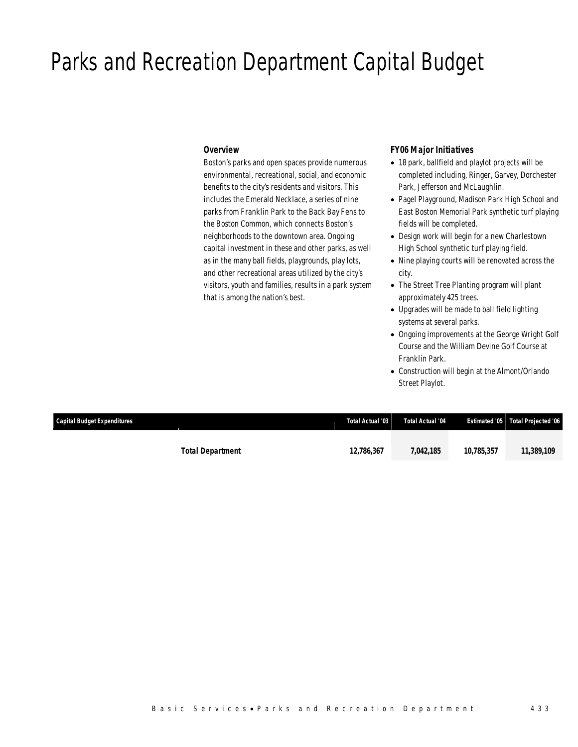## Parks and Recreation Department Capital Budget

#### *Overview*

Boston's parks and open spaces provide numerous environmental, recreational, social, and economic benefits to the city's residents and visitors. This includes the Emerald Necklace, a series of nine parks from Franklin Park to the Back Bay Fens to the Boston Common, which connects Boston's neighborhoods to the downtown area. Ongoing capital investment in these and other parks, as well as in the many ball fields, playgrounds, play lots, and other recreational areas utilized by the city's visitors, youth and families, results in a park system that is among the nation's best.

#### *FY06 Major Initiatives*

- 18 park, ballfield and playlot projects will be completed including, Ringer, Garvey, Dorchester Park, Jefferson and McLaughlin.
- Pagel Playground, Madison Park High School and East Boston Memorial Park synthetic turf playing fields will be completed.
- Design work will begin for a new Charlestown High School synthetic turf playing field.
- Nine playing courts will be renovated across the city.
- The Street Tree Planting program will plant approximately 425 trees.
- Upgrades will be made to ball field lighting systems at several parks.
- Ongoing improvements at the George Wright Golf Course and the William Devine Golf Course at Franklin Park.
- Construction will begin at the Almont/Orlando Street Playlot.

| <b>Capital Budget Expenditures</b> |                         | Total Actual '03 | Total Actual '04 |            | Estimated '05 Total Projected '06 |
|------------------------------------|-------------------------|------------------|------------------|------------|-----------------------------------|
|                                    | <b>Total Department</b> | 12,786,367       | 7.042.185        | 10,785,357 | 11,389,109                        |
|                                    |                         |                  |                  |            |                                   |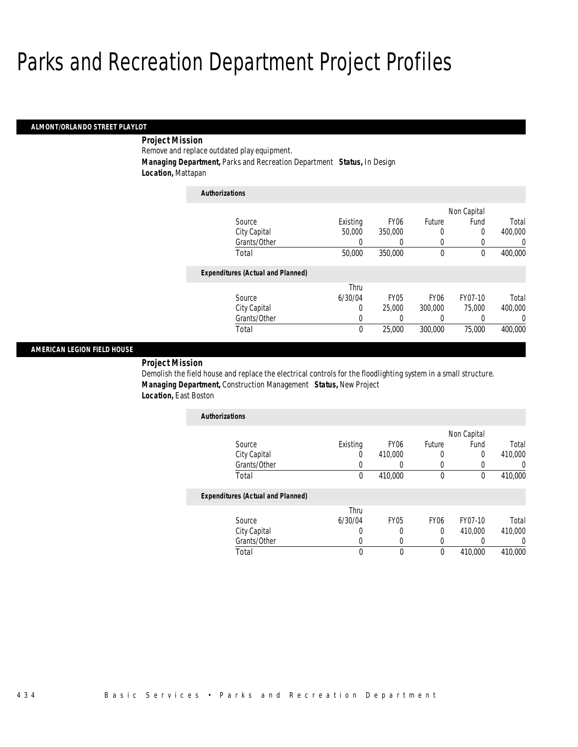#### *ALMONT/ORLANDO STREET PLAYLOT*

## *Project Mission*

Remove and replace outdated play equipment.

*Managing Department,* Parks and Recreation Department *Status,* In Design

*Location,* Mattapan

| <b>Authorizations</b>                    |          |                  |                  |             |         |
|------------------------------------------|----------|------------------|------------------|-------------|---------|
|                                          |          |                  |                  | Non Capital |         |
| Source                                   | Existing | FY <sub>06</sub> | Future           | Fund        | Total   |
| City Capital                             | 50,000   | 350,000          | 0                | 0           | 400,000 |
| Grants/Other                             | 0        | 0                | 0                | 0           | 0       |
| Total                                    | 50,000   | 350,000          | $\theta$         | $\bf{0}$    | 400,000 |
| <b>Expenditures (Actual and Planned)</b> |          |                  |                  |             |         |
|                                          | Thru     |                  |                  |             |         |
| Source                                   | 6/30/04  | <b>FY05</b>      | FY <sub>06</sub> | FY07-10     | Total   |
| City Capital                             | 0        | 25,000           | 300,000          | 75,000      | 400.000 |
| Grants/Other                             | 0        | 0                | 0                | 0           | 0       |
| Total                                    | 0        | 25,000           | 300,000          | 75,000      | 400.000 |

#### *AMERICAN LEGION FIELD HOUSE*

*Project Mission* 

Demolish the field house and replace the electrical controls for the floodlighting system in a small structure. *Managing Department,* Construction Management *Status,* New Project *Location,* East Boston

| <b>Authorizations</b> |          |                  |        |             |         |
|-----------------------|----------|------------------|--------|-------------|---------|
|                       |          |                  |        | Non Capital |         |
| Source                | Existing | FY <sub>06</sub> | Future | Fund        | Total   |
| City Capital          |          | 410,000          |        |             | 410,000 |
| Grants/Other          |          |                  |        |             |         |
| Total                 |          | 410,000          |        |             | 410,000 |

#### *Expenditures (Actual and Planned)*

|              | Thru    |      |      |         |         |
|--------------|---------|------|------|---------|---------|
| Source       | 6/30/04 | FY05 | FY06 | FY07-10 | Total   |
| City Capital |         |      |      | 410,000 | 410,000 |
| Grants/Other |         |      |      |         |         |
| Total        |         |      |      | 410,000 | 410,000 |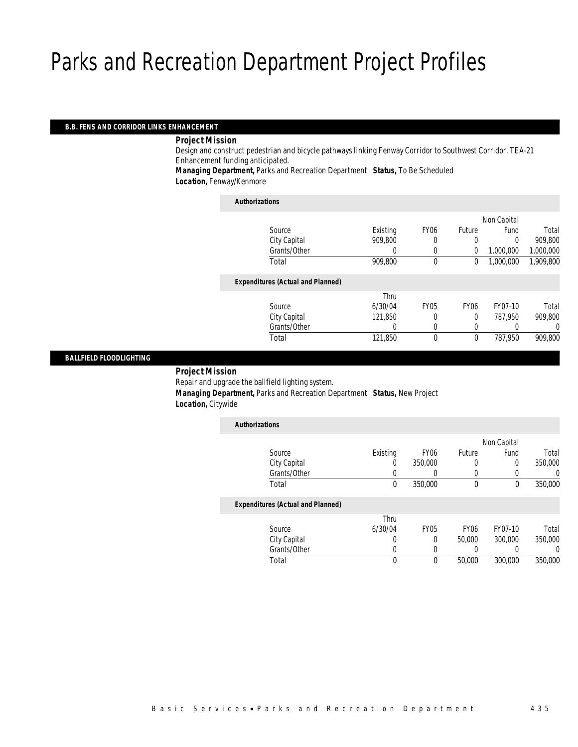#### *B.B. FENS AND CORRIDOR LINKS ENHANCEMENT*

#### *Project Mission*

Design and construct pedestrian and bicycle pathways linking Fenway Corridor to Southwest Corridor. TEA-21 Enhancement funding anticipated.

*Managing Department,* Parks and Recreation Department *Status,* To Be Scheduled *Location,* Fenway/Kenmore

| <b>Authorizations</b>                    |          |             |                  |             |           |
|------------------------------------------|----------|-------------|------------------|-------------|-----------|
|                                          |          |             |                  | Non Capital |           |
| Source                                   | Existing | <b>FY06</b> | Future           | Fund        | Total     |
| City Capital                             | 909,800  | 0           | 0                | 0           | 909.800   |
| Grants/Other                             | 0        | 0           | $\Omega$         | 1,000,000   | 1,000,000 |
| Total                                    | 909,800  | $\theta$    | 0                | 1,000,000   | 1,909,800 |
| <b>Expenditures (Actual and Planned)</b> |          |             |                  |             |           |
|                                          | Thru     |             |                  |             |           |
| Source                                   | 6/30/04  | <b>FY05</b> | FY <sub>06</sub> | FY07-10     | Total     |
| City Capital                             | 121,850  |             | $\Omega$         | 787.950     | 909,800   |
| Grants/Other                             | 0        | 0           | 0                |             | 0         |
| Total                                    | 121,850  | 0           | $\mathbf 0$      | 787.950     | 909,800   |
|                                          |          |             |                  |             |           |

#### *BALLFIELD FLOODLIGHTING*

#### *Project Mission*

Repair and upgrade the ballfield lighting system.

 *Managing Department,* Parks and Recreation Department *Status,* New Project *Location,* Citywide

| <b>Authorizations</b>                    |          |                  |                  |             |         |
|------------------------------------------|----------|------------------|------------------|-------------|---------|
|                                          |          |                  |                  | Non Capital |         |
| Source                                   | Existing | FY <sub>06</sub> | Future           | Fund        | Total   |
| City Capital                             | 0        | 350,000          | 0                | 0           | 350,000 |
| Grants/Other                             |          | $\left( \right)$ | 0                |             | 0       |
| Total                                    | 0        | 350,000          | 0                | 0           | 350,000 |
| <b>Expenditures (Actual and Planned)</b> |          |                  |                  |             |         |
|                                          | Thru     |                  |                  |             |         |
| Source                                   | 6/30/04  | <b>FY05</b>      | FY <sub>06</sub> | FY07-10     | Total   |
| City Capital                             | 0        | 0                | 50,000           | 300,000     | 350,000 |
| Grants/Other                             |          |                  | 0                |             | 0       |
| Total                                    | 0        | 0                | 50,000           | 300,000     | 350,000 |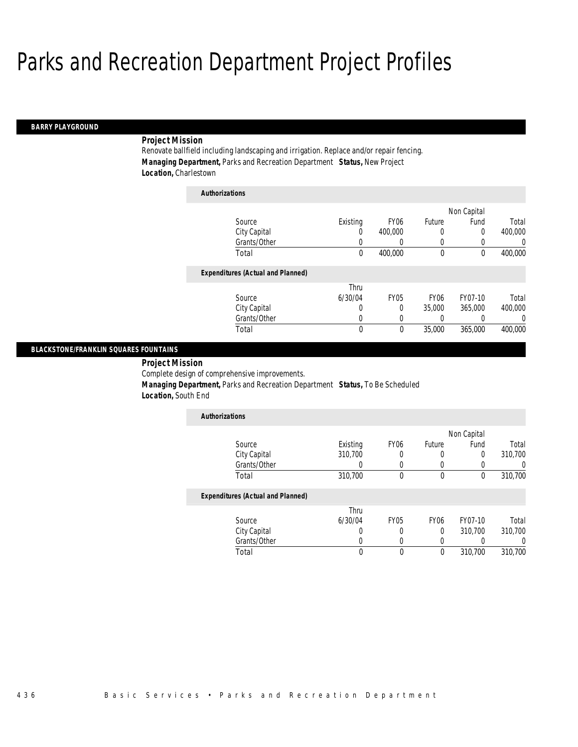#### *BARRY PLAYGROUND*

#### *Project Mission*

Renovate ballfield including landscaping and irrigation. Replace and/or repair fencing. *Managing Department,* Parks and Recreation Department *Status,* New Project *Location,* Charlestown

| <b>Authorizations</b>                    |          |                  |                  |             |          |
|------------------------------------------|----------|------------------|------------------|-------------|----------|
|                                          |          |                  |                  | Non Capital |          |
| Source                                   | Existing | FY <sub>06</sub> | Future           | Fund        | Total    |
| City Capital                             | 0        | 400,000          | 0                | 0           | 400,000  |
| Grants/Other                             | 0        | 0                | 0                | 0           | 0        |
| Total                                    | 0        | 400,000          | $\mathbf 0$      | $\theta$    | 400,000  |
| <b>Expenditures (Actual and Planned)</b> |          |                  |                  |             |          |
|                                          | Thru     |                  |                  |             |          |
| Source                                   | 6/30/04  | <b>FY05</b>      | FY <sub>06</sub> | FY07-10     | Total    |
| City Capital                             | 0        | $\Omega$         | 35,000           | 365,000     | 400,000  |
| Grants/Other                             | 0        | 0                | 0                | 0           | $\left($ |
| Total                                    | 0        | 0                | 35,000           | 365,000     | 400,000  |

#### *BLACKSTONE/FRANKLIN SQUARES FOUNTAINS*

*Project Mission* 

Complete design of comprehensive improvements.

*Managing Department,* Parks and Recreation Department *Status,* To Be Scheduled

*Location,* South End

| <b>Authorizations</b> |          |                  |        |             |         |
|-----------------------|----------|------------------|--------|-------------|---------|
|                       |          |                  |        | Non Capital |         |
| Source                | Existing | FY <sub>06</sub> | Future | Fund        | Total   |
| City Capital          | 310,700  | 0                |        |             | 310,700 |
| Grants/Other          |          |                  |        |             |         |
| Total                 | 310,700  |                  | 0      |             | 310,700 |

#### *Expenditures (Actual and Planned)*

|              | Thru    |             |      |         |         |
|--------------|---------|-------------|------|---------|---------|
| Source       | 6/30/04 | <b>FY05</b> | FY06 | FY07-10 | Total   |
| City Capital |         |             |      | 310.700 | 310,700 |
| Grants/Other |         |             |      |         |         |
| Total        |         |             |      | 310.700 | 310.700 |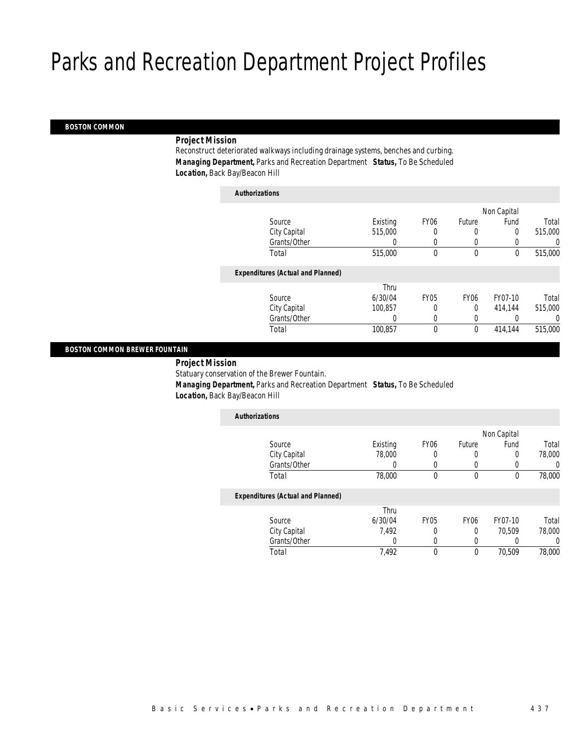#### *BOSTON COMMON*

### *Project Mission*

Reconstruct deteriorated walkways including drainage systems, benches and curbing. *Managing Department,* Parks and Recreation Department *Status,* To Be Scheduled *Location,* Back Bay/Beacon Hill

| <b>Authorizations</b>                    |          |                  |                  |             |          |
|------------------------------------------|----------|------------------|------------------|-------------|----------|
|                                          |          |                  |                  | Non Capital |          |
| Source                                   | Existing | FY <sub>06</sub> | Future           | Fund        | Total    |
| City Capital                             | 515,000  | 0                | 0                | 0           | 515,000  |
| Grants/Other                             | 0        | 0                | 0                |             | $\left($ |
| Total                                    | 515,000  | 0                | $\mathbf 0$      | 0           | 515,000  |
| <b>Expenditures (Actual and Planned)</b> |          |                  |                  |             |          |
|                                          | Thru     |                  |                  |             |          |
| Source                                   | 6/30/04  | <b>FY05</b>      | FY <sub>06</sub> | FY07-10     | Total    |
| City Capital                             | 100.857  | 0                | 0                | 414.144     | 515,000  |
| Grants/Other                             | 0        | 0                | 0                |             | $\Omega$ |
| Total                                    | 100,857  | 0                | $\mathbf 0$      | 414,144     | 515,000  |

#### *BOSTON COMMON BREWER FOUNTAIN*

*Project Mission* 

Statuary conservation of the Brewer Fountain.

*Managing Department,* Parks and Recreation Department *Status,* To Be Scheduled

*Location,* Back Bay/Beacon Hill

| <b>Authorizations</b>                    |          |                  |                  |             |                  |
|------------------------------------------|----------|------------------|------------------|-------------|------------------|
|                                          |          |                  |                  | Non Capital |                  |
| Source                                   | Existing | FY <sub>06</sub> | Future           | Fund        | Total            |
| City Capital                             | 78,000   | 0                | 0                | 0           | 78,000           |
| Grants/Other                             | O        | $\left( \right)$ | $\left( \right)$ |             | $\left( \right)$ |
| Total                                    | 78,000   | 0                | 0                | 0           | 78,000           |
| <b>Expenditures (Actual and Planned)</b> |          |                  |                  |             |                  |
|                                          | Thru     |                  |                  |             |                  |
| Source                                   | 6/30/04  | FY05             | FY <sub>06</sub> | FY07-10     | Total            |
| City Capital                             | 7.492    | 0                | 0                | 70.509      | 78,000           |
| Grants/Other                             |          |                  |                  |             | 0                |

Total 7,492 0 0 70,509 78,000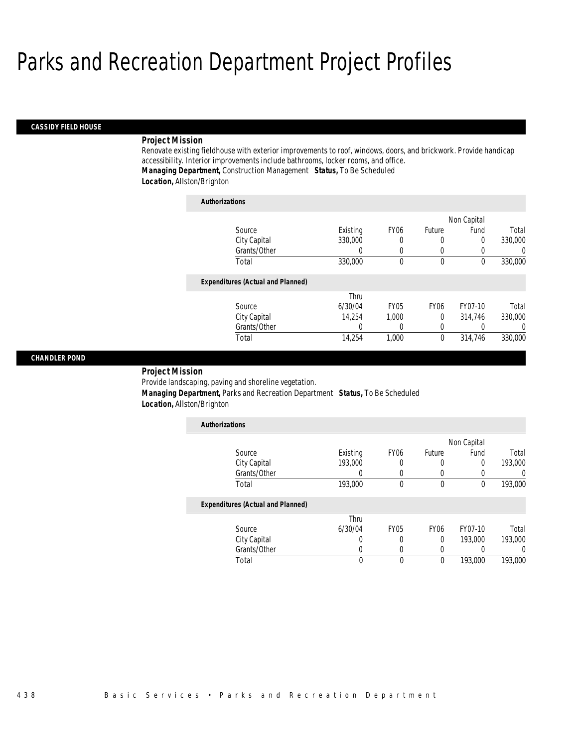#### *CASSIDY FIELD HOUSE*

#### *Project Mission*

Renovate existing fieldhouse with exterior improvements to roof, windows, doors, and brickwork. Provide handicap accessibility. Interior improvements include bathrooms, locker rooms, and office. *Managing Department,* Construction Management *Status,* To Be Scheduled *Location,* Allston/Brighton

| <b>Authorizations</b>                    |          |                  |             |             |                  |
|------------------------------------------|----------|------------------|-------------|-------------|------------------|
|                                          |          |                  |             | Non Capital |                  |
| Source                                   | Existing | FY <sub>06</sub> | Future      | Fund        | Total            |
| City Capital                             | 330,000  | 0                | 0           | 0           | 330,000          |
| Grants/Other                             | 0        | $\Omega$         | $\Omega$    |             | $\left( \right)$ |
| Total                                    | 330,000  | $\mathbf 0$      | $\mathbf 0$ | $\Omega$    | 330,000          |
| <b>Expenditures (Actual and Planned)</b> |          |                  |             |             |                  |
|                                          | Thru     |                  |             |             |                  |
| Source                                   | 6/30/04  | <b>FY05</b>      | <b>FY06</b> | FY07-10     | Total            |
| City Capital                             | 14.254   | 1.000            | $\Omega$    | 314,746     | 330,000          |
| Grants/Other                             | 0        | 0                | 0           |             | $\Omega$         |
| Total                                    | 14,254   | 1,000            | 0           | 314,746     | 330,000          |

#### *CHANDLER POND*

*Project Mission* 

Provide landscaping, paving and shoreline vegetation.

 *Managing Department,* Parks and Recreation Department *Status,* To Be Scheduled *Location,* Allston/Brighton

| <b>Authorizations</b>                    |          |             |             |             |         |
|------------------------------------------|----------|-------------|-------------|-------------|---------|
|                                          |          |             |             | Non Capital |         |
| Source                                   | Existing | <b>FY06</b> | Future      | Fund        | Total   |
| City Capital                             | 193,000  | 0           | 0           | 0           | 193,000 |
| Grants/Other                             |          | 0           | 0           | 0           |         |
| Total                                    | 193,000  | 0           | $\mathbf 0$ | $\mathbf 0$ | 193,000 |
| <b>Expenditures (Actual and Planned)</b> |          |             |             |             |         |
|                                          | Thru     |             |             |             |         |
| Source                                   | 6/30/04  | <b>FY05</b> | <b>FY06</b> | FY07-10     | Total   |
| City Capital                             |          | 0           | 0           | 193,000     | 193,000 |
| Grants/Other                             |          | 0           | 0           | 0           |         |
| Total                                    | 0        | 0           | 0           | 193,000     | 193,000 |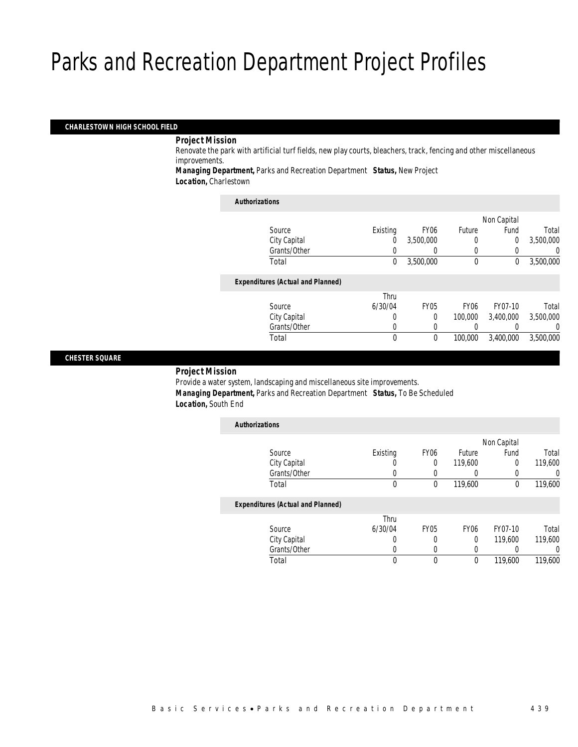#### *CHARLESTOWN HIGH SCHOOL FIELD*

#### *Project Mission*

**College** 

Renovate the park with artificial turf fields, new play courts, bleachers, track, fencing and other miscellaneous improvements.

*Managing Department,* Parks and Recreation Department *Status,* New Project *Location,* Charlestown

| <b>Authorizations</b>                    |          |                  |             |             |           |
|------------------------------------------|----------|------------------|-------------|-------------|-----------|
|                                          |          |                  |             | Non Capital |           |
| Source                                   | Existina | FY <sub>06</sub> | Future      | Fund        | Total     |
| City Capital                             | 0        | 3.500.000        |             | 0           | 3,500,000 |
| Grants/Other                             |          | 0                | 0           | $\left($    | 0         |
| Total                                    | 0        | 3,500,000        | $\theta$    | 0           | 3,500,000 |
| <b>Expenditures (Actual and Planned)</b> |          |                  |             |             |           |
|                                          | Thru     |                  |             |             |           |
| Source                                   | 6/30/04  | <b>FY05</b>      | <b>FY06</b> | FY07-10     | Total     |
| City Capital                             | 0        | $\Omega$         | 100,000     | 3,400,000   | 3,500,000 |
| Grants/Other                             | $\Omega$ | 0                |             | 0           | $\left($  |
| Total                                    | 0        | 0                | 100,000     | 3,400,000   | 3,500,000 |

#### *CHESTER SQUARE*

### *Project Mission*

Provide a water system, landscaping and miscellaneous site improvements. *Managing Department,* Parks and Recreation Department *Status,* To Be Scheduled *Location,* South End

| <b>Authorizations</b>                    |          |             |                  |             |          |
|------------------------------------------|----------|-------------|------------------|-------------|----------|
|                                          |          |             |                  | Non Capital |          |
| Source                                   | Existing | <b>FY06</b> | Future           | Fund        | Total    |
| City Capital                             | 0        | 0           | 119,600          | 0           | 119,600  |
| Grants/Other                             | 0        | 0           | 0                | 0           | 0        |
| Total                                    | 0        | 0           | 119,600          | 0           | 119,600  |
| <b>Expenditures (Actual and Planned)</b> |          |             |                  |             |          |
|                                          | Thru     |             |                  |             |          |
| Source                                   | 6/30/04  | <b>FY05</b> | FY <sub>06</sub> | FY07-10     | Total    |
| City Capital                             | 0        | 0           | 0                | 119,600     | 119,600  |
| Grants/Other                             | 0        | 0           | 0                |             | $\Omega$ |
| Total                                    | 0        | 0           | 0                | 119,600     | 119,600  |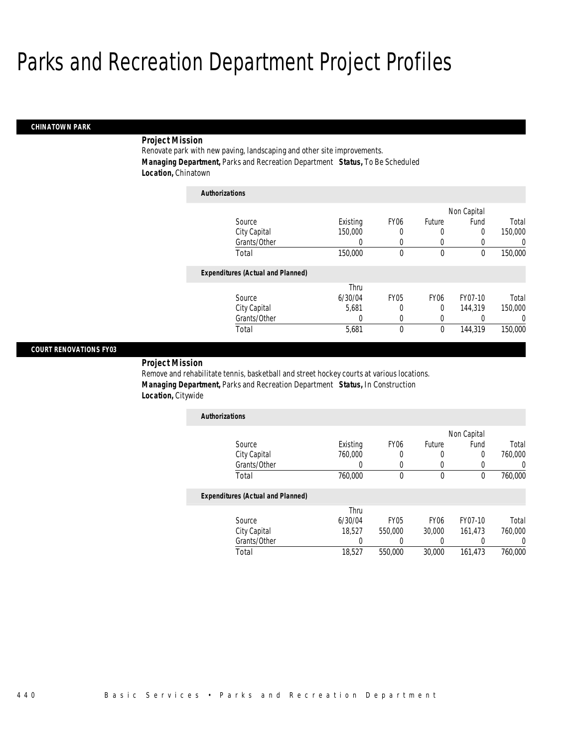#### *CHINATOWN PARK*

### *Project Mission*

Renovate park with new paving, landscaping and other site improvements. *Managing Department,* Parks and Recreation Department *Status,* To Be Scheduled *Location,* Chinatown

| <b>Authorizations</b>                    |          |                  |             |             |          |
|------------------------------------------|----------|------------------|-------------|-------------|----------|
|                                          |          |                  |             | Non Capital |          |
| Source                                   | Existing | FY <sub>06</sub> | Future      | Fund        | Total    |
| City Capital                             | 150,000  | 0                | 0           | 0           | 150,000  |
| Grants/Other                             | 0        | 0                | 0           | 0           | 0        |
| Total                                    | 150,000  | 0                | 0           | 0           | 150,000  |
| <b>Expenditures (Actual and Planned)</b> |          |                  |             |             |          |
|                                          | Thru     |                  |             |             |          |
| Source                                   | 6/30/04  | <b>FY05</b>      | <b>FY06</b> | FY07-10     | Total    |
| City Capital                             | 5.681    | 0                | 0           | 144,319     | 150,000  |
| Grants/Other                             | 0        | 0                | 0           | 0           | $\Omega$ |
| Total                                    | 5,681    | 0                | 0           | 144.319     | 150,000  |

#### *COURT RENOVATIONS FY03*

### *Project Mission*

Remove and rehabilitate tennis, basketball and street hockey courts at various locations. *Managing Department,* Parks and Recreation Department *Status,* In Construction *Location,* Citywide

| Existing | FY <sub>06</sub> | Future | Fund | Total       |
|----------|------------------|--------|------|-------------|
| 760,000  | 0                | U      | 0    | 760,000     |
|          |                  |        |      |             |
| 760,000  |                  |        |      | 760,000     |
|          |                  |        |      | Non Capital |

|              | Thru    |             |                  |         |         |
|--------------|---------|-------------|------------------|---------|---------|
| Source       | 6/30/04 | <b>FY05</b> | FY <sub>06</sub> | FY07-10 | Total   |
| City Capital | 18,527  | 550,000     | 30,000           | 161.473 | 760,000 |
| Grants/Other |         |             |                  |         |         |
| Total        | 18.527  | 550,000     | 30,000           | 161.473 | 760,000 |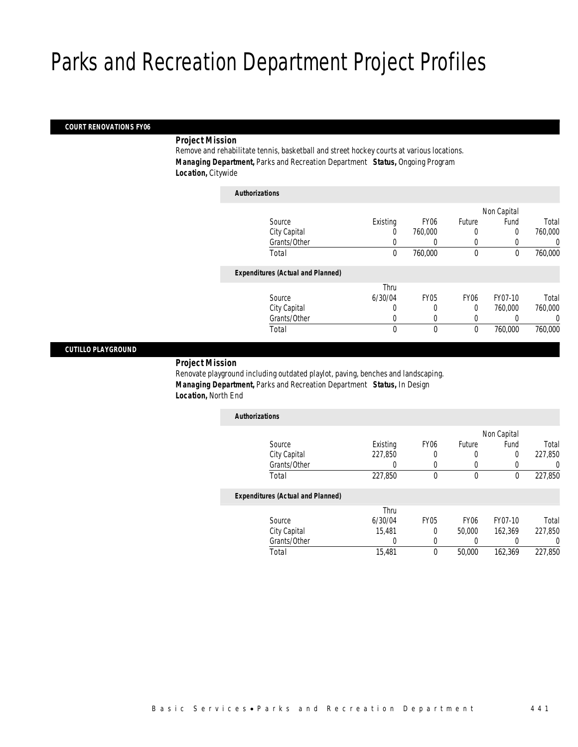#### *COURT RENOVATIONS FY06*

#### *Project Mission*

Remove and rehabilitate tennis, basketball and street hockey courts at various locations. *Managing Department,* Parks and Recreation Department *Status,* Ongoing Program *Location,* Citywide

| <b>Authorizations</b>                    |          |             |                  |             |         |
|------------------------------------------|----------|-------------|------------------|-------------|---------|
|                                          |          |             |                  | Non Capital |         |
| Source                                   | Existing | <b>FY06</b> | Future           | Fund        | Total   |
| City Capital                             | 0        | 760,000     | 0                | 0           | 760,000 |
| Grants/Other                             | 0        |             | 0                |             | 0       |
| Total                                    | 0        | 760,000     | $\mathbf 0$      | $\mathbf 0$ | 760,000 |
| <b>Expenditures (Actual and Planned)</b> |          |             |                  |             |         |
|                                          | Thru     |             |                  |             |         |
| Source                                   | 6/30/04  | <b>FY05</b> | FY <sub>06</sub> | FY07-10     | Total   |
| City Capital                             | 0        | 0           | $\Omega$         | 760,000     | 760,000 |
| Grants/Other                             | 0        | 0           | 0                |             | 0       |
| Total                                    | 0        | 0           | $\mathbf 0$      | 760,000     | 760,000 |

#### *CUTILLO PLAYGROUND*

#### *Project Mission*

Renovate playground including outdated playlot, paving, benches and landscaping. *Managing Department,* Parks and Recreation Department *Status,* In Design *Location,* North End

| <b>Authorizations</b>                    |          |                  |             |             |         |
|------------------------------------------|----------|------------------|-------------|-------------|---------|
|                                          |          |                  |             | Non Capital |         |
| Source                                   | Existing | FY <sub>06</sub> | Future      | Fund        | Total   |
| City Capital                             | 227,850  |                  | 0           | 0           | 227,850 |
| Grants/Other                             | 0        |                  |             |             | 0       |
| Total                                    | 227,850  | $\Omega$         | $\theta$    | 0           | 227,850 |
| <b>Expenditures (Actual and Planned)</b> |          |                  |             |             |         |
|                                          | Thru     |                  |             |             |         |
| Source                                   | 6/30/04  | <b>FY05</b>      | <b>FY06</b> | FY07-10     | Total   |
| City Capital                             | 15,481   | 0                | 50.000      | 162.369     | 227,850 |
| Grants/Other                             | 0        |                  |             |             | 0       |
| Total                                    | 15,481   | $\theta$         | 50,000      | 162.369     | 227.850 |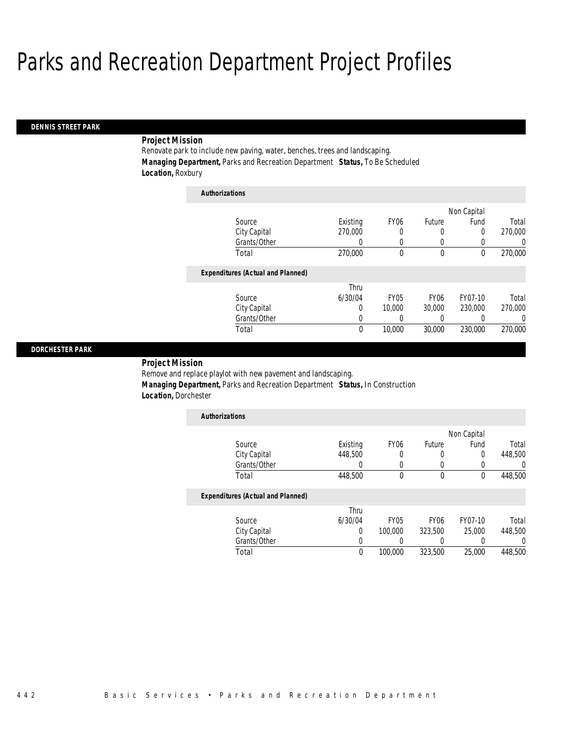*Authorizations*

#### *DENNIS STREET PARK*

### *Project Mission*

Renovate park to include new paving, water, benches, trees and landscaping. *Managing Department,* Parks and Recreation Department *Status,* To Be Scheduled *Location,* Roxbury

| Authorizations                           |          |                  |                  |             |          |
|------------------------------------------|----------|------------------|------------------|-------------|----------|
|                                          |          |                  |                  | Non Capital |          |
| Source                                   | Existing | FY <sub>06</sub> | Future           | Fund        | Total    |
| City Capital                             | 270,000  | 0                | 0                | 0           | 270,000  |
| Grants/Other                             | 0        | 0                | 0                | 0           | 0        |
| Total                                    | 270,000  | 0                | 0                | $\theta$    | 270,000  |
| <b>Expenditures (Actual and Planned)</b> |          |                  |                  |             |          |
|                                          | Thru     |                  |                  |             |          |
| Source                                   | 6/30/04  | FY05             | FY <sub>06</sub> | FY07-10     | Total    |
| City Capital                             | 0        | 10,000           | 30,000           | 230,000     | 270,000  |
| Grants/Other                             | 0        |                  | 0                |             | $\Omega$ |
| Total                                    | 0        | 10,000           | 30,000           | 230,000     | 270,000  |

#### *DORCHESTER PARK*

*Project Mission* 

Remove and replace playlot with new pavement and landscaping. *Managing Department,* Parks and Recreation Department *Status,* In Construction *Location,* Dorchester

| <b>Authorizations</b> |          |                  |        |             |         |
|-----------------------|----------|------------------|--------|-------------|---------|
|                       |          |                  |        | Non Capital |         |
| Source                | Existing | FY <sub>06</sub> | Future | Fund        | Total   |
| City Capital          | 448,500  |                  |        |             | 448,500 |
| Grants/Other          |          |                  |        |             |         |
| Total                 | 448,500  |                  |        |             | 448,500 |

|              | Thru    |             |                  |         |         |
|--------------|---------|-------------|------------------|---------|---------|
| Source       | 6/30/04 | <b>FY05</b> | FY <sub>06</sub> | FY07-10 | Total   |
| City Capital |         | 100,000     | 323,500          | 25,000  | 448,500 |
| Grants/Other |         |             |                  |         |         |
| Total        | 0       | 100.000     | 323,500          | 25,000  | 448,500 |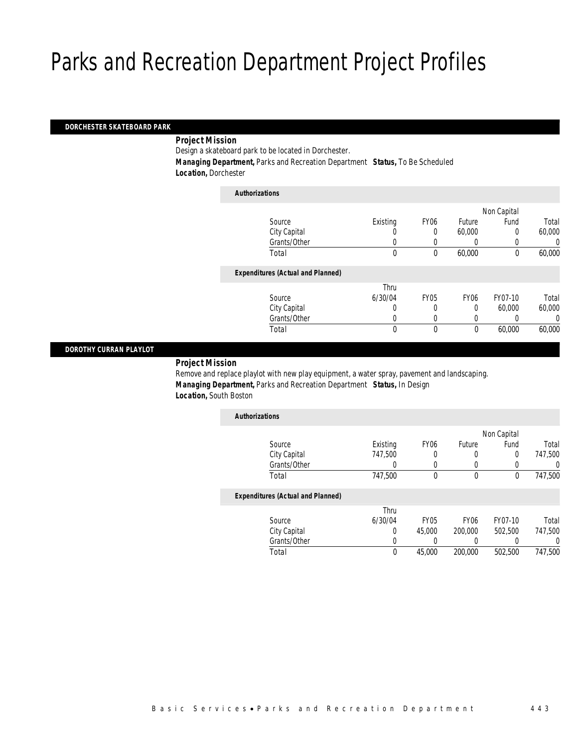#### *DORCHESTER SKATEBOARD PARK*

#### *Project Mission*

Design a skateboard park to be located in Dorchester.

 *Managing Department,* Parks and Recreation Department *Status,* To Be Scheduled *Location,* Dorchester

| <b>Authorizations</b>                    |              |             |                  |             |        |
|------------------------------------------|--------------|-------------|------------------|-------------|--------|
|                                          |              |             |                  | Non Capital |        |
| Source                                   | Existing     | <b>FY06</b> | Future           | Fund        | Total  |
| City Capital                             | 0            | 0           | 60,000           | 0           | 60,000 |
| Grants/Other                             | 0            | 0           | 0                |             | 0      |
| Total                                    | $\mathbf{0}$ | 0           | 60,000           | 0           | 60,000 |
| <b>Expenditures (Actual and Planned)</b> |              |             |                  |             |        |
|                                          | Thru         |             |                  |             |        |
| Source                                   | 6/30/04      | <b>FY05</b> | FY <sub>06</sub> | FY07-10     | Total  |
| City Capital                             | 0            | 0           | 0                | 60,000      | 60,000 |
| Grants/Other                             | 0            |             | 0                |             | 0      |
| Total                                    | 0            | 0           | $\mathbf 0$      | 60,000      | 60,000 |
|                                          |              |             |                  |             |        |

#### *DOROTHY CURRAN PLAYLOT*

### *Project Mission*

Remove and replace playlot with new play equipment, a water spray, pavement and landscaping. *Managing Department,* Parks and Recreation Department *Status,* In Design *Location,* South Boston

| <b>Authorizations</b>                    |          |                  |                  |             |         |
|------------------------------------------|----------|------------------|------------------|-------------|---------|
|                                          |          |                  |                  | Non Capital |         |
| Source                                   | Existing | FY <sub>06</sub> | Future           | Fund        | Total   |
| City Capital                             | 747,500  | 0                | 0                | 0           | 747,500 |
| Grants/Other                             |          | $\left($         | 0                | 0           |         |
| Total                                    | 747,500  | 0                | 0                | 0           | 747,500 |
| <b>Expenditures (Actual and Planned)</b> |          |                  |                  |             |         |
|                                          | Thru     |                  |                  |             |         |
| Source                                   | 6/30/04  | FY <sub>05</sub> | FY <sub>06</sub> | FY07-10     | Total   |
| City Capital                             | 0        | 45,000           | 200,000          | 502,500     | 747,500 |
| Grants/Other                             |          |                  |                  |             |         |

Total 0 45,000 200,000 502,500 747,500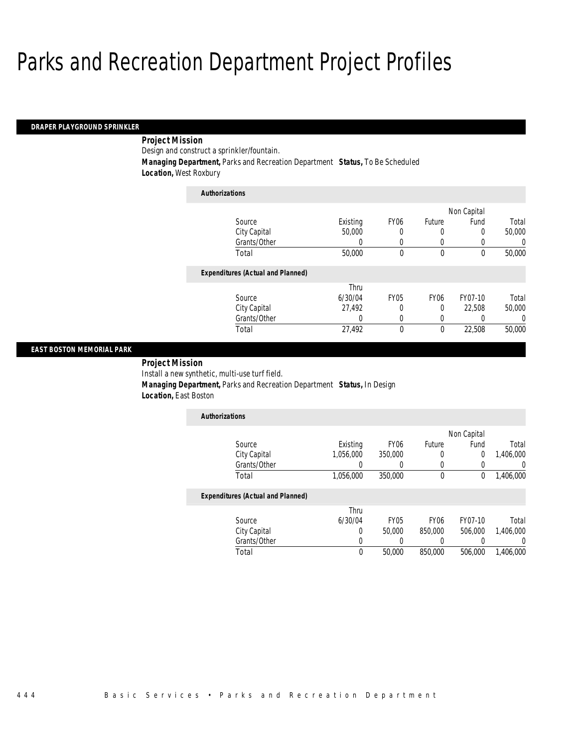#### *DRAPER PLAYGROUND SPRINKLER*

### *Project Mission*

Design and construct a sprinkler/fountain.

*Authorizations*

*Managing Department,* Parks and Recreation Department *Status,* To Be Scheduled

*Location,* West Roxbury

| <b>Authorizations</b>                    |          |                  |                  |             |          |
|------------------------------------------|----------|------------------|------------------|-------------|----------|
|                                          |          |                  |                  | Non Capital |          |
| Source                                   | Existing | FY <sub>06</sub> | Future           | Fund        | Total    |
| City Capital                             | 50,000   | 0                | 0                | $\Omega$    | 50,000   |
| Grants/Other                             | O        | 0                | U                |             | 0        |
| Total                                    | 50,000   | 0                | $\mathbf 0$      | $\theta$    | 50,000   |
| <b>Expenditures (Actual and Planned)</b> |          |                  |                  |             |          |
|                                          | Thru     |                  |                  |             |          |
| Source                                   | 6/30/04  | <b>FY05</b>      | FY <sub>06</sub> | FY07-10     | Total    |
| City Capital                             | 27,492   | 0                | 0                | 22,508      | 50,000   |
| Grants/Other                             | 0        | 0                | 0                |             | $\Omega$ |
| Total                                    | 27,492   | 0                | $\theta$         | 22.508      | 50,000   |

#### *EAST BOSTON MEMORIAL PARK*

*Project Mission* 

Install a new synthetic, multi-use turf field.

 *Managing Department,* Parks and Recreation Department *Status,* In Design *Location,* East Boston

| <b>Authorizations</b> |           |                  |        |             |           |
|-----------------------|-----------|------------------|--------|-------------|-----------|
|                       |           |                  |        | Non Capital |           |
| Source                | Existing  | FY <sub>06</sub> | Future | Fund        | Total     |
| City Capital          | 1,056,000 | 350,000          |        |             | 1,406,000 |
| Grants/Other          |           |                  |        |             |           |
| Total                 | 1,056,000 | 350,000          |        |             | 1,406,000 |

|              | Thru    |             |                  |         |           |
|--------------|---------|-------------|------------------|---------|-----------|
| Source       | 6/30/04 | <b>FY05</b> | FY <sub>06</sub> | FY07-10 | Total     |
| City Capital |         | 50.000      | 850,000          | 506,000 | 1.406.000 |
| Grants/Other |         |             |                  |         |           |
| Total        |         | 50,000      | 850,000          | 506,000 | 1,406,000 |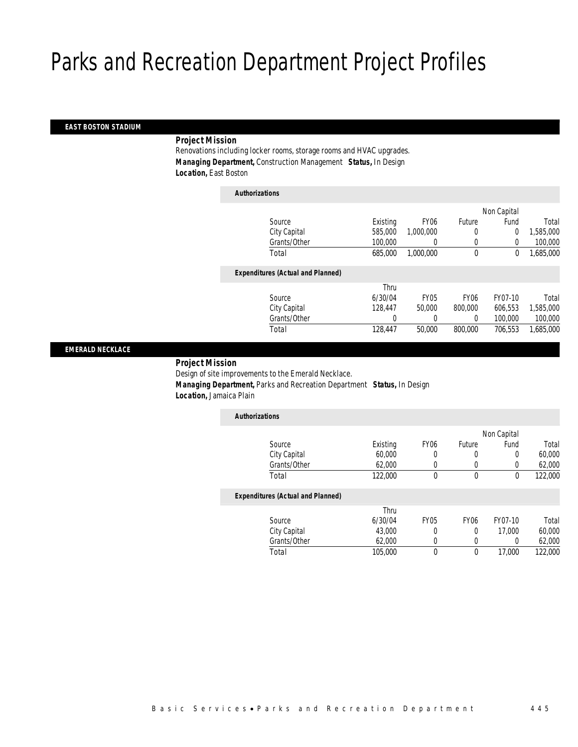#### *EAST BOSTON STADIUM*

### *Project Mission*

Renovations including locker rooms, storage rooms and HVAC upgrades. *Managing Department,* Construction Management *Status,* In Design *Location,* East Boston

| <b>Authorizations</b>                    |          |                  |                  |             |           |
|------------------------------------------|----------|------------------|------------------|-------------|-----------|
|                                          |          |                  |                  | Non Capital |           |
| Source                                   | Existing | FY <sub>06</sub> | Future           | Fund        | Total     |
| City Capital                             | 585,000  | 1.000.000        | 0                | 0           | 1,585,000 |
| Grants/Other                             | 100,000  | 0                | 0                | 0           | 100,000   |
| Total                                    | 685,000  | 1.000.000        | $\mathbf 0$      | 0           | 1,685,000 |
| <b>Expenditures (Actual and Planned)</b> |          |                  |                  |             |           |
|                                          | Thru     |                  |                  |             |           |
| Source                                   | 6/30/04  | <b>FY05</b>      | FY <sub>06</sub> | FY07-10     | Total     |
| City Capital                             | 128.447  | 50,000           | 800,000          | 606,553     | 1,585,000 |
| Grants/Other                             | 0        | 0                | 0                | 100,000     | 100,000   |
| Total                                    | 128,447  | 50,000           | 800,000          | 706.553     | 1,685,000 |

#### *EMERALD NECKLACE*

#### *Project Mission*

Design of site improvements to the Emerald Necklace. *Managing Department,* Parks and Recreation Department *Status,* In Design *Location,* Jamaica Plain

| <b>Authorizations</b>                    |          |                  |               |             |         |
|------------------------------------------|----------|------------------|---------------|-------------|---------|
|                                          |          |                  |               | Non Capital |         |
| Source                                   | Existing | FY <sub>06</sub> | <b>Future</b> | Fund        | Total   |
| City Capital                             | 60,000   | 0                |               |             | 60,000  |
| Grants/Other                             | 62,000   |                  |               |             | 62,000  |
| Total                                    | 122,000  | 0                | 0             |             | 122,000 |
| <b>Expenditures (Actual and Planned)</b> |          |                  |               |             |         |
|                                          | Thru     |                  |               |             |         |
|                                          |          |                  |               |             |         |

| Total        | 105,000 |      |      | 17.000  | 122,000 |
|--------------|---------|------|------|---------|---------|
| Grants/Other | 62,000  |      |      |         | 62.000  |
| City Capital | 43,000  |      |      | 17.000  | 60,000  |
| Source       | 6/30/04 | FY05 | FY06 | FY07-10 | Total   |
|              |         |      |      |         |         |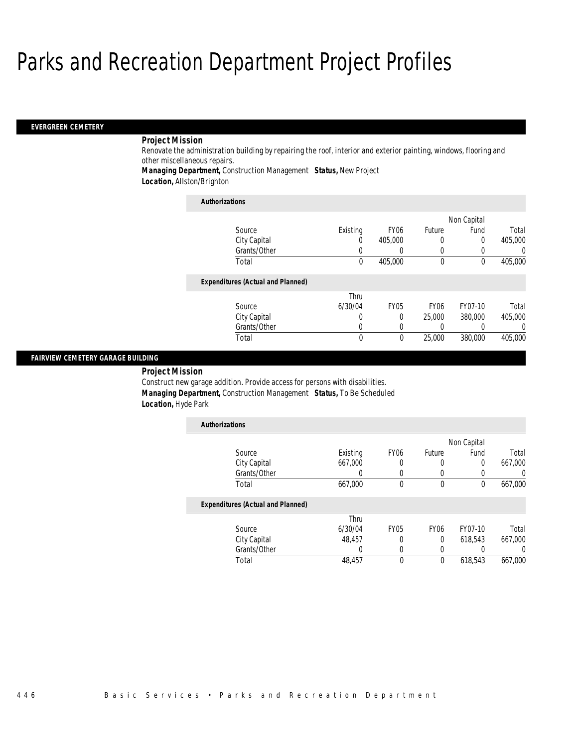#### *EVERGREEN CEMETERY*

### *Project Mission*

Renovate the administration building by repairing the roof, interior and exterior painting, windows, flooring and other miscellaneous repairs.

*Managing Department,* Construction Management *Status,* New Project

*Location,* Allston/Brighton

| <b>Authorizations</b>                    |          |                  |                  |             |                  |
|------------------------------------------|----------|------------------|------------------|-------------|------------------|
|                                          |          |                  |                  | Non Capital |                  |
| Source                                   | Existing | FY <sub>06</sub> | Future           | Fund        | Total            |
| City Capital                             |          | 405,000          | 0                | 0           | 405,000          |
| Grants/Other                             |          | $\left($         | 0                | 0           | $\left( \right)$ |
| Total                                    | $\theta$ | 405,000          | 0                | $\theta$    | 405,000          |
| <b>Expenditures (Actual and Planned)</b> |          |                  |                  |             |                  |
|                                          | Thru     |                  |                  |             |                  |
| Source                                   | 6/30/04  | <b>FY05</b>      | FY <sub>06</sub> | FY07-10     | Total            |
| City Capital                             | 0        | 0                | 25,000           | 380,000     | 405,000          |
| Grants/Other                             |          | 0                | 0                | 0           |                  |
| Total                                    | $\Omega$ | 0                | 25,000           | 380,000     | 405,000          |

### *FAIRVIEW CEMETERY GARAGE BUILDING*

 *Project Mission* Construct new garage addition. Provide access for persons with disabilities. *Managing Department,* Construction Management *Status,* To Be Scheduled *Location,* Hyde Park

| <b>Authorizations</b>                    |                  |                  |             |             |                  |
|------------------------------------------|------------------|------------------|-------------|-------------|------------------|
|                                          |                  |                  |             | Non Capital |                  |
| Source                                   | Existing         | FY <sub>06</sub> | Future      | Fund        | Total            |
| City Capital                             | 667,000          | 0                | 0           | 0           | 667,000          |
| Grants/Other                             |                  | 0                | 0           | 0           | 0                |
| Total                                    | 667,000          | $\mathbf{0}$     | $\mathbf 0$ | $\mathbf 0$ | 667,000          |
| <b>Expenditures (Actual and Planned)</b> |                  |                  |             |             |                  |
|                                          | Thru             |                  |             |             |                  |
| Source                                   | 6/30/04          | <b>FY05</b>      | <b>FY06</b> | FY07-10     | Total            |
| City Capital                             | 48.457           | $\Omega$         | 0           | 618.543     | 667.000          |
| Grants/Other                             | $\left( \right)$ | 0                | $\left($    | 0           | $\left( \right)$ |
| Total                                    | 48.457           | 0                | 0           | 618,543     | 667.000          |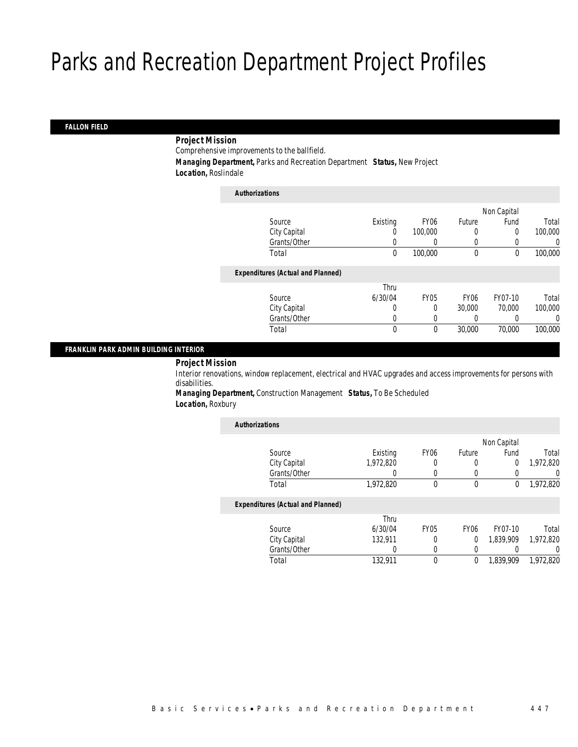### *FALLON FIELD*

### *Project Mission*

Comprehensive improvements to the ballfield.

*Managing Department,* Parks and Recreation Department *Status,* New Project

*Location,* Roslindale

| <b>Authorizations</b>                    |          |                  |                  |             |         |
|------------------------------------------|----------|------------------|------------------|-------------|---------|
|                                          |          |                  |                  | Non Capital |         |
| Source                                   | Existing | FY <sub>06</sub> | Future           | Fund        | Total   |
| City Capital                             | 0        | 100,000          | 0                | 0           | 100,000 |
| Grants/Other                             |          |                  | 0                |             | 0       |
| Total                                    | 0        | 100,000          | $\mathbf 0$      | $\theta$    | 100,000 |
| <b>Expenditures (Actual and Planned)</b> |          |                  |                  |             |         |
|                                          | Thru     |                  |                  |             |         |
| Source                                   | 6/30/04  | <b>FY05</b>      | FY <sub>06</sub> | FY07-10     | Total   |
| City Capital                             | 0        | 0                | 30,000           | 70,000      | 100,000 |
| Grants/Other                             | 0        |                  | $\left($         |             | 0       |
| Total                                    | 0        | $\theta$         | 30,000           | 70,000      | 100,000 |
|                                          |          |                  |                  |             |         |

### *FRANKLIN PARK ADMIN BUILDING INTERIOR*

*Project Mission* 

Interior renovations, window replacement, electrical and HVAC upgrades and access improvements for persons with disabilities.

*Managing Department,* Construction Management *Status,* To Be Scheduled *Location,* Roxbury

| <b>Authorizations</b>                    |           |                  |                  |             |           |
|------------------------------------------|-----------|------------------|------------------|-------------|-----------|
|                                          |           |                  |                  | Non Capital |           |
| Source                                   | Existing  | FY <sub>06</sub> | Future           | Fund        | Total     |
| City Capital                             | 1,972,820 | 0                | 0                | 0           | 1,972,820 |
| Grants/Other                             |           | 0                | 0                |             | 0         |
| Total                                    | 1,972,820 | 0                | $\mathbf 0$      | 0           | 1,972,820 |
| <b>Expenditures (Actual and Planned)</b> |           |                  |                  |             |           |
|                                          | Thru      |                  |                  |             |           |
| Source                                   | 6/30/04   | FY <sub>05</sub> | FY <sub>06</sub> | FY07-10     | Total     |
| City Capital                             | 132.911   | 0                | 0                | 1.839.909   | 1.972.820 |
| Grants/Other                             | 0         | 0                | 0                |             | $\left($  |
| Total                                    | 132.911   | 0                | 0                | 1.839.909   | 1.972.820 |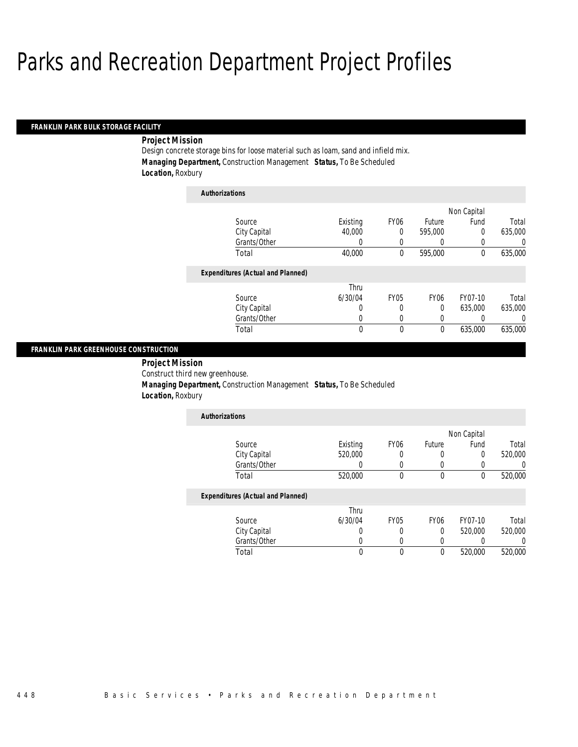#### *FRANKLIN PARK BULK STORAGE FACILITY*

### *Project Mission*

Design concrete storage bins for loose material such as loam, sand and infield mix. *Managing Department,* Construction Management *Status,* To Be Scheduled *Location,* Roxbury

| <b>Authorizations</b>                    |          |             |                  |             |          |
|------------------------------------------|----------|-------------|------------------|-------------|----------|
|                                          |          |             |                  | Non Capital |          |
| Source                                   | Existing | <b>FY06</b> | Future           | Fund        | Total    |
| City Capital                             | 40,000   | 0           | 595,000          | $\theta$    | 635,000  |
| Grants/Other                             | 0        | 0           | 0                | 0           | 0        |
| Total                                    | 40,000   | $\theta$    | 595,000          | $\theta$    | 635,000  |
| <b>Expenditures (Actual and Planned)</b> |          |             |                  |             |          |
|                                          | Thru     |             |                  |             |          |
| Source                                   | 6/30/04  | <b>FY05</b> | FY <sub>06</sub> | FY07-10     | Total    |
| City Capital                             | 0        | 0           | 0                | 635,000     | 635,000  |
| Grants/Other                             | 0        | 0           | 0                | 0           | $\Omega$ |
| Total                                    | 0        | 0           | $\mathbf 0$      | 635,000     | 635,000  |

#### *FRANKLIN PARK GREENHOUSE CONSTRUCTION*

 *Project Mission* Construct third new greenhouse. *Managing Department,* Construction Management *Status,* To Be Scheduled *Location,* Roxbury

| <b>Authorizations</b> |          |                  |        |             |         |
|-----------------------|----------|------------------|--------|-------------|---------|
|                       |          |                  |        | Non Capital |         |
| Source                | Existing | FY <sub>06</sub> | Future | Fund        | Total   |
| City Capital          | 520,000  |                  |        |             | 520,000 |
| Grants/Other          |          |                  |        |             |         |
| Total                 | 520,000  |                  |        |             | 520,000 |

|              | Thru    |      |      |         |         |
|--------------|---------|------|------|---------|---------|
| Source       | 6/30/04 | FY05 | FY06 | FY07-10 | Total   |
| City Capital |         |      |      | 520,000 | 520,000 |
| Grants/Other |         |      |      |         |         |
| 「otal        |         |      |      | 520,000 | 520,000 |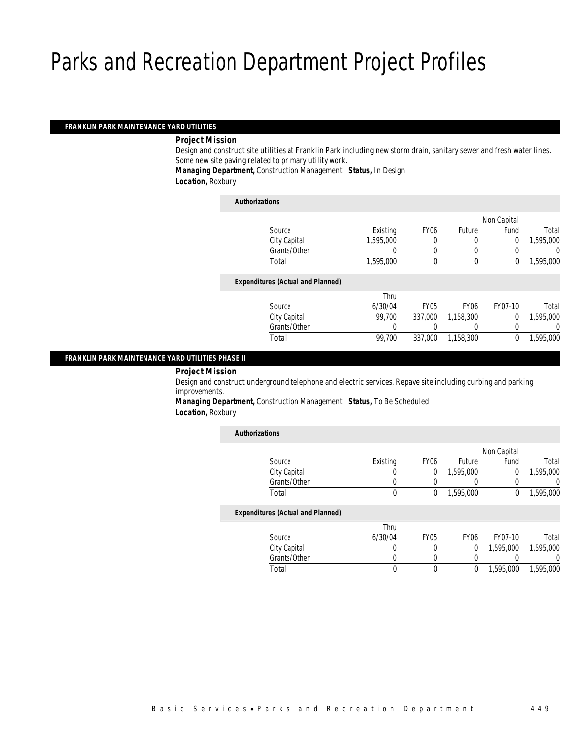### *FRANKLIN PARK MAINTENANCE YARD UTILITIES*

#### *Project Mission*

Design and construct site utilities at Franklin Park including new storm drain, sanitary sewer and fresh water lines. Some new site paving related to primary utility work.

*Managing Department,* Construction Management *Status,* In Design

*Location,* Roxbury

| <b>Authorizations</b>                    |           |             |             |             |           |
|------------------------------------------|-----------|-------------|-------------|-------------|-----------|
|                                          |           |             |             | Non Capital |           |
| Source                                   | Existing  | <b>FY06</b> | Future      | Fund        | Total     |
| City Capital                             | 1,595,000 | 0           | 0           | 0           | 1,595,000 |
| Grants/Other                             |           |             | 0           |             | 0         |
| Total                                    | 1,595,000 | 0           | $\mathbf 0$ | 0           | 1,595,000 |
| <b>Expenditures (Actual and Planned)</b> |           |             |             |             |           |
|                                          | Thru      |             |             |             |           |
| Source                                   | 6/30/04   | <b>FY05</b> | <b>FY06</b> | FY07-10     | Total     |
| City Capital                             | 99.700    | 337,000     | 1.158.300   | $\Omega$    | 1,595,000 |
| Grants/Other                             |           |             |             |             | 0         |
| Total                                    | 99,700    | 337,000     | 1,158,300   | 0           | 1,595,000 |
|                                          |           |             |             |             |           |

### *FRANKLIN PARK MAINTENANCE YARD UTILITIES PHASE II*

*Project Mission* 

Design and construct underground telephone and electric services. Repave site including curbing and parking improvements.

*Managing Department,* Construction Management *Status,* To Be Scheduled *Location,* Roxbury

| <b>Authorizations</b>                    |          |                  |             |             |           |
|------------------------------------------|----------|------------------|-------------|-------------|-----------|
|                                          |          |                  |             | Non Capital |           |
| Source                                   | Existing | FY <sub>06</sub> | Future      | Fund        | Total     |
| City Capital                             |          | $\overline{0}$   | 1,595,000   | 0           | 1,595,000 |
| Grants/Other                             |          | 0                | 0           | 0           |           |
| Total                                    | $\theta$ | 0                | 1,595,000   | 0           | 1,595,000 |
| <b>Expenditures (Actual and Planned)</b> |          |                  |             |             |           |
|                                          | Thru     |                  |             |             |           |
| Source                                   | 6/30/04  | <b>FY05</b>      | <b>FY06</b> | FY07-10     | Total     |
| City Capital                             |          | 0                | 0           | 1,595,000   | 1,595,000 |
| Grants/Other                             |          | 0                | 0           |             | 0         |
| Total                                    |          | 0                | 0           | 1,595,000   | 1,595,000 |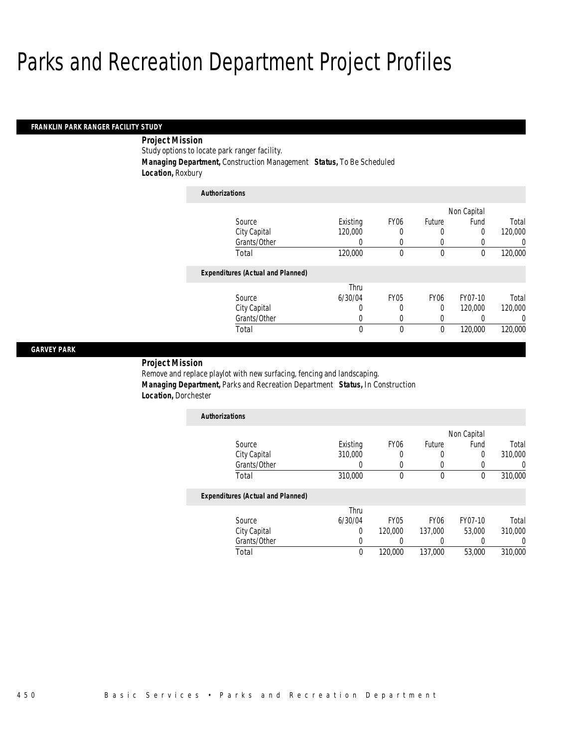#### *FRANKLIN PARK RANGER FACILITY STUDY*

### *Project Mission*

Study options to locate park ranger facility.

*Managing Department,* Construction Management *Status,* To Be Scheduled

*Location,* Roxbury

| <b>Authorizations</b>                    |          |                  |                  |                  |         |
|------------------------------------------|----------|------------------|------------------|------------------|---------|
|                                          |          |                  |                  | Non Capital      |         |
| Source                                   | Existing | FY <sub>06</sub> | Future           | Fund             | Total   |
| City Capital                             | 120,000  | 0                | 0                | 0                | 120,000 |
| Grants/Other                             | 0        | 0                | 0                | $\left( \right)$ | 0       |
| Total                                    | 120,000  | 0                | 0                | 0                | 120,000 |
| <b>Expenditures (Actual and Planned)</b> |          |                  |                  |                  |         |
|                                          | Thru     |                  |                  |                  |         |
| Source                                   | 6/30/04  | <b>FY05</b>      | FY <sub>06</sub> | FY07-10          | Total   |
| City Capital                             | 0        | 0                | 0                | 120,000          | 120,000 |
| Grants/Other                             | 0        | 0                | 0                | 0                | 0       |
| Total                                    | 0        | 0                | 0                | 120,000          | 120,000 |

#### *GARVEY PARK*

#### *Project Mission*

Remove and replace playlot with new surfacing, fencing and landscaping. *Managing Department,* Parks and Recreation Department *Status,* In Construction *Location,* Dorchester

| <b>Authorizations</b> |          |                  |        |             |         |
|-----------------------|----------|------------------|--------|-------------|---------|
|                       |          |                  |        | Non Capital |         |
| Source                | Existing | FY <sub>06</sub> | Future | Fund        | Total   |
| City Capital          | 310,000  |                  |        |             | 310,000 |
| Grants/Other          |          |                  |        |             |         |
| Total                 | 310,000  |                  |        |             | 310,000 |

|              | Thru    |             |                  |         |         |
|--------------|---------|-------------|------------------|---------|---------|
| Source       | 6/30/04 | <b>FY05</b> | FY <sub>06</sub> | FY07-10 | Total   |
| City Capital |         | 120,000     | 137.000          | 53,000  | 310,000 |
| Grants/Other |         |             |                  |         |         |
| Total        |         | 120,000     | 137,000          | 53,000  | 310,000 |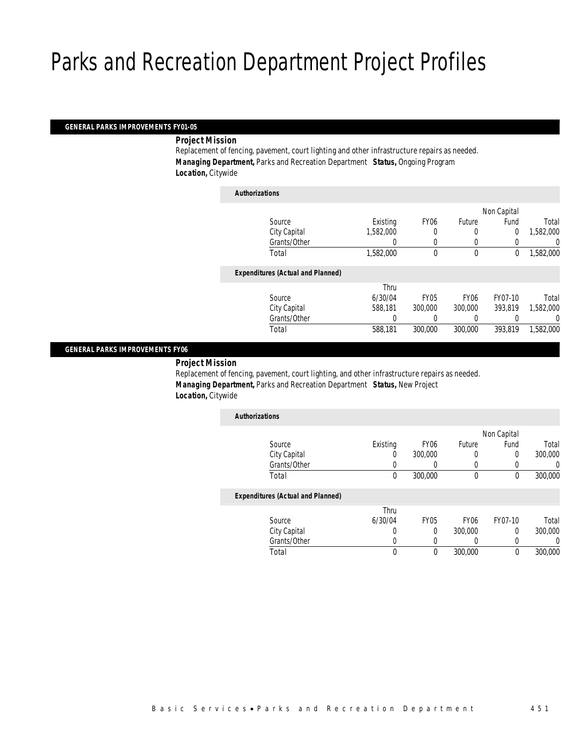#### *GENERAL PARKS IMPROVEMENTS FY01-05*

*Project Mission* 

Replacement of fencing, pavement, court lighting and other infrastructure repairs as needed. *Managing Department,* Parks and Recreation Department *Status,* Ongoing Program *Location,* Citywide

| <b>Authorizations</b>                    |           |             |                  |             |           |
|------------------------------------------|-----------|-------------|------------------|-------------|-----------|
|                                          |           |             |                  | Non Capital |           |
| Source                                   | Existing  | <b>FY06</b> | Future           | Fund        | Total     |
| City Capital                             | 1,582,000 |             | 0                | 0           | 1,582,000 |
| Grants/Other                             |           | 0           | 0                |             | 0         |
| Total                                    | 1,582,000 | 0           | $\mathbf 0$      | $\mathbf 0$ | 1,582,000 |
| <b>Expenditures (Actual and Planned)</b> |           |             |                  |             |           |
|                                          | Thru      |             |                  |             |           |
| Source                                   | 6/30/04   | <b>FY05</b> | FY <sub>06</sub> | FY07-10     | Total     |
| City Capital                             | 588,181   | 300,000     | 300,000          | 393.819     | 1,582,000 |
| Grants/Other                             | 0         |             | 0                |             | 0         |
| Total                                    | 588,181   | 300,000     | 300,000          | 393.819     | 1,582,000 |
|                                          |           |             |                  |             |           |

#### *GENERAL PARKS IMPROVEMENTS FY06*

*Project Mission* 

Replacement of fencing, pavement, court lighting, and other infrastructure repairs as needed. *Managing Department,* Parks and Recreation Department *Status,* New Project *Location,* Citywide

| <b>Authorizations</b>                    |          |                  |                  |             |         |
|------------------------------------------|----------|------------------|------------------|-------------|---------|
|                                          |          |                  |                  | Non Capital |         |
| Source                                   | Existing | FY <sub>06</sub> | Future           | Fund        | Total   |
| City Capital                             | 0        | 300,000          | 0                | 0           | 300,000 |
| Grants/Other                             |          | 0                | 0                | 0           |         |
| Total                                    | $\theta$ | 300,000          | 0                | 0           | 300,000 |
| <b>Expenditures (Actual and Planned)</b> |          |                  |                  |             |         |
|                                          | Thru     |                  |                  |             |         |
| Source                                   | 6/30/04  | <b>FY05</b>      | FY <sub>06</sub> | FY07-10     | Total   |

| <b>Source</b> | 0/3U/U4 | E Y U.D | FY UO   | 11-10/ | rotal   |
|---------------|---------|---------|---------|--------|---------|
| City Capital  |         |         | 300,000 |        | 300,000 |
| Grants/Other  |         |         |         |        |         |
| Total         |         |         | 300,000 |        | 300,000 |
|               |         |         |         |        |         |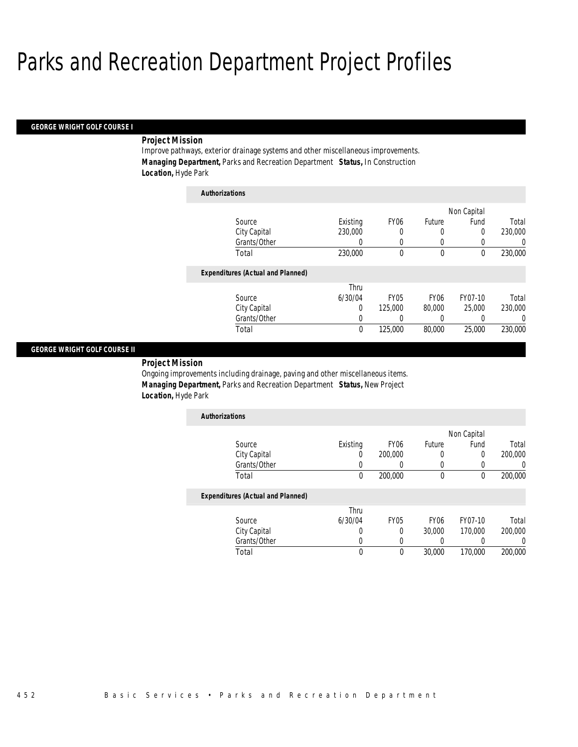*Authorizations*

#### *GEORGE WRIGHT GOLF COURSE I*

#### *Project Mission*

Improve pathways, exterior drainage systems and other miscellaneous improvements. *Managing Department,* Parks and Recreation Department *Status,* In Construction *Location,* Hyde Park

| Authorizations                           |          |                  |                  |             |          |
|------------------------------------------|----------|------------------|------------------|-------------|----------|
|                                          |          |                  |                  | Non Capital |          |
| Source                                   | Existing | FY <sub>06</sub> | Future           | Fund        | Total    |
| City Capital                             | 230,000  | 0                | 0                | 0           | 230,000  |
| Grants/Other                             | 0        | 0                | 0                | 0           | 0        |
| Total                                    | 230,000  | 0                | 0                | 0           | 230,000  |
| <b>Expenditures (Actual and Planned)</b> |          |                  |                  |             |          |
|                                          | Thru     |                  |                  |             |          |
| Source                                   | 6/30/04  | <b>FY05</b>      | FY <sub>06</sub> | FY07-10     | Total    |
| City Capital                             | 0        | 125,000          | 80,000           | 25,000      | 230,000  |
| Grants/Other                             | 0        | 0                | 0                |             | $\left($ |
| Total                                    | 0        | 125,000          | 80,000           | 25,000      | 230,000  |

#### *GEORGE WRIGHT GOLF COURSE II*

*Project Mission* 

Ongoing improvements including drainage, paving and other miscellaneous items. *Managing Department,* Parks and Recreation Department *Status,* New Project *Location,* Hyde Park

| <b>Authorizations</b> |          |                  |        |             |         |
|-----------------------|----------|------------------|--------|-------------|---------|
|                       |          |                  |        | Non Capital |         |
| Source                | Existing | FY <sub>06</sub> | Future | Fund        | Total   |
| City Capital          |          | 200,000          |        |             | 200,000 |
| Grants/Other          |          |                  |        |             |         |
| Total                 |          | 200,000          |        |             | 200,000 |

|              | Thru    |             |                  |         |         |
|--------------|---------|-------------|------------------|---------|---------|
| Source       | 6/30/04 | <b>FY05</b> | FY <sub>06</sub> | FY07-10 | Total   |
| City Capital |         |             | 30,000           | 170.000 | 200,000 |
| Grants/Other |         |             |                  |         |         |
| Total        |         |             | 30,000           | 170.000 | 200,000 |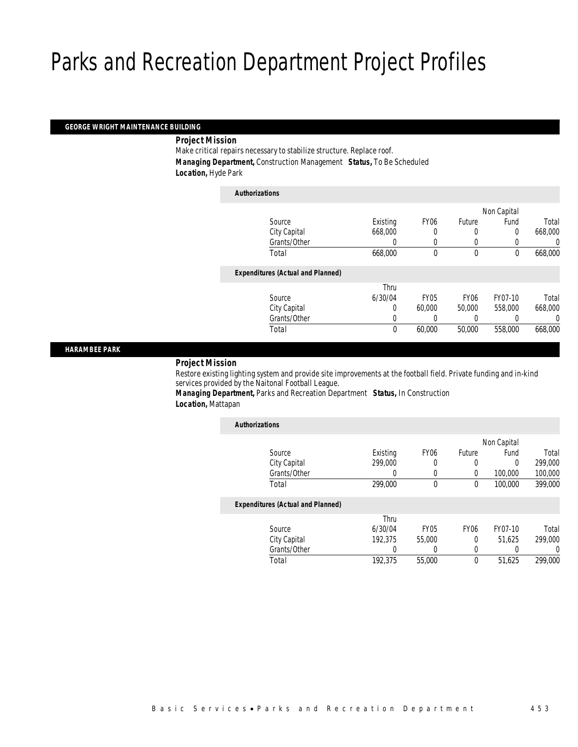#### *GEORGE WRIGHT MAINTENANCE BUILDING*

*Project Mission* 

Make critical repairs necessary to stabilize structure. Replace roof. *Managing Department,* Construction Management *Status,* To Be Scheduled *Location,* Hyde Park

| <b>Authorizations</b> |                                          |             |             |                  |             |         |
|-----------------------|------------------------------------------|-------------|-------------|------------------|-------------|---------|
|                       |                                          |             |             |                  | Non Capital |         |
|                       | Source                                   | Existing    | <b>FY06</b> | Future           | Fund        | Total   |
|                       | City Capital                             | 668,000     | 0           | 0                | 0           | 668,000 |
|                       | Grants/Other                             | 0           | 0           | 0                |             | 0       |
|                       | Total                                    | 668,000     | 0           | $\mathbf 0$      | $\mathbf 0$ | 668,000 |
|                       | <b>Expenditures (Actual and Planned)</b> |             |             |                  |             |         |
|                       |                                          | Thru        |             |                  |             |         |
|                       | Source                                   | 6/30/04     | <b>FY05</b> | FY <sub>06</sub> | FY07-10     | Total   |
|                       | City Capital                             | 0           | 60,000      | 50,000           | 558,000     | 668,000 |
|                       | Grants/Other                             | 0           |             |                  |             | 0       |
|                       | Total                                    | $\mathbf 0$ | 60,000      | 50,000           | 558,000     | 668,000 |

*HARAMBEE PARK* 

### *Project Mission*

Restore existing lighting system and provide site improvements at the football field. Private funding and in-kind services provided by the Naitonal Football League.

*Managing Department,* Parks and Recreation Department *Status,* In Construction *Location,* Mattapan

| <b>Authorizations</b>                    |          |                  |             |             |         |
|------------------------------------------|----------|------------------|-------------|-------------|---------|
|                                          |          |                  |             | Non Capital |         |
| Source                                   | Existing | <b>FY06</b>      | Future      | Fund        | Total   |
| City Capital                             | 299,000  | 0                | 0           | $\left($    | 299,000 |
| Grants/Other                             | 0        | 0                | 0           | 100,000     | 100,000 |
| Total                                    | 299,000  | 0                | 0           | 100,000     | 399,000 |
| <b>Expenditures (Actual and Planned)</b> |          |                  |             |             |         |
|                                          | Thru     |                  |             |             |         |
| Source                                   | 6/30/04  | FY <sub>05</sub> | <b>FY06</b> | FY07-10     | Total   |
| City Capital                             | 192.375  | 55,000           | 0           | 51.625      | 299,000 |
| Grants/Other                             | 0        | 0                | 0           |             | 0       |
| Total                                    | 192,375  | 55,000           | 0           | 51,625      | 299,000 |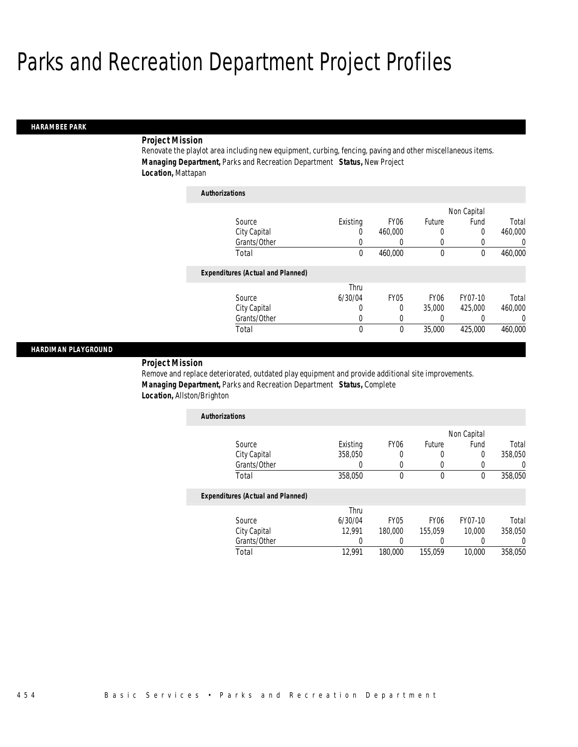#### *HARAMBEE PARK*

### *Project Mission*

Renovate the playlot area including new equipment, curbing, fencing, paving and other miscellaneous items. *Managing Department,* Parks and Recreation Department *Status,* New Project *Location,* Mattapan

| <b>Authorizations</b>                    |          |                  |                  |             |          |
|------------------------------------------|----------|------------------|------------------|-------------|----------|
|                                          |          |                  |                  | Non Capital |          |
| Source                                   | Existing | FY <sub>06</sub> | Future           | Fund        | Total    |
| City Capital                             | 0        | 460,000          | 0                | 0           | 460,000  |
| Grants/Other                             | 0        | 0                | 0                | 0           | 0        |
| Total                                    | 0        | 460,000          | $\mathbf 0$      | $\theta$    | 460,000  |
| <b>Expenditures (Actual and Planned)</b> |          |                  |                  |             |          |
|                                          | Thru     |                  |                  |             |          |
| Source                                   | 6/30/04  | FY <sub>05</sub> | FY <sub>06</sub> | FY07-10     | Total    |
| City Capital                             | 0        | 0                | 35,000           | 425,000     | 460,000  |
| Grants/Other                             | 0        | 0                | 0                | 0           | $\Omega$ |
| Total                                    | 0        | 0                | 35,000           | 425,000     | 460,000  |

#### *HARDIMAN PLAYGROUND*

### *Project Mission*

Remove and replace deteriorated, outdated play equipment and provide additional site improvements. *Managing Department,* Parks and Recreation Department *Status,* Complete *Location,* Allston/Brighton

| <b>Authorizations</b> |          |                  |        |             |         |
|-----------------------|----------|------------------|--------|-------------|---------|
|                       |          |                  |        | Non Capital |         |
| Source                | Existing | FY <sub>06</sub> | Future | Fund        | Total   |
| City Capital          | 358,050  |                  |        |             | 358,050 |
| Grants/Other          |          |                  |        |             |         |
| Total                 | 358,050  |                  |        |             | 358,050 |

|              | Thru    |             |                  |         |         |
|--------------|---------|-------------|------------------|---------|---------|
| Source       | 6/30/04 | <b>FY05</b> | FY <sub>06</sub> | FY07-10 | Total   |
| City Capital | 12.991  | 180,000     | 155.059          | 10.000  | 358,050 |
| Grants/Other |         |             |                  |         |         |
| Total        | 12.991  | 180,000     | 155.059          | 10,000  | 358,050 |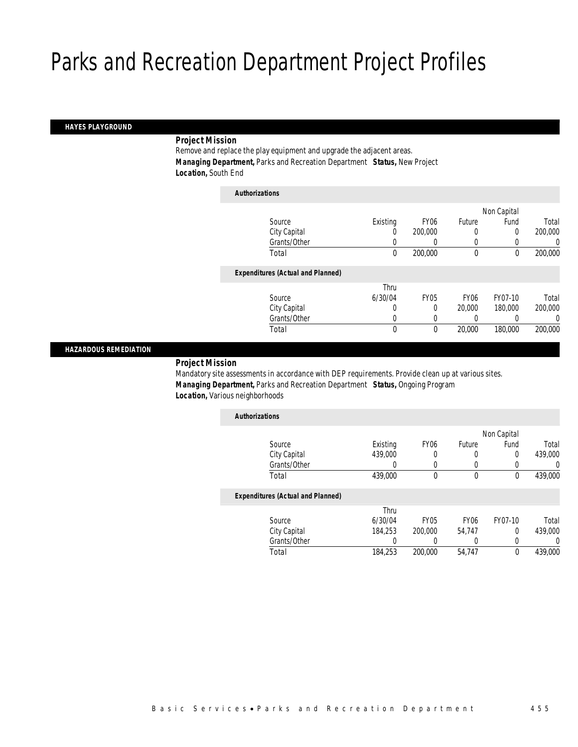#### *HAYES PLAYGROUND*

#### *Project Mission*

Remove and replace the play equipment and upgrade the adjacent areas. *Managing Department,* Parks and Recreation Department *Status,* New Project *Location,* South End

| <b>Authorizations</b>                    |          |                  |                  |             |         |
|------------------------------------------|----------|------------------|------------------|-------------|---------|
|                                          |          |                  |                  | Non Capital |         |
| Source                                   | Existing | FY <sub>06</sub> | Future           | Fund        | Total   |
| City Capital                             | 0        | 200,000          | 0                | 0           | 200,000 |
| Grants/Other                             | 0        |                  | 0                |             | 0       |
| Total                                    | 0        | 200,000          | $\mathbf 0$      | $\mathbf 0$ | 200,000 |
| <b>Expenditures (Actual and Planned)</b> |          |                  |                  |             |         |
|                                          | Thru     |                  |                  |             |         |
| Source                                   | 6/30/04  | <b>FY05</b>      | FY <sub>06</sub> | FY07-10     | Total   |
| City Capital                             | 0        | 0                | 20,000           | 180,000     | 200,000 |
| Grants/Other                             | 0        | 0                |                  |             | 0       |
| Total                                    | 0        | 0                | 20,000           | 180,000     | 200,000 |
|                                          |          |                  |                  |             |         |

#### *HAZARDOUS REMEDIATION*

### *Project Mission*

Mandatory site assessments in accordance with DEP requirements. Provide clean up at various sites. *Managing Department,* Parks and Recreation Department *Status,* Ongoing Program *Location,* Various neighborhoods

| <b>Authorizations</b>                    |          |                  |             |             |          |
|------------------------------------------|----------|------------------|-------------|-------------|----------|
|                                          |          |                  |             | Non Capital |          |
| Source                                   | Existing | FY <sub>06</sub> | Future      | Fund        | Total    |
| City Capital                             | 439,000  | 0                | $\left($    | 0           | 439,000  |
| Grants/Other                             | 0        | $\left($         | $\left($    |             | $\Omega$ |
| Total                                    | 439,000  | 0                | $\mathbf 0$ | $\theta$    | 439,000  |
| <b>Expenditures (Actual and Planned)</b> |          |                  |             |             |          |
|                                          | Thru     |                  |             |             |          |
| Source                                   | 6/30/04  | <b>FY05</b>      | <b>FY06</b> | FY07-10     | Total    |
| City Capital                             | 184.253  | 200,000          | 54.747      | 0           | 439,000  |
| Grants/Other                             |          |                  |             |             | $\Omega$ |
| Total                                    | 184,253  | 200,000          | 54.747      | $\theta$    | 439,000  |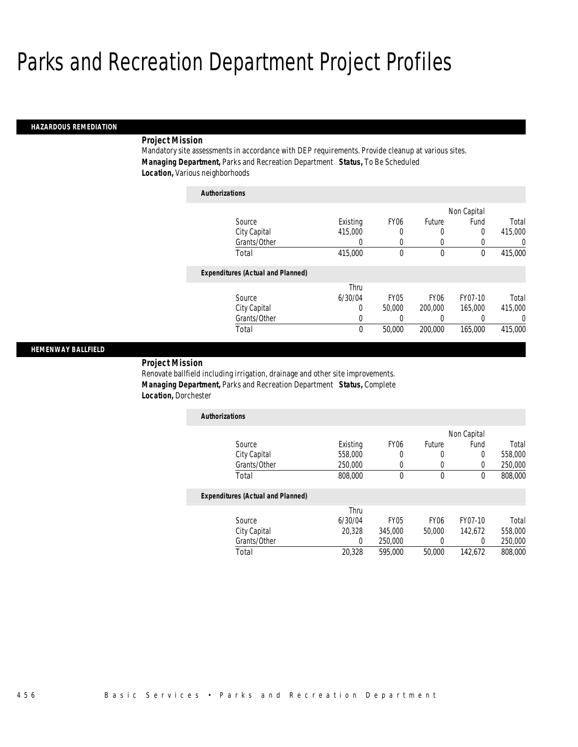#### *HAZARDOUS REMEDIATION*

#### *Project Mission*

Mandatory site assessments in accordance with DEP requirements. Provide cleanup at various sites. *Managing Department,* Parks and Recreation Department *Status,* To Be Scheduled *Location,* Various neighborhoods

| <b>Authorizations</b>                    |             |             |                  |             |          |
|------------------------------------------|-------------|-------------|------------------|-------------|----------|
|                                          |             |             |                  | Non Capital |          |
| Source                                   | Existing    | <b>FY06</b> | Future           | Fund        | Total    |
| City Capital                             | 415,000     | 0           | 0                | 0           | 415,000  |
| Grants/Other                             | 0           | 0           | 0                |             | $\Omega$ |
| Total                                    | 415,000     | 0           | $\theta$         | $\theta$    | 415,000  |
| <b>Expenditures (Actual and Planned)</b> |             |             |                  |             |          |
|                                          | Thru        |             |                  |             |          |
| Source                                   | 6/30/04     | <b>FY05</b> | FY <sub>06</sub> | FY07-10     | Total    |
| City Capital                             | 0           | 50,000      | 200,000          | 165,000     | 415,000  |
| Grants/Other                             | 0           | 0           | 0                | 0           | 0        |
| Total                                    | $\mathbf 0$ | 50,000      | 200,000          | 165,000     | 415,000  |

#### *HEMENWAY BALLFIELD*

*Project Mission* 

Renovate ballfield including irrigation, drainage and other site improvements. *Managing Department,* Parks and Recreation Department *Status,* Complete *Location,* Dorchester

| <b>Authorizations</b> |          |                  |        |             |         |
|-----------------------|----------|------------------|--------|-------------|---------|
|                       |          |                  |        | Non Capital |         |
| Source                | Existing | FY <sub>06</sub> | Future | Fund        | Total   |
| City Capital          | 558,000  | 0                | 0      | 0           | 558,000 |
| Grants/Other          | 250,000  |                  |        |             | 250,000 |
| Total                 | 808,000  |                  |        |             | 808,000 |
|                       |          |                  |        |             |         |

|              | Thru    |             |                  |         |         |
|--------------|---------|-------------|------------------|---------|---------|
| Source       | 6/30/04 | <b>FY05</b> | FY <sub>06</sub> | FY07-10 | Total   |
| City Capital | 20,328  | 345,000     | 50,000           | 142.672 | 558,000 |
| Grants/Other |         | 250,000     |                  |         | 250,000 |
| Total        | 20,328  | 595,000     | 50,000           | 142.672 | 808,000 |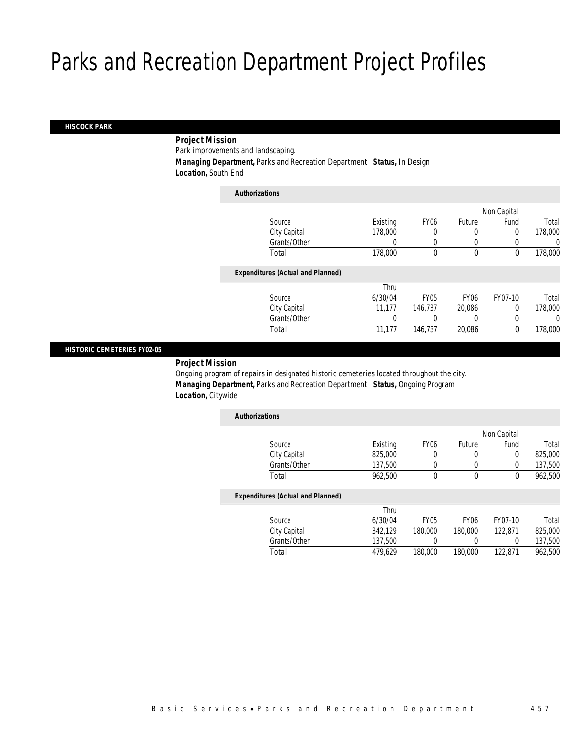#### *HISCOCK PARK*

### *Project Mission*

Park improvements and landscaping.

*Managing Department,* Parks and Recreation Department *Status,* In Design

*Location,* South End

| <b>Authorizations</b>                    |          |             |                  |             |         |
|------------------------------------------|----------|-------------|------------------|-------------|---------|
|                                          |          |             |                  | Non Capital |         |
| Source                                   | Existing | <b>FY06</b> | Future           | Fund        | Total   |
| City Capital                             | 178,000  | 0           | 0                | 0           | 178,000 |
| Grants/Other                             | $\left($ | 0           | 0                |             | 0       |
| Total                                    | 178,000  | 0           | $\mathbf 0$      | $\mathbf 0$ | 178,000 |
| <b>Expenditures (Actual and Planned)</b> |          |             |                  |             |         |
|                                          | Thru     |             |                  |             |         |
| Source                                   | 6/30/04  | <b>FY05</b> | FY <sub>06</sub> | FY07-10     | Total   |
| City Capital                             | 11.177   | 146.737     | 20.086           | $\Omega$    | 178,000 |
| Grants/Other                             | 0        |             | 0                |             | 0       |
| Total                                    | 11,177   | 146,737     | 20,086           | $\theta$    | 178,000 |
|                                          |          |             |                  |             |         |

#### *HISTORIC CEMETERIES FY02-05*

*Project Mission* 

Ongoing program of repairs in designated historic cemeteries located throughout the city. *Managing Department,* Parks and Recreation Department *Status,* Ongoing Program *Location,* Citywide

| <b>Authorizations</b>                    |          |                  |                  |             |         |
|------------------------------------------|----------|------------------|------------------|-------------|---------|
|                                          |          |                  |                  | Non Capital |         |
| Source                                   | Existing | FY <sub>06</sub> | Future           | Fund        | Total   |
| City Capital                             | 825,000  | 0                | 0                | 0           | 825,000 |
| Grants/Other                             | 137,500  | 0                | 0                | 0           | 137,500 |
| Total                                    | 962,500  | 0                | 0                | 0           | 962,500 |
| <b>Expenditures (Actual and Planned)</b> |          |                  |                  |             |         |
|                                          | Thru     |                  |                  |             |         |
| Source                                   | 6/30/04  | FY <sub>05</sub> | FY <sub>06</sub> | FY07-10     | Total   |
| City Capital                             | 342.129  | 180,000          | 180,000          | 122,871     | 825,000 |

Total 479,629 180,000 180,000 122,871 962,500

Grants/Other 137,500 0 0 0 137,500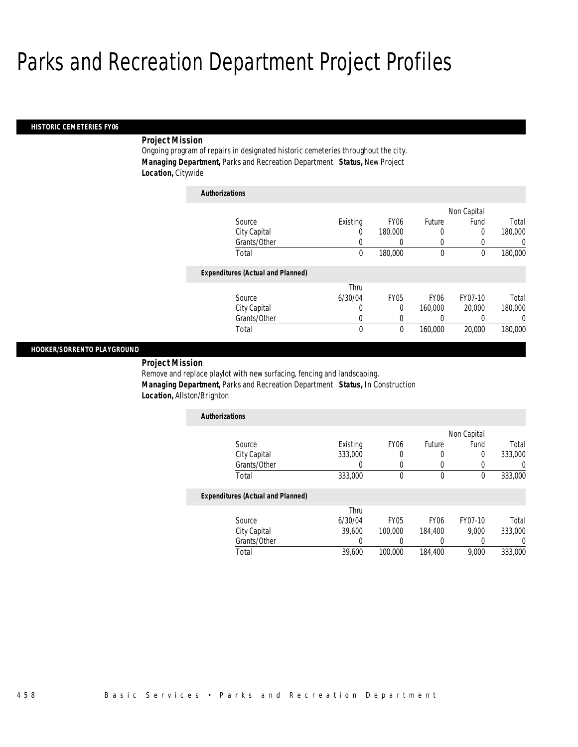#### *HISTORIC CEMETERIES FY06*

### *Project Mission*

Ongoing program of repairs in designated historic cemeteries throughout the city. *Managing Department,* Parks and Recreation Department *Status,* New Project *Location,* Citywide

| <b>Authorizations</b>                    |          |                  |                  |             |          |
|------------------------------------------|----------|------------------|------------------|-------------|----------|
|                                          |          |                  |                  | Non Capital |          |
| Source                                   | Existing | FY <sub>06</sub> | Future           | Fund        | Total    |
| City Capital                             | 0        | 180,000          | 0                | 0           | 180,000  |
| Grants/Other                             | 0        | 0                | 0                |             | $\left($ |
| Total                                    | 0        | 180,000          | $\mathbf 0$      | 0           | 180,000  |
| <b>Expenditures (Actual and Planned)</b> |          |                  |                  |             |          |
|                                          | Thru     |                  |                  |             |          |
| Source                                   | 6/30/04  | FY05             | FY <sub>06</sub> | FY07-10     | Total    |
| City Capital                             | 0        | 0                | 160,000          | 20,000      | 180,000  |
| Grants/Other                             | 0        | 0                | 0                |             | $\Omega$ |
| Total                                    | 0        | 0                | 160,000          | 20,000      | 180,000  |

#### *HOOKER/SORRENTO PLAYGROUND*

*Project Mission* 

Remove and replace playlot with new surfacing, fencing and landscaping. *Managing Department,* Parks and Recreation Department *Status,* In Construction *Location,* Allston/Brighton

| <b>Authorizations</b> |          |                  |        |             |         |
|-----------------------|----------|------------------|--------|-------------|---------|
|                       |          |                  |        | Non Capital |         |
| Source                | Existing | FY <sub>06</sub> | Future | Fund        | Total   |
| City Capital          | 333,000  |                  |        |             | 333,000 |
| Grants/Other          |          |                  |        |             |         |
| Total                 | 333,000  |                  |        |             | 333,000 |

|              | Thru    |             |                  |         |         |
|--------------|---------|-------------|------------------|---------|---------|
| Source       | 6/30/04 | <b>FY05</b> | FY <sub>06</sub> | FY07-10 | Total   |
| City Capital | 39,600  | 100,000     | 184.400          | 9.000   | 333,000 |
| Grants/Other |         |             |                  |         |         |
| Total        | 39,600  | 100,000     | 184,400          | 9.000   | 333,000 |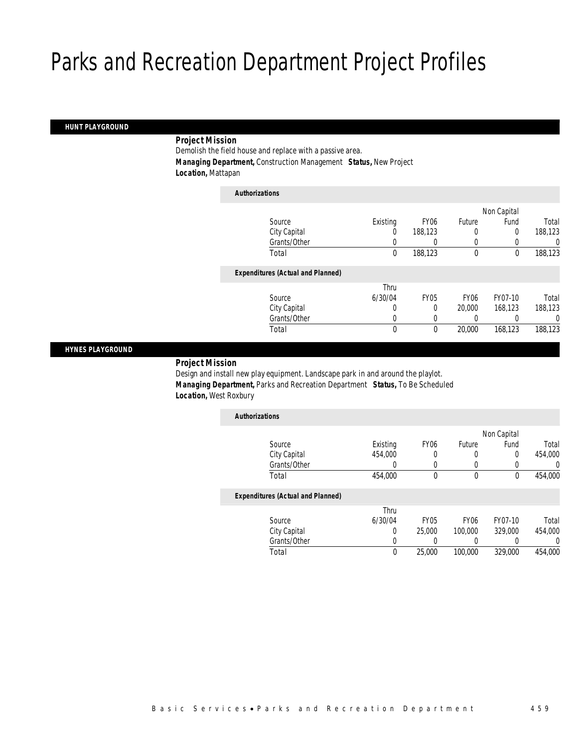#### *HUNT PLAYGROUND*

### *Project Mission*

Demolish the field house and replace with a passive area. *Managing Department,* Construction Management *Status,* New Project *Location,* Mattapan

| <b>Authorizations</b>                    |          |             |                  |             |         |
|------------------------------------------|----------|-------------|------------------|-------------|---------|
|                                          |          |             |                  | Non Capital |         |
| Source                                   | Existing | <b>FY06</b> | Future           | Fund        | Total   |
| City Capital                             | 0        | 188.123     | 0                | 0           | 188,123 |
| Grants/Other                             | 0        |             | 0                |             | 0       |
| Total                                    | 0        | 188,123     | $\mathbf 0$      | $\mathbf 0$ | 188,123 |
| <b>Expenditures (Actual and Planned)</b> |          |             |                  |             |         |
|                                          | Thru     |             |                  |             |         |
| Source                                   | 6/30/04  | <b>FY05</b> | FY <sub>06</sub> | FY07-10     | Total   |
| City Capital                             | 0        | 0           | 20,000           | 168,123     | 188,123 |
| Grants/Other                             | 0        | 0           |                  |             | 0       |
| Total                                    | 0        | $\theta$    | 20,000           | 168,123     | 188,123 |

#### *HYNES PLAYGROUND*

#### *Project Mission*

Design and install new play equipment. Landscape park in and around the playlot. *Managing Department,* Parks and Recreation Department *Status,* To Be Scheduled *Location,* West Roxbury

| <b>Authorizations</b>                    |          |                  |                  |             |         |
|------------------------------------------|----------|------------------|------------------|-------------|---------|
|                                          |          |                  |                  | Non Capital |         |
| Source                                   | Existing | FY <sub>06</sub> | Future           | Fund        | Total   |
| City Capital                             | 454.000  |                  | 0                | 0           | 454,000 |
| Grants/Other                             | 0        |                  |                  |             | 0       |
| Total                                    | 454,000  | $\theta$         | 0                | 0           | 454,000 |
| <b>Expenditures (Actual and Planned)</b> |          |                  |                  |             |         |
|                                          | Thru     |                  |                  |             |         |
| Source                                   | 6/30/04  | <b>FY05</b>      | FY <sub>06</sub> | FY07-10     | Total   |
| City Capital                             | 0        | 25,000           | 100,000          | 329,000     | 454,000 |
| Grants/Other                             | 0        |                  |                  |             | 0       |
| Total                                    | $\theta$ | 25,000           | 100,000          | 329,000     | 454,000 |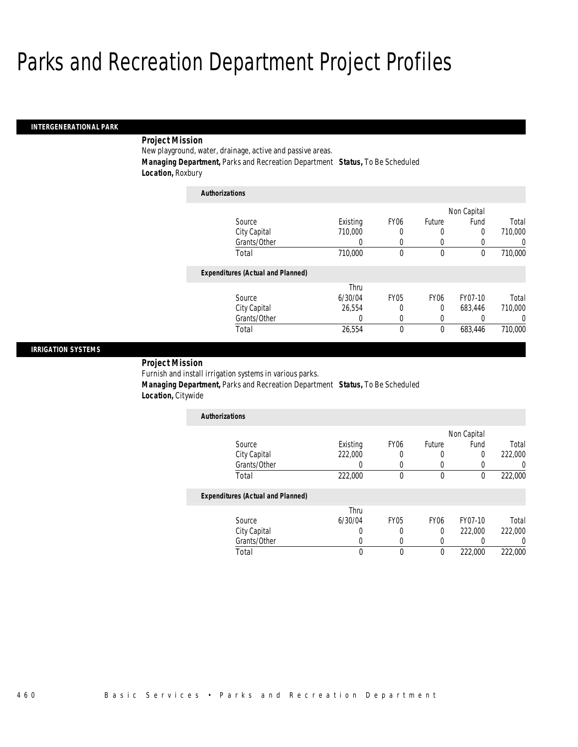*Authorizations*

#### *INTERGENERATIONAL PARK*

### *Project Mission*

New playground, water, drainage, active and passive areas. *Managing Department,* Parks and Recreation Department *Status,* To Be Scheduled *Location,* Roxbury

| Authorizations                           |          |                  |             |                  |          |
|------------------------------------------|----------|------------------|-------------|------------------|----------|
|                                          |          |                  |             | Non Capital      |          |
| Source                                   | Existing | FY <sub>06</sub> | Future      | Fund             | Total    |
| City Capital                             | 710,000  | 0                | 0           | 0                | 710,000  |
| Grants/Other                             | 0        | 0                | 0           | $\left( \right)$ | 0        |
| Total                                    | 710,000  | 0                | $\mathbf 0$ | 0                | 710,000  |
| <b>Expenditures (Actual and Planned)</b> |          |                  |             |                  |          |
|                                          | Thru     |                  |             |                  |          |
| Source                                   | 6/30/04  | <b>FY05</b>      | <b>FY06</b> | FY07-10          | Total    |
| City Capital                             | 26.554   | 0                | 0           | 683.446          | 710,000  |
| Grants/Other                             | 0        | 0                | 0           |                  | $\left($ |
| Total                                    | 26,554   | 0                | 0           | 683.446          | 710,000  |

#### *IRRIGATION SYSTEMS*

*Project Mission* 

Furnish and install irrigation systems in various parks.

 *Managing Department,* Parks and Recreation Department *Status,* To Be Scheduled *Location,* Citywide

| <b>Authorizations</b> |          |                  |        |             |         |
|-----------------------|----------|------------------|--------|-------------|---------|
|                       |          |                  |        | Non Capital |         |
| Source                | Existing | FY <sub>06</sub> | Future | Fund        | Total   |
| City Capital          | 222,000  |                  |        |             | 222,000 |
| Grants/Other          |          |                  |        |             |         |
| Total                 | 222,000  |                  |        |             | 222,000 |

|              | Thru    |             |      |         |         |
|--------------|---------|-------------|------|---------|---------|
| Source       | 6/30/04 | <b>FY05</b> | FY06 | FY07-10 | Total   |
| City Capital |         |             |      | 222,000 | 222,000 |
| Grants/Other |         |             |      |         |         |
| Total        |         |             |      | 222,000 | 222,000 |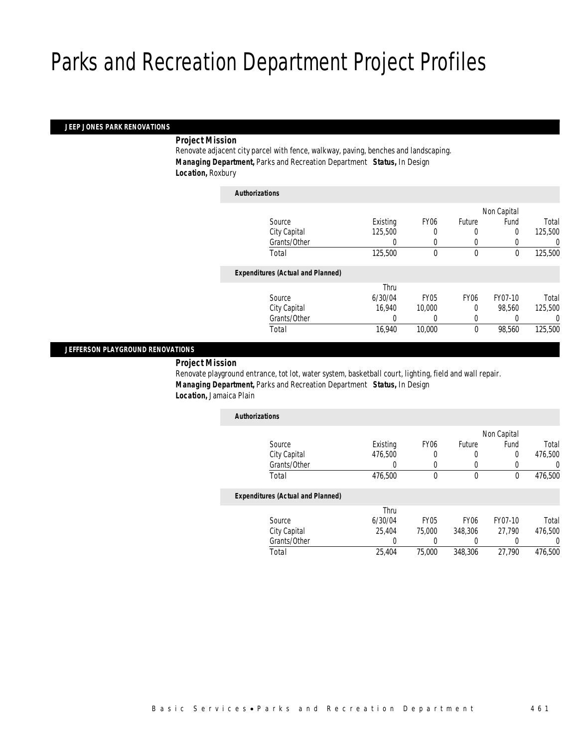*Authorizations*

#### *JEEP JONES PARK RENOVATIONS*

*Project Mission* 

Renovate adjacent city parcel with fence, walkway, paving, benches and landscaping. *Managing Department,* Parks and Recreation Department *Status,* In Design *Location,* Roxbury

| Authorizations                           |          |             |                  |             |         |
|------------------------------------------|----------|-------------|------------------|-------------|---------|
|                                          |          |             |                  | Non Capital |         |
| Source                                   | Existing | <b>FY06</b> | Future           | Fund        | Total   |
| City Capital                             | 125,500  | 0           | 0                | 0           | 125,500 |
| Grants/Other                             | 0        | 0           | 0                |             | 0       |
| Total                                    | 125,500  | 0           | $\mathbf 0$      | $\mathbf 0$ | 125,500 |
| <b>Expenditures (Actual and Planned)</b> |          |             |                  |             |         |
|                                          | Thru     |             |                  |             |         |
| Source                                   | 6/30/04  | <b>FY05</b> | FY <sub>06</sub> | FY07-10     | Total   |
| City Capital                             | 16.940   | 10,000      | 0                | 98.560      | 125,500 |
| Grants/Other                             | 0        |             | 0                |             | 0       |
| Total                                    | 16,940   | 10,000      | $\mathbf 0$      | 98,560      | 125,500 |
|                                          |          |             |                  |             |         |

### *JEFFERSON PLAYGROUND RENOVATIONS*

*Project Mission* 

Renovate playground entrance, tot lot, water system, basketball court, lighting, field and wall repair. *Managing Department,* Parks and Recreation Department *Status,* In Design *Location,* Jamaica Plain

| <b>Authorizations</b>                    |          |                  |                  |             |         |
|------------------------------------------|----------|------------------|------------------|-------------|---------|
|                                          |          |                  |                  | Non Capital |         |
| Source                                   | Existing | FY <sub>06</sub> | Future           | Fund        | Total   |
| City Capital                             | 476.500  |                  | 0                | 0           | 476,500 |
| Grants/Other                             | 0        |                  |                  |             | U       |
| Total                                    | 476,500  | $\theta$         | 0                | 0           | 476,500 |
| <b>Expenditures (Actual and Planned)</b> |          |                  |                  |             |         |
|                                          | Thru     |                  |                  |             |         |
| Source                                   | 6/30/04  | FY <sub>05</sub> | FY <sub>06</sub> | FY07-10     | Total   |
| City Capital                             | 25.404   | 75,000           | 348,306          | 27.790      | 476,500 |
| Grants/Other                             | 0        |                  |                  |             | 0       |
| Total                                    | 25.404   | 75,000           | 348,306          | 27.790      | 476.500 |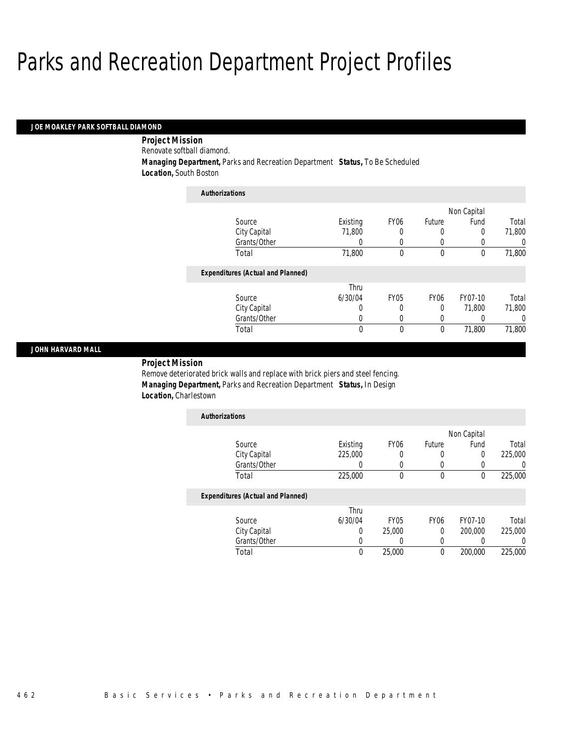#### *JOE MOAKLEY PARK SOFTBALL DIAMOND*

*Project Mission* 

Renovate softball diamond.

*Managing Department,* Parks and Recreation Department *Status,* To Be Scheduled

*Location,* South Boston

| <b>Authorizations</b>                    |              |                  |                  |             |          |
|------------------------------------------|--------------|------------------|------------------|-------------|----------|
|                                          |              |                  |                  | Non Capital |          |
| Source                                   | Existing     | FY <sub>06</sub> | Future           | Fund        | Total    |
| City Capital                             | 71,800       | 0                | $\left($         | 0           | 71,800   |
| Grants/Other                             | 0            | 0                | 0                |             | $\Omega$ |
| Total                                    | 71,800       | $\theta$         | $\theta$         | $\Omega$    | 71,800   |
| <b>Expenditures (Actual and Planned)</b> |              |                  |                  |             |          |
|                                          | Thru         |                  |                  |             |          |
| Source                                   | 6/30/04      | <b>FY05</b>      | FY <sub>06</sub> | FY07-10     | Total    |
| City Capital                             | U            | 0                | $\Omega$         | 71.800      | 71.800   |
| Grants/Other                             | 0            | $\left($         | $\left($         |             | $\Omega$ |
| Total                                    | $\mathbf{0}$ | $\theta$         | $\theta$         | 71,800      | 71,800   |

#### *JOHN HARVARD MALL*

*Project Mission* 

Remove deteriorated brick walls and replace with brick piers and steel fencing. *Managing Department,* Parks and Recreation Department *Status,* In Design *Location,* Charlestown

| <b>Authorizations</b> |          |                  |        |             |         |
|-----------------------|----------|------------------|--------|-------------|---------|
|                       |          |                  |        | Non Capital |         |
| Source                | Existing | FY <sub>06</sub> | Future | Fund        | Total   |
| City Capital          | 225,000  | 0                |        |             | 225,000 |
| Grants/Other          |          |                  |        |             |         |
| Total                 | 225,000  | 0                |        |             | 225,000 |

|              | Thru    |             |      |         |         |
|--------------|---------|-------------|------|---------|---------|
| Source       | 6/30/04 | <b>FY05</b> | FY06 | FY07-10 | Total   |
| City Capital |         | 25,000      |      | 200,000 | 225,000 |
| Grants/Other |         |             |      |         |         |
| Total        |         | 25,000      |      | 200,000 | 225,000 |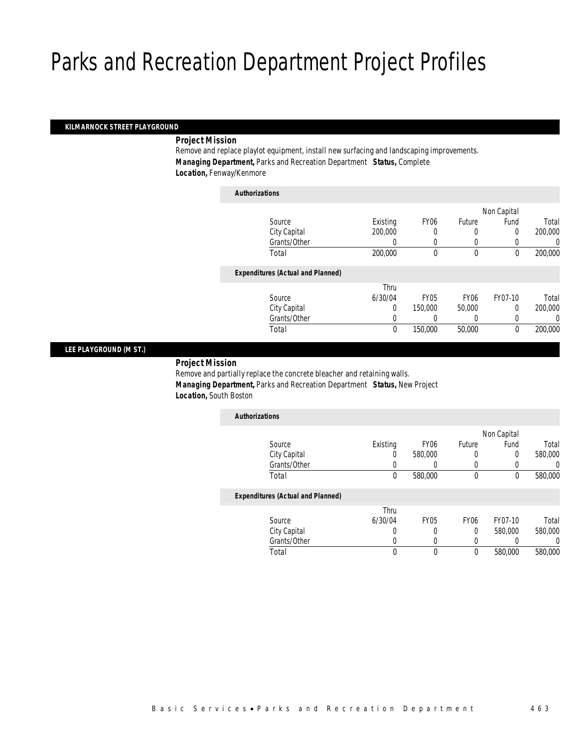*Authorizations*

#### *KILMARNOCK STREET PLAYGROUND*

#### *Project Mission*

Remove and replace playlot equipment, install new surfacing and landscaping improvements. *Managing Department,* Parks and Recreation Department *Status,* Complete *Location,* Fenway/Kenmore

| <b>Authorizations</b>                    |          |                  |                  |             |         |
|------------------------------------------|----------|------------------|------------------|-------------|---------|
|                                          |          |                  |                  | Non Capital |         |
| Source                                   | Existing | FY <sub>06</sub> | Future           | Fund        | Total   |
| City Capital                             | 200,000  | 0                | 0                | 0           | 200,000 |
| Grants/Other                             | 0        | 0                | 0                |             | 0       |
| Total                                    | 200,000  | 0                | $\mathbf 0$      | 0           | 200,000 |
| <b>Expenditures (Actual and Planned)</b> |          |                  |                  |             |         |
|                                          | Thru     |                  |                  |             |         |
| Source                                   | 6/30/04  | FY <sub>05</sub> | FY <sub>06</sub> | FY07-10     | Total   |
| City Capital                             | 0        | 150,000          | 50,000           | 0           | 200,000 |
| Grants/Other                             | 0        |                  | 0                |             | 0       |
| Total                                    | 0        | 150,000          | 50,000           | $\theta$    | 200,000 |

### *LEE PLAYGROUND (M ST.)*

#### *Project Mission*

Remove and partially replace the concrete bleacher and retaining walls. *Managing Department,* Parks and Recreation Department *Status,* New Project *Location,* South Boston

| <b>Authorizations</b>                    |          |                  |                  |             |         |
|------------------------------------------|----------|------------------|------------------|-------------|---------|
|                                          |          |                  |                  | Non Capital |         |
| Source                                   | Existing | FY <sub>06</sub> | Future           | Fund        | Total   |
| City Capital                             | O        | 580,000          | 0                | 0           | 580,000 |
| Grants/Other                             | 0        |                  | 0                |             | 0       |
| Total                                    | 0        | 580,000          | $\theta$         | 0           | 580,000 |
| <b>Expenditures (Actual and Planned)</b> |          |                  |                  |             |         |
|                                          | Thru     |                  |                  |             |         |
| Source                                   | 6/30/04  | <b>FY05</b>      | FY <sub>06</sub> | FY07-10     | Total   |
| City Capital                             |          |                  |                  | 580,000     | 580,000 |

Total 0 0 0 580,000 580,000

Grants/Other 0 0 0 0 0 0

| Basic Services • Parks and Recreation Department |  | 4 6 3 |
|--------------------------------------------------|--|-------|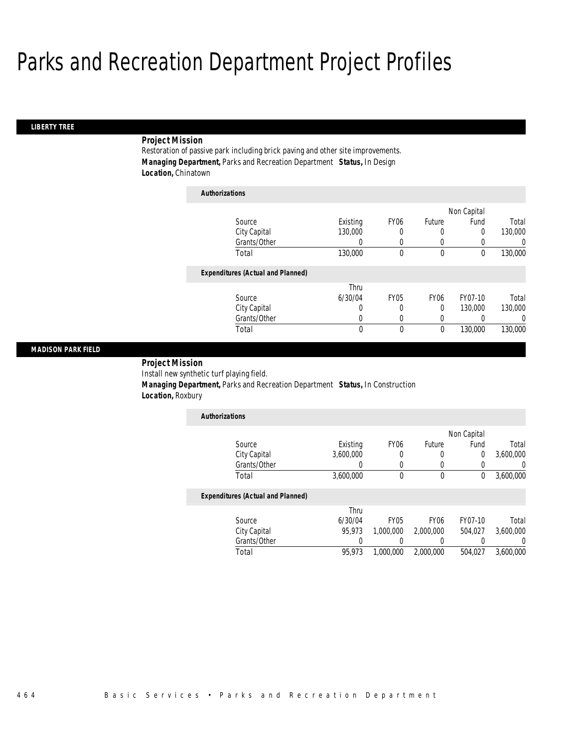#### *LIBERTY TREE*

### *Project Mission*

Restoration of passive park including brick paving and other site improvements. *Managing Department,* Parks and Recreation Department *Status,* In Design *Location,* Chinatown

| <b>Authorizations</b>                    |          |             |                  |                  |          |
|------------------------------------------|----------|-------------|------------------|------------------|----------|
|                                          |          |             |                  | Non Capital      |          |
| Source                                   | Existing | <b>FY06</b> | Future           | Fund             | Total    |
| City Capital                             | 130,000  | 0           | 0                | 0                | 130,000  |
| Grants/Other                             | 0        | 0           | 0                | $\left( \right)$ | 0        |
| Total                                    | 130,000  | 0           | 0                | 0                | 130,000  |
| <b>Expenditures (Actual and Planned)</b> |          |             |                  |                  |          |
|                                          | Thru     |             |                  |                  |          |
| Source                                   | 6/30/04  | <b>FY05</b> | FY <sub>06</sub> | FY07-10          | Total    |
| City Capital                             | 0        | 0           | 0                | 130,000          | 130,000  |
| Grants/Other                             | 0        | 0           | 0                | 0                | $\left($ |
| Total                                    | 0        | 0           | 0                | 130,000          | 130,000  |

#### *MADISON PARK FIELD*

*Project Mission* 

Install new synthetic turf playing field.

 *Managing Department,* Parks and Recreation Department *Status,* In Construction *Location,* Roxbury

| <b>Authorizations</b> |           |                  |        |             |           |
|-----------------------|-----------|------------------|--------|-------------|-----------|
|                       |           |                  |        | Non Capital |           |
| Source                | Existing  | FY <sub>06</sub> | Future | Fund        | Total     |
| City Capital          | 3,600,000 |                  |        |             | 3,600,000 |
| Grants/Other          |           |                  |        |             |           |
| Total                 | 3,600,000 |                  |        |             | 3,600,000 |

|              | Thru    |             |                  |         |           |
|--------------|---------|-------------|------------------|---------|-----------|
| Source       | 6/30/04 | <b>FY05</b> | FY <sub>06</sub> | FY07-10 | Total     |
| City Capital | 95.973  | 1.000.000   | 2,000,000        | 504.027 | 3.600.000 |
| Grants/Other |         |             |                  |         |           |
| Total        | 95.973  | 1,000,000   | 2,000,000        | 504.027 | 3.600.000 |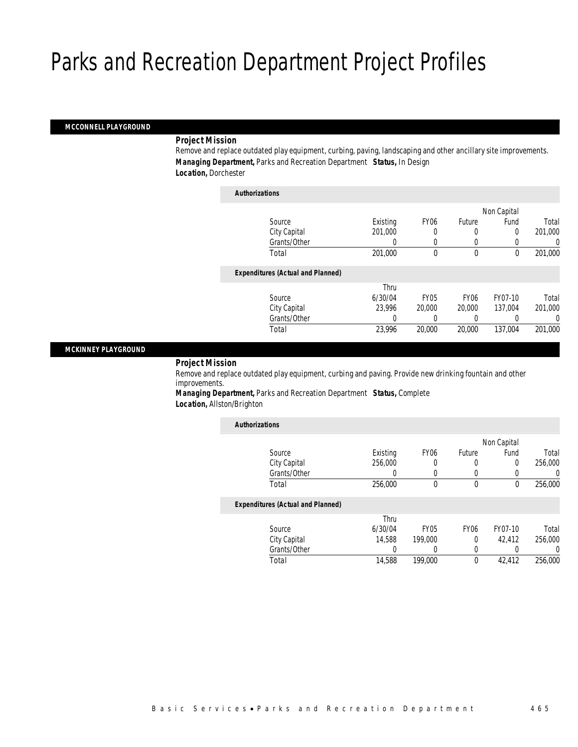#### *MCCONNELL PLAYGROUND*

#### *Project Mission*

Remove and replace outdated play equipment, curbing, paving, landscaping and other ancillary site improvements. *Managing Department,* Parks and Recreation Department *Status,* In Design *Location,* Dorchester

| <b>Authorizations</b>                    |          |                  |             |                  |                  |
|------------------------------------------|----------|------------------|-------------|------------------|------------------|
|                                          |          |                  |             | Non Capital      |                  |
| Source                                   | Existing | FY <sub>06</sub> | Future      | Fund             | Total            |
| City Capital                             | 201,000  | 0                | 0           | 0                | 201,000          |
| Grants/Other                             | 0        | 0                | 0           | $\left( \right)$ | $\left( \right)$ |
| Total                                    | 201.000  | 0                | 0           | 0                | 201,000          |
| <b>Expenditures (Actual and Planned)</b> |          |                  |             |                  |                  |
|                                          | Thru     |                  |             |                  |                  |
| Source                                   | 6/30/04  | <b>FY05</b>      | <b>FY06</b> | FY07-10          | Total            |
| City Capital                             | 23.996   | 20,000           | 20,000      | 137.004          | 201.000          |
| Grants/Other                             | 0        | 0                | 0           | 0                | 0                |
| Total                                    | 23,996   | 20,000           | 20,000      | 137.004          | 201.000          |

#### *MCKINNEY PLAYGROUND*

### *Project Mission*

Remove and replace outdated play equipment, curbing and paving. Provide new drinking fountain and other improvements.

*Managing Department,* Parks and Recreation Department *Status,* Complete *Location,* Allston/Brighton

| <b>Authorizations</b>                    |          |             |             |             |         |
|------------------------------------------|----------|-------------|-------------|-------------|---------|
|                                          |          |             |             | Non Capital |         |
| Source                                   | Existing | <b>FY06</b> | Future      | Fund        | Total   |
| City Capital                             | 256,000  | 0           | 0           | 0           | 256,000 |
| Grants/Other                             | 0        | 0           | 0           | 0           | 0       |
| Total                                    | 256,000  | 0           | 0           | 0           | 256,000 |
| <b>Expenditures (Actual and Planned)</b> |          |             |             |             |         |
|                                          | Thru     |             |             |             |         |
| Source                                   | 6/30/04  | <b>FY05</b> | <b>FY06</b> | FY07-10     | Total   |
| City Capital                             | 14,588   | 199,000     | 0           | 42.412      | 256,000 |
| Grants/Other                             | 0        | 0           | 0           | 0           | 0       |
| Total                                    | 14,588   | 199,000     | 0           | 42,412      | 256,000 |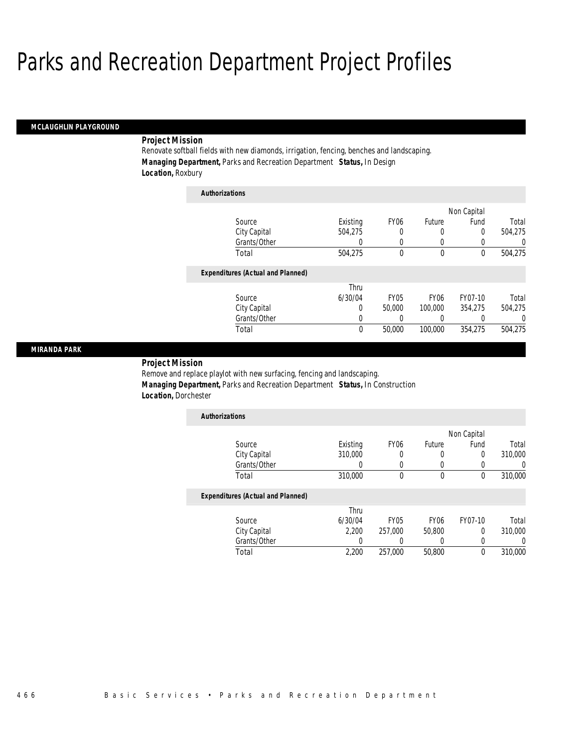*Authorizations*

#### *MCLAUGHLIN PLAYGROUND*

#### *Project Mission*

Renovate softball fields with new diamonds, irrigation, fencing, benches and landscaping. *Managing Department,* Parks and Recreation Department *Status,* In Design *Location,* Roxbury

| AUUDULLAUVUS                             |          |                  |                  |             |          |
|------------------------------------------|----------|------------------|------------------|-------------|----------|
|                                          |          |                  |                  | Non Capital |          |
| Source                                   | Existing | FY <sub>06</sub> | Future           | Fund        | Total    |
| City Capital                             | 504,275  | 0                | 0                | 0           | 504,275  |
| Grants/Other                             | 0        | 0                | 0                | 0           | 0        |
| Total                                    | 504.275  | 0                | 0                | $\theta$    | 504,275  |
| <b>Expenditures (Actual and Planned)</b> |          |                  |                  |             |          |
|                                          | Thru     |                  |                  |             |          |
| Source                                   | 6/30/04  | <b>FY05</b>      | FY <sub>06</sub> | FY07-10     | Total    |
| City Capital                             | 0        | 50,000           | 100,000          | 354.275     | 504.275  |
| Grants/Other                             | 0        |                  | 0                | 0           | $\Omega$ |
| Total                                    | 0        | 50,000           | 100,000          | 354,275     | 504.275  |

#### *MIRANDA PARK*

#### *Project Mission*

Remove and replace playlot with new surfacing, fencing and landscaping. *Managing Department,* Parks and Recreation Department *Status,* In Construction *Location,* Dorchester

| <b>Authorizations</b> |          |                  |        |      |         |
|-----------------------|----------|------------------|--------|------|---------|
|                       |          | Non Capital      |        |      |         |
| Source                | Existing | FY <sub>06</sub> | Future | Fund | Total   |
| City Capital          | 310,000  |                  |        |      | 310,000 |
| Grants/Other          |          |                  |        |      |         |
| Total                 | 310,000  |                  |        |      | 310,000 |

|              | Thru    |             |                  |         |         |
|--------------|---------|-------------|------------------|---------|---------|
| Source       | 6/30/04 | <b>FY05</b> | FY <sub>06</sub> | FY07-10 | Total   |
| City Capital | 2.200   | 257.000     | 50.800           |         | 310,000 |
| Grants/Other |         |             |                  |         |         |
| Total        | 2.200   | 257.000     | 50,800           |         | 310,000 |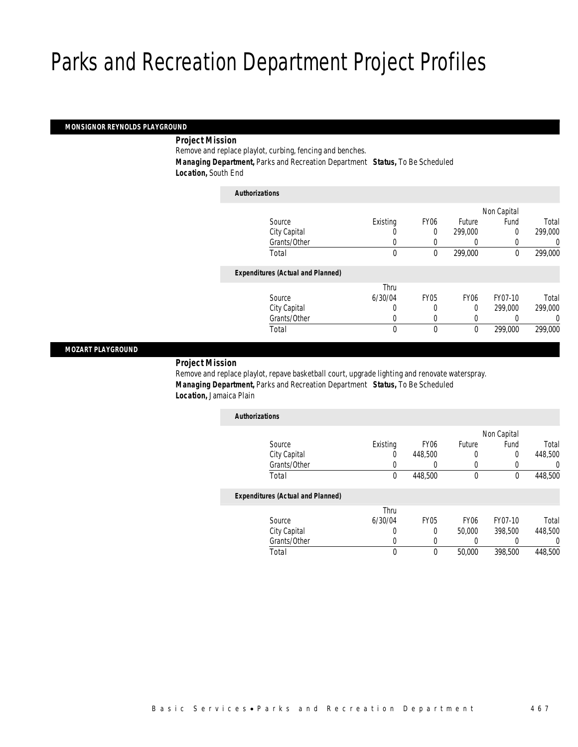#### *MONSIGNOR REYNOLDS PLAYGROUND*

#### *Project Mission*

Remove and replace playlot, curbing, fencing and benches.

 *Managing Department,* Parks and Recreation Department *Status,* To Be Scheduled *Location,* South End

| <b>Authorizations</b>                    |          |             |                  |             |         |
|------------------------------------------|----------|-------------|------------------|-------------|---------|
|                                          |          |             |                  | Non Capital |         |
| Source                                   | Existing | <b>FY06</b> | Future           | Fund        | Total   |
| City Capital                             |          | 0           | 299,000          | 0           | 299,000 |
| Grants/Other                             | 0        | 0           | 0                |             | 0       |
| Total                                    | 0        | $\theta$    | 299,000          | $\theta$    | 299,000 |
| <b>Expenditures (Actual and Planned)</b> |          |             |                  |             |         |
|                                          | Thru     |             |                  |             |         |
| Source                                   | 6/30/04  | <b>FY05</b> | FY <sub>06</sub> | FY07-10     | Total   |
| City Capital                             | 0        | 0           | $\Omega$         | 299,000     | 299,000 |
| Grants/Other                             | 0        |             | 0                |             | 0       |
| Total                                    | 0        | 0           | $\mathbf 0$      | 299,000     | 299,000 |

#### *MOZART PLAYGROUND*

### *Project Mission*

Remove and replace playlot, repave basketball court, upgrade lighting and renovate waterspray. *Managing Department,* Parks and Recreation Department *Status,* To Be Scheduled *Location,* Jamaica Plain

| <b>Authorizations</b>                    |          |                  |                  |             |         |
|------------------------------------------|----------|------------------|------------------|-------------|---------|
|                                          |          |                  |                  | Non Capital |         |
| Source                                   | Existing | FY <sub>06</sub> | Future           | Fund        | Total   |
| City Capital                             |          | 448,500          | 0                | 0           | 448,500 |
| Grants/Other                             |          | 0                | 0                | 0           |         |
| Total                                    | $\theta$ | 448,500          | 0                | 0           | 448,500 |
| <b>Expenditures (Actual and Planned)</b> |          |                  |                  |             |         |
|                                          | Thru     |                  |                  |             |         |
| Source                                   | 6/30/04  | FY05             | FY <sub>06</sub> | FY07-10     | Total   |
| City Capital                             |          | 0                | 50,000           | 398,500     | 448,500 |

Total 0 0 50,000 398,500 448,500

Grants/Other 0 0 0 0 0 0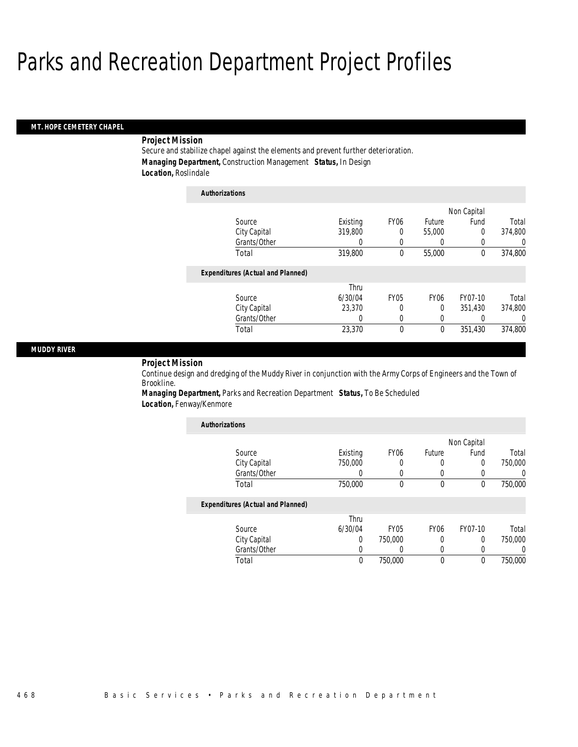#### *MT. HOPE CEMETERY CHAPEL*

### *Project Mission*

Secure and stabilize chapel against the elements and prevent further deterioration. *Managing Department,* Construction Management *Status,* In Design *Location,* Roslindale

| <b>Authorizations</b>                    |          |                  |                  |             |          |
|------------------------------------------|----------|------------------|------------------|-------------|----------|
|                                          |          |                  |                  | Non Capital |          |
| Source                                   | Existing | FY <sub>06</sub> | Future           | Fund        | Total    |
| City Capital                             | 319,800  | 0                | 55,000           | $\theta$    | 374,800  |
| Grants/Other                             | 0        | 0                | 0                | 0           | 0        |
| Total                                    | 319,800  | 0                | 55,000           | $\theta$    | 374,800  |
| <b>Expenditures (Actual and Planned)</b> |          |                  |                  |             |          |
|                                          | Thru     |                  |                  |             |          |
| Source                                   | 6/30/04  | <b>FY05</b>      | FY <sub>06</sub> | FY07-10     | Total    |
| City Capital                             | 23,370   | 0                | 0                | 351.430     | 374,800  |
| Grants/Other                             | 0        | 0                | 0                | 0           | $\Omega$ |
| Total                                    | 23,370   | 0                | $\mathbf 0$      | 351,430     | 374,800  |

#### *MUDDY RIVER*

*Project Mission* 

Continue design and dredging of the Muddy River in conjunction with the Army Corps of Engineers and the Town of Brookline.

*Managing Department,* Parks and Recreation Department *Status,* To Be Scheduled *Location,* Fenway/Kenmore

| <b>Authorizations</b>                    |          |                  |             |             |         |
|------------------------------------------|----------|------------------|-------------|-------------|---------|
|                                          |          |                  |             | Non Capital |         |
| Source                                   | Existing | FY <sub>06</sub> | Future      | Fund        | Total   |
| City Capital                             | 750,000  | 0                | 0           | 0           | 750,000 |
| Grants/Other                             | 0        | 0                | 0           | 0           | 0       |
| Total                                    | 750,000  | $\theta$         | 0           | $\theta$    | 750,000 |
| <b>Expenditures (Actual and Planned)</b> |          |                  |             |             |         |
|                                          | Thru     |                  |             |             |         |
| Source                                   | 6/30/04  | FY <sub>05</sub> | <b>FY06</b> | FY07-10     | Total   |
| City Capital                             | 0        | 750,000          | 0           | 0           | 750,000 |
| Grants/Other                             | 0        |                  | 0           | 0           | 0       |
| Total                                    | $\theta$ | 750,000          | 0           | 0           | 750,000 |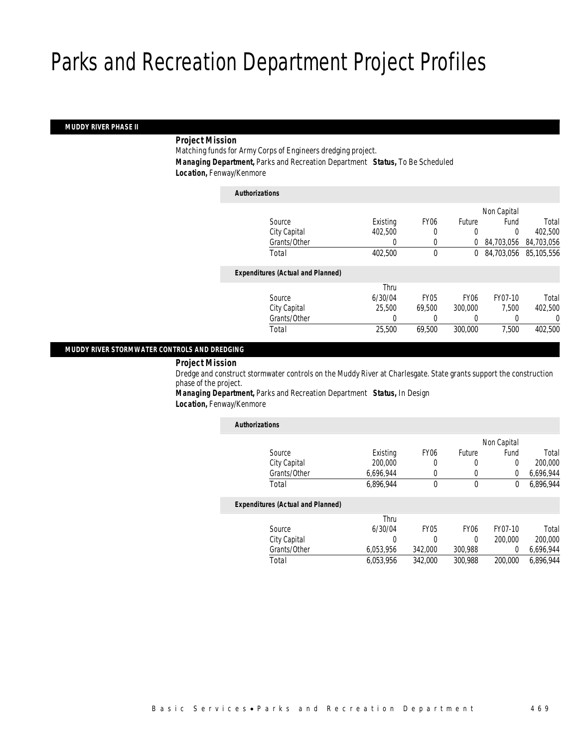#### *MUDDY RIVER PHASE II*

### *Project Mission*

Matching funds for Army Corps of Engineers dredging project. *Managing Department,* Parks and Recreation Department *Status,* To Be Scheduled *Location,* Fenway/Kenmore

| <b>Authorizations</b>                    |          |             |                  |             |            |
|------------------------------------------|----------|-------------|------------------|-------------|------------|
|                                          |          |             |                  | Non Capital |            |
| Source                                   | Existing | <b>FY06</b> | Future           | Fund        | Total      |
| City Capital                             | 402.500  | 0           | 0                | 0           | 402,500    |
| Grants/Other                             | 0        | 0           | 0                | 84,703,056  | 84,703,056 |
| Total                                    | 402,500  | 0           | 0                | 84.703.056  | 85,105,556 |
| <b>Expenditures (Actual and Planned)</b> |          |             |                  |             |            |
|                                          | Thru     |             |                  |             |            |
| Source                                   | 6/30/04  | <b>FY05</b> | FY <sub>06</sub> | FY07-10     | Total      |
| City Capital                             | 25,500   | 69.500      | 300,000          | 7.500       | 402,500    |
| Grants/Other                             | 0        |             |                  |             | 0          |
| Total                                    | 25,500   | 69.500      | 300,000          | 7.500       | 402,500    |
|                                          |          |             |                  |             |            |

#### *MUDDY RIVER STORMWATER CONTROLS AND DREDGING*

#### *Project Mission*

Dredge and construct stormwater controls on the Muddy River at Charlesgate. State grants support the construction phase of the project.

*Managing Department,* Parks and Recreation Department *Status,* In Design *Location,* Fenway/Kenmore

| <b>Authorizations</b>                    |           |             |                  |             |           |
|------------------------------------------|-----------|-------------|------------------|-------------|-----------|
|                                          |           |             |                  | Non Capital |           |
| Source                                   | Existing  | <b>FY06</b> | Future           | Fund        | Total     |
| City Capital                             | 200,000   | 0           | 0                | 0           | 200,000   |
| Grants/Other                             | 6.696.944 | 0           | 0                | 0           | 6,696,944 |
| Total                                    | 6.896.944 | 0           | 0                | 0           | 6.896.944 |
| <b>Expenditures (Actual and Planned)</b> |           |             |                  |             |           |
|                                          | Thru      |             |                  |             |           |
| Source                                   | 6/30/04   | <b>FY05</b> | FY <sub>06</sub> | FY07-10     | Total     |
| City Capital                             | 0         | 0           | 0                | 200,000     | 200,000   |
| Grants/Other                             | 6,053,956 | 342,000     | 300,988          | 0           | 6,696,944 |
| Total                                    | 6,053,956 | 342,000     | 300.988          | 200,000     | 6.896.944 |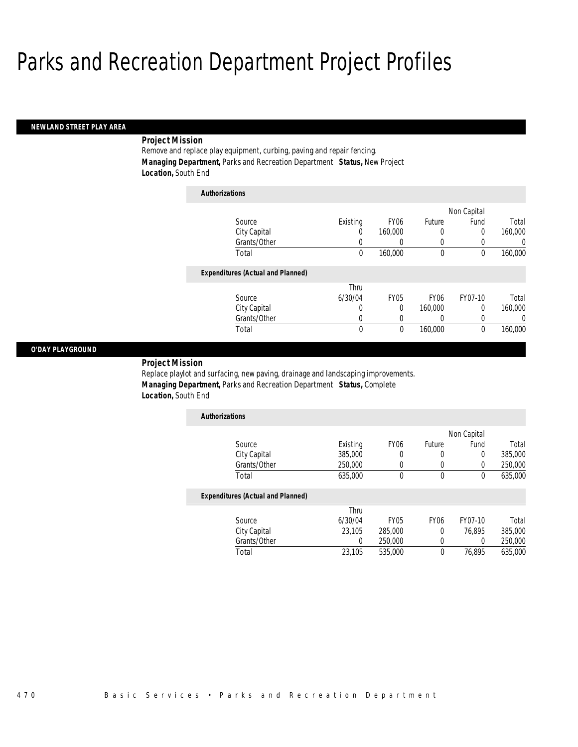#### *NEWLAND STREET PLAY AREA*

### *Project Mission*

Remove and replace play equipment, curbing, paving and repair fencing. *Managing Department,* Parks and Recreation Department *Status,* New Project *Location,* South End

| <b>Authorizations</b>                    |                  |                  |                  |             |          |
|------------------------------------------|------------------|------------------|------------------|-------------|----------|
|                                          |                  |                  |                  | Non Capital |          |
| Source                                   | Existing         | FY <sub>06</sub> | Future           | Fund        | Total    |
| City Capital                             | 0                | 160,000          | 0                | 0           | 160,000  |
| Grants/Other                             | U                | O                | 0                |             | 0        |
| Total                                    | $\mathbf 0$      | 160,000          | $\mathbf 0$      | 0           | 160,000  |
| <b>Expenditures (Actual and Planned)</b> |                  |                  |                  |             |          |
|                                          | Thru             |                  |                  |             |          |
| Source                                   | 6/30/04          | <b>FY05</b>      | FY <sub>06</sub> | FY07-10     | Total    |
| City Capital                             | $\left( \right)$ | 0                | 160,000          | 0           | 160,000  |
| Grants/Other                             | 0                | 0                | 0                | 0           | $\left($ |
| Total                                    | 0                | 0                | 160,000          | $\theta$    | 160,000  |

#### *O'DAY PLAYGROUND*

*Project Mission* 

Replace playlot and surfacing, new paving, drainage and landscaping improvements. *Managing Department,* Parks and Recreation Department *Status,* Complete *Location,* South End

| <b>Authorizations</b> |          |                  |        |             |         |
|-----------------------|----------|------------------|--------|-------------|---------|
|                       |          |                  |        | Non Capital |         |
| Source                | Existing | FY <sub>06</sub> | Future | Fund        | Total   |
| City Capital          | 385,000  |                  |        |             | 385,000 |
| Grants/Other          | 250,000  |                  |        |             | 250,000 |
| Total                 | 635,000  |                  |        |             | 635,000 |

|       |              | Thru    |             |                  |         |         |
|-------|--------------|---------|-------------|------------------|---------|---------|
|       | Source       | 6/30/04 | <b>FY05</b> | FY <sub>06</sub> | FY07-10 | Total   |
|       | City Capital | 23.105  | 285,000     |                  | 76.895  | 385,000 |
|       | Grants/Other |         | 250,000     |                  |         | 250,000 |
| Total |              | 23.105  | 535,000     |                  | 76.895  | 635,000 |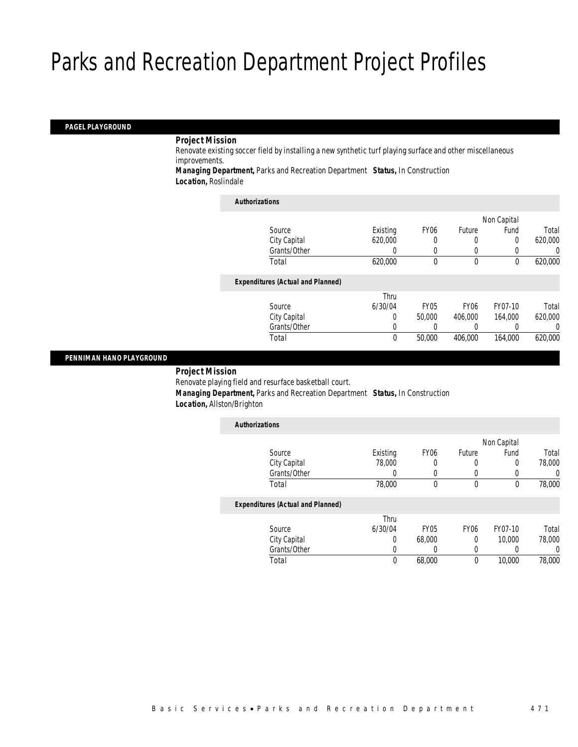#### *PAGEL PLAYGROUND*

#### *Project Mission*

Renovate existing soccer field by installing a new synthetic turf playing surface and other miscellaneous improvements.

*Managing Department,* Parks and Recreation Department *Status,* In Construction *Location,* Roslindale

| <b>Authorizations</b>                    |          |             |                  |             |         |
|------------------------------------------|----------|-------------|------------------|-------------|---------|
|                                          |          |             |                  | Non Capital |         |
| Source                                   | Existing | <b>FY06</b> | Future           | Fund        | Total   |
| City Capital                             | 620,000  | 0           | 0                | 0           | 620,000 |
| Grants/Other                             | $\left($ | 0           | 0                |             | 0       |
| Total                                    | 620,000  | 0           | $\mathbf 0$      | 0           | 620,000 |
| <b>Expenditures (Actual and Planned)</b> |          |             |                  |             |         |
|                                          | Thru     |             |                  |             |         |
| Source                                   | 6/30/04  | <b>FY05</b> | FY <sub>06</sub> | FY07-10     | Total   |
| City Capital                             | 0        | 50,000      | 406,000          | 164,000     | 620,000 |
| Grants/Other                             | 0        |             |                  |             | 0       |
| Total                                    | 0        | 50,000      | 406.000          | 164,000     | 620,000 |
|                                          |          |             |                  |             |         |

#### *PENNIMAN HANO PLAYGROUND*

#### *Project Mission*

Renovate playing field and resurface basketball court.

 *Managing Department,* Parks and Recreation Department *Status,* In Construction *Location,* Allston/Brighton

| <b>Authorizations</b>                    |          |                  |             |             |        |
|------------------------------------------|----------|------------------|-------------|-------------|--------|
|                                          |          |                  |             | Non Capital |        |
| Source                                   | Existing | FY <sub>06</sub> | Future      | Fund        | Total  |
| City Capital                             | 78,000   | 0                | 0           | 0           | 78,000 |
| Grants/Other                             | 0        | 0                | 0           | 0           | 0      |
| Total                                    | 78,000   | 0                | 0           | 0           | 78,000 |
| <b>Expenditures (Actual and Planned)</b> |          |                  |             |             |        |
|                                          | Thru     |                  |             |             |        |
| Source                                   | 6/30/04  | <b>FY05</b>      | <b>FY06</b> | FY07-10     | Total  |
| City Capital                             | 0        | 68,000           | 0           | 10,000      | 78,000 |
| Grants/Other                             | 0        | 0                | 0           | 0           | 0      |
| Total                                    | 0        | 68,000           | 0           | 10,000      | 78,000 |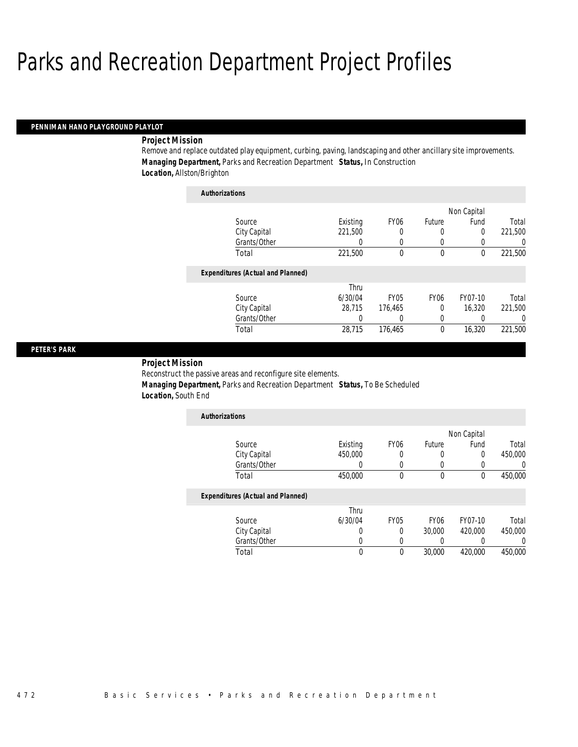#### *PENNIMAN HANO PLAYGROUND PLAYLOT*

#### *Project Mission*

Remove and replace outdated play equipment, curbing, paving, landscaping and other ancillary site improvements. *Managing Department,* Parks and Recreation Department *Status,* In Construction *Location,* Allston/Brighton

| <b>Authorizations</b>                    |          |                  |                  |             |         |
|------------------------------------------|----------|------------------|------------------|-------------|---------|
|                                          |          |                  |                  | Non Capital |         |
| Source                                   | Existing | FY <sub>06</sub> | Future           | Fund        | Total   |
| City Capital                             | 221,500  | 0                | 0                | 0           | 221,500 |
| Grants/Other                             | 0        | 0                | 0                | 0           | 0       |
| Total                                    | 221,500  | 0                | 0                | 0           | 221,500 |
| <b>Expenditures (Actual and Planned)</b> |          |                  |                  |             |         |
|                                          | Thru     |                  |                  |             |         |
| Source                                   | 6/30/04  | <b>FY05</b>      | FY <sub>06</sub> | FY07-10     | Total   |
| City Capital                             | 28.715   | 176.465          | 0                | 16.320      | 221.500 |
| Grants/Other                             | 0        | 0                | 0                |             | 0       |
| Total                                    | 28.715   | 176.465          | 0                | 16,320      | 221.500 |

#### *PETER'S PARK*

*Project Mission* 

Reconstruct the passive areas and reconfigure site elements.

 *Managing Department,* Parks and Recreation Department *Status,* To Be Scheduled *Location,* South End

| <b>Authorizations</b>                                                                                                               |          |                  |        |             |         |
|-------------------------------------------------------------------------------------------------------------------------------------|----------|------------------|--------|-------------|---------|
|                                                                                                                                     |          |                  |        | Non Capital |         |
| Source                                                                                                                              | Existing | FY <sub>06</sub> | Future | Fund        | Total   |
| City Capital                                                                                                                        | 450,000  |                  | 0      | 0           | 450,000 |
| Grants/Other                                                                                                                        |          |                  | 0      |             | 0       |
| Total                                                                                                                               | 450,000  |                  | 0      | 0           | 450,000 |
| $\mathbf{F}$ and $\mathbf{F}$ and $\mathbf{F}$ and $\mathbf{F}$ and $\mathbf{F}$ and $\mathbf{F}$ and $\mathbf{F}$ and $\mathbf{F}$ |          |                  |        |             |         |

| Thru    |      |                  |         |         |
|---------|------|------------------|---------|---------|
| 6/30/04 | FY05 | FY <sub>06</sub> | FY07-10 | Total   |
|         |      | 30,000           | 420,000 | 450,000 |
|         |      |                  |         |         |
|         |      | 30,000           | 420,000 | 450,000 |
|         |      |                  |         |         |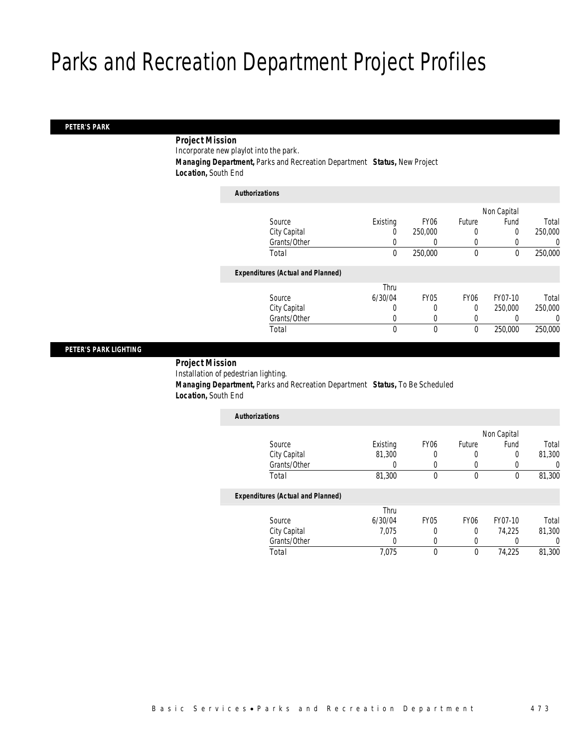#### *PETER'S PARK*

### *Project Mission*

Incorporate new playlot into the park.

*Managing Department,* Parks and Recreation Department *Status,* New Project

*Location,* South End

| <b>Authorizations</b>                    |          |             |                  |             |         |
|------------------------------------------|----------|-------------|------------------|-------------|---------|
|                                          |          |             |                  | Non Capital |         |
| Source                                   | Existing | <b>FY06</b> | Future           | Fund        | Total   |
| City Capital                             | 0        | 250,000     | 0                | 0           | 250,000 |
| Grants/Other                             |          | 0           | 0                |             | 0       |
| Total                                    | 0        | 250,000     | $\mathbf 0$      | $\theta$    | 250,000 |
| <b>Expenditures (Actual and Planned)</b> |          |             |                  |             |         |
|                                          | Thru     |             |                  |             |         |
| Source                                   | 6/30/04  | <b>FY05</b> | FY <sub>06</sub> | FY07-10     | Total   |
| City Capital                             | 0        | 0           | $\Omega$         | 250,000     | 250,000 |
| Grants/Other                             | 0        | $\left($    | 0                |             | 0       |
| Total                                    | 0        | 0           | $\theta$         | 250,000     | 250,000 |
|                                          |          |             |                  |             |         |

### *PETER'S PARK LIGHTING*

 *Project Mission* Installation of pedestrian lighting. *Managing Department,* Parks and Recreation Department *Status,* To Be Scheduled *Location,* South End

| <b>Authorizations</b>                    |          |                  |                  |         |        |
|------------------------------------------|----------|------------------|------------------|---------|--------|
|                                          |          | Non Capital      |                  |         |        |
| Source                                   | Existing | FY <sub>06</sub> | Future           | Fund    | Total  |
| City Capital                             | 81,300   | 0                | 0                | 0       | 81,300 |
| Grants/Other                             |          | 0                |                  |         |        |
| Total                                    | 81,300   | 0                | 0                | 0       | 81,300 |
| <b>Expenditures (Actual and Planned)</b> |          |                  |                  |         |        |
|                                          | Thru     |                  |                  |         |        |
| Source                                   | 6/30/04  | <b>FY05</b>      | FY <sub>06</sub> | FY07-10 | Total  |
| City Capital                             | 7,075    | 0                | $\Omega$         | 74,225  | 81,300 |
| Grants/Other                             |          | 0                |                  |         |        |

Total 7,075 0 0 74,225 81,300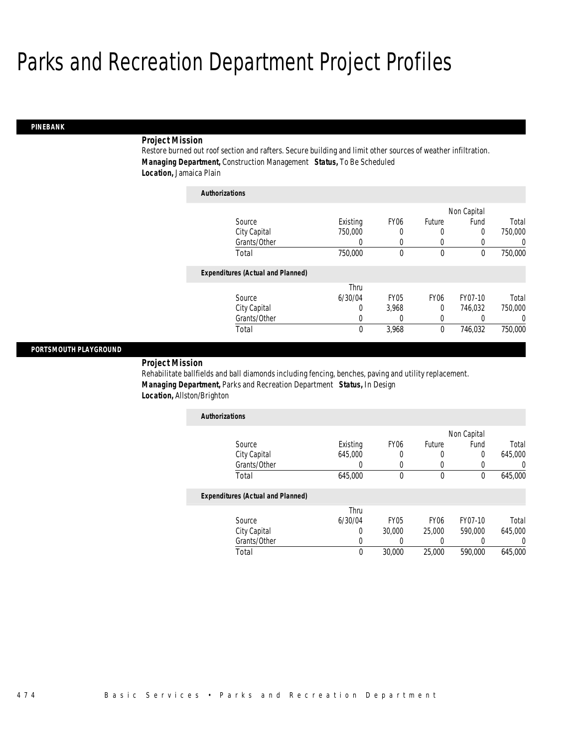*Authorizations*

### *PINEBANK*

### *Project Mission*

Restore burned out roof section and rafters. Secure building and limit other sources of weather infiltration. *Managing Department,* Construction Management *Status,* To Be Scheduled *Location,* Jamaica Plain

| <i><b>AUINOFIZATIONS</b></i>             |          |                  |                  |             |          |
|------------------------------------------|----------|------------------|------------------|-------------|----------|
|                                          |          |                  |                  | Non Capital |          |
| Source                                   | Existing | FY <sub>06</sub> | Future           | Fund        | Total    |
| City Capital                             | 750,000  | 0                | 0                | 0           | 750,000  |
| Grants/Other                             | 0        | 0                | 0                | 0           | 0        |
| Total                                    | 750,000  | 0                | 0                | 0           | 750,000  |
| <b>Expenditures (Actual and Planned)</b> |          |                  |                  |             |          |
|                                          | Thru     |                  |                  |             |          |
| Source                                   | 6/30/04  | FY <sub>05</sub> | FY <sub>06</sub> | FY07-10     | Total    |
| City Capital                             | 0        | 3.968            | 0                | 746.032     | 750,000  |
| Grants/Other                             | 0        | 0                | 0                | 0           | $\left($ |
| Total                                    | 0        | 3,968            | 0                | 746.032     | 750,000  |

#### *PORTSMOUTH PLAYGROUND*

### *Project Mission*

Rehabilitate ballfields and ball diamonds including fencing, benches, paving and utility replacement. *Managing Department,* Parks and Recreation Department *Status,* In Design *Location,* Allston/Brighton

| <b>Authorizations</b>             |          |                  |        |             |         |
|-----------------------------------|----------|------------------|--------|-------------|---------|
|                                   |          |                  |        | Non Capital |         |
| Source                            | Existing | FY <sub>06</sub> | Future | Fund        | Total   |
| City Capital                      | 645,000  |                  |        |             | 645,000 |
| Grants/Other                      |          |                  |        |             |         |
| Total                             | 645,000  |                  |        |             | 645,000 |
| Exnonditures (Actual and Dianned) |          |                  |        |             |         |

|              | Thru    |             |                  |         |         |
|--------------|---------|-------------|------------------|---------|---------|
| Source       | 6/30/04 | <b>FY05</b> | FY <sub>06</sub> | FY07-10 | Total   |
| City Capital |         | 30,000      | 25,000           | 590,000 | 645,000 |
| Grants/Other |         |             |                  |         |         |
| Total        |         | 30,000      | 25,000           | 590,000 | 645,000 |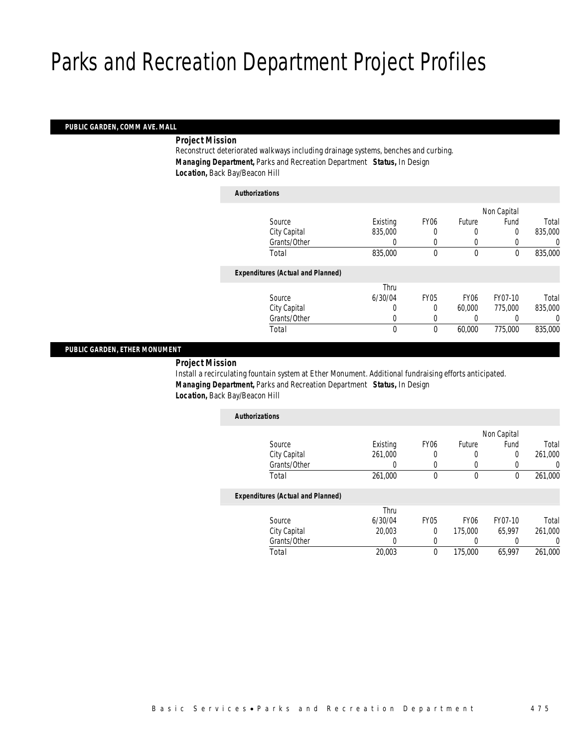### *PUBLIC GARDEN, COMM AVE. MALL*

*Project Mission* 

Reconstruct deteriorated walkways including drainage systems, benches and curbing. *Managing Department,* Parks and Recreation Department *Status,* In Design *Location,* Back Bay/Beacon Hill

| <b>Authorizations</b>                    |          |             |                  |             |         |
|------------------------------------------|----------|-------------|------------------|-------------|---------|
|                                          |          |             |                  | Non Capital |         |
| Source                                   | Existing | <b>FY06</b> | Future           | Fund        | Total   |
| City Capital                             | 835,000  | 0           | 0                | 0           | 835,000 |
| Grants/Other                             | 0        | 0           | 0                | 0           |         |
| Total                                    | 835,000  | $\mathbf 0$ | $\Omega$         | 0           | 835,000 |
| <b>Expenditures (Actual and Planned)</b> |          |             |                  |             |         |
|                                          | Thru     |             |                  |             |         |
| Source                                   | 6/30/04  | <b>FY05</b> | FY <sub>06</sub> | FY07-10     | Total   |
| City Capital                             | 0        | 0           | 60,000           | 775,000     | 835,000 |
| Grants/Other                             | $\Omega$ | 0           | 0                | 0           |         |
| Total                                    | 0        | $\mathbf 0$ | 60,000           | 775,000     | 835,000 |

### *PUBLIC GARDEN, ETHER MONUMENT*

*Project Mission* 

Install a recirculating fountain system at Ether Monument. Additional fundraising efforts anticipated. *Managing Department,* Parks and Recreation Department *Status,* In Design *Location,* Back Bay/Beacon Hill

| <b>Authorizations</b>                    |          |                  |                  |             |         |
|------------------------------------------|----------|------------------|------------------|-------------|---------|
|                                          |          |                  |                  | Non Capital |         |
| Source                                   | Existing | FY <sub>06</sub> | Future           | Fund        | Total   |
| City Capital                             | 261,000  |                  | 0                | 0           | 261,000 |
| Grants/Other                             | 0        |                  |                  |             | 0       |
| Total                                    | 261,000  | $\theta$         | 0                | 0           | 261,000 |
| <b>Expenditures (Actual and Planned)</b> |          |                  |                  |             |         |
|                                          | Thru     |                  |                  |             |         |
| Source                                   | 6/30/04  | <b>FY05</b>      | FY <sub>06</sub> | FY07-10     | Total   |
| City Capital                             | 20,003   | $\Omega$         | 175,000          | 65.997      | 261,000 |
| Grants/Other                             | 0        |                  |                  |             | 0       |
| Total                                    | 20,003   | $\theta$         | 175,000          | 65.997      | 261.000 |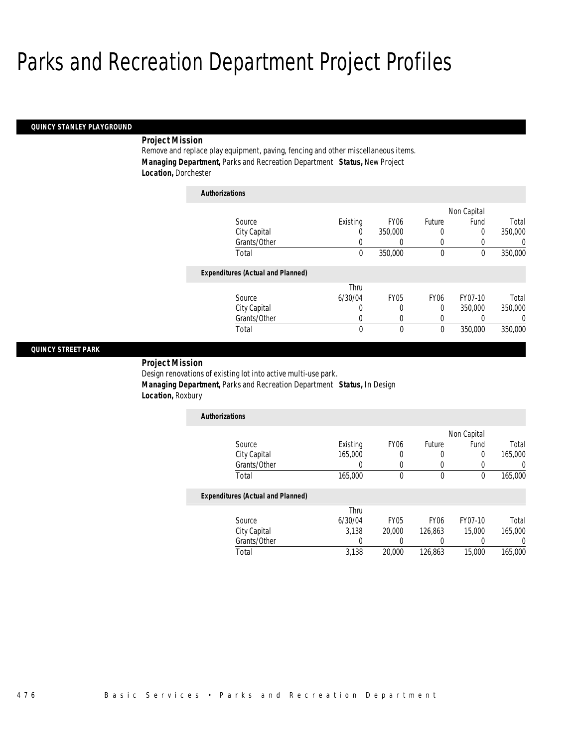## *QUINCY STANLEY PLAYGROUND*

## *Project Mission*

Remove and replace play equipment, paving, fencing and other miscellaneous items. *Managing Department,* Parks and Recreation Department *Status,* New Project *Location,* Dorchester

| <b>Authorizations</b>                    |          |                  |                  |             |          |
|------------------------------------------|----------|------------------|------------------|-------------|----------|
|                                          |          |                  |                  | Non Capital |          |
| Source                                   | Existing | FY <sub>06</sub> | Future           | Fund        | Total    |
| City Capital                             | 0        | 350,000          | 0                | 0           | 350,000  |
| Grants/Other                             | 0        | 0                | 0                | 0           | 0        |
| Total                                    | 0        | 350,000          | $\mathbf 0$      | $\theta$    | 350,000  |
| <b>Expenditures (Actual and Planned)</b> |          |                  |                  |             |          |
|                                          | Thru     |                  |                  |             |          |
| Source                                   | 6/30/04  | <b>FY05</b>      | FY <sub>06</sub> | FY07-10     | Total    |
| City Capital                             | 0        | 0                | 0                | 350,000     | 350,000  |
| Grants/Other                             | 0        | 0                | 0                | 0           | $\left($ |
| Total                                    | 0        | 0                | 0                | 350,000     | 350,000  |

### *QUINCY STREET PARK*

*Project Mission* 

Design renovations of existing lot into active multi-use park.

*Managing Department,* Parks and Recreation Department *Status,* In Design

*Location,* Roxbury

| Existing | FY <sub>06</sub> | Future | Fund | Total       |
|----------|------------------|--------|------|-------------|
| 165,000  | 0                |        |      | 165,000     |
|          |                  |        |      |             |
| 165,000  |                  | 0      |      | 165,000     |
|          |                  |        |      | Non Capital |

|              | Thru    |             |                  |         |         |
|--------------|---------|-------------|------------------|---------|---------|
| Source       | 6/30/04 | <b>FY05</b> | FY <sub>06</sub> | FY07-10 | Total   |
| City Capital | 3.138   | 20,000      | 126.863          | 15,000  | 165,000 |
| Grants/Other |         |             |                  |         |         |
| Total        | 3.138   | 20,000      | 126.863          | 15,000  | 165,000 |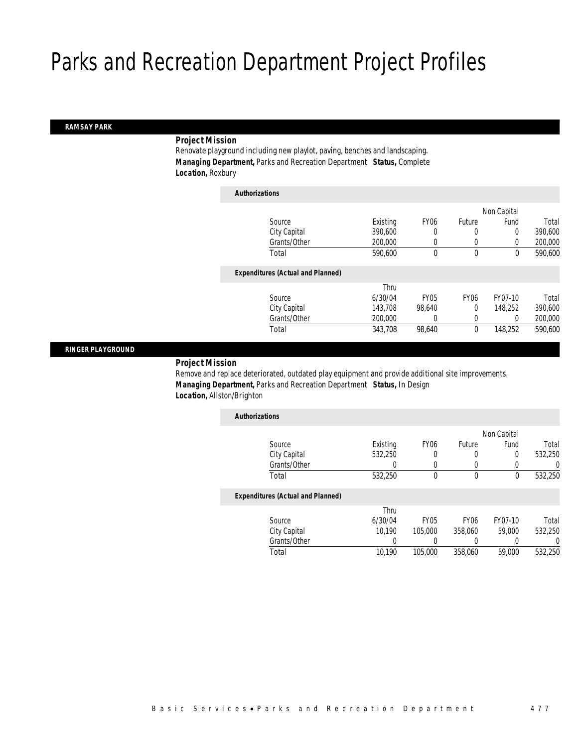### *RAMSAY PARK*

## *Project Mission*

Renovate playground including new playlot, paving, benches and landscaping. *Managing Department,* Parks and Recreation Department *Status,* Complete *Location,* Roxbury

| <b>Authorizations</b>                    |          |             |                  |             |         |
|------------------------------------------|----------|-------------|------------------|-------------|---------|
|                                          |          |             |                  | Non Capital |         |
| Source                                   | Existing | <b>FY06</b> | Future           | Fund        | Total   |
| City Capital                             | 390.600  | 0           | $\Omega$         | 0           | 390,600 |
| Grants/Other                             | 200,000  | 0           | 0                | 0           | 200,000 |
| Total                                    | 590,600  | 0           | $\mathbf 0$      | $\theta$    | 590,600 |
| <b>Expenditures (Actual and Planned)</b> |          |             |                  |             |         |
|                                          | Thru     |             |                  |             |         |
| Source                                   | 6/30/04  | <b>FY05</b> | FY <sub>06</sub> | FY07-10     | Total   |
| City Capital                             | 143.708  | 98.640      | $\Omega$         | 148.252     | 390,600 |
| Grants/Other                             | 200,000  | $\left($    | 0                | 0           | 200,000 |
| Total                                    | 343,708  | 98.640      | $\mathbf 0$      | 148.252     | 590,600 |
|                                          |          |             |                  |             |         |

### *RINGER PLAYGROUND*

### *Project Mission*

Remove and replace deteriorated, outdated play equipment and provide additional site improvements. *Managing Department,* Parks and Recreation Department *Status,* In Design *Location,* Allston/Brighton

| <b>Authorizations</b>                    |          |                  |             |             |         |
|------------------------------------------|----------|------------------|-------------|-------------|---------|
|                                          |          |                  |             | Non Capital |         |
| Source                                   | Existing | FY <sub>06</sub> | Future      | Fund        | Total   |
| City Capital                             | 532.250  | 0                | 0           | $\Omega$    | 532,250 |
| Grants/Other                             |          | $\left($         |             | $\left($    |         |
| Total                                    | 532,250  | $\theta$         | $\theta$    | $\theta$    | 532,250 |
| <b>Expenditures (Actual and Planned)</b> |          |                  |             |             |         |
|                                          | Thru     |                  |             |             |         |
| Source                                   | 6/30/04  | <b>FY05</b>      | <b>FY06</b> | FY07-10     | Total   |
| City Capital                             | 10.190   | 105,000          | 358,060     | 59,000      | 532,250 |
| Grants/Other                             | 0        |                  |             |             |         |
| Total                                    | 10.190   | 105,000          | 358,060     | 59,000      | 532,250 |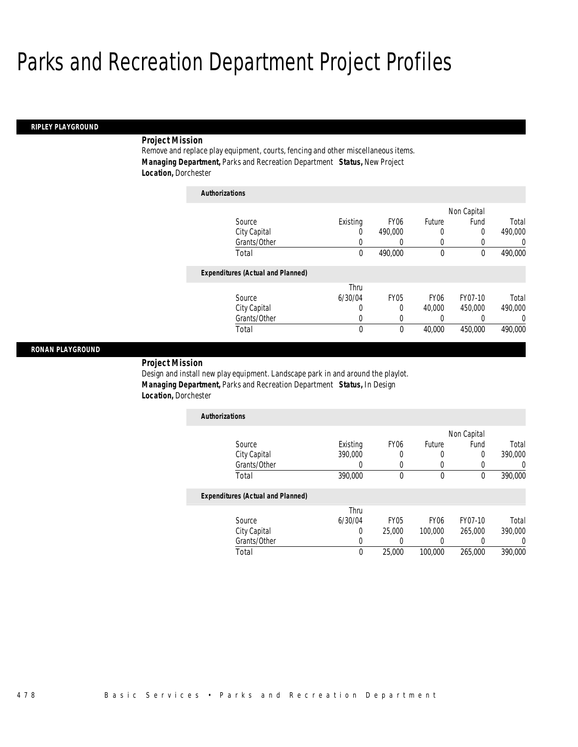*Authorizations*

#### *RIPLEY PLAYGROUND*

## *Project Mission*

Remove and replace play equipment, courts, fencing and other miscellaneous items. *Managing Department,* Parks and Recreation Department *Status,* New Project *Location,* Dorchester

| AUUDULLAUVUS                             |          |                  |                  |             |          |
|------------------------------------------|----------|------------------|------------------|-------------|----------|
|                                          |          |                  |                  | Non Capital |          |
| Source                                   | Existing | FY <sub>06</sub> | Future           | Fund        | Total    |
| City Capital                             | 0        | 490,000          | 0                | $\theta$    | 490,000  |
| Grants/Other                             | 0        |                  | 0                | 0           | 0        |
| Total                                    | 0        | 490.000          | $\mathbf 0$      | $\theta$    | 490,000  |
| <b>Expenditures (Actual and Planned)</b> |          |                  |                  |             |          |
|                                          | Thru     |                  |                  |             |          |
| Source                                   | 6/30/04  | <b>FY05</b>      | FY <sub>06</sub> | FY07-10     | Total    |
| City Capital                             | 0        | 0                | 40.000           | 450,000     | 490,000  |
| Grants/Other                             | 0        | 0                | 0                |             | $\Omega$ |
| Total                                    | 0        | 0                | 40,000           | 450,000     | 490,000  |

#### *RONAN PLAYGROUND*

*Project Mission* 

Design and install new play equipment. Landscape park in and around the playlot. *Managing Department,* Parks and Recreation Department *Status,* In Design *Location,* Dorchester

| <b>Authorizations</b>                                                                                                               |          |                  |        |             |         |
|-------------------------------------------------------------------------------------------------------------------------------------|----------|------------------|--------|-------------|---------|
|                                                                                                                                     |          |                  |        | Non Capital |         |
| Source                                                                                                                              | Existing | FY <sub>06</sub> | Future | Fund        | Total   |
| City Capital                                                                                                                        | 390,000  |                  |        | 0           | 390,000 |
| Grants/Other                                                                                                                        |          |                  |        |             |         |
| Total                                                                                                                               | 390,000  |                  |        |             | 390,000 |
| $\mathbf{F}$ and $\mathbf{F}$ and $\mathbf{F}$ and $\mathbf{F}$ and $\mathbf{F}$ and $\mathbf{F}$ and $\mathbf{F}$ and $\mathbf{F}$ |          |                  |        |             |         |

|        |              | Thru    |             |                  |         |         |
|--------|--------------|---------|-------------|------------------|---------|---------|
| Source |              | 6/30/04 | <b>FY05</b> | FY <sub>06</sub> | FY07-10 | Total   |
|        | City Capital |         | 25.000      | 100,000          | 265,000 | 390,000 |
|        | Grants/Other |         |             |                  |         |         |
| Total  |              | 0       | 25.000      | 100,000          | 265,000 | 390,000 |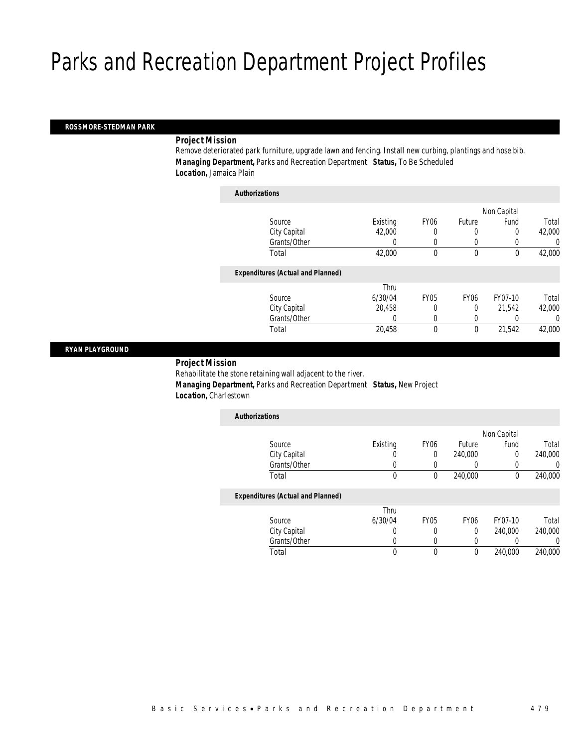### *ROSSMORE-STEDMAN PARK*

## *Project Mission*

Remove deteriorated park furniture, upgrade lawn and fencing. Install new curbing, plantings and hose bib. *Managing Department,* Parks and Recreation Department *Status,* To Be Scheduled *Location,* Jamaica Plain

| <b>Authorizations</b>                    |          |             |                  |             |        |
|------------------------------------------|----------|-------------|------------------|-------------|--------|
|                                          |          |             |                  | Non Capital |        |
| Source                                   | Existing | <b>FY06</b> | Future           | Fund        | Total  |
| City Capital                             | 42,000   | 0           |                  | 0           | 42,000 |
| Grants/Other                             | 0        |             | 0                |             | 0      |
| Total                                    | 42,000   | 0           | $\mathbf 0$      | $\mathbf 0$ | 42,000 |
| <b>Expenditures (Actual and Planned)</b> |          |             |                  |             |        |
|                                          | Thru     |             |                  |             |        |
| Source                                   | 6/30/04  | <b>FY05</b> | FY <sub>06</sub> | FY07-10     | Total  |
| City Capital                             | 20.458   | 0           | $\Omega$         | 21.542      | 42,000 |
| Grants/Other                             | 0        | 0           | $\Omega$         |             | 0      |
| Total                                    | 20,458   | 0           | $\theta$         | 21,542      | 42,000 |
|                                          |          |             |                  |             |        |

### *RYAN PLAYGROUND*

### *Project Mission*

Rehabilitate the stone retaining wall adjacent to the river. *Managing Department,* Parks and Recreation Department *Status,* New Project *Location,* Charlestown

| <b>Authorizations</b>                    |          |                  |                  |             |         |
|------------------------------------------|----------|------------------|------------------|-------------|---------|
|                                          |          |                  |                  | Non Capital |         |
| Source                                   | Existing | FY <sub>06</sub> | Future           | Fund        | Total   |
| City Capital                             |          | 0                | 240,000          | 0           | 240,000 |
| Grants/Other                             |          | 0                |                  |             |         |
| Total                                    | 0        | 0                | 240,000          | 0           | 240,000 |
| <b>Expenditures (Actual and Planned)</b> |          |                  |                  |             |         |
|                                          | Thru     |                  |                  |             |         |
| Source                                   | 6/30/04  | <b>FY05</b>      | FY <sub>06</sub> | FY07-10     | Total   |
| City Capital                             |          | 0                | 0                | 240,000     | 240,000 |
| Grants/Other                             |          | 0                |                  |             |         |

Total 0 0 0 240,000 240,000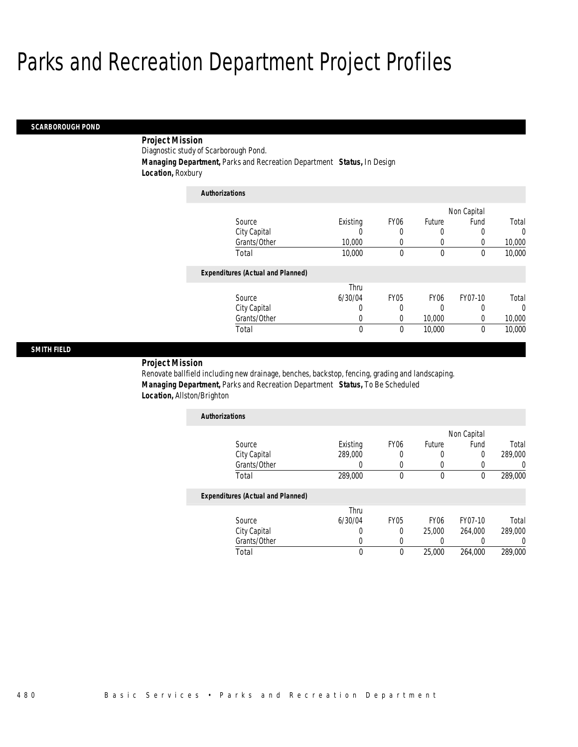#### *SCARBOROUGH POND*

## *Project Mission*

Diagnostic study of Scarborough Pond.

*Authorizations*

*Managing Department,* Parks and Recreation Department *Status,* In Design

*Location,* Roxbury

| <b>Authorizations</b>                    |          |                  |                  |             |          |
|------------------------------------------|----------|------------------|------------------|-------------|----------|
|                                          |          |                  |                  | Non Capital |          |
| Source                                   | Existing | FY <sub>06</sub> | Future           | Fund        | Total    |
| City Capital                             |          | 0                | 0                |             | $\Omega$ |
| Grants/Other                             | 10,000   | 0                | 0                | 0           | 10,000   |
| Total                                    | 10,000   | 0                | $\mathbf 0$      | $\Omega$    | 10,000   |
| <b>Expenditures (Actual and Planned)</b> |          |                  |                  |             |          |
|                                          | Thru     |                  |                  |             |          |
| Source                                   | 6/30/04  | <b>FY05</b>      | FY <sub>06</sub> | FY07-10     | Total    |
| City Capital                             | 0        | 0                | 0                |             | $\Omega$ |
| Grants/Other                             | 0        | 0                | 10,000           | 0           | 10,000   |
| Total                                    | 0        | 0                | 10,000           | $\theta$    | 10,000   |

## *SMITH FIELD*

### *Project Mission*

Renovate ballfield including new drainage, benches, backstop, fencing, grading and landscaping. *Managing Department,* Parks and Recreation Department *Status,* To Be Scheduled *Location,* Allston/Brighton

| <b>Authorizations</b>                    |          |                  |                  |             |         |
|------------------------------------------|----------|------------------|------------------|-------------|---------|
|                                          |          |                  |                  | Non Capital |         |
| Source                                   | Existing | FY <sub>06</sub> | Future           | Fund        | Total   |
| City Capital                             | 289,000  | 0                | 0                | 0           | 289,000 |
| Grants/Other                             |          | 0                |                  |             |         |
| Total                                    | 289,000  | $\theta$         | $\theta$         | $\theta$    | 289,000 |
| <b>Expenditures (Actual and Planned)</b> |          |                  |                  |             |         |
|                                          | Thru     |                  |                  |             |         |
| Source                                   | 6/30/04  | FY <sub>05</sub> | FY <sub>06</sub> | FY07-10     | Total   |
| City Capital                             | O        | 0                | 25,000           | 264,000     | 289,000 |
| Grants/Other                             | U        | 0                | U                |             |         |

Total 0 0 25,000 264,000 289,000

Grants/Other 0 0 0 0 0 0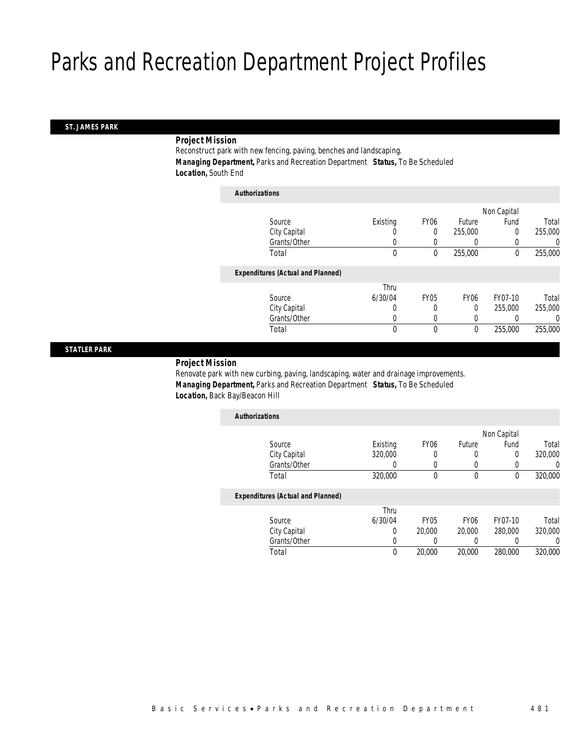### *ST. JAMES PARK*

### *Project Mission*

Reconstruct park with new fencing, paving, benches and landscaping. *Managing Department,* Parks and Recreation Department *Status,* To Be Scheduled *Location,* South End

| <b>Authorizations</b>                    |          |             |                  |             |         |
|------------------------------------------|----------|-------------|------------------|-------------|---------|
|                                          |          |             |                  | Non Capital |         |
| Source                                   | Existing | <b>FY06</b> | Future           | Fund        | Total   |
| City Capital                             | 0        | 0           | 255,000          | 0           | 255,000 |
| Grants/Other                             | 0        |             |                  |             | 0       |
| Total                                    | 0        | 0           | 255,000          | $\mathbf 0$ | 255,000 |
| <b>Expenditures (Actual and Planned)</b> |          |             |                  |             |         |
|                                          | Thru     |             |                  |             |         |
| Source                                   | 6/30/04  | <b>FY05</b> | FY <sub>06</sub> | FY07-10     | Total   |
| City Capital                             | 0        | 0           | $\Omega$         | 255,000     | 255,000 |
| Grants/Other                             | $\left($ | 0           | 0                |             | 0       |
| Total                                    | 0        | 0           | $\mathbf{0}$     | 255,000     | 255,000 |

### *STATLER PARK*

## *Project Mission*

Renovate park with new curbing, paving, landscaping, water and drainage improvements. *Managing Department,* Parks and Recreation Department *Status,* To Be Scheduled *Location,* Back Bay/Beacon Hill

| <b>Authorizations</b>                    |          |                  |             |             |         |
|------------------------------------------|----------|------------------|-------------|-------------|---------|
|                                          |          |                  |             | Non Capital |         |
| Source                                   | Existing | FY <sub>06</sub> | Future      | Fund        | Total   |
| City Capital                             | 320,000  | 0                | 0           | 0           | 320,000 |
| Grants/Other                             |          | $\Omega$         | 0           | 0           | 0       |
| Total                                    | 320,000  | 0                | 0           | 0           | 320,000 |
| <b>Expenditures (Actual and Planned)</b> |          |                  |             |             |         |
|                                          | Thru     |                  |             |             |         |
| Source                                   | 6/30/04  | FY <sub>05</sub> | <b>FY06</b> | FY07-10     | Total   |
| City Capital                             | 0        | 20,000           | 20,000      | 280,000     | 320,000 |
| Grants/Other                             | O        |                  |             |             | 0       |
| Total                                    | 0        | 20,000           | 20,000      | 280,000     | 320,000 |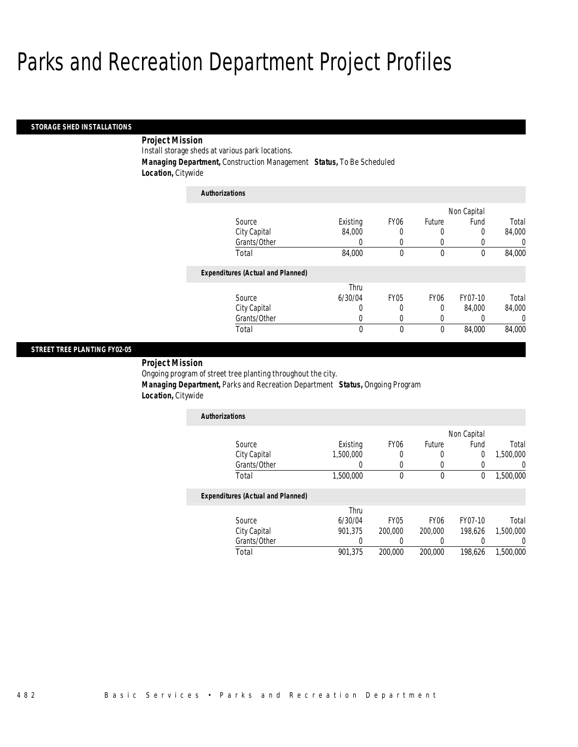#### *STORAGE SHED INSTALLATIONS*

## *Project Mission*

Install storage sheds at various park locations.

*Managing Department,* Construction Management *Status,* To Be Scheduled

*Location,* Citywide

| <b>Authorizations</b>                    |          |                  |                  |                  |        |
|------------------------------------------|----------|------------------|------------------|------------------|--------|
|                                          |          |                  |                  | Non Capital      |        |
| Source                                   | Existing | FY <sub>06</sub> | Future           | Fund             | Total  |
| City Capital                             | 84,000   | 0                | 0                | 0                | 84.000 |
| Grants/Other                             | 0        | 0                | 0                | $\left( \right)$ | 0      |
| Total                                    | 84,000   | 0                | 0                | 0                | 84,000 |
| <b>Expenditures (Actual and Planned)</b> |          |                  |                  |                  |        |
|                                          | Thru     |                  |                  |                  |        |
| Source                                   | 6/30/04  | <b>FY05</b>      | FY <sub>06</sub> | FY07-10          | Total  |
| City Capital                             | 0        | 0                | 0                | 84,000           | 84.000 |
| Grants/Other                             | 0        | 0                | 0                | 0                | 0      |
| Total                                    | 0        | 0                | 0                | 84,000           | 84,000 |

## *STREET TREE PLANTING FY02-05*

*Project Mission* 

Ongoing program of street tree planting throughout the city.

*Managing Department,* Parks and Recreation Department *Status,* Ongoing Program

*Location,* Citywide

| <b>Authorizations</b> |           |                  |        |             |           |
|-----------------------|-----------|------------------|--------|-------------|-----------|
|                       |           |                  |        | Non Capital |           |
| Source                | Existing  | FY <sub>06</sub> | Future | Fund        | Total     |
| City Capital          | 1,500,000 |                  |        |             | 1,500,000 |
| Grants/Other          |           |                  |        |             |           |
| Total                 | 1,500,000 |                  |        |             | 1,500,000 |

|              | Thru    |             |                  |         |           |
|--------------|---------|-------------|------------------|---------|-----------|
| Source       | 6/30/04 | <b>FY05</b> | FY <sub>06</sub> | FY07-10 | Total     |
| City Capital | 901.375 | 200,000     | 200,000          | 198.626 | 1.500.000 |
| Grants/Other |         |             |                  |         |           |
| Total        | 901.375 | 200,000     | 200,000          | 198.626 | 1,500,000 |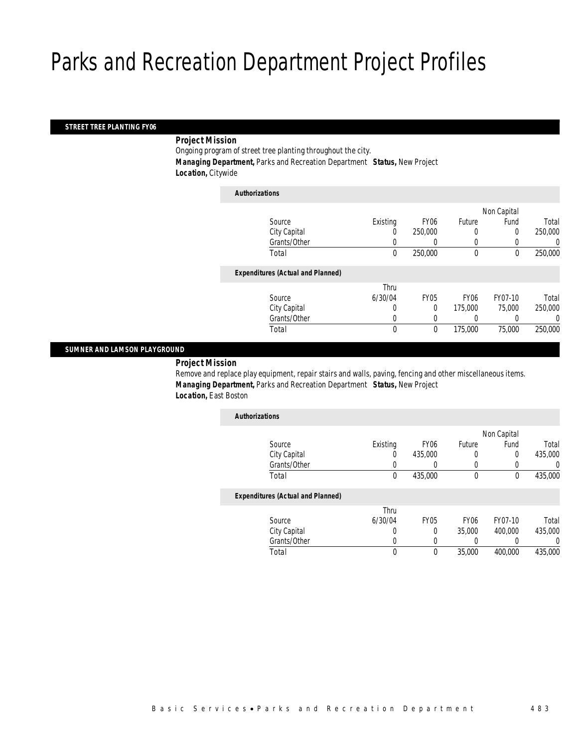## *STREET TREE PLANTING FY06*

*Project Mission* 

Ongoing program of street tree planting throughout the city.

*Managing Department,* Parks and Recreation Department *Status,* New Project

*Location,* Citywide

| <b>Authorizations</b>                    |             |                  |                  |             |         |
|------------------------------------------|-------------|------------------|------------------|-------------|---------|
|                                          |             |                  |                  | Non Capital |         |
| Source                                   | Existing    | FY <sub>06</sub> | Future           | Fund        | Total   |
| City Capital                             | 0           | 250,000          | 0                | 0           | 250,000 |
| Grants/Other                             | 0           |                  | 0                |             | 0       |
| Total                                    | $\mathbf 0$ | 250,000          | $\mathbf 0$      | 0           | 250,000 |
| <b>Expenditures (Actual and Planned)</b> |             |                  |                  |             |         |
|                                          | Thru        |                  |                  |             |         |
| Source                                   | 6/30/04     | <b>FY05</b>      | FY <sub>06</sub> | FY07-10     | Total   |
| City Capital                             | 0           | $\Omega$         | 175,000          | 75,000      | 250,000 |
| Grants/Other                             | $\Omega$    |                  |                  |             | 0       |
| Total                                    | $\theta$    | $\theta$         | 175,000          | 75,000      | 250,000 |

### *SUMNER AND LAMSON PLAYGROUND*

*Project Mission* 

Remove and replace play equipment, repair stairs and walls, paving, fencing and other miscellaneous items. *Managing Department,* Parks and Recreation Department *Status,* New Project *Location,* East Boston

| <b>Authorizations</b>                    |          |                  |                  |             |         |
|------------------------------------------|----------|------------------|------------------|-------------|---------|
|                                          |          |                  |                  | Non Capital |         |
| Source                                   | Existing | FY <sub>06</sub> | Future           | Fund        | Total   |
| City Capital                             | 0        | 435,000          | 0                | 0           | 435,000 |
| Grants/Other                             |          | $\Omega$         | 0                | 0           |         |
| Total                                    | 0        | 435,000          | $\theta$         | $\theta$    | 435,000 |
| <b>Expenditures (Actual and Planned)</b> |          |                  |                  |             |         |
|                                          | Thru     |                  |                  |             |         |
| Source                                   | 6/30/04  | <b>FY05</b>      | FY <sub>06</sub> | FY07-10     | Total   |
| City Capital                             | 0        | $\Omega$         | 35,000           | 400,000     | 435,000 |
| Grants/Other                             |          | 0                | 0                |             |         |

Total 0 0 35,000 400,000 435,000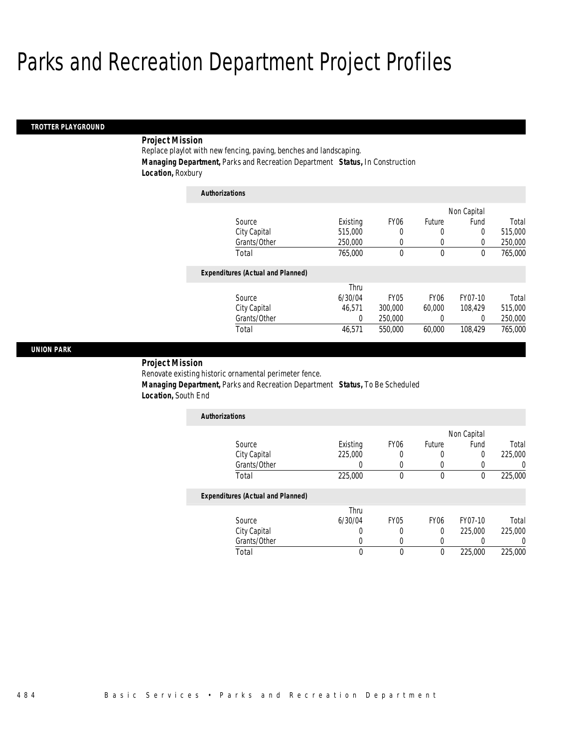### *TROTTER PLAYGROUND*

## *Project Mission*

Replace playlot with new fencing, paving, benches and landscaping. *Managing Department,* Parks and Recreation Department *Status,* In Construction *Location,* Roxbury

| <b>Authorizations</b>                    |          |                  |                  |             |         |
|------------------------------------------|----------|------------------|------------------|-------------|---------|
|                                          |          |                  |                  | Non Capital |         |
| Source                                   | Existing | FY <sub>06</sub> | Future           | Fund        | Total   |
| City Capital                             | 515,000  | 0                | 0                | 0           | 515,000 |
| Grants/Other                             | 250,000  | 0                | 0                | $\Omega$    | 250,000 |
| Total                                    | 765,000  | 0                | 0                | $\theta$    | 765,000 |
| <b>Expenditures (Actual and Planned)</b> |          |                  |                  |             |         |
|                                          | Thru     |                  |                  |             |         |
| Source                                   | 6/30/04  | <b>FY05</b>      | FY <sub>06</sub> | FY07-10     | Total   |
| City Capital                             | 46.571   | 300,000          | 60,000           | 108.429     | 515,000 |
| Grants/Other                             | 0        | 250,000          | 0                | $\Omega$    | 250,000 |
| Total                                    | 46,571   | 550,000          | 60,000           | 108.429     | 765,000 |

### *UNION PARK*

*Project Mission* 

Renovate existing historic ornamental perimeter fence.

 *Managing Department,* Parks and Recreation Department *Status,* To Be Scheduled *Location,* South End

| <b>Authorizations</b> |          |                  |        |             |         |
|-----------------------|----------|------------------|--------|-------------|---------|
|                       |          |                  |        | Non Capital |         |
| Source                | Existing | FY <sub>06</sub> | Future | Fund        | Total   |
| City Capital          | 225,000  |                  |        |             | 225,000 |
| Grants/Other          |          |                  |        |             |         |
| Total                 | 225,000  |                  |        |             | 225,000 |

|              | Thru    |             |      |         |         |
|--------------|---------|-------------|------|---------|---------|
| Source       | 6/30/04 | <b>FY05</b> | FY06 | FY07-10 | Total   |
| City Capital |         |             |      | 225,000 | 225,000 |
| Grants/Other |         |             |      |         |         |
| Total        |         |             |      | 225,000 | 225,000 |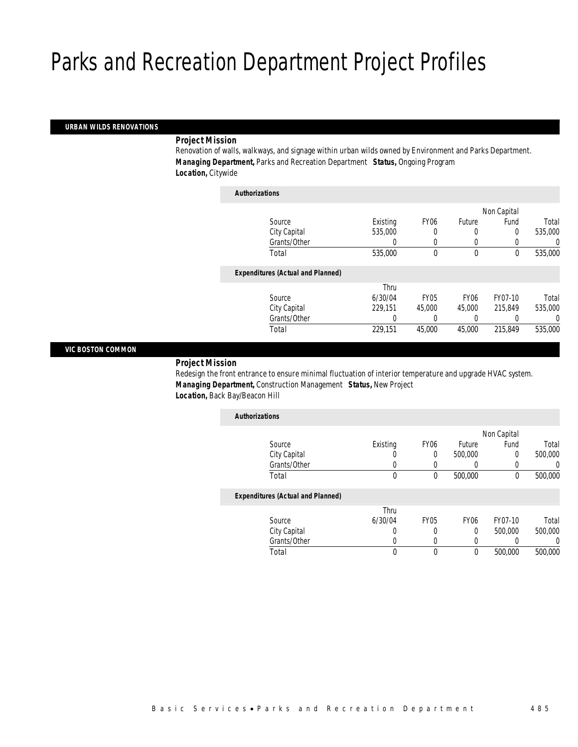### *URBAN WILDS RENOVATIONS*

### *Project Mission*

Renovation of walls, walkways, and signage within urban wilds owned by Environment and Parks Department. *Managing Department,* Parks and Recreation Department *Status,* Ongoing Program *Location,* Citywide

| <b>Authorizations</b>                    |          |                  |                  |             |          |
|------------------------------------------|----------|------------------|------------------|-------------|----------|
|                                          |          |                  |                  | Non Capital |          |
| Source                                   | Existing | FY <sub>06</sub> | Future           | Fund        | Total    |
| City Capital                             | 535,000  | 0                | 0                | 0           | 535,000  |
| Grants/Other                             | 0        | 0                | 0                |             | $\left($ |
| Total                                    | 535,000  | 0                | $\mathbf 0$      | 0           | 535,000  |
| <b>Expenditures (Actual and Planned)</b> |          |                  |                  |             |          |
|                                          | Thru     |                  |                  |             |          |
| Source                                   | 6/30/04  | <b>FY05</b>      | FY <sub>06</sub> | FY07-10     | Total    |
| City Capital                             | 229.151  | 45,000           | 45,000           | 215.849     | 535,000  |
| Grants/Other                             | 0        |                  | 0                |             | $\Omega$ |
| Total                                    | 229.151  | 45,000           | 45,000           | 215,849     | 535,000  |

### *VIC BOSTON COMMON*

## *Project Mission*

Redesign the front entrance to ensure minimal fluctuation of interior temperature and upgrade HVAC system. *Managing Department,* Construction Management *Status,* New Project *Location,* Back Bay/Beacon Hill

| <b>Authorizations</b>                    |          |                  |                  |             |         |
|------------------------------------------|----------|------------------|------------------|-------------|---------|
|                                          |          |                  |                  | Non Capital |         |
| Source                                   | Existing | FY <sub>06</sub> | Future           | Fund        | Total   |
| City Capital                             |          | 0                | 500,000          | 0           | 500,000 |
| Grants/Other                             |          | 0                |                  | 0           |         |
| Total                                    | 0        | $\theta$         | 500,000          | 0           | 500,000 |
| <b>Expenditures (Actual and Planned)</b> |          |                  |                  |             |         |
|                                          | Thru     |                  |                  |             |         |
| Source                                   | 6/30/04  | FY <sub>05</sub> | FY <sub>06</sub> | FY07-10     | Total   |
| City Capital                             | 0        | 0                | 0                | 500,000     | 500,000 |
| Grants/Other                             |          | 0                | 0                |             |         |

Total 0 0 0 500,000 500,000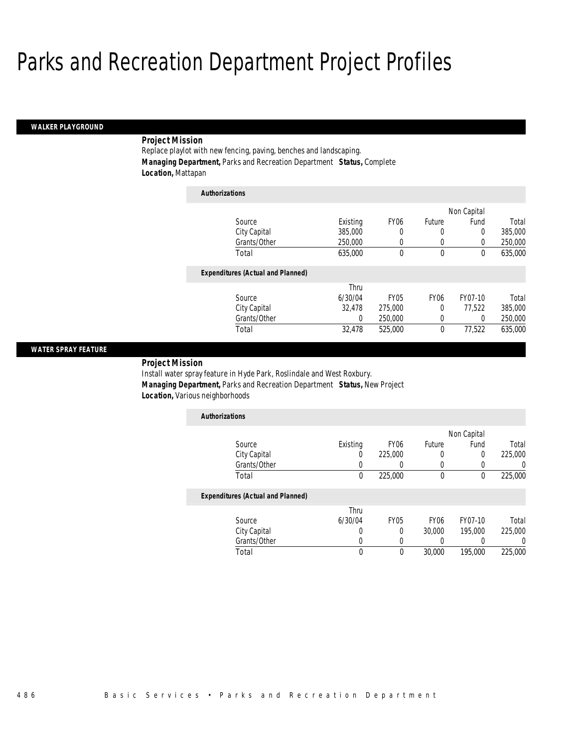#### *WALKER PLAYGROUND*

## *Project Mission*

Replace playlot with new fencing, paving, benches and landscaping. *Managing Department,* Parks and Recreation Department *Status,* Complete *Location,* Mattapan

| <b>Authorizations</b>                    |          |                  |                  |             |         |
|------------------------------------------|----------|------------------|------------------|-------------|---------|
|                                          |          |                  |                  | Non Capital |         |
| Source                                   | Existing | FY <sub>06</sub> | Future           | Fund        | Total   |
| City Capital                             | 385,000  | 0                | 0                | 0           | 385,000 |
| Grants/Other                             | 250,000  | 0                | 0                | $\left($    | 250,000 |
| Total                                    | 635,000  | 0                | 0                | 0           | 635,000 |
| <b>Expenditures (Actual and Planned)</b> |          |                  |                  |             |         |
|                                          | Thru     |                  |                  |             |         |
| Source                                   | 6/30/04  | <b>FY05</b>      | FY <sub>06</sub> | FY07-10     | Total   |
| City Capital                             | 32.478   | 275,000          | 0                | 77.522      | 385,000 |
| Grants/Other                             | 0        | 250,000          | 0                | 0           | 250,000 |
| Total                                    | 32,478   | 525,000          | $\theta$         | 77.522      | 635,000 |

### *WATER SPRAY FEATURE*

*Project Mission* 

Install water spray feature in Hyde Park, Roslindale and West Roxbury. *Managing Department,* Parks and Recreation Department *Status,* New Project *Location,* Various neighborhoods

| <b>Authorizations</b> |          |                  |        |             |         |
|-----------------------|----------|------------------|--------|-------------|---------|
|                       |          |                  |        | Non Capital |         |
| Source                | Existing | FY <sub>06</sub> | Future | Fund        | Total   |
| City Capital          |          | 225,000          | 0      |             | 225,000 |
| Grants/Other          |          |                  |        |             |         |
| Total                 |          | 225,000          |        |             | 225,000 |

|              | Thru    |             |                  |         |         |
|--------------|---------|-------------|------------------|---------|---------|
| Source       | 6/30/04 | <b>FY05</b> | FY <sub>06</sub> | FY07-10 | Total   |
| City Capital |         |             | 30,000           | 195.000 | 225,000 |
| Grants/Other |         |             |                  |         |         |
| Total        |         |             | 30,000           | 195,000 | 225,000 |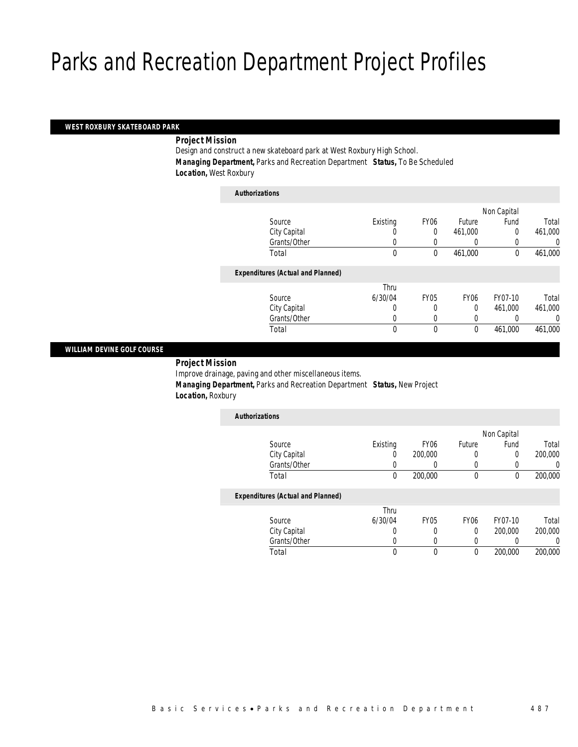#### *WEST ROXBURY SKATEBOARD PARK*

*Project Mission* 

Design and construct a new skateboard park at West Roxbury High School. *Managing Department,* Parks and Recreation Department *Status,* To Be Scheduled *Location,* West Roxbury

| <b>Authorizations</b> |                                          |          |             |                  |             |         |
|-----------------------|------------------------------------------|----------|-------------|------------------|-------------|---------|
|                       |                                          |          |             |                  | Non Capital |         |
|                       | Source                                   | Existing | <b>FY06</b> | Future           | Fund        | Total   |
|                       | City Capital                             | 0        | 0           | 461,000          | 0           | 461,000 |
|                       | Grants/Other                             | 0        |             |                  |             | 0       |
|                       | Total                                    | 0        | 0           | 461,000          | 0           | 461,000 |
|                       | <b>Expenditures (Actual and Planned)</b> |          |             |                  |             |         |
|                       |                                          | Thru     |             |                  |             |         |
|                       | Source                                   | 6/30/04  | <b>FY05</b> | FY <sub>06</sub> | FY07-10     | Total   |
|                       | City Capital                             | 0        |             | $\Omega$         | 461.000     | 461,000 |
|                       | Grants/Other                             | 0        | 0           | 0                |             | 0       |
|                       | Total                                    | 0        | 0           | 0                | 461,000     | 461,000 |

### *WILLIAM DEVINE GOLF COURSE*

*Project Mission* 

Improve drainage, paving and other miscellaneous items. *Managing Department,* Parks and Recreation Department *Status,* New Project *Location,* Roxbury

| <b>Authorizations</b>                    |          |                  |        |             |         |
|------------------------------------------|----------|------------------|--------|-------------|---------|
|                                          |          |                  |        | Non Capital |         |
| Source                                   | Existing | FY <sub>06</sub> | Future | Fund        | Total   |
| City Capital                             | U        | 200,000          |        |             | 200,000 |
| Grants/Other                             |          |                  |        |             |         |
| Total                                    | 0        | 200,000          |        |             | 200,000 |
| <b>Expenditures (Actual and Planned)</b> |          |                  |        |             |         |

|              | Thru    |      |      |         |         |
|--------------|---------|------|------|---------|---------|
| Source       | 6/30/04 | FY05 | FY06 | FY07-10 | Total   |
| City Capital |         |      |      | 200,000 | 200,000 |
| Grants/Other |         |      |      |         |         |
| Total        |         |      |      | 200,000 | 200,000 |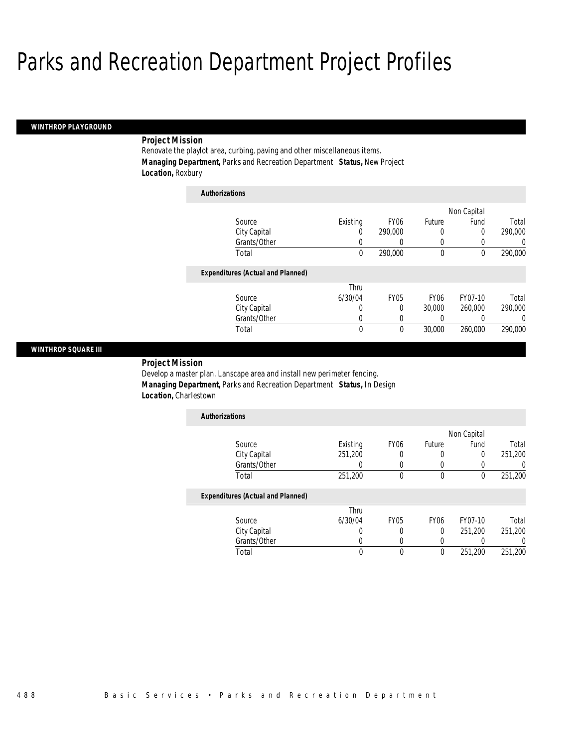*Authorizations*

#### *WINTHROP PLAYGROUND*

## *Project Mission*

Renovate the playlot area, curbing, paving and other miscellaneous items. *Managing Department,* Parks and Recreation Department *Status,* New Project *Location,* Roxbury

| Authorizations                           |          |                  |                  |             |          |
|------------------------------------------|----------|------------------|------------------|-------------|----------|
|                                          |          |                  |                  | Non Capital |          |
| Source                                   | Existing | FY <sub>06</sub> | Future           | Fund        | Total    |
| City Capital                             | 0        | 290,000          | 0                | 0           | 290,000  |
| Grants/Other                             | 0        | 0                | 0                | 0           | 0        |
| Total                                    | 0        | 290,000          | $\mathbf 0$      | 0           | 290,000  |
| <b>Expenditures (Actual and Planned)</b> |          |                  |                  |             |          |
|                                          | Thru     |                  |                  |             |          |
| Source                                   | 6/30/04  | <b>FY05</b>      | FY <sub>06</sub> | FY07-10     | Total    |
| City Capital                             | 0        | 0                | 30,000           | 260,000     | 290,000  |
| Grants/Other                             | 0        | 0                | 0                |             | $\Omega$ |
| Total                                    | 0        | 0                | 30,000           | 260,000     | 290,000  |

### *WINTHROP SQUARE III*

*Project Mission* 

Develop a master plan. Lanscape area and install new perimeter fencing. *Managing Department,* Parks and Recreation Department *Status,* In Design *Location,* Charlestown

| <b>Authorizations</b>             |          |                  |        |             |         |
|-----------------------------------|----------|------------------|--------|-------------|---------|
|                                   |          |                  |        | Non Capital |         |
| Source                            | Existing | FY <sub>06</sub> | Future | Fund        | Total   |
| City Capital                      | 251,200  |                  |        | 0           | 251,200 |
| Grants/Other                      |          |                  |        |             |         |
| Total                             | 251,200  |                  |        |             | 251,200 |
| Expenditures (Actual and Planned) |          |                  |        |             |         |

|              | Thru    |      |      |         |         |
|--------------|---------|------|------|---------|---------|
| Source       | 6/30/04 | FY05 | FY06 | FY07-10 | Total   |
| City Capital |         |      |      | 251,200 | 251,200 |
| Grants/Other |         |      |      |         |         |
| 「otal        |         |      |      | 251,200 | 251,200 |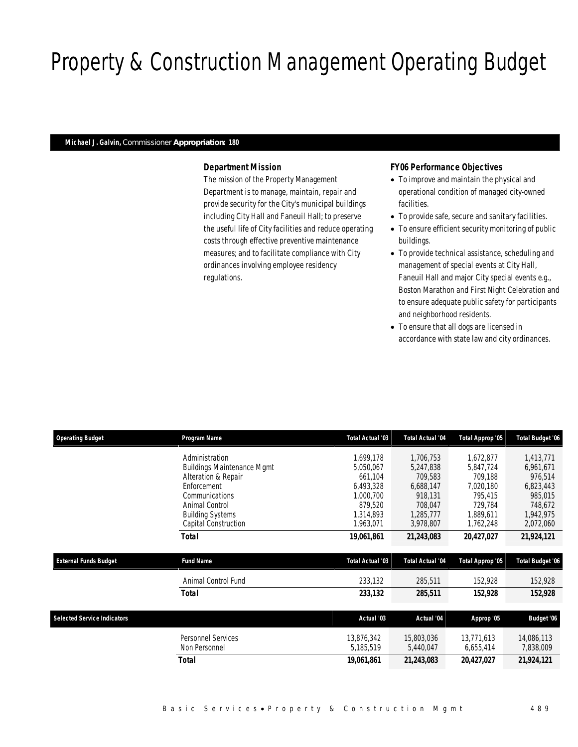# Property & Construction Management Operating Budget

#### *Michael J. Galvin, Commissioner Appropriation: 180*

## *Department Mission*

The mission of the Property Management Department is to manage, maintain, repair and provide security for the City's municipal buildings including City Hall and Faneuil Hall; to preserve the useful life of City facilities and reduce operating costs through effective preventive maintenance measures; and to facilitate compliance with City ordinances involving employee residency regulations.

## *FY06 Performance Objectives*

- To improve and maintain the physical and operational condition of managed city-owned facilities.
- To provide safe, secure and sanitary facilities.
- To ensure efficient security monitoring of public buildings.
- To provide technical assistance, scheduling and management of special events at City Hall, Faneuil Hall and major City special events e.g., Boston Marathon and First Night Celebration and to ensure adequate public safety for participants and neighborhood residents.
- To ensure that all dogs are licensed in accordance with state law and city ordinances.

| <b>Operating Budget</b>            | Program Name                      | <b>Total Actual '03</b> | <b>Total Actual '04</b> | Total Approp '05 | <b>Total Budget '06</b> |
|------------------------------------|-----------------------------------|-------------------------|-------------------------|------------------|-------------------------|
|                                    | Administration                    | 1.699.178               | 1,706,753               | 1,672,877        | 1,413,771               |
|                                    | <b>Buildings Maintenance Mgmt</b> | 5,050,067               | 5,247,838               | 5,847,724        | 6,961,671               |
|                                    | Alteration & Repair               | 661,104                 | 709,583                 | 709,188          | 976,514                 |
|                                    | Enforcement                       | 6,493,328               | 6,688,147               | 7,020,180        | 6,823,443               |
|                                    | Communications                    | 1,000,700               | 918,131                 | 795,415          | 985,015                 |
|                                    | Animal Control                    | 879,520                 | 708,047                 | 729,784          | 748,672                 |
|                                    | <b>Building Systems</b>           | 1,314,893               | 1,285,777               | 1,889,611        | 1,942,975               |
|                                    | Capital Construction              | 1,963,071               | 3,978,807               | 1,762,248        | 2,072,060               |
|                                    | Total                             | 19,061,861              | 21,243,083              | 20,427,027       | 21,924,121              |
|                                    |                                   |                         |                         |                  |                         |
| <b>External Funds Budget</b>       | <b>Fund Name</b>                  | <b>Total Actual '03</b> | <b>Total Actual '04</b> | Total Approp '05 | <b>Total Budget '06</b> |
|                                    | Animal Control Fund               | 233,132                 | 285,511                 | 152,928          | 152,928                 |
|                                    | <b>Total</b>                      | 233,132                 | 285,511                 | 152,928          | 152,928                 |
|                                    |                                   |                         |                         |                  |                         |
| <b>Selected Service Indicators</b> |                                   | Actual '03              | Actual '04              | Approp '05       | Budget '06              |
|                                    | Personnel Services                | 13,876,342              | 15,803,036              | 13,771,613       | 14,086,113              |
|                                    | Non Personnel                     | 5,185,519               | 5,440,047               | 6,655,414        | 7,838,009               |
|                                    | <b>Total</b>                      | 19,061,861              | 21,243,083              | 20,427,027       | 21,924,121              |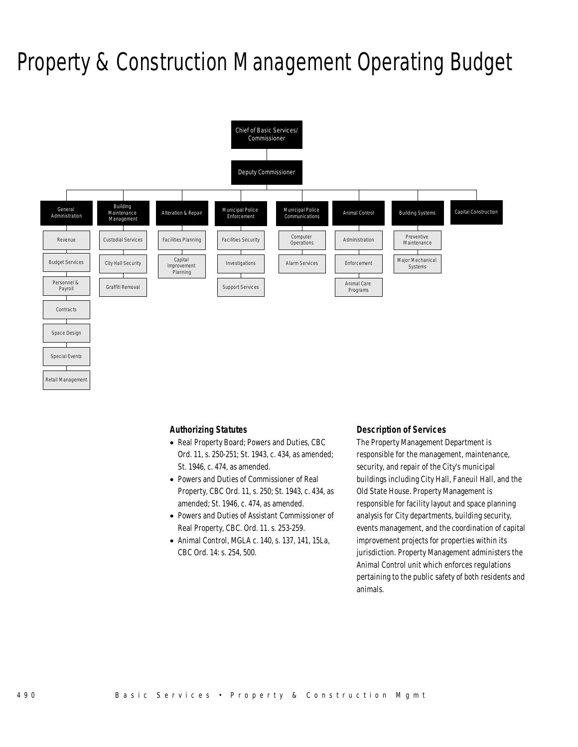## Property & Construction Management Operating Budget



## *Authorizing Statutes*

- Real Property Board; Powers and Duties, CBC Ord. 11, s. 250-251; St. 1943, c. 434, as amended; St. 1946, c. 474, as amended.
- Powers and Duties of Commissioner of Real Property, CBC Ord. 11, s. 250; St. 1943, c. 434, as amended; St. 1946, c. 474, as amended.
- Powers and Duties of Assistant Commissioner of Real Property, CBC. Ord. 11. s. 253-259.
- Animal Control, MGLA c. 140, s. 137, 141, 15La, CBC Ord. 14: s. 254, 500.

### *Description of Services*

The Property Management Department is responsible for the management, maintenance, security, and repair of the City's municipal buildings including City Hall, Faneuil Hall, and the Old State House. Property Management is responsible for facility layout and space planning analysis for City departments, building security, events management, and the coordination of capital improvement projects for properties within its jurisdiction. Property Management administers the Animal Control unit which enforces regulations pertaining to the public safety of both residents and animals.

Special Events

Retail Managemen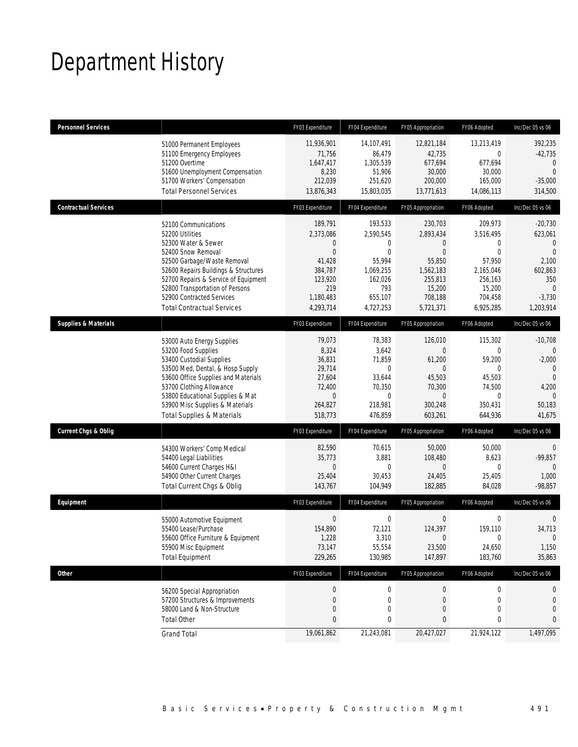## Department History

| <b>Personnel Services</b>       |                                                                                                                                                                                                                                                                                                          | FY03 Expenditure                                                                                                       | FY04 Expenditure                                                                                       | FY05 Appropriation                                                                                                           | FY06 Adopted                                                                                              | Inc/Dec 05 vs 06                                                                                                 |
|---------------------------------|----------------------------------------------------------------------------------------------------------------------------------------------------------------------------------------------------------------------------------------------------------------------------------------------------------|------------------------------------------------------------------------------------------------------------------------|--------------------------------------------------------------------------------------------------------|------------------------------------------------------------------------------------------------------------------------------|-----------------------------------------------------------------------------------------------------------|------------------------------------------------------------------------------------------------------------------|
|                                 | 51000 Permanent Employees<br>51100 Emergency Employees<br>51200 Overtime<br>51600 Unemployment Compensation<br>51700 Workers' Compensation<br><b>Total Personnel Services</b>                                                                                                                            | 11,936,901<br>71,756<br>1,647,417<br>8,230<br>212,039<br>13,876,343                                                    | 14,107,491<br>86,479<br>1,305,539<br>51,906<br>251,620<br>15,803,035                                   | 12,821,184<br>42,735<br>677,694<br>30,000<br>200,000<br>13,771,613                                                           | 13,213,419<br>0<br>677,694<br>30,000<br>165,000<br>14,086,113                                             | 392,235<br>$-42,735$<br>0<br>$\Omega$<br>$-35,000$<br>314,500                                                    |
| <b>Contractual Services</b>     |                                                                                                                                                                                                                                                                                                          | FY03 Expenditure                                                                                                       | FY04 Expenditure                                                                                       | FY05 Appropriation                                                                                                           | FY06 Adopted                                                                                              | Inc/Dec 05 vs 06                                                                                                 |
|                                 | 52100 Communications<br>52200 Utilities<br>52300 Water & Sewer<br>52400 Snow Removal<br>52500 Garbage/Waste Removal<br>52600 Repairs Buildings & Structures<br>52700 Repairs & Service of Equipment<br>52800 Transportation of Persons<br>52900 Contracted Services<br><b>Total Contractual Services</b> | 189,791<br>2,373,086<br>$\mathbf 0$<br>$\overline{0}$<br>41,428<br>384,787<br>123,920<br>219<br>1,180,483<br>4,293,714 | 193,533<br>2,590,545<br>0<br>$\Omega$<br>55,994<br>1,069,255<br>162,026<br>793<br>655,107<br>4,727,253 | 230,703<br>2,893,434<br>$\overline{0}$<br>$\overline{0}$<br>55,850<br>1,562,183<br>255,813<br>15,200<br>708,188<br>5,721,371 | 209.973<br>3,516,495<br>0<br>$\Omega$<br>57,950<br>2,165,046<br>256,163<br>15,200<br>704,458<br>6,925,285 | $-20,730$<br>623,061<br>$\mathbf{0}$<br>$\Omega$<br>2,100<br>602,863<br>350<br>$\Omega$<br>$-3,730$<br>1,203,914 |
| <b>Supplies &amp; Materials</b> |                                                                                                                                                                                                                                                                                                          | FY03 Expenditure                                                                                                       | FY04 Expenditure                                                                                       | FY05 Appropriation                                                                                                           | FY06 Adopted                                                                                              | Inc/Dec 05 vs 06                                                                                                 |
|                                 | 53000 Auto Energy Supplies<br>53200 Food Supplies<br>53400 Custodial Supplies<br>53500 Med, Dental, & Hosp Supply<br>53600 Office Supplies and Materials<br>53700 Clothing Allowance<br>53800 Educational Supplies & Mat<br>53900 Misc Supplies & Materials<br><b>Total Supplies &amp; Materials</b>     | 79,073<br>8,324<br>36,831<br>29,714<br>27,604<br>72,400<br>$\mathbf{0}$<br>264,827<br>518,773                          | 78,383<br>3,642<br>71,859<br>0<br>33,644<br>70,350<br>$\Omega$<br>218,981<br>476,859                   | 126,010<br>$\Omega$<br>61,200<br>$\overline{0}$<br>45,503<br>70,300<br>$\Omega$<br>300,248<br>603,261                        | 115,302<br>0<br>59,200<br>$\Omega$<br>45,503<br>74,500<br>0<br>350,431<br>644,936                         | $-10,708$<br>$-2,000$<br>$\mathbf{0}$<br>$\Omega$<br>4,200<br>$\Omega$<br>50,183<br>41,675                       |
| <b>Current Chgs &amp; Oblig</b> |                                                                                                                                                                                                                                                                                                          | FY03 Expenditure                                                                                                       | FY04 Expenditure                                                                                       | FY05 Appropriation                                                                                                           | FY06 Adopted                                                                                              | Inc/Dec 05 vs 06                                                                                                 |
|                                 | 54300 Workers' Comp Medical<br>54400 Legal Liabilities<br>54600 Current Charges H&I<br>54900 Other Current Charges<br>Total Current Chgs & Oblig                                                                                                                                                         | 82,590<br>35,773<br>$\mathbf 0$<br>25,404<br>143,767                                                                   | 70,615<br>3,881<br>$\mathbf 0$<br>30,453<br>104,949                                                    | 50,000<br>108,480<br>$\overline{0}$<br>24,405<br>182,885                                                                     | 50,000<br>8,623<br>0<br>25,405<br>84,028                                                                  | 0<br>$-99,857$<br>$\theta$<br>1,000<br>$-98,857$                                                                 |
| Equipment                       |                                                                                                                                                                                                                                                                                                          | FY03 Expenditure                                                                                                       | FY04 Expenditure                                                                                       | FY05 Appropriation                                                                                                           | FY06 Adopted                                                                                              | Inc/Dec 05 vs 06                                                                                                 |
|                                 | 55000 Automotive Equipment<br>55400 Lease/Purchase<br>55600 Office Furniture & Equipment<br>55900 Misc Equipment<br><b>Total Equipment</b>                                                                                                                                                               | $\boldsymbol{0}$<br>154.890<br>1,228<br>73,147<br>229,265                                                              | 0<br>72,121<br>3,310<br>55,554<br>130,985                                                              | 0<br>124,397<br>$\Omega$<br>23,500<br>147,897                                                                                | 0<br>159,110<br>$\Omega$<br>24,650<br>183,760                                                             | $\overline{0}$<br>34,713<br>$\Omega$<br>1,150<br>35,863                                                          |
| Other                           |                                                                                                                                                                                                                                                                                                          | FY03 Expenditure                                                                                                       | FY04 Expenditure                                                                                       | FY05 Appropriation                                                                                                           | FY06 Adopted                                                                                              | Inc/Dec 05 vs 06                                                                                                 |
|                                 | 56200 Special Appropriation<br>57200 Structures & Improvements<br>58000 Land & Non-Structure<br><b>Total Other</b>                                                                                                                                                                                       | $\boldsymbol{0}$<br>$\mathbf 0$<br>$\mathbf 0$<br>$\pmb{0}$                                                            | $\boldsymbol{0}$<br>$\mathbf 0$<br>0<br>0                                                              | $\boldsymbol{0}$<br>0<br>0<br>0                                                                                              | $\boldsymbol{0}$<br>0<br>0<br>0                                                                           | 0<br>0<br>$\mathbf{0}$<br>0                                                                                      |
|                                 | <b>Grand Total</b>                                                                                                                                                                                                                                                                                       | 19,061,862                                                                                                             | 21,243,081                                                                                             | 20,427,027                                                                                                                   | 21,924,122                                                                                                | 1,497,095                                                                                                        |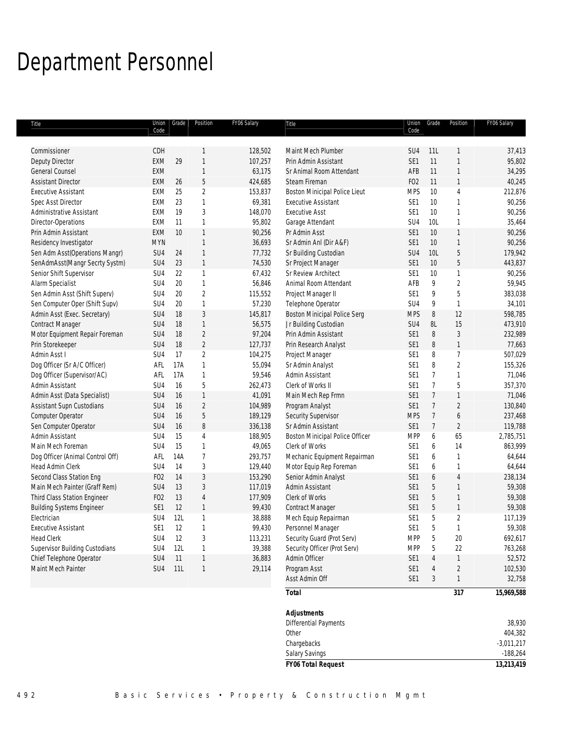## Department Personnel

| Title                            | Union           | Grade | Position       | FY06 Salary | Title                                              | Union           | Grade          | Position          | FY06 Salary |
|----------------------------------|-----------------|-------|----------------|-------------|----------------------------------------------------|-----------------|----------------|-------------------|-------------|
|                                  | Code            |       |                |             |                                                    | Code            |                |                   |             |
| Commissioner                     | CDH             |       | 1              | 128,502     | Maint Mech Plumber                                 | SU <sub>4</sub> | 11L            | 1                 | 37,413      |
| <b>Deputy Director</b>           | <b>EXM</b>      | 29    | $\mathbf{1}$   | 107,257     | Prin Admin Assistant                               | SE <sub>1</sub> | 11             | $\mathbf{1}$      | 95,802      |
| <b>General Counsel</b>           | <b>EXM</b>      |       | $\mathbf{1}$   | 63,175      | Sr Animal Room Attendant                           | AFB             | 11             | 1                 | 34,295      |
| <b>Assistant Director</b>        | EXM             | 26    | 5              | 424,685     | Steam Fireman                                      | F <sub>02</sub> | 11             | 1                 | 40,245      |
| <b>Executive Assistant</b>       | EXM             | 25    | $\overline{2}$ | 153,837     | Boston Minicipal Police Lieut                      | <b>MPS</b>      | 10             | $\overline{4}$    | 212,876     |
| Spec Asst Director               | EXM             | 23    | $\mathbf{1}$   | 69,381      | <b>Executive Assistant</b>                         | SE1             | 10             | $\mathbf{1}$      | 90,256      |
|                                  | EXM             | 19    | 3              |             |                                                    | SE <sub>1</sub> | 10             |                   |             |
| Administrative Assistant         |                 |       | $\mathbf{1}$   | 148,070     | <b>Executive Asst</b>                              |                 | 10L            | $\mathbf{1}$<br>1 | 90,256      |
| Director-Operations              | EXM             | 11    |                | 95,802      | Garage Attendant                                   | SU4             |                |                   | 35,464      |
| Prin Admin Assistant             | EXM             | 10    | $\mathbf{1}$   | 90,256      | Pr Admin Asst                                      | SE <sub>1</sub> | 10             | $\mathbf{1}$      | 90,256      |
| Residency Investigator           | <b>MYN</b>      |       | $\mathbf{1}$   | 36,693      | Sr Admin Anl (Dir A&F)                             | SE1             | 10             | $\mathbf{1}$      | 90,256      |
| Sen Adm Asst(Operations Mangr)   | SU4             | 24    | $\mathbf{1}$   | 77,732      | Sr Building Custodian                              | SU4             | 10L            | 5                 | 179,942     |
| SenAdmAsst(Mangr Secrty Systm)   | SU4             | 23    | $\mathbf{1}$   | 74,530      | Sr Project Manager                                 | SE <sub>1</sub> | 10             | 5                 | 443,837     |
| Senior Shift Supervisor          | SU4             | 22    | $\mathbf{1}$   | 67,432      | Sr Review Architect                                | SE <sub>1</sub> | 10             | 1                 | 90,256      |
| Alarm Specialist                 | SU4             | 20    | $\mathbf{1}$   | 56,846      | Animal Room Attendant                              | AFB             | 9              | $\overline{2}$    | 59,945      |
| Sen Admin Asst (Shift Superv)    | SU4             | 20    | $\overline{c}$ | 115,552     | Project Manager II                                 | SE <sub>1</sub> | 9              | 5                 | 383,038     |
| Sen Computer Oper (Shift Supv)   | SU4             | 20    | $\mathbf{1}$   | 57,230      | Telephone Operator                                 | SU4             | 9              | $\mathbf{1}$      | 34,101      |
| Admin Asst (Exec. Secretary)     | SU4             | 18    | $\mathfrak{Z}$ | 145,817     | <b>Boston Minicipal Police Serg</b>                | <b>MPS</b>      | 8              | 12                | 598,785     |
| <b>Contract Manager</b>          | SU4             | 18    | $\mathbf{1}$   | 56,575      | Jr Building Custodian                              | SU4             | 8L             | 15                | 473,910     |
| Motor Equipment Repair Foreman   | SU <sub>4</sub> | 18    | $\overline{2}$ | 97,204      | Prin Admin Assistant                               | SE <sub>1</sub> | 8              | 3                 | 232,989     |
| Prin Storekeeper                 | SU4             | 18    | $\overline{2}$ | 127,737     | Prin Research Analyst                              | SE <sub>1</sub> | 8              | $\mathbf{1}$      | 77,663      |
| Admin Asst I                     | SU4             | 17    | $\overline{2}$ | 104,275     | Project Manager                                    | SE1             | 8              | $\overline{1}$    | 507,029     |
| Dog Officer (Sr A/C Officer)     | AFL             | 17A   | $\mathbf{1}$   | 55,094      | Sr Admin Analyst                                   | SE <sub>1</sub> | 8              | $\overline{2}$    | 155,326     |
| Dog Officer (Supervisor/AC)      | AFL             | 17A   | $\mathbf{1}$   | 59,546      | Admin Assistant                                    | SE <sub>1</sub> | 7              | 1                 | 71,046      |
| Admin Assistant                  | SU4             | 16    | 5              | 262,473     | Clerk of Works II                                  | SE <sub>1</sub> | $\overline{7}$ | 5                 | 357,370     |
| Admin Asst (Data Specialist)     | SU4             | 16    | $\mathbf{1}$   | 41,091      | Main Mech Rep Frmn                                 | SE <sub>1</sub> | $\overline{7}$ | $\mathbf{1}$      | 71,046      |
| Assistant Supn Custodians        | SU4             | 16    | $\overline{c}$ | 104,989     | Program Analyst                                    | SE1             | $\overline{7}$ | $\overline{c}$    | 130,840     |
| Computer Operator                | SU4             | 16    | 5              | 189,129     | Security Supervisor                                | <b>MPS</b>      | $\overline{7}$ | 6                 | 237,468     |
| Sen Computer Operator            | SU4             | 16    | 8              | 336,138     | Sr Admin Assistant                                 | SE1             | $\overline{7}$ | $\sqrt{2}$        | 119,788     |
|                                  |                 |       |                |             |                                                    |                 |                |                   |             |
| Admin Assistant                  | SU4             | 15    | 4              | 188,905     | Boston Minicipal Police Officer                    | <b>MPP</b>      | 6              | 65                | 2,785,751   |
| Main Mech Foreman                | SU4             | 15    | $\mathbf{1}$   | 49,065      | Clerk of Works                                     | SE <sub>1</sub> | 6              | 14                | 863,999     |
| Dog Officer (Animal Control Off) | AFL             | 14A   | $\overline{1}$ | 293,757     | Mechanic Equipment Repairman                       | SE <sub>1</sub> | 6              | 1                 | 64,644      |
| Head Admin Clerk                 | SU4             | 14    | $\sqrt{3}$     | 129,440     | Motor Equip Rep Foreman                            | SE <sub>1</sub> | 6              | 1                 | 64,644      |
| Second Class Station Eng         | F <sub>02</sub> | 14    | $\sqrt{3}$     | 153,290     | Senior Admin Analyst                               | SE <sub>1</sub> | 6              | $\overline{4}$    | 238,134     |
| Main Mech Painter (Graff Rem)    | SU <sub>4</sub> | 13    | $\mathfrak{Z}$ | 117,019     | Admin Assistant                                    | SE <sub>1</sub> | 5              | 1                 | 59,308      |
| Third Class Station Engineer     | F <sub>02</sub> | 13    | $\overline{4}$ | 177,909     | Clerk of Works                                     | SE <sub>1</sub> | 5              | $\mathbf{1}$      | 59,308      |
| <b>Building Systems Engineer</b> | SE <sub>1</sub> | 12    | $\mathbf{1}$   | 99,430      | Contract Manager                                   | SE <sub>1</sub> | 5              | $\mathbf{1}$      | 59,308      |
| Electrician                      | SU <sub>4</sub> | 12L   | $\mathbf{1}$   | 38,888      | Mech Equip Repairman                               | SE <sub>1</sub> | 5              | $\overline{2}$    | 117,139     |
| <b>Executive Assistant</b>       | SE <sub>1</sub> | 12    | $\mathbf{1}$   | 99,430      | Personnel Manager                                  | SE <sub>1</sub> | 5              | 1                 | 59,308      |
| <b>Head Clerk</b>                | SU4             | 12    | 3              | 113,231     | Security Guard (Prot Serv)                         | <b>MPP</b>      | 5              | 20                | 692,617     |
| Supervisor Building Custodians   | SU4             | 12L   | $\mathbf{1}$   | 39,388      | Security Officer (Prot Serv)                       | <b>MPP</b>      | 5              | 22                | 763,268     |
| Chief Telephone Operator         | SU4             | 11    | $\mathbf{1}$   | 36,883      | Admin Officer                                      | SE1             | $\overline{4}$ | $\mathbf{1}$      | 52,572      |
| Maint Mech Painter               | SU <sub>4</sub> | 11L   | $\mathbf{1}$   | 29,114      | Program Asst                                       | SE1             | 4              | $\overline{2}$    | 102,530     |
|                                  |                 |       |                |             | Asst Admin Off                                     | SE1             | 3              | 1                 | 32,758      |
|                                  |                 |       |                |             | <b>Total</b>                                       |                 |                | 317               | 15,969,588  |
|                                  |                 |       |                |             |                                                    |                 |                |                   |             |
|                                  |                 |       |                |             | <b>Adjustments</b><br><b>Differential Payments</b> |                 |                |                   | 38,930      |
|                                  |                 |       |                |             | Other                                              |                 |                |                   | 404,382     |
|                                  |                 |       |                |             |                                                    |                 |                |                   |             |

Salary Savings

Chargebacks -3,011,217<br>Salary Savings -188,264

*FY06 Total Request 13,213,419*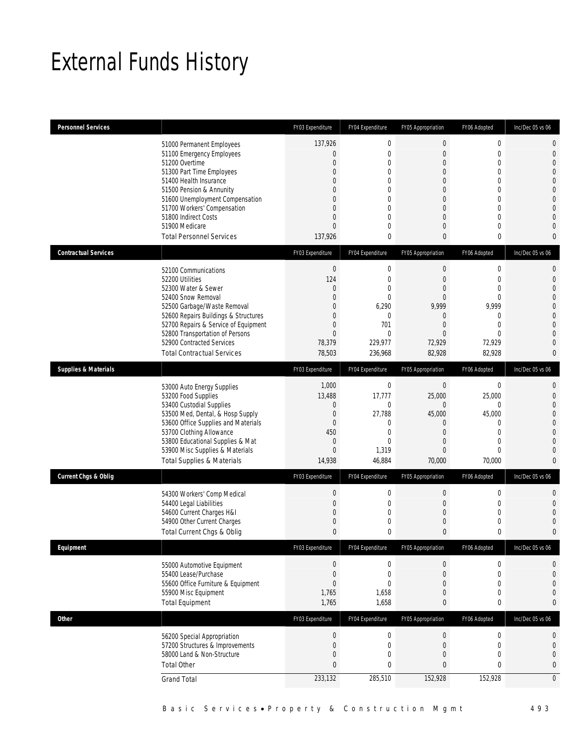## External Funds History

| <b>Personnel Services</b>       |                                                                                                                                                                                                                                                                                                            | FY03 Expenditure                                                                                                                                               | FY04 Expenditure                                                                        | FY05 Appropriation                                                                                                                                                                 | FY06 Adopted                                                                       | Inc/Dec 05 vs 06                                                                                                                                                                      |
|---------------------------------|------------------------------------------------------------------------------------------------------------------------------------------------------------------------------------------------------------------------------------------------------------------------------------------------------------|----------------------------------------------------------------------------------------------------------------------------------------------------------------|-----------------------------------------------------------------------------------------|------------------------------------------------------------------------------------------------------------------------------------------------------------------------------------|------------------------------------------------------------------------------------|---------------------------------------------------------------------------------------------------------------------------------------------------------------------------------------|
|                                 | 51000 Permanent Employees<br>51100 Emergency Employees<br>51200 Overtime<br>51300 Part Time Employees<br>51400 Health Insurance<br>51500 Pension & Annunity<br>51600 Unemployment Compensation<br>51700 Workers' Compensation<br>51800 Indirect Costs<br>51900 Medicare<br><b>Total Personnel Services</b> | 137,926<br>$\mathbf{0}$<br>$\mathbf{0}$<br>$\mathbf{0}$<br>$\Omega$<br>$\mathbf{0}$<br>$\mathbf{0}$<br>$\mathbf{0}$<br>$\mathbf{0}$<br>$\mathbf{0}$<br>137,926 | $\mathbf 0$<br>$\mathbf{0}$<br>0<br>0<br>0<br>0<br>$\mathbf{0}$<br>0<br>0<br>0<br>0     | $\mathbf 0$<br>$\mathbf 0$<br>$\mathbf{0}$<br>$\mathbf{0}$<br>$\mathbf{0}$<br>$\mathbf{0}$<br>$\boldsymbol{0}$<br>$\mathbf{0}$<br>$\overline{0}$<br>$\overline{0}$<br>$\mathbf{0}$ | 0<br>$\boldsymbol{0}$<br>0<br>0<br>0<br>0<br>$\boldsymbol{0}$<br>0<br>0<br>0<br>0  | $\mathbf 0$<br>$\mathbf 0$<br>$\overline{0}$<br>$\overline{0}$<br>$\overline{0}$<br>$\overline{0}$<br>$\mathbf{0}$<br>$\overline{0}$<br>$\overline{0}$<br>$\mathbf 0$<br>$\mathbf{0}$ |
| <b>Contractual Services</b>     |                                                                                                                                                                                                                                                                                                            | FY03 Expenditure                                                                                                                                               | FY04 Expenditure                                                                        | FY05 Appropriation                                                                                                                                                                 | FY06 Adopted                                                                       | Inc/Dec 05 vs 06                                                                                                                                                                      |
|                                 | 52100 Communications<br>52200 Utilities<br>52300 Water & Sewer<br>52400 Snow Removal<br>52500 Garbage/Waste Removal<br>52600 Repairs Buildings & Structures<br>52700 Repairs & Service of Equipment<br>52800 Transportation of Persons<br>52900 Contracted Services<br><b>Total Contractual Services</b>   | $\boldsymbol{0}$<br>124<br>$\overline{0}$<br>$\mathbf{0}$<br>$\mathbf{0}$<br>$\mathbf{0}$<br>$\mathbf{0}$<br>$\mathbf{0}$<br>78,379<br>78,503                  | $\mathbf 0$<br>0<br>0<br>0<br>6,290<br>$\mathbf{0}$<br>701<br>0<br>229,977<br>236,968   | $\boldsymbol{0}$<br>$\mathbf{0}$<br>$\mathbf{0}$<br>$\Omega$<br>9,999<br>$\mathbf{0}$<br>$\overline{0}$<br>$\Omega$<br>72,929<br>82,928                                            | $\boldsymbol{0}$<br>0<br>0<br>0<br>9,999<br>0<br>0<br>$\Omega$<br>72,929<br>82,928 | $\mathbf 0$<br>$\mathbf{0}$<br>$\overline{0}$<br>$\overline{0}$<br>$\mathbf{0}$<br>$\overline{0}$<br>$\overline{0}$<br>$\overline{0}$<br>$\overline{0}$<br>$\mathbf{0}$               |
| <b>Supplies &amp; Materials</b> |                                                                                                                                                                                                                                                                                                            | FY03 Expenditure                                                                                                                                               | FY04 Expenditure                                                                        | FY05 Appropriation                                                                                                                                                                 | FY06 Adopted                                                                       | Inc/Dec 05 vs 06                                                                                                                                                                      |
|                                 | 53000 Auto Energy Supplies<br>53200 Food Supplies<br>53400 Custodial Supplies<br>53500 Med, Dental, & Hosp Supply<br>53600 Office Supplies and Materials<br>53700 Clothing Allowance<br>53800 Educational Supplies & Mat<br>53900 Misc Supplies & Materials<br>Total Supplies & Materials                  | 1,000<br>13,488<br>$\boldsymbol{0}$<br>$\mathbf 0$<br>$\mathbf{0}$<br>450<br>$\mathbf{0}$<br>$\mathbf{0}$<br>14,938                                            | $\mathbf 0$<br>17,777<br>$\mathbf 0$<br>27,788<br>0<br>0<br>$\Omega$<br>1,319<br>46,884 | $\mathbf 0$<br>25,000<br>$\mathbf{0}$<br>45,000<br>$\mathbf{0}$<br>$\mathbf{0}$<br>$\mathbf{0}$<br>$\mathbf{0}$<br>70,000                                                          | $\boldsymbol{0}$<br>25,000<br>0<br>45,000<br>0<br>0<br>0<br>0<br>70,000            | $\mathbf 0$<br>$\mathbf{0}$<br>$\mathbf{0}$<br>$\mathbf{0}$<br>$\overline{0}$<br>$\overline{0}$<br>$\overline{0}$<br>$\mathbf{0}$<br>$\mathbf{0}$                                     |
| <b>Current Chgs &amp; Oblig</b> |                                                                                                                                                                                                                                                                                                            | FY03 Expenditure                                                                                                                                               | FY04 Expenditure                                                                        | FY05 Appropriation                                                                                                                                                                 | FY06 Adopted                                                                       | Inc/Dec 05 vs 06                                                                                                                                                                      |
|                                 | 54300 Workers' Comp Medical<br>54400 Legal Liabilities<br>54600 Current Charges H&I<br>54900 Other Current Charges<br>Total Current Chgs & Oblig                                                                                                                                                           | $\boldsymbol{0}$<br>$\mathbf{0}$<br>$\mathbf{0}$<br>$\mathbf{0}$<br>$\mathbf{0}$                                                                               | $\mathbf 0$<br>$\mathbf 0$<br>0<br>$\mathbf{0}$<br>0                                    | $\boldsymbol{0}$<br>$\boldsymbol{0}$<br>$\boldsymbol{0}$<br>$\mathbf 0$<br>$\mathbf{0}$                                                                                            | 0<br>0<br>0<br>0<br>0                                                              | $\mathbf 0$<br>$\overline{0}$<br>$\overline{0}$<br>$\mathbf 0$<br>$\overline{0}$                                                                                                      |
| Equipment                       |                                                                                                                                                                                                                                                                                                            | FY03 Expenditure                                                                                                                                               | FY04 Expenditure                                                                        | FY05 Appropriation                                                                                                                                                                 | FY06 Adopted                                                                       | Inc/Dec 05 vs 06                                                                                                                                                                      |
|                                 | 55000 Automotive Equipment<br>55400 Lease/Purchase<br>55600 Office Furniture & Equipment<br>55900 Misc Equipment<br><b>Total Equipment</b>                                                                                                                                                                 | $\boldsymbol{0}$<br>$\boldsymbol{0}$<br>$\mathbf{0}$<br>1,765<br>1,765                                                                                         | $\boldsymbol{0}$<br>$\mathbf 0$<br>0<br>1,658<br>1,658                                  | 0<br>$\mathbf 0$<br>$\mathbf{0}$<br>$\boldsymbol{0}$<br>0                                                                                                                          | $\boldsymbol{0}$<br>$\boldsymbol{0}$<br>0<br>$\boldsymbol{0}$<br>0                 | 0<br>$\mathbf 0$<br>0<br>$\mathbf{0}$<br>$\bf{0}$                                                                                                                                     |
| <b>Other</b>                    |                                                                                                                                                                                                                                                                                                            | FY03 Expenditure                                                                                                                                               | FY04 Expenditure                                                                        | FY05 Appropriation                                                                                                                                                                 | FY06 Adopted                                                                       | Inc/Dec 05 vs 06                                                                                                                                                                      |
|                                 | 56200 Special Appropriation<br>57200 Structures & Improvements<br>58000 Land & Non-Structure<br><b>Total Other</b><br><b>Grand Total</b>                                                                                                                                                                   | $\boldsymbol{0}$<br>$\mathbf{0}$<br>$\mathbf{0}$<br>$\bf{0}$<br>233,132                                                                                        | $\boldsymbol{0}$<br>$\mathbf 0$<br>$\mathbf 0$<br>0<br>285,510                          | $\boldsymbol{0}$<br>$\boldsymbol{0}$<br>$\mathbf 0$<br>$\bf{0}$<br>152,928                                                                                                         | $\boldsymbol{0}$<br>0<br>$\boldsymbol{0}$<br>0<br>152,928                          | 0<br>0<br>$\mathbf{0}$<br>$\pmb{0}$<br>$\mathbf 0$                                                                                                                                    |
|                                 |                                                                                                                                                                                                                                                                                                            |                                                                                                                                                                |                                                                                         |                                                                                                                                                                                    |                                                                                    |                                                                                                                                                                                       |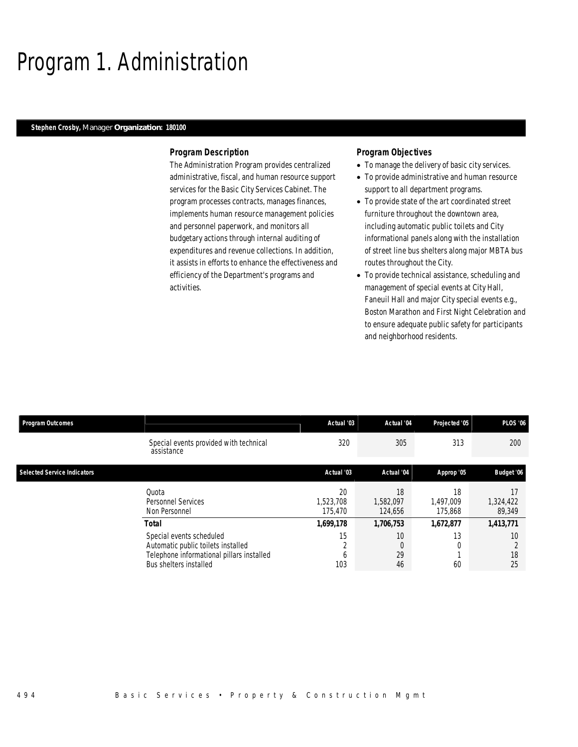## Program 1. Administration

#### *Stephen Crosby, Manager Organization: 180100*

### *Program Description*

The Administration Program provides centralized administrative, fiscal, and human resource support services for the Basic City Services Cabinet. The program processes contracts, manages finances, implements human resource management policies and personnel paperwork, and monitors all budgetary actions through internal auditing of expenditures and revenue collections. In addition, it assists in efforts to enhance the effectiveness and efficiency of the Department's programs and activities.

## *Program Objectives*

- To manage the delivery of basic city services.
- To provide administrative and human resource support to all department programs.
- To provide state of the art coordinated street furniture throughout the downtown area, including automatic public toilets and City informational panels along with the installation of street line bus shelters along major MBTA bus routes throughout the City.
- To provide technical assistance, scheduling and management of special events at City Hall, Faneuil Hall and major City special events e.g., Boston Marathon and First Night Celebration and to ensure adequate public safety for participants and neighborhood residents.

| <b>Program Outcomes</b>            |                                                                                                                                       | Actual '03                 | Actual '04                       | Projected '05              | <b>PLOS '06</b>     |
|------------------------------------|---------------------------------------------------------------------------------------------------------------------------------------|----------------------------|----------------------------------|----------------------------|---------------------|
|                                    | Special events provided with technical<br>assistance                                                                                  | 320                        | 305                              | 313                        | 200                 |
| <b>Selected Service Indicators</b> |                                                                                                                                       | Actual '03                 | Actual '04                       | Approp '05                 | Budget '06          |
|                                    | Quota<br>Personnel Services<br>Non Personnel                                                                                          | 20<br>1.523.708<br>175.470 | 18<br>1,582,097<br>124.656       | 18<br>1,497,009<br>175.868 | 1,324,422<br>89,349 |
|                                    | <b>Total</b>                                                                                                                          | 1,699,178                  | 1,706,753                        | 1,672,877                  | 1,413,771           |
|                                    | Special events scheduled<br>Automatic public toilets installed<br>Telephone informational pillars installed<br>Bus shelters installed | 15<br>h<br>103             | 10 <sup>°</sup><br>0<br>29<br>46 | 13<br>60                   | 10<br>18<br>25      |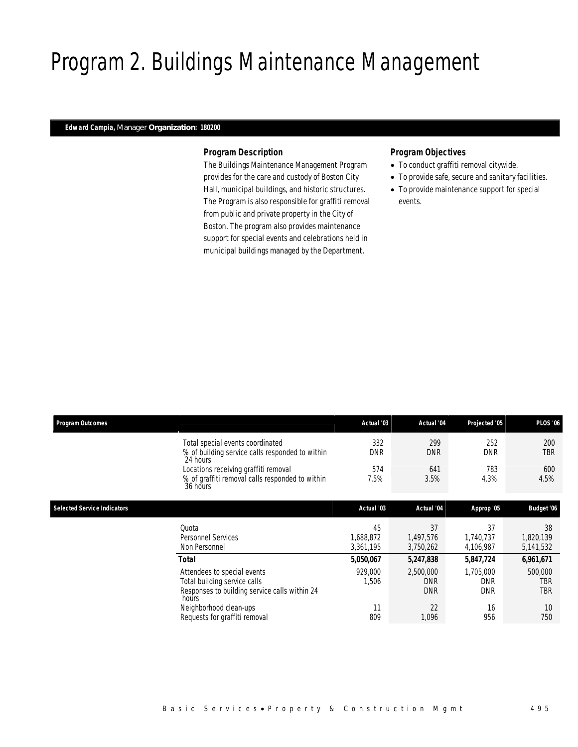## Program 2. Buildings Maintenance Management

## *Edward Campia, Manager Organization: 180200*

## *Program Description*

The Buildings Maintenance Management Program provides for the care and custody of Boston City Hall, municipal buildings, and historic structures. The Program is also responsible for graffiti removal from public and private property in the City of Boston. The program also provides maintenance support for special events and celebrations held in municipal buildings managed by the Department.

## *Program Objectives*

- To conduct graffiti removal citywide.
- To provide safe, secure and sanitary facilities.
- To provide maintenance support for special events.

| <b>Program Outcomes</b>            |                                                                                                                       | Actual '03                   | Actual '04                            | Projected '05                         | <b>PLOS '06</b>              |
|------------------------------------|-----------------------------------------------------------------------------------------------------------------------|------------------------------|---------------------------------------|---------------------------------------|------------------------------|
|                                    | Total special events coordinated<br>% of building service calls responded to within<br>24 hours                       | 332<br><b>DNR</b>            | 299<br><b>DNR</b>                     | 252<br><b>DNR</b>                     | 200<br><b>TBR</b>            |
|                                    | Locations receiving graffiti removal<br>% of graffiti removal calls responded to within<br>36 hours                   | 574<br>7.5%                  | 641<br>3.5%                           | 783<br>4.3%                           | 600<br>4.5%                  |
| <b>Selected Service Indicators</b> |                                                                                                                       | Actual '03                   | Actual '04                            | Approp '05                            | Budget '06                   |
|                                    | Quota<br><b>Personnel Services</b><br>Non Personnel                                                                   | 45<br>1,688,872<br>3,361,195 | 37<br>1,497,576<br>3,750,262          | 37<br>1,740,737<br>4,106,987          | 38<br>1,820,139<br>5,141,532 |
|                                    | Total                                                                                                                 | 5,050,067                    | 5,247,838                             | 5,847,724                             | 6,961,671                    |
|                                    | Attendees to special events<br>Total building service calls<br>Responses to building service calls within 24<br>hours | 929,000<br>1,506             | 2,500,000<br><b>DNR</b><br><b>DNR</b> | 1,705,000<br><b>DNR</b><br><b>DNR</b> | 500,000<br>TBR<br><b>TBR</b> |
|                                    | Neighborhood clean-ups<br>Requests for graffiti removal                                                               | 11<br>809                    | 22<br>1,096                           | 16<br>956                             | 10<br>750                    |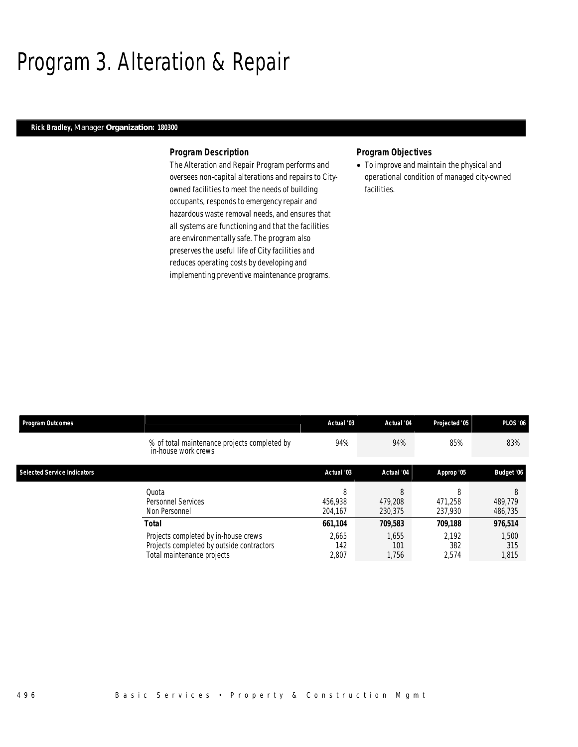## Program 3. Alteration & Repair

## *Rick Bradley, Manager Organization: 180300*

### *Program Description*

The Alteration and Repair Program performs and oversees non-capital alterations and repairs to Cityowned facilities to meet the needs of building occupants, responds to emergency repair and hazardous waste removal needs, and ensures that all systems are functioning and that the facilities are environmentally safe. The program also preserves the useful life of City facilities and reduces operating costs by developing and implementing preventive maintenance programs.

## *Program Objectives*

• To improve and maintain the physical and operational condition of managed city-owned facilities.

| <b>Program Outcomes</b>            |                                                                                                                          | Actual '03                       | Actual '04                       | Projected '05                    | <b>PLOS '06</b>                  |
|------------------------------------|--------------------------------------------------------------------------------------------------------------------------|----------------------------------|----------------------------------|----------------------------------|----------------------------------|
|                                    | % of total maintenance projects completed by<br>in-house work crews                                                      | 94%                              | 94%                              | 85%                              | 83%                              |
| <b>Selected Service Indicators</b> |                                                                                                                          | Actual '03                       | Actual '04                       | Approp '05                       | Budget '06                       |
|                                    | Ouota<br>Personnel Services<br>Non Personnel                                                                             | 8<br>456.938<br>204.167          | 8<br>479.208<br>230.375          | 8<br>471.258<br>237.930          | 8<br>489.779<br>486,735          |
|                                    | Total<br>Projects completed by in-house crews<br>Projects completed by outside contractors<br>Total maintenance projects | 661,104<br>2.665<br>142<br>2,807 | 709,583<br>1.655<br>101<br>1,756 | 709,188<br>2.192<br>382<br>2,574 | 976,514<br>1,500<br>315<br>1,815 |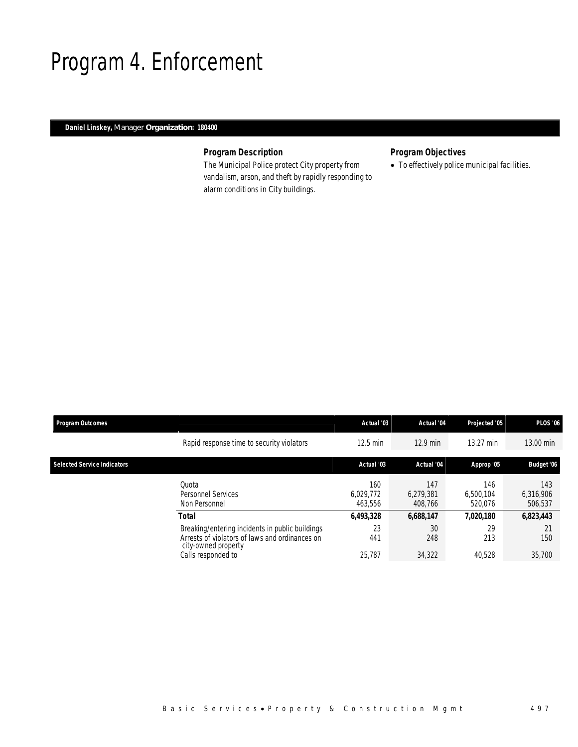## Program 4. Enforcement

## *Daniel Linskey, Manager Organization: 180400*

## *Program Description*

The Municipal Police protect City property from vandalism, arson, and theft by rapidly responding to alarm conditions in City buildings.

## *Program Objectives*

• To effectively police municipal facilities.

| <b>Program Outcomes</b>            |                                                                                                                          | Actual '03                  | Actual '04                  | Projected '05               | <b>PLOS '06</b>             |
|------------------------------------|--------------------------------------------------------------------------------------------------------------------------|-----------------------------|-----------------------------|-----------------------------|-----------------------------|
|                                    | Rapid response time to security violators                                                                                | 12.5 min                    | $12.9$ min                  | 13.27 min                   | 13.00 min                   |
| <b>Selected Service Indicators</b> |                                                                                                                          | Actual '03                  | Actual '04                  | Approp '05                  | Budget '06                  |
|                                    | Quota<br><b>Personnel Services</b><br>Non Personnel                                                                      | 160<br>6.029.772<br>463.556 | 147<br>6.279.381<br>408.766 | 146<br>6.500.104<br>520.076 | 143<br>6,316,906<br>506,537 |
|                                    | <b>Total</b>                                                                                                             | 6,493,328                   | 6.688.147                   | 7.020.180                   | 6,823,443                   |
|                                    | Breaking/entering incidents in public buildings<br>Arrests of violators of laws and ordinances on<br>city-owned property | 23<br>441                   | 30<br>248                   | 29<br>213                   | 21<br>150                   |
|                                    | Calls responded to                                                                                                       | 25.787                      | 34,322                      | 40.528                      | 35,700                      |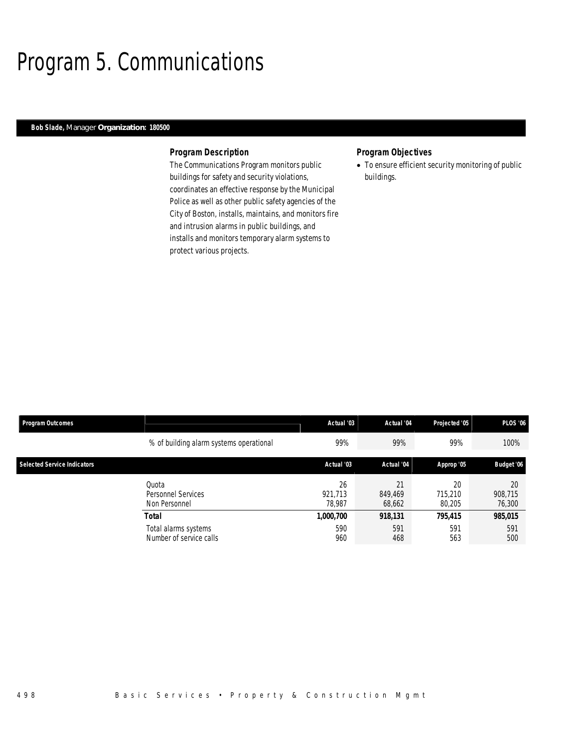## Program 5. Communications

## *Bob Slade, Manager Organization: 180500*

### *Program Description*

The Communications Program monitors public buildings for safety and security violations, coordinates an effective response by the Municipal Police as well as other public safety agencies of the City of Boston, installs, maintains, and monitors fire and intrusion alarms in public buildings, and installs and monitors temporary alarm systems to protect various projects.

## *Program Objectives*

• To ensure efficient security monitoring of public buildings.

| <b>Program Outcomes</b>            |                                                 | Actual '03              | Actual '04              | Projected '05           | <b>PLOS '06</b>         |
|------------------------------------|-------------------------------------------------|-------------------------|-------------------------|-------------------------|-------------------------|
|                                    | % of building alarm systems operational         | 99%                     | 99%                     | 99%                     | 100%                    |
| <b>Selected Service Indicators</b> |                                                 | Actual '03              | Actual '04              | Approp '05              | Budget '06              |
|                                    | Ouota<br>Personnel Services<br>Non Personnel    | 26<br>921.713<br>78.987 | 21<br>849.469<br>68,662 | 20<br>715.210<br>80.205 | 20<br>908,715<br>76,300 |
|                                    | <b>Total</b>                                    | <i>1,000,700</i>        | 918,131                 | 795,415                 | 985,015                 |
|                                    | Total alarms systems<br>Number of service calls | 590<br>960              | 591<br>468              | 591<br>563              | 591<br>500              |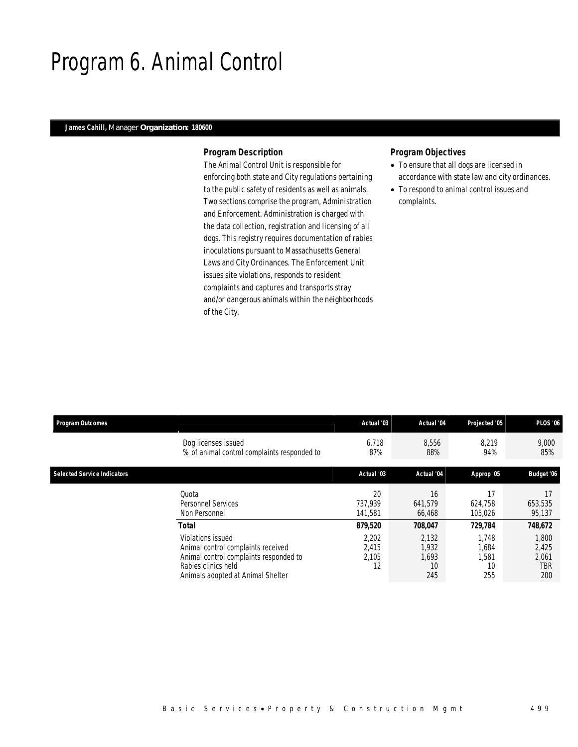## Program 6. Animal Control

## *James Cahill, Manager Organization: 180600*

## *Program Description*

The Animal Control Unit is responsible for enforcing both state and City regulations pertaining to the public safety of residents as well as animals. Two sections comprise the program, Administration and Enforcement. Administration is charged with the data collection, registration and licensing of all dogs. This registry requires documentation of rabies inoculations pursuant to Massachusetts General Laws and City Ordinances. The Enforcement Unit issues site violations, responds to resident complaints and captures and transports stray and/or dangerous animals within the neighborhoods of the City.

## *Program Objectives*

- To ensure that all dogs are licensed in accordance with state law and city ordinances.
- To respond to animal control issues and complaints.

| <b>Program Outcomes</b>            |                                                                                                                                                               | Actual '03                    | Actual '04                           | Projected '05                        | <b>PLOS '06</b>                       |
|------------------------------------|---------------------------------------------------------------------------------------------------------------------------------------------------------------|-------------------------------|--------------------------------------|--------------------------------------|---------------------------------------|
|                                    | Dog licenses issued<br>% of animal control complaints responded to                                                                                            | 6,718<br>87%                  | 8,556<br>88%                         | 8,219<br>94%                         | 9,000<br>85%                          |
| <b>Selected Service Indicators</b> |                                                                                                                                                               | Actual '03                    | Actual '04                           | Approp '05                           | Budget '06                            |
|                                    | Quota<br>Personnel Services<br>Non Personnel                                                                                                                  | 20<br>737.939<br>141.581      | 16<br>641,579<br>66,468              | 17<br>624,758<br>105,026             | 653,535<br>95,137                     |
|                                    | <b>Total</b>                                                                                                                                                  | 879,520                       | 708,047                              | 729,784                              | 748,672                               |
|                                    | Violations issued<br>Animal control complaints received<br>Animal control complaints responded to<br>Rabies clinics held<br>Animals adopted at Animal Shelter | 2,202<br>2,415<br>2,105<br>12 | 2,132<br>1,932<br>1.693<br>10<br>245 | 1.748<br>1,684<br>1,581<br>10<br>255 | 1,800<br>2,425<br>2,061<br>TBR<br>200 |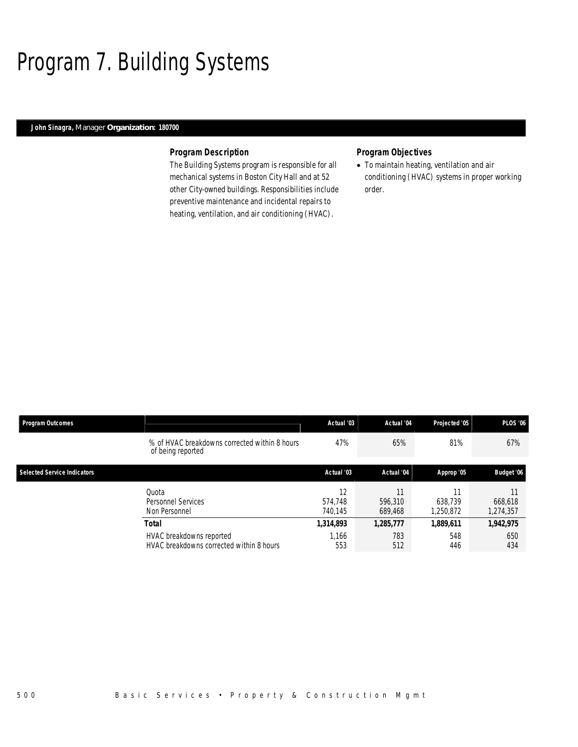## Program 7. Building Systems

## *John Sinagra, Manager Organization: 180700*

### *Program Description*

The Building Systems program is responsible for all mechanical systems in Boston City Hall and at 52 other City-owned buildings. Responsibilities include preventive maintenance and incidental repairs to heating, ventilation, and air conditioning (HVAC).

## *Program Objectives*

• To maintain heating, ventilation and air conditioning (HVAC) systems in proper working order.

| <b>Program Outcomes</b>            |                                                                      | Actual '03               | Actual '04         | Projected '05        | <b>PLOS '06</b>      |
|------------------------------------|----------------------------------------------------------------------|--------------------------|--------------------|----------------------|----------------------|
|                                    | % of HVAC breakdowns corrected within 8 hours<br>of being reported   | 47%                      | 65%                | 81%                  | 67%                  |
| <b>Selected Service Indicators</b> |                                                                      | Actual '03               | Actual '04         | Approp '05           | Budget '06           |
|                                    | Ouota<br>Personnel Services<br>Non Personnel                         | 12<br>574.748<br>740.145 | 596.310<br>689,468 | 638.739<br>1,250,872 | 668,618<br>1,274,357 |
|                                    | <b>Total</b>                                                         | 1,314,893                | 1,285,777          | 1,889,611            | 1,942,975            |
|                                    | HVAC breakdowns reported<br>HVAC breakdowns corrected within 8 hours | 1.166<br>553             | 783<br>512         | 548<br>446           | 650<br>434           |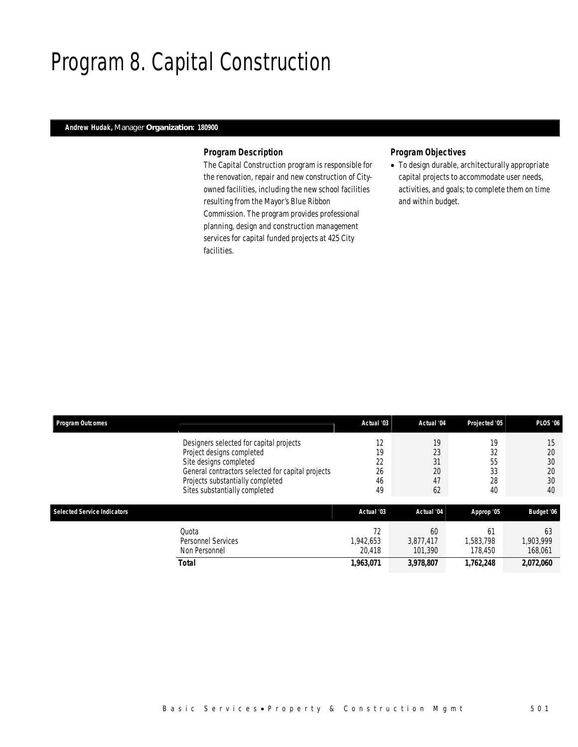## Program 8. Capital Construction

## *Andrew Hudak, Manager Organization: 180900*

## *Program Description*

The Capital Construction program is responsible for the renovation, repair and new construction of Cityowned facilities, including the new school facilities resulting from the Mayor's Blue Ribbon Commission. The program provides professional planning, design and construction management services for capital funded projects at 425 City facilities.

## *Program Objectives*

• To design durable, architecturally appropriate capital projects to accommodate user needs, activities, and goals; to complete them on time and within budget.

| <b>Program Outcomes</b>            |                                                                                                                                                                                                                          | Actual '03                       | Actual '04                       | Projected '05                    | <b>PLOS '06</b>                  |
|------------------------------------|--------------------------------------------------------------------------------------------------------------------------------------------------------------------------------------------------------------------------|----------------------------------|----------------------------------|----------------------------------|----------------------------------|
|                                    | Designers selected for capital projects<br>Project designs completed<br>Site designs completed<br>General contractors selected for capital projects<br>Projects substantially completed<br>Sites substantially completed | 12<br>19<br>22<br>26<br>46<br>49 | 19<br>23<br>31<br>20<br>47<br>62 | 19<br>32<br>55<br>33<br>28<br>40 | 15<br>20<br>30<br>20<br>30<br>40 |
| <b>Selected Service Indicators</b> |                                                                                                                                                                                                                          | Actual '03                       | Actual '04                       | Approp '05                       | Budget '06                       |
|                                    | Quota<br>Personnel Services<br>Non Personnel                                                                                                                                                                             | 72<br>1.942.653<br>20.418        | 60<br>3.877.417<br>101.390       | 61<br>1.583.798<br>178,450       | 63<br>1.903.999<br>168,061       |
|                                    | <b>Total</b>                                                                                                                                                                                                             | 1,963,071                        | 3,978,807                        | 1,762,248                        | 2,072,060                        |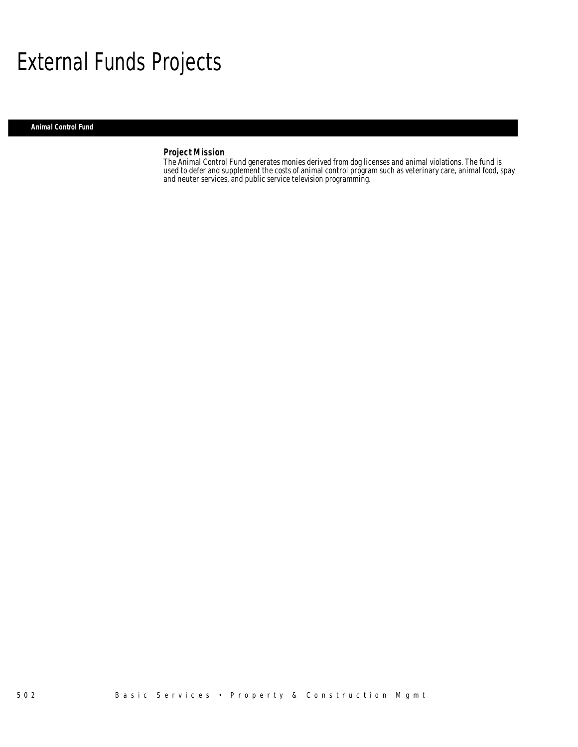## External Funds Projects

### *Animal Control Fund*

## *Project Mission*

The Animal Control Fund generates monies derived from dog licenses and animal violations. The fund is used to defer and supplement the costs of animal control program such as veterinary care, animal food, spay and neuter services, and public service television programming.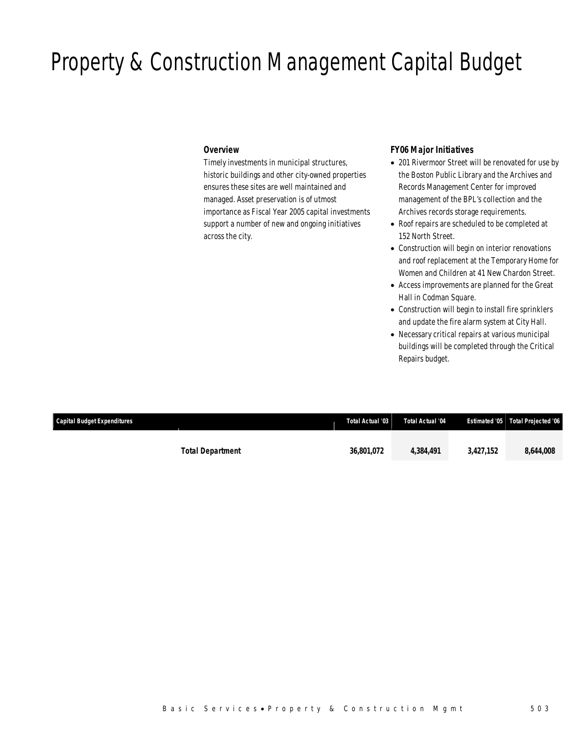## Property & Construction Management Capital Budget

## *Overview*

Timely investments in municipal structures, historic buildings and other city-owned properties ensures these sites are well maintained and managed. Asset preservation is of utmost importance as Fiscal Year 2005 capital investments support a number of new and ongoing initiatives across the city.

## *FY06 Major Initiatives*

- 201 Rivermoor Street will be renovated for use by the Boston Public Library and the Archives and Records Management Center for improved management of the BPL's collection and the Archives records storage requirements.
- Roof repairs are scheduled to be completed at 152 North Street.
- Construction will begin on interior renovations and roof replacement at the Temporary Home for Women and Children at 41 New Chardon Street.
- Access improvements are planned for the Great Hall in Codman Square.
- Construction will begin to install fire sprinklers and update the fire alarm system at City Hall.
- Necessary critical repairs at various municipal buildings will be completed through the Critical Repairs budget.

| <b>Capital Budget Expenditures</b> |                         | Total Actual '03 | Total Actual '04 |           | <b>Estimated '05 Total Projected '06</b> |
|------------------------------------|-------------------------|------------------|------------------|-----------|------------------------------------------|
|                                    | <b>Total Department</b> | 36,801,072       | 4.384.491        | 3.427.152 | 8.644.008                                |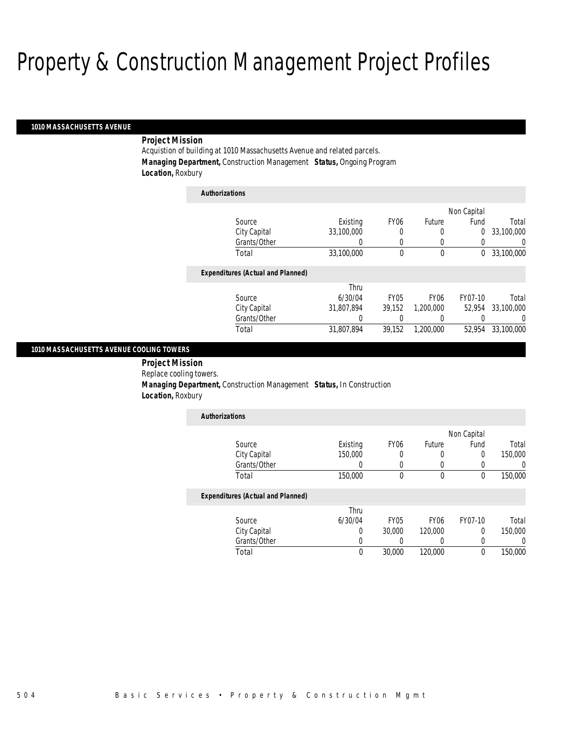#### *1010 MASSACHUSETTS AVENUE*

## *Project Mission*

Acquistion of building at 1010 Massachusetts Avenue and related parcels. *Managing Department,* Construction Management *Status,* Ongoing Program *Location,* Roxbury

| <b>Authorizations</b> |                                          |            |                  |                  |             |            |
|-----------------------|------------------------------------------|------------|------------------|------------------|-------------|------------|
|                       |                                          |            |                  |                  | Non Capital |            |
|                       | Source                                   | Existing   | FY <sub>06</sub> | Future           | Fund        | Total      |
|                       | City Capital                             | 33,100,000 | 0                | 0                | 0           | 33,100,000 |
|                       | Grants/Other                             | 0          | 0                | 0                | 0           | 0          |
|                       | Total                                    | 33,100,000 | 0                | 0                | 0           | 33,100,000 |
|                       | <b>Expenditures (Actual and Planned)</b> |            |                  |                  |             |            |
|                       |                                          | Thru       |                  |                  |             |            |
|                       | Source                                   | 6/30/04    | FY <sub>05</sub> | FY <sub>06</sub> | FY07-10     | Total      |
|                       | City Capital                             | 31.807.894 | 39.152           | 1,200,000        | 52.954      | 33.100.000 |
|                       | Grants/Other                             | 0          | 0                | 0                |             | $\left($   |
|                       | Total                                    | 31.807.894 | 39.152           | 1.200.000        | 52.954      | 33,100,000 |

## *1010 MASSACHUSETTS AVENUE COOLING TOWERS*

 *Project Mission* Replace cooling towers. *Managing Department,* Construction Management *Status,* In Construction *Location,* Roxbury

| <b>Authorizations</b> |          |                  |        |             |         |
|-----------------------|----------|------------------|--------|-------------|---------|
|                       |          |                  |        | Non Capital |         |
| Source                | Existing | FY <sub>06</sub> | Future | Fund        | Total   |
| City Capital          | 150,000  |                  |        |             | 150,000 |
| Grants/Other          |          |                  |        |             |         |
| Total                 | 150,000  |                  |        |             | 150,000 |

|              | Thru    |             |                  |         |         |
|--------------|---------|-------------|------------------|---------|---------|
| Source       | 6/30/04 | <b>FY05</b> | FY <sub>06</sub> | FY07-10 | Total   |
| City Capital |         | 30,000      | 120,000          |         | 150,000 |
| Grants/Other |         |             |                  |         |         |
| Total        |         | 30,000      | 120,000          |         | 150,000 |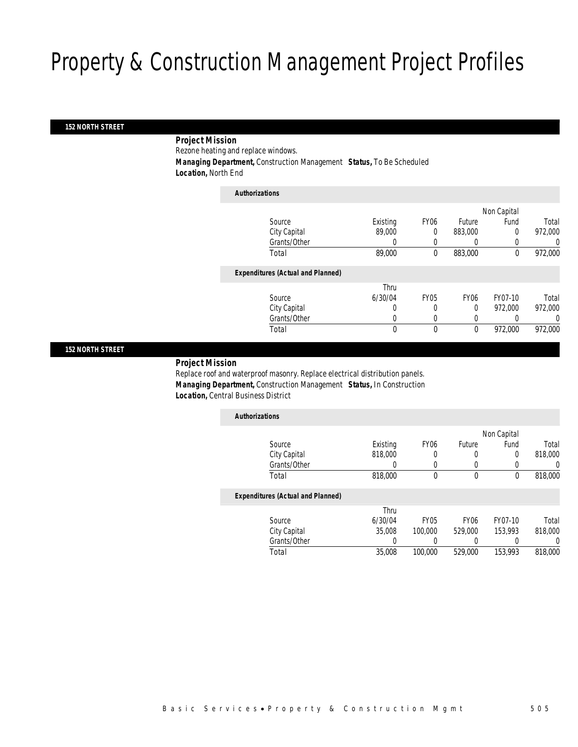### *152 NORTH STREET*

## *Project Mission*

Rezone heating and replace windows.

*Managing Department,* Construction Management *Status,* To Be Scheduled

*Location,* North End

| <b>Authorizations</b>                    |          |             |                  |             |         |
|------------------------------------------|----------|-------------|------------------|-------------|---------|
|                                          |          |             |                  | Non Capital |         |
| Source                                   | Existing | <b>FY06</b> | Future           | Fund        | Total   |
| City Capital                             | 89,000   | 0           | 883,000          | 0           | 972,000 |
| Grants/Other                             | $\left($ | 0           | $\left($         |             | 0       |
| Total                                    | 89,000   | 0           | 883,000          | 0           | 972,000 |
| <b>Expenditures (Actual and Planned)</b> |          |             |                  |             |         |
|                                          | Thru     |             |                  |             |         |
| Source                                   | 6/30/04  | <b>FY05</b> | FY <sub>06</sub> | FY07-10     | Total   |
| City Capital                             | 0        | 0           | $\Omega$         | 972.000     | 972,000 |
| Grants/Other                             | 0        |             | 0                |             | 0       |
| Total                                    | 0        | 0           | $\mathbf 0$      | 972,000     | 972,000 |

### *152 NORTH STREET*

## *Project Mission*

Replace roof and waterproof masonry. Replace electrical distribution panels. *Managing Department,* Construction Management *Status,* In Construction *Location,* Central Business District

| <b>Authorizations</b>                    |          |                  |                  |             |         |
|------------------------------------------|----------|------------------|------------------|-------------|---------|
|                                          |          |                  |                  | Non Capital |         |
| Source                                   | Existing | FY <sub>06</sub> | Future           | Fund        | Total   |
| City Capital                             | 818,000  |                  | 0                | 0           | 818,000 |
| Grants/Other                             | 0        |                  | 0                |             | 0       |
| Total                                    | 818,000  | 0                | 0                | 0           | 818,000 |
| <b>Expenditures (Actual and Planned)</b> |          |                  |                  |             |         |
|                                          | Thru     |                  |                  |             |         |
| Source                                   | 6/30/04  | FY05             | FY <sub>06</sub> | FY07-10     | Total   |
| City Capital                             | 35,008   | 100,000          | 529,000          | 153,993     | 818,000 |

Total 35,008 100,000 529,000 153,993 818,000

Grants/Other 0 0 0 0 0 0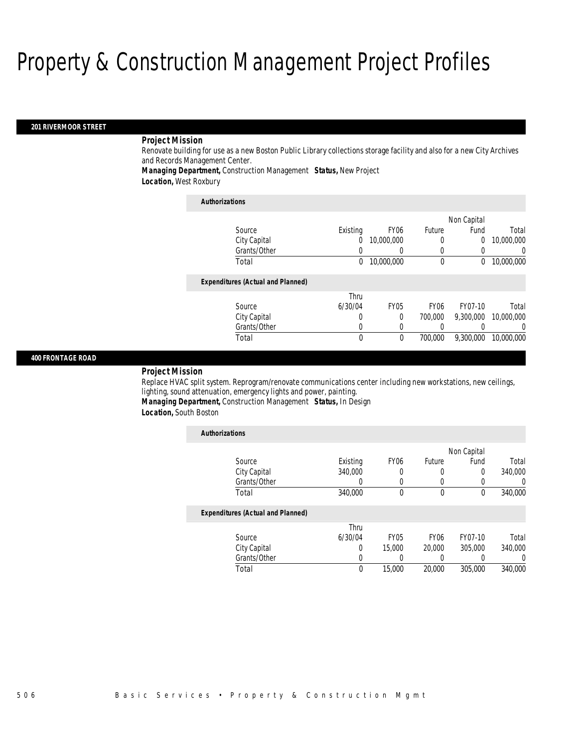#### *201 RIVERMOOR STREET*

## *Project Mission*

Renovate building for use as a new Boston Public Library collections storage facility and also for a new City Archives and Records Management Center.

*Managing Department,* Construction Management *Status,* New Project

*Location,* West Roxbury

## *Authorizations* Source **Existing** FY06 Future City Capital 0 10,000,000 0 0 10,000,000 Grants/Other 0 0 0 0 0 0

| Total                                    | 0       | 10,000,000  |                  |           | 10,000,000 |
|------------------------------------------|---------|-------------|------------------|-----------|------------|
| <b>Expenditures (Actual and Planned)</b> |         |             |                  |           |            |
|                                          | Thru    |             |                  |           |            |
| Source                                   | 6/30/04 | <b>FY05</b> | FY <sub>06</sub> | FY07-10   | Total      |
| City Capital                             |         |             | 700,000          | 9,300,000 | 10,000,000 |
| Grants/Other                             |         |             |                  |           |            |
|                                          |         |             |                  |           |            |

Total 0 0 700,000 9,300,000 10,000,000

Non Capital

Fund Total

### *400 FRONTAGE ROAD*

#### *Project Mission*

Replace HVAC split system. Reprogram/renovate communications center including new workstations, new ceilings, lighting, sound attenuation, emergency lights and power, painting.

*Managing Department,* Construction Management *Status,* In Design

*Location,* South Boston

| <b>Authorizations</b>                    |          |                  |             |             |                |
|------------------------------------------|----------|------------------|-------------|-------------|----------------|
|                                          |          |                  |             | Non Capital |                |
| Source                                   | Existing | FY <sub>06</sub> | Future      | Fund        | Total          |
| City Capital                             | 340,000  | 0                | 0           | 0           | 340,000        |
| Grants/Other                             | 0        | 0                | $\left($    |             | $\overline{0}$ |
| Total                                    | 340,000  | $\theta$         | $\theta$    | $\Omega$    | 340,000        |
| <b>Expenditures (Actual and Planned)</b> |          |                  |             |             |                |
|                                          | Thru     |                  |             |             |                |
| Source                                   | 6/30/04  | <b>FY05</b>      | <b>FY06</b> | FY07-10     | Total          |
| City Capital                             | 0        | 15,000           | 20,000      | 305,000     | 340,000        |
| Grants/Other                             | 0        | 0                | 0           |             | 0              |
| Total                                    | 0        | 15,000           | 20,000      | 305,000     | 340,000        |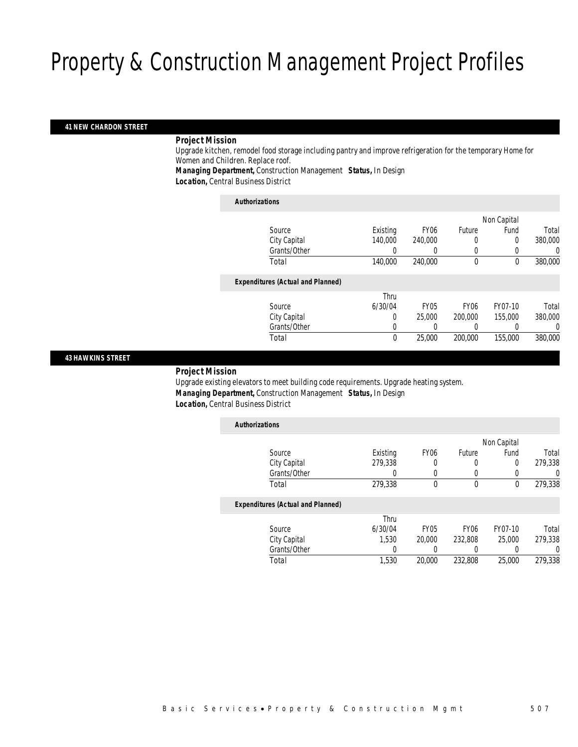### *41 NEW CHARDON STREET*

### *Project Mission*

Upgrade kitchen, remodel food storage including pantry and improve refrigeration for the temporary Home for Women and Children. Replace roof.

*Managing Department,* Construction Management *Status,* In Design

*Location,* Central Business District

#### *Authorizations*

|                                          |          |                  |             | Non Capital |         |
|------------------------------------------|----------|------------------|-------------|-------------|---------|
| Source                                   | Existing | FY <sub>06</sub> | Future      | Fund        | Total   |
| City Capital                             | 140,000  | 240,000          | 0           | 0           | 380,000 |
| Grants/Other                             |          |                  | 0           |             | 0       |
| Total                                    | 140,000  | 240,000          | $\mathbf 0$ | $\theta$    | 380,000 |
|                                          |          |                  |             |             |         |
| <b>Expenditures (Actual and Planned)</b> |          |                  |             |             |         |
|                                          | Thru     |                  |             |             |         |
| Source                                   | 6/30/04  | <b>FY05</b>      | <b>FY06</b> | FY07-10     | Total   |
| City Capital                             | $\Omega$ | 25,000           | 200,000     | 155,000     | 380,000 |
| Grants/Other                             | 0        |                  |             |             | 0       |
| Total                                    | 0        | 25,000           | 200,000     | 155,000     | 380,000 |
|                                          |          |                  |             |             |         |

## *43 HAWKINS STREET*

## *Project Mission*

Upgrade existing elevators to meet building code requirements. Upgrade heating system. *Managing Department,* Construction Management *Status,* In Design *Location,* Central Business District

| <b>Authorizations</b>                    |          |                  |                  |             |          |
|------------------------------------------|----------|------------------|------------------|-------------|----------|
|                                          |          |                  |                  | Non Capital |          |
| Source                                   | Existing | FY <sub>06</sub> | Future           | Fund        | Total    |
| City Capital                             | 279,338  | 0                | 0                | 0           | 279,338  |
| Grants/Other                             | 0        | 0                | 0                |             | 0        |
| Total                                    | 279,338  | 0                | $\boldsymbol{0}$ | $\mathbf 0$ | 279,338  |
| <b>Expenditures (Actual and Planned)</b> |          |                  |                  |             |          |
|                                          | Thru     |                  |                  |             |          |
| Source                                   | 6/30/04  | <b>FY05</b>      | <b>FY06</b>      | FY07-10     | Total    |
| City Capital                             | 1.530    | 20,000           | 232,808          | 25,000      | 279.338  |
| Grants/Other                             | 0        |                  | 0                |             | $\left($ |
| Total                                    | 1.530    | 20,000           | 232,808          | 25,000      | 279.338  |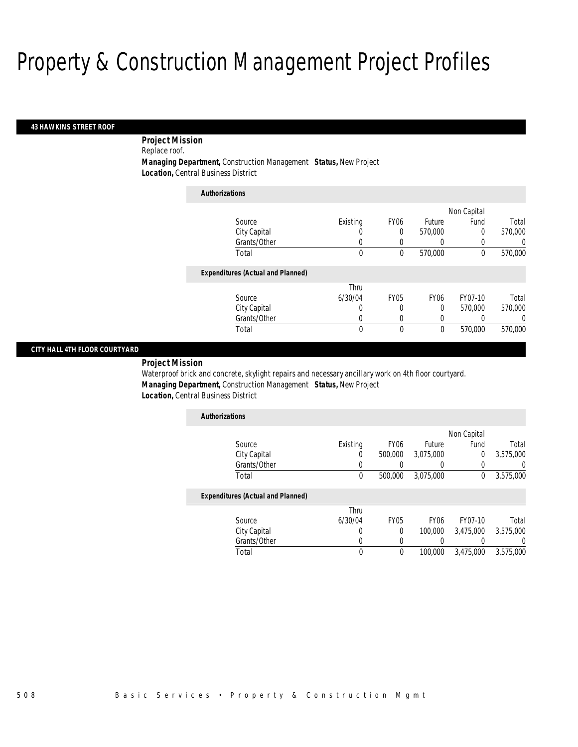#### *43 HAWKINS STREET ROOF*

*Project Mission* 

Replace roof.

*Managing Department,* Construction Management *Status,* New Project

*Location,* Central Business District

| <b>Authorizations</b>                    |          |                  |                  |             |          |
|------------------------------------------|----------|------------------|------------------|-------------|----------|
|                                          |          |                  |                  | Non Capital |          |
| Source                                   | Existing | FY <sub>06</sub> | Future           | Fund        | Total    |
| City Capital                             | U        | 0                | 570,000          | $\Omega$    | 570,000  |
| Grants/Other                             | 0        | 0                | $\left( \right)$ |             | 0        |
| Total                                    | 0        | 0                | 570,000          | $\Omega$    | 570,000  |
| <b>Expenditures (Actual and Planned)</b> |          |                  |                  |             |          |
|                                          | Thru     |                  |                  |             |          |
| Source                                   | 6/30/04  | <b>FY05</b>      | FY <sub>06</sub> | FY07-10     | Total    |
| City Capital                             | U        | 0                | 0                | 570.000     | 570,000  |
| Grants/Other                             | 0        | 0                | 0                |             | $\Omega$ |
| Total                                    | 0        | 0                | $\mathbf 0$      | 570,000     | 570,000  |

## *CITY HALL 4TH FLOOR COURTYARD*

*Project Mission* 

Waterproof brick and concrete, skylight repairs and necessary ancillary work on 4th floor courtyard. *Managing Department,* Construction Management *Status,* New Project *Location,* Central Business District

| <b>Authorizations</b> |          |                  |           |             |           |
|-----------------------|----------|------------------|-----------|-------------|-----------|
|                       |          |                  |           | Non Capital |           |
| Source                | Existing | FY <sub>06</sub> | Future    | Fund        | Total     |
| City Capital          |          | 500,000          | 3,075,000 |             | 3,575,000 |
| Grants/Other          |          |                  |           |             |           |
| Total                 |          | 500,000          | 3.075.000 |             | 3,575,000 |

|              | Thru    |             |                  |           |           |
|--------------|---------|-------------|------------------|-----------|-----------|
| Source       | 6/30/04 | <b>FY05</b> | FY <sub>06</sub> | FY07-10   | Total     |
| City Capital |         |             | 100.000          | 3.475.000 | 3,575,000 |
| Grants/Other |         |             |                  |           |           |
| Total        |         |             | 100,000          | 3.475.000 | 3,575,000 |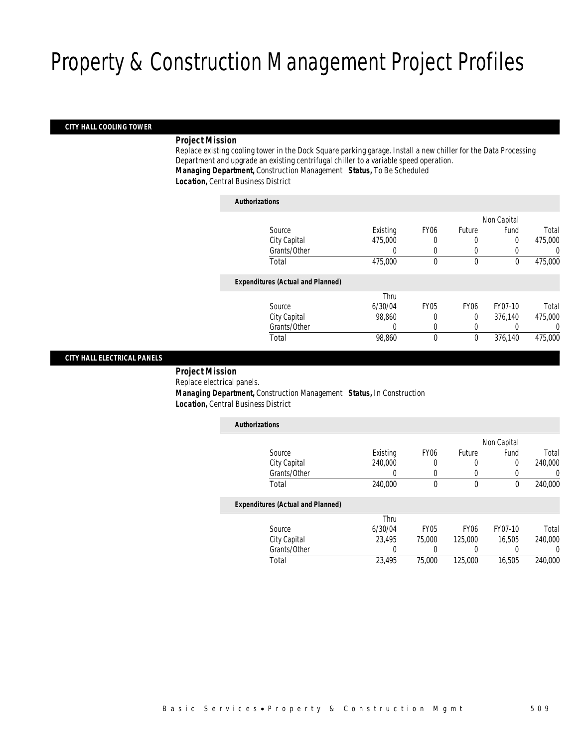## *CITY HALL COOLING TOWER*

## *Project Mission*

Replace existing cooling tower in the Dock Square parking garage. Install a new chiller for the Data Processing Department and upgrade an existing centrifugal chiller to a variable speed operation. *Managing Department,* Construction Management *Status,* To Be Scheduled *Location,* Central Business District

## *Authorizations*

| , , ,,,,,,,,,,,,,,,                      |          |             |                  |          |         |
|------------------------------------------|----------|-------------|------------------|----------|---------|
| Non Capital                              |          |             |                  |          |         |
| Source                                   | Existing | <b>FY06</b> | Future           | Fund     | Total   |
| City Capital                             | 475,000  |             | 0                | 0        | 475,000 |
| Grants/Other                             | 0        |             | 0                |          | 0       |
| Total                                    | 475,000  | 0           | $\theta$         | $\theta$ | 475,000 |
| <b>Expenditures (Actual and Planned)</b> |          |             |                  |          |         |
|                                          | Thru     |             |                  |          |         |
| Source                                   | 6/30/04  | <b>FY05</b> | FY <sub>06</sub> | FY07-10  | Total   |
| City Capital                             | 98,860   | 0           | $\Omega$         | 376.140  | 475,000 |
| Grants/Other                             | 0        | $\left($    | 0                |          | 0       |
| Total                                    | 98,860   | $\theta$    | $\theta$         | 376.140  | 475,000 |
|                                          |          |             |                  |          |         |

## *CITY HALL ELECTRICAL PANELS*

 *Project Mission* Replace electrical panels. *Managing Department,* Construction Management *Status,* In Construction *Location,* Central Business District

| <b>Authorizations</b>                    |          |                  |             |             |         |
|------------------------------------------|----------|------------------|-------------|-------------|---------|
|                                          |          |                  |             | Non Capital |         |
| Source                                   | Existing | <b>FY06</b>      | Future      | Fund        | Total   |
| City Capital                             | 240,000  | 0                | 0           | 0           | 240,000 |
| Grants/Other                             | 0        | 0                | 0           |             | 0       |
| Total                                    | 240,000  | 0                | $\mathbf 0$ | $\mathbf 0$ | 240,000 |
| <b>Expenditures (Actual and Planned)</b> |          |                  |             |             |         |
|                                          | Thru     |                  |             |             |         |
| Source                                   | 6/30/04  | FY <sub>05</sub> | <b>FY06</b> | FY07-10     | Total   |
| City Capital                             | 23.495   | 75,000           | 125,000     | 16.505      | 240,000 |
| Grants/Other                             | 0        |                  |             |             | 0       |
| Total                                    | 23,495   | 75,000           | 125,000     | 16,505      | 240,000 |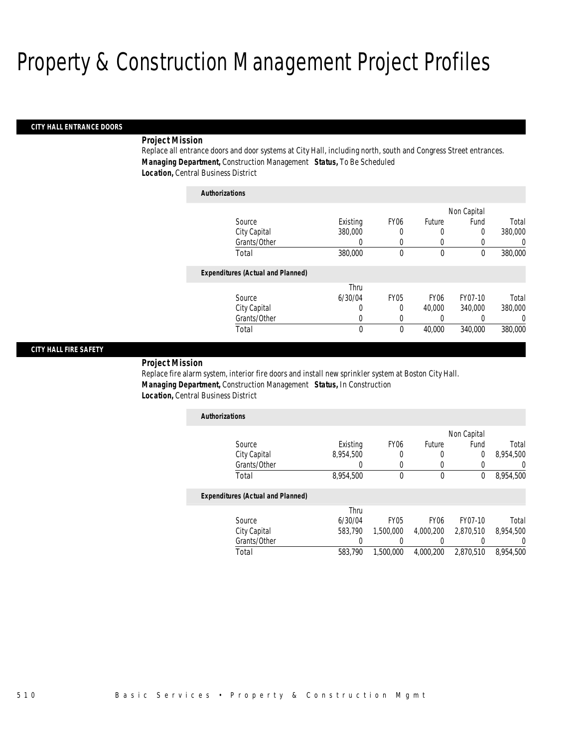#### *CITY HALL ENTRANCE DOORS*

## *Project Mission*

Replace all entrance doors and door systems at City Hall, including north, south and Congress Street entrances. *Managing Department,* Construction Management *Status,* To Be Scheduled *Location,* Central Business District

| <b>Authorizations</b>                    |          |             |                  |          |         |
|------------------------------------------|----------|-------------|------------------|----------|---------|
|                                          |          | Non Capital |                  |          |         |
| Source                                   | Existing | <b>FY06</b> | Future           | Fund     | Total   |
| City Capital                             | 380,000  | 0           | 0                | 0        | 380,000 |
| Grants/Other                             | 0        | 0           | 0                |          | 0       |
| Total                                    | 380,000  | 0           | $\theta$         | $\theta$ | 380,000 |
| <b>Expenditures (Actual and Planned)</b> |          |             |                  |          |         |
|                                          | Thru     |             |                  |          |         |
| Source                                   | 6/30/04  | <b>FY05</b> | FY <sub>06</sub> | FY07-10  | Total   |
| City Capital                             | 0        | $\Omega$    | 40.000           | 340,000  | 380,000 |
| Grants/Other                             | 0        | 0           | 0                |          | 0       |
| Total                                    | $\theta$ | $\theta$    | 40,000           | 340,000  | 380,000 |
|                                          |          |             |                  |          |         |

### *CITY HALL FIRE SAFETY*

## *Project Mission*

Replace fire alarm system, interior fire doors and install new sprinkler system at Boston City Hall. *Managing Department,* Construction Management *Status,* In Construction *Location,* Central Business District

| <b>Authorizations</b> |           |                  |        |             |           |
|-----------------------|-----------|------------------|--------|-------------|-----------|
|                       |           |                  |        | Non Capital |           |
| Source                | Existing  | FY <sub>06</sub> | Future | Fund        | Total     |
| City Capital          | 8,954,500 |                  |        |             | 8,954,500 |
| Grants/Other          |           |                  |        |             |           |
| Total                 | 8,954,500 |                  |        |             | 8,954,500 |

|              | Thru    |           |           |           |           |
|--------------|---------|-----------|-----------|-----------|-----------|
| Source       | 6/30/04 | FY05      | FY06      | FY07-10   | Total     |
| City Capital | 583.790 | 1,500,000 | 4.000.200 | 2.870.510 | 8.954.500 |
| Grants/Other |         |           |           |           |           |
| Total        | 583.790 | 1,500,000 | 4.000.200 | 2.870.510 | 8,954,500 |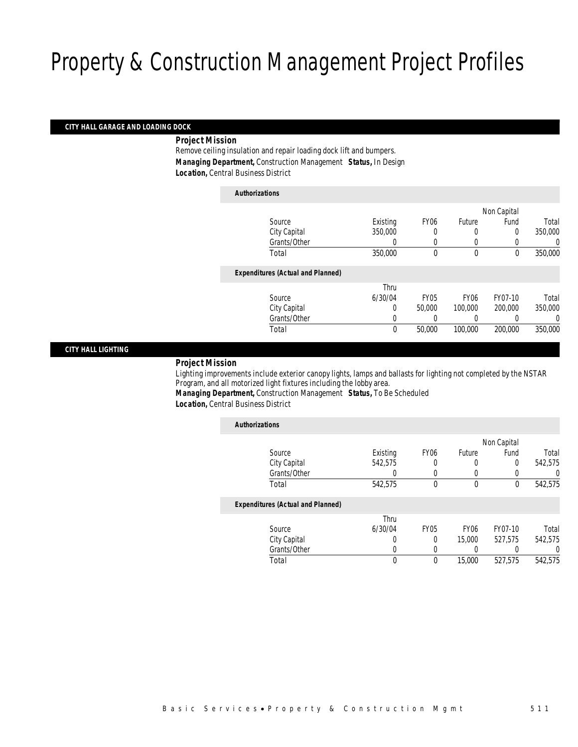### *CITY HALL GARAGE AND LOADING DOCK*

*Project Mission* 

Remove ceiling insulation and repair loading dock lift and bumpers. *Managing Department,* Construction Management *Status,* In Design *Location,* Central Business District

| <b>Authorizations</b>                    |          |                  |                  |             |          |
|------------------------------------------|----------|------------------|------------------|-------------|----------|
|                                          |          |                  |                  | Non Capital |          |
| Source                                   | Existing | FY <sub>06</sub> | Future           | Fund        | Total    |
| City Capital                             | 350,000  |                  | 0                | 0           | 350,000  |
| Grants/Other                             | 0        | 0                | 0                | 0           | 0        |
| Total                                    | 350,000  | $\theta$         | $\theta$         | $\Omega$    | 350,000  |
| <b>Expenditures (Actual and Planned)</b> |          |                  |                  |             |          |
|                                          | Thru     |                  |                  |             |          |
| Source                                   | 6/30/04  | <b>FY05</b>      | FY <sub>06</sub> | FY07-10     | Total    |
| City Capital                             | 0        | 50,000           | 100,000          | 200,000     | 350,000  |
| Grants/Other                             | 0        |                  | 0                |             | $\left($ |
| Total                                    | 0        | 50,000           | 100,000          | 200,000     | 350,000  |

### *CITY HALL LIGHTING*

### *Project Mission*

Lighting improvements include exterior canopy lights, lamps and ballasts for lighting not completed by the NSTAR Program, and all motorized light fixtures including the lobby area.

*Managing Department,* Construction Management *Status,* To Be Scheduled *Location,* Central Business District

| <b>Authorizations</b>                    |          |                  |        |                  |         |
|------------------------------------------|----------|------------------|--------|------------------|---------|
|                                          |          |                  |        | Non Capital      |         |
| Source                                   | Existing | FY <sub>06</sub> | Future | Fund             | Total   |
| City Capital                             | 542.575  | 0                | 0      | 0                | 542.575 |
| Grants/Other                             | 0        | 0                | 0      | $\left( \right)$ | 0       |
| Total                                    | 542,575  | 0                | 0      | 0                | 542,575 |
| <b>Expenditures (Actual and Planned)</b> |          |                  |        |                  |         |
|                                          | Thru     |                  |        |                  |         |
| Source                                   | 6/30/04  | <b>FY05</b>      | FY06   | FY07-10          | Total   |
| City Capital                             | 0        | 0                | 15,000 | 527.575          | 542.575 |
| Grants/Other                             | 0        |                  | 0      |                  | 0       |
| Total                                    | 0        | 0                | 15,000 | 527,575          | 542,575 |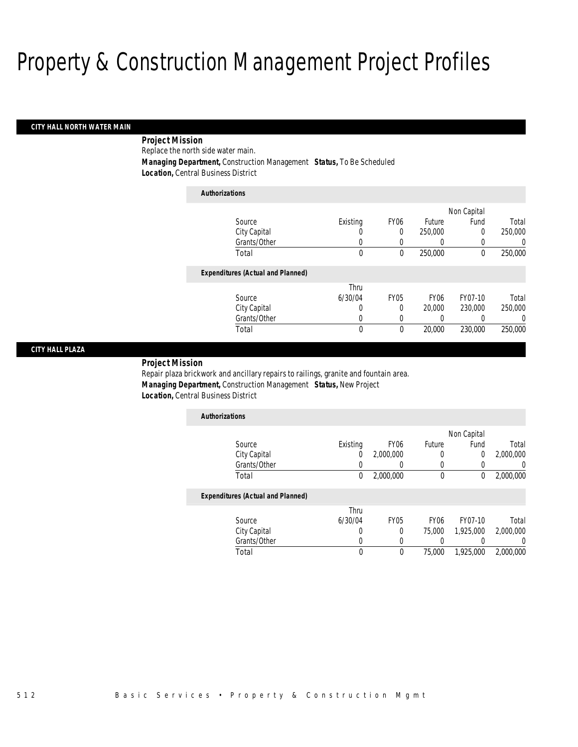#### *CITY HALL NORTH WATER MAIN*

 *Project Mission* Replace the north side water main. *Managing Department,* Construction Management *Status,* To Be Scheduled

*Location,* Central Business District

| <b>Authorizations</b>                    |          |             |                  |             |          |
|------------------------------------------|----------|-------------|------------------|-------------|----------|
|                                          |          |             |                  | Non Capital |          |
| Source                                   | Existing | <b>FY06</b> | Future           | Fund        | Total    |
| City Capital                             | 0        | 0           | 250,000          | 0           | 250,000  |
| Grants/Other                             | 0        | 0           | 0                |             | $\Omega$ |
| Total                                    | 0        | 0           | 250,000          | $\theta$    | 250,000  |
| <b>Expenditures (Actual and Planned)</b> |          |             |                  |             |          |
|                                          | Thru     |             |                  |             |          |
| Source                                   | 6/30/04  | <b>FY05</b> | FY <sub>06</sub> | FY07-10     | Total    |
| City Capital                             | 0        | 0           | 20,000           | 230,000     | 250,000  |
| Grants/Other                             | 0        | 0           | 0                | 0           | $\Omega$ |
| Total                                    | 0        | 0           | 20,000           | 230,000     | 250,000  |

#### *CITY HALL PLAZA*

*Project Mission* 

Repair plaza brickwork and ancillary repairs to railings, granite and fountain area. *Managing Department,* Construction Management *Status,* New Project *Location,* Central Business District

| <b>Authorizations</b> |          |                  |        |             |           |
|-----------------------|----------|------------------|--------|-------------|-----------|
|                       |          |                  |        | Non Capital |           |
| Source                | Existing | FY <sub>06</sub> | Future | Fund        | Total     |
| City Capital          | 0        | 2,000,000        |        |             | 2,000,000 |
| Grants/Other          |          |                  |        |             |           |
| Total                 |          | 2,000,000        |        |             | 2,000,000 |

### *Expenditures (Actual and Planned)*

|              | Thru    |             |                  |           |           |
|--------------|---------|-------------|------------------|-----------|-----------|
| Source       | 6/30/04 | <b>FY05</b> | FY <sub>06</sub> | FY07-10   | Total     |
| City Capital |         |             | 75,000           | 1.925.000 | 2,000,000 |
| Grants/Other |         |             |                  |           |           |
| Total        |         |             | 75,000           | 1.925.000 | 2,000,000 |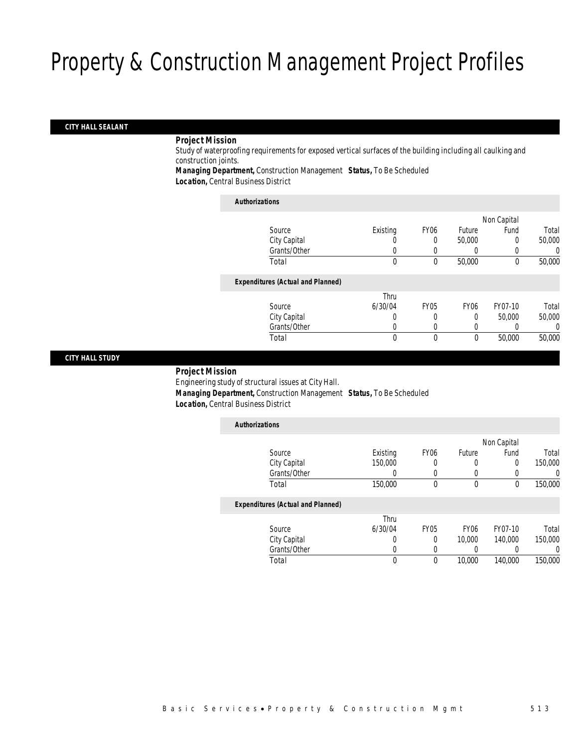## *CITY HALL SEALANT*

#### *Project Mission*

Study of waterproofing requirements for exposed vertical surfaces of the building including all caulking and construction joints.

*Managing Department,* Construction Management *Status,* To Be Scheduled *Location,* Central Business District

#### *Authorizations*

|                                          |          |                  |                  | Non Capital |        |
|------------------------------------------|----------|------------------|------------------|-------------|--------|
| Source                                   | Existing | FY <sub>06</sub> | Future           | Fund        | Total  |
| City Capital                             | U        | 0                | 50,000           | 0           | 50,000 |
| Grants/Other                             |          |                  |                  |             | O      |
| Total                                    | 0        | 0                | 50,000           | $\theta$    | 50,000 |
| <b>Expenditures (Actual and Planned)</b> |          |                  |                  |             |        |
|                                          | Thru     |                  |                  |             |        |
| Source                                   | 6/30/04  | <b>FY05</b>      | FY <sub>06</sub> | FY07-10     | Total  |
| City Capital                             | 0        | 0                | 0                | 50,000      | 50,000 |
| Grants/Other                             | 0        |                  | 0                |             | 0      |
| Total                                    | 0        | 0                | $\theta$         | 50,000      | 50,000 |
|                                          |          |                  |                  |             |        |

## *CITY HALL STUDY*

### *Project Mission* Engineering study of structural issues at City Hall. *Managing Department,* Construction Management *Status,* To Be Scheduled *Location,* Central Business District

| <b>Authorizations</b>                    |          |                  |        |             |          |
|------------------------------------------|----------|------------------|--------|-------------|----------|
|                                          |          |                  |        | Non Capital |          |
| Source                                   | Existing | FY <sub>06</sub> | Future | Fund        | Total    |
| City Capital                             | 150,000  | 0                | 0      | 0           | 150,000  |
| Grants/Other                             | 0        | $\left($         | 0      | 0           | $\left($ |
| Total                                    | 150,000  | 0                | 0      | 0           | 150,000  |
| <b>Expenditures (Actual and Planned)</b> |          |                  |        |             |          |
|                                          | Thru     |                  |        |             |          |
| Source                                   | 6/30/04  | <b>FY05</b>      | FY06   | FY07-10     | Total    |
| City Capital                             | 0        | 0                | 10,000 | 140,000     | 150,000  |
| Grants/Other                             | 0        | 0                | 0      |             | 0        |
| Total                                    | 0        | 0                | 10,000 | 140,000     | 150,000  |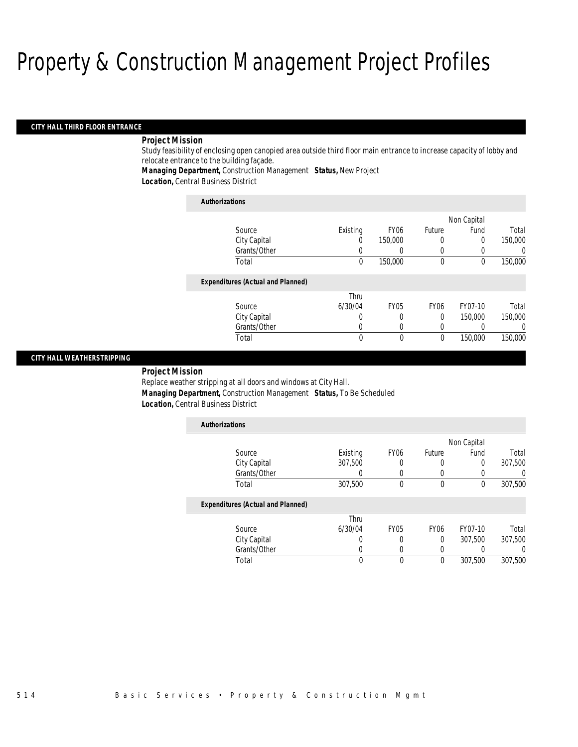#### *CITY HALL THIRD FLOOR ENTRANCE*

## *Project Mission*

Study feasibility of enclosing open canopied area outside third floor main entrance to increase capacity of lobby and relocate entrance to the building façade.

*Managing Department,* Construction Management *Status,* New Project

*Location,* Central Business District

| <b>Authorizations</b>                    |          |                  |             |             |         |
|------------------------------------------|----------|------------------|-------------|-------------|---------|
|                                          |          |                  |             | Non Capital |         |
| Source                                   | Existing | FY <sub>06</sub> | Future      | Fund        | Total   |
| City Capital                             |          | 150,000          | 0           | 0           | 150,000 |
| Grants/Other                             |          |                  | 0           |             |         |
| Total                                    | $\theta$ | 150,000          | $\theta$    | $\theta$    | 150,000 |
| <b>Expenditures (Actual and Planned)</b> |          |                  |             |             |         |
|                                          | Thru     |                  |             |             |         |
| Source                                   | 6/30/04  | <b>FY05</b>      | <b>FY06</b> | FY07-10     | Total   |
| City Capital                             |          | $\Omega$         | 0           | 150,000     | 150,000 |
| Grants/Other                             |          | 0                | 0           |             |         |
| Total                                    | 0        | 0                | 0           | 150,000     | 150,000 |

#### *CITY HALL WEATHERSTRIPPING*

*Project Mission* 

Replace weather stripping at all doors and windows at City Hall. *Managing Department,* Construction Management *Status,* To Be Scheduled *Location,* Central Business District

| <b>Authorizations</b>                    |                  |                  |                  |             |                  |
|------------------------------------------|------------------|------------------|------------------|-------------|------------------|
|                                          |                  |                  |                  | Non Capital |                  |
| Source                                   | Existing         | FY <sub>06</sub> | Future           | Fund        | Total            |
| City Capital                             | 307.500          |                  | 0                | 0           | 307,500          |
| Grants/Other                             | U                |                  |                  | 0           | 0                |
| Total                                    | 307,500          | $\theta$         | $\mathbf 0$      | 0           | 307,500          |
| <b>Expenditures (Actual and Planned)</b> |                  |                  |                  |             |                  |
|                                          | Thru             |                  |                  |             |                  |
| Source                                   | 6/30/04          | <b>FY05</b>      | FY <sub>06</sub> | FY07-10     | Total            |
| City Capital                             | $\left( \right)$ |                  | $\theta$         | 307.500     | 307,500          |
| Grants/Other                             | 0                |                  |                  |             | $\left( \right)$ |
| Total                                    | 0                | 0                | $\theta$         | 307.500     | 307.500          |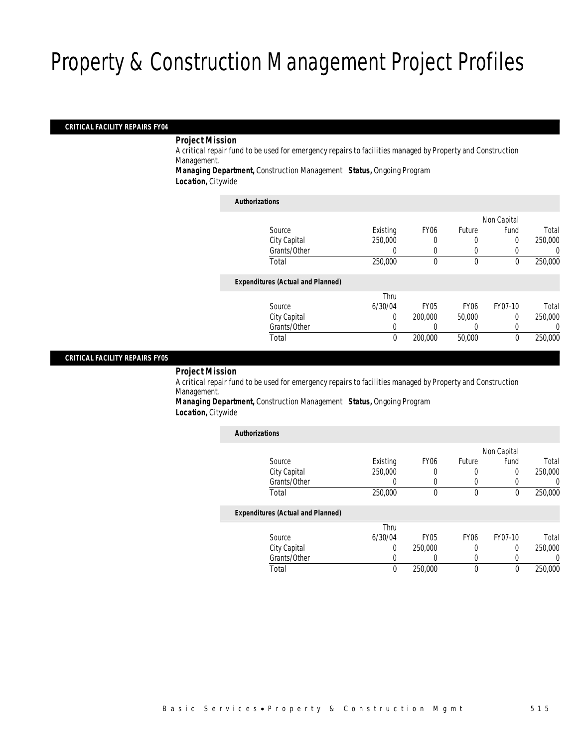### *CRITICAL FACILITY REPAIRS FY04*

*Project Mission* 

A critical repair fund to be used for emergency repairs to facilities managed by Property and Construction Management.

*Managing Department,* Construction Management *Status,* Ongoing Program *Location,* Citywide

#### *Authorizations*

|                                          |          |             |                  | Non Capital |         |
|------------------------------------------|----------|-------------|------------------|-------------|---------|
| Source                                   | Existing | <b>FY06</b> | Future           | Fund        | Total   |
| City Capital                             | 250,000  |             | 0                | 0           | 250,000 |
| Grants/Other                             | 0        |             | 0                |             | 0       |
| Total                                    | 250,000  | 0           | $\mathbf 0$      | 0           | 250,000 |
| <b>Expenditures (Actual and Planned)</b> |          |             |                  |             |         |
|                                          | Thru     |             |                  |             |         |
| Source                                   | 6/30/04  | <b>FY05</b> | FY <sub>06</sub> | FY07-10     | Total   |
| City Capital                             | 0        | 200,000     | 50,000           | 0           | 250,000 |
| Grants/Other                             | 0        |             |                  |             | 0       |
| Total                                    | 0        | 200,000     | 50,000           | $\theta$    | 250,000 |
|                                          |          |             |                  |             |         |

#### *CRITICAL FACILITY REPAIRS FY05*

*Project Mission* 

A critical repair fund to be used for emergency repairs to facilities managed by Property and Construction Management.

*Managing Department,* Construction Management *Status,* Ongoing Program *Location,* Citywide

| <b>Authorizations</b> |                                          |          |                  |             |             |         |
|-----------------------|------------------------------------------|----------|------------------|-------------|-------------|---------|
|                       |                                          |          |                  |             | Non Capital |         |
|                       | Source                                   | Existing | FY <sub>06</sub> | Future      | Fund        | Total   |
|                       | City Capital                             | 250,000  | 0                | 0           | 0           | 250,000 |
|                       | Grants/Other                             |          | 0                | 0           | 0           |         |
|                       | Total                                    | 250,000  | $\theta$         | $\theta$    | 0           | 250,000 |
|                       | <b>Expenditures (Actual and Planned)</b> |          |                  |             |             |         |
|                       |                                          | Thru     |                  |             |             |         |
|                       | Source                                   | 6/30/04  | FY <sub>05</sub> | <b>FY06</b> | FY07-10     | Total   |
|                       | City Capital                             | $\Omega$ | 250,000          | 0           | 0           | 250,000 |
|                       | Grants/Other                             |          | $\left($         | $\Omega$    | 0           |         |
|                       | Total                                    | $\theta$ | 250,000          | 0           | 0           | 250,000 |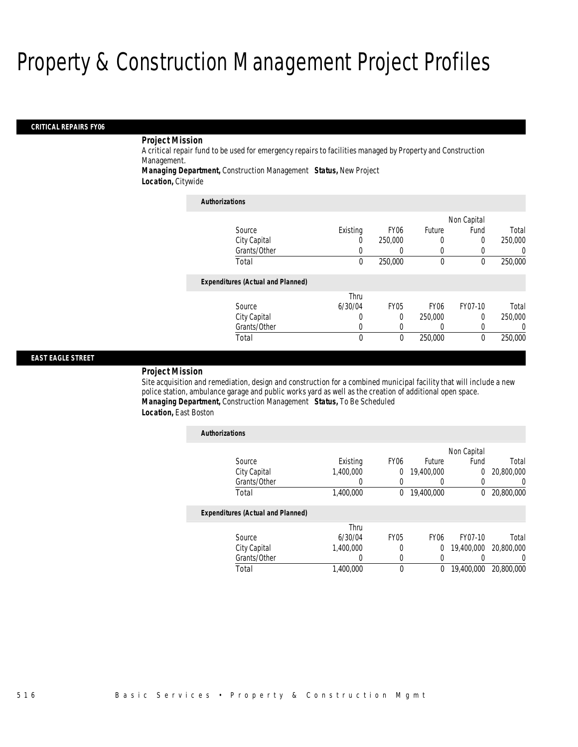#### *CRITICAL REPAIRS FY06*

## *Project Mission*

A critical repair fund to be used for emergency repairs to facilities managed by Property and Construction Management.

*Managing Department,* Construction Management *Status,* New Project

*Location,* Citywide

| <b>Authorizations</b>                    |          |                  |                  |             |          |
|------------------------------------------|----------|------------------|------------------|-------------|----------|
|                                          |          |                  |                  | Non Capital |          |
| Source                                   | Existing | FY <sub>06</sub> | Future           | Fund        | Total    |
| City Capital                             | 0        | 250,000          | 0                | 0           | 250,000  |
| Grants/Other                             | 0        |                  | 0                |             | $\left($ |
| Total                                    | $\theta$ | 250,000          | $\theta$         | $\theta$    | 250,000  |
| <b>Expenditures (Actual and Planned)</b> |          |                  |                  |             |          |
|                                          | Thru     |                  |                  |             |          |
| Source                                   | 6/30/04  | <b>FY05</b>      | <b>FY06</b>      | FY07-10     | Total    |
| City Capital                             | 0        | 0                | 250,000          | $\Omega$    | 250,000  |
| Grants/Other                             | U        | 0                | $\left( \right)$ |             | $\Omega$ |
| Total                                    | 0        | $\theta$         | 250,000          | $\Omega$    | 250,000  |

#### *EAST EAGLE STREET*

#### *Project Mission*

Site acquisition and remediation, design and construction for a combined municipal facility that will include a new police station, ambulance garage and public works yard as well as the creation of additional open space. *Managing Department,* Construction Management *Status,* To Be Scheduled *Location,* East Boston

| <b>Authorizations</b> |                                          |           |                  |             |             |            |
|-----------------------|------------------------------------------|-----------|------------------|-------------|-------------|------------|
|                       |                                          |           |                  |             | Non Capital |            |
|                       | Source                                   | Existing  | FY <sub>06</sub> | Future      | Fund        | Total      |
|                       | City Capital                             | 1.400.000 | 0                | 19,400,000  | $\theta$    | 20,800,000 |
|                       | Grants/Other                             | 0         | 0                |             |             | $\Omega$   |
|                       | Total                                    | 1,400,000 | $\Omega$         | 19,400,000  | $\theta$    | 20,800,000 |
|                       | <b>Expenditures (Actual and Planned)</b> |           |                  |             |             |            |
|                       |                                          | Thru      |                  |             |             |            |
|                       | Source                                   | 6/30/04   | <b>FY05</b>      | <b>FY06</b> | FY07-10     | Total      |
|                       | City Capital                             | 1.400.000 | 0                | $\Omega$    | 19,400,000  | 20,800,000 |
|                       | Grants/Other                             | 0         | 0                | $\Omega$    |             | 0          |
|                       | Total                                    | 1.400.000 | 0                | 0           | 19,400,000  | 20,800,000 |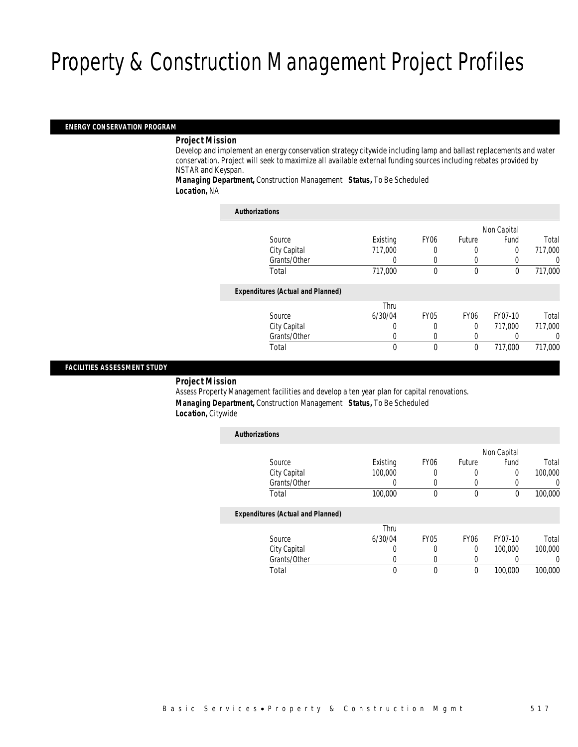#### *ENERGY CONSERVATION PROGRAM*

#### *Project Mission*

Develop and implement an energy conservation strategy citywide including lamp and ballast replacements and water conservation. Project will seek to maximize all available external funding sources including rebates provided by NSTAR and Keyspan.

*Managing Department,* Construction Management *Status,* To Be Scheduled *Location,* NA

| <b>Authorizations</b>                    |          |                  |             |             |          |
|------------------------------------------|----------|------------------|-------------|-------------|----------|
|                                          |          |                  |             | Non Capital |          |
| Source                                   | Existing | FY <sub>06</sub> | Future      | Fund        | Total    |
| City Capital                             | 717.000  | 0                | 0           | $\Omega$    | 717,000  |
| Grants/Other                             | 0        | 0                | 0           |             | 0        |
| Total                                    | 717,000  | 0                | $\theta$    | $\theta$    | 717,000  |
| <b>Expenditures (Actual and Planned)</b> |          |                  |             |             |          |
|                                          | Thru     |                  |             |             |          |
| Source                                   | 6/30/04  | <b>FY05</b>      | <b>FY06</b> | FY07-10     | Total    |
| City Capital                             | 0        | 0                | 0           | 717.000     | 717,000  |
| Grants/Other                             | 0        | 0                | 0           |             | $\left($ |
| Total                                    | 0        | 0                | $\theta$    | 717.000     | 717.000  |

### *FACILITIES ASSESSMENT STUDY*

#### *Project Mission*

Assess Property Management facilities and develop a ten year plan for capital renovations. *Managing Department,* Construction Management *Status,* To Be Scheduled *Location,* Citywide

| <b>Authorizations</b>                    |          |                  |             |             |                  |
|------------------------------------------|----------|------------------|-------------|-------------|------------------|
|                                          |          |                  |             | Non Capital |                  |
| Source                                   | Existing | FY <sub>06</sub> | Future      | Fund        | Total            |
| City Capital                             | 100,000  | 0                |             | $\Omega$    | 100,000          |
| Grants/Other                             | 0        | $\Omega$         | $\Omega$    | $\left($    | $\left( \right)$ |
| Total                                    | 100,000  | $\Omega$         | $\theta$    | 0           | 100,000          |
| <b>Expenditures (Actual and Planned)</b> |          |                  |             |             |                  |
|                                          | Thru     |                  |             |             |                  |
| Source                                   | 6/30/04  | <b>FY05</b>      | <b>FY06</b> | FY07-10     | Total            |
| City Capital                             | 0        | 0                | 0           | 100,000     | 100,000          |
| Grants/Other                             |          | 0                |             |             |                  |
| Total                                    |          | 0                | $\theta$    | 100,000     | 100,000          |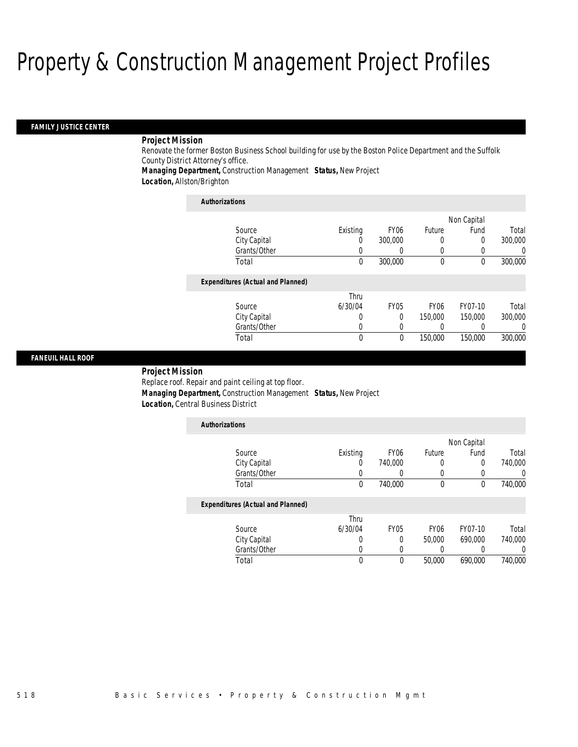#### *FAMILY JUSTICE CENTER*

### *Project Mission*

Renovate the former Boston Business School building for use by the Boston Police Department and the Suffolk County District Attorney's office.

*Managing Department,* Construction Management *Status,* New Project

*Location,* Allston/Brighton

| <b>Authorizations</b>                    |          |                  |             |             |                  |
|------------------------------------------|----------|------------------|-------------|-------------|------------------|
|                                          |          |                  |             | Non Capital |                  |
| Source                                   | Existing | FY <sub>06</sub> | Future      | Fund        | Total            |
| City Capital                             | O        | 300,000          | 0           | 0           | 300,000          |
| Grants/Other                             | O        | 0                | 0           | 0           | $\left( \right)$ |
| Total                                    | 0        | 300,000          | $\mathbf 0$ | 0           | 300,000          |
| <b>Expenditures (Actual and Planned)</b> |          |                  |             |             |                  |
|                                          | Thru     |                  |             |             |                  |
| Source                                   | 6/30/04  | <b>FY05</b>      | <b>FY06</b> | FY07-10     | Total            |
| City Capital                             | 0        | $\Omega$         | 150,000     | 150,000     | 300,000          |
| Grants/Other                             | O        | 0                |             |             | 0                |
| Total                                    | $\theta$ | $\mathbf{0}$     | 150,000     | 150,000     | 300,000          |

## *FANEUIL HALL ROOF*

## *Project Mission*

Replace roof. Repair and paint ceiling at top floor.

*Managing Department,* Construction Management *Status,* New Project

*Location,* Central Business District

| <b>Authorizations</b>                    |          |                  |                  |             |         |
|------------------------------------------|----------|------------------|------------------|-------------|---------|
|                                          |          |                  |                  | Non Capital |         |
| Source                                   | Existing | <b>FY06</b>      | Future           | Fund        | Total   |
| City Capital                             | 0        | 740,000          | 0                | 0           | 740,000 |
| Grants/Other                             |          |                  | 0                | 0           | 0       |
| Total                                    | 0        | 740,000          | $\mathbf 0$      | 0           | 740,000 |
| <b>Expenditures (Actual and Planned)</b> |          |                  |                  |             |         |
|                                          | Thru     |                  |                  |             |         |
| Source                                   | 6/30/04  | FY <sub>05</sub> | FY <sub>06</sub> | FY07-10     | Total   |
| City Capital                             | 0        | 0                | 50,000           | 690.000     | 740,000 |
| Grants/Other                             | 0        |                  |                  |             | 0       |
| Total                                    | 0        | $\Omega$         | 50,000           | 690.000     | 740,000 |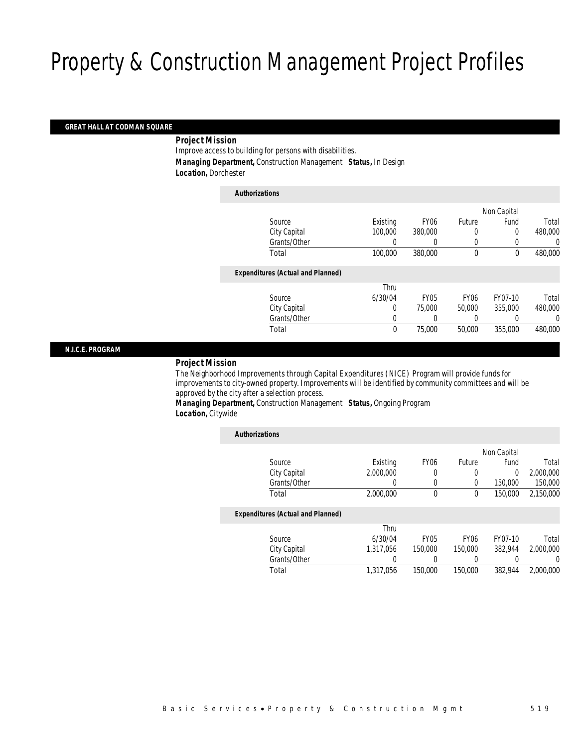#### *GREAT HALL AT CODMAN SQUARE*

### *Project Mission*

Improve access to building for persons with disabilities. *Managing Department,* Construction Management *Status,* In Design *Location,* Dorchester

| <b>Authorizations</b>                    |             |             |                  |             |         |
|------------------------------------------|-------------|-------------|------------------|-------------|---------|
|                                          |             |             |                  | Non Capital |         |
| Source                                   | Existing    | <b>FY06</b> | Future           | Fund        | Total   |
| City Capital                             | 100,000     | 380,000     | 0                | 0           | 480,000 |
| Grants/Other                             | 0           | 0           | 0                |             | 0       |
| Total                                    | 100,000     | 380,000     | $\theta$         | $\theta$    | 480,000 |
| <b>Expenditures (Actual and Planned)</b> |             |             |                  |             |         |
|                                          | Thru        |             |                  |             |         |
| Source                                   | 6/30/04     | <b>FY05</b> | FY <sub>06</sub> | FY07-10     | Total   |
| City Capital                             | 0           | 75,000      | 50,000           | 355,000     | 480,000 |
| Grants/Other                             | 0           | 0           |                  |             | 0       |
| Total                                    | $\mathbf 0$ | 75,000      | 50,000           | 355,000     | 480,000 |
|                                          |             |             |                  |             |         |

#### *N.I.C.E. PROGRAM*

## *Project Mission*

The Neighborhood Improvements through Capital Expenditures (NICE) Program will provide funds for improvements to city-owned property. Improvements will be identified by community committees and will be approved by the city after a selection process.

*Managing Department,* Construction Management *Status,* Ongoing Program *Location,* Citywide

| <b>Authorizations</b>                    |           |                  |             |             |           |
|------------------------------------------|-----------|------------------|-------------|-------------|-----------|
|                                          |           |                  |             | Non Capital |           |
| Source                                   | Existing  | FY <sub>06</sub> | Future      | Fund        | Total     |
| City Capital                             | 2,000,000 | 0                | 0           | $\Omega$    | 2,000,000 |
| Grants/Other                             | 0         | 0                | 0           | 150,000     | 150,000   |
| Total                                    | 2,000,000 | 0                | $\theta$    | 150,000     | 2.150.000 |
| <b>Expenditures (Actual and Planned)</b> |           |                  |             |             |           |
|                                          | Thru      |                  |             |             |           |
| Source                                   | 6/30/04   | <b>FY05</b>      | <b>FY06</b> | FY07-10     | Total     |
| City Capital                             | 1.317.056 | 150,000          | 150,000     | 382.944     | 2.000.000 |
| Grants/Other                             | 0         |                  | 0           |             | 0         |
| Total                                    | 1,317,056 | 150,000          | 150,000     | 382.944     | 2.000.000 |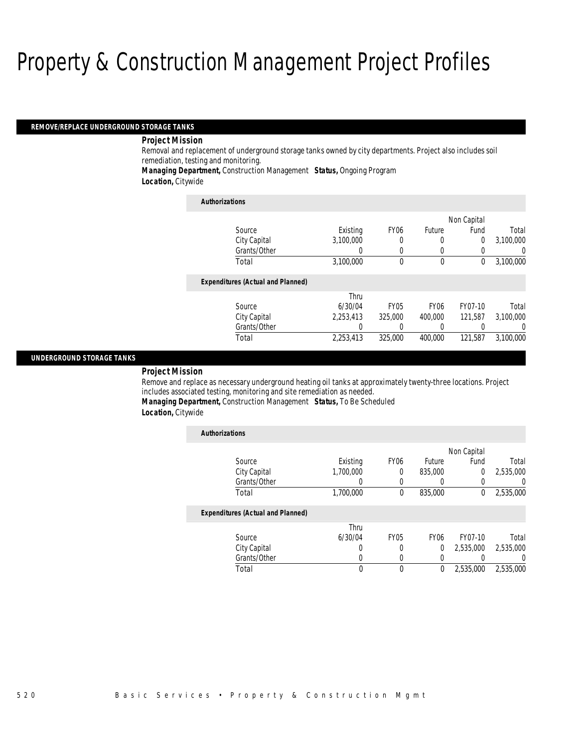#### *REMOVE/REPLACE UNDERGROUND STORAGE TANKS*

#### *Project Mission*

Removal and replacement of underground storage tanks owned by city departments. Project also includes soil remediation, testing and monitoring.

*Managing Department,* Construction Management *Status,* Ongoing Program

*Location,* Citywide

| <b>Authorizations</b>                    |                  |                  |             |             |           |
|------------------------------------------|------------------|------------------|-------------|-------------|-----------|
|                                          |                  |                  |             | Non Capital |           |
| Source                                   | Existing         | FY <sub>06</sub> | Future      | Fund        | Total     |
| City Capital                             | 3.100.000        | 0                | 0           | 0           | 3,100,000 |
| Grants/Other                             | 0                | 0                | 0           |             | 0         |
| Total                                    | 3.100.000        | $\theta$         | $\theta$    | 0           | 3,100,000 |
| <b>Expenditures (Actual and Planned)</b> |                  |                  |             |             |           |
|                                          | Thru             |                  |             |             |           |
| Source                                   | 6/30/04          | FY <sub>05</sub> | <b>FY06</b> | FY07-10     | Total     |
| City Capital                             | 2.253.413        | 325,000          | 400,000     | 121,587     | 3,100,000 |
| Grants/Other                             | $\left( \right)$ |                  |             |             | $\left($  |
| Total                                    | 2,253,413        | 325,000          | 400,000     | 121,587     | 3,100,000 |

#### *UNDERGROUND STORAGE TANKS*

#### *Project Mission*

Remove and replace as necessary underground heating oil tanks at approximately twenty-three locations. Project includes associated testing, monitoring and site remediation as needed.

*Managing Department,* Construction Management *Status,* To Be Scheduled

*Location,* Citywide

| <b>Authorizations</b>                    |           |                  |                  |             |                  |
|------------------------------------------|-----------|------------------|------------------|-------------|------------------|
|                                          |           |                  |                  | Non Capital |                  |
| Source                                   | Existing  | FY <sub>06</sub> | Future           | Fund        | Total            |
| City Capital                             | 1,700,000 | 0                | 835,000          | 0           | 2,535,000        |
| Grants/Other                             | 0         |                  |                  | 0           | $\left( \right)$ |
| Total                                    | 1,700,000 | $\Omega$         | 835,000          | 0           | 2,535,000        |
| <b>Expenditures (Actual and Planned)</b> |           |                  |                  |             |                  |
|                                          | Thru      |                  |                  |             |                  |
| Source                                   | 6/30/04   | <b>FY05</b>      | FY <sub>06</sub> | FY07-10     | Total            |
| City Capital                             | 0         |                  | 0                | 2,535,000   | 2,535,000        |
| Grants/Other                             | 0         | 0                | 0                |             | 0                |
| Total                                    | 0         | $\theta$         | $\theta$         | 2,535,000   | 2,535,000        |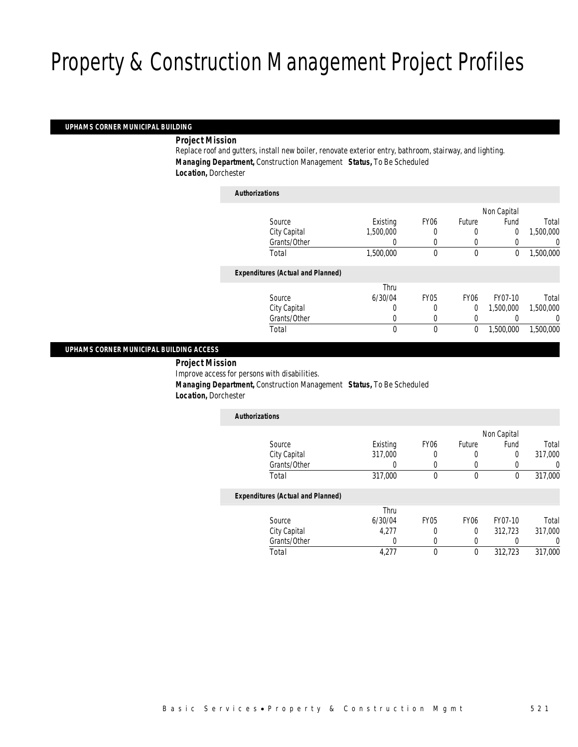### *UPHAMS CORNER MUNICIPAL BUILDING*

*Project Mission* 

Replace roof and gutters, install new boiler, renovate exterior entry, bathroom, stairway, and lighting. *Managing Department,* Construction Management *Status,* To Be Scheduled *Location,* Dorchester

| Authorizations                           |           |             |                  |             |           |
|------------------------------------------|-----------|-------------|------------------|-------------|-----------|
|                                          |           |             |                  | Non Capital |           |
| Source                                   | Existing  | <b>FY06</b> | Future           | Fund        | Total     |
| City Capital                             | 1.500.000 | 0           | 0                | 0           | 1,500,000 |
| Grants/Other                             |           |             | 0                |             | 0         |
| Total                                    | 1,500,000 | 0           | $\mathbf 0$      | 0           | 1,500,000 |
| <b>Expenditures (Actual and Planned)</b> |           |             |                  |             |           |
|                                          | Thru      |             |                  |             |           |
| Source                                   | 6/30/04   | <b>FY05</b> | FY <sub>06</sub> | FY07-10     | Total     |
| City Capital                             | 0         | 0           | $\overline{0}$   | 1.500.000   | 1,500,000 |
| Grants/Other                             | 0         | 0           | 0                |             | 0         |
| Total                                    | 0         | 0           | $\mathbf 0$      | 1,500,000   | 1,500,000 |
|                                          |           |             |                  |             |           |

### *UPHAMS CORNER MUNICIPAL BUILDING ACCESS*

*Project Mission* 

Improve access for persons with disabilities.

*Authorizations*

*Managing Department,* Construction Management *Status,* To Be Scheduled

*Location,* Dorchester

| <b>Authorizations</b>                    |          |                  |                  |             |                  |
|------------------------------------------|----------|------------------|------------------|-------------|------------------|
|                                          |          |                  |                  | Non Capital |                  |
| Source                                   | Existing | FY <sub>06</sub> | Future           | Fund        | Total            |
| City Capital                             | 317,000  |                  | 0                | 0           | 317,000          |
| Grants/Other                             | 0        |                  | $\left($         |             | $\left( \right)$ |
| Total                                    | 317,000  | $\Omega$         | $\theta$         | 0           | 317,000          |
| <b>Expenditures (Actual and Planned)</b> |          |                  |                  |             |                  |
|                                          | Thru     |                  |                  |             |                  |
| Source                                   | 6/30/04  | <b>FY05</b>      | FY <sub>06</sub> | FY07-10     | Total            |
| City Capital                             | 4,277    |                  | 0                | 312,723     | 317,000          |
| Grants/Other                             |          |                  |                  |             | 0                |

Total 4,277 0 0 312,723 317,000